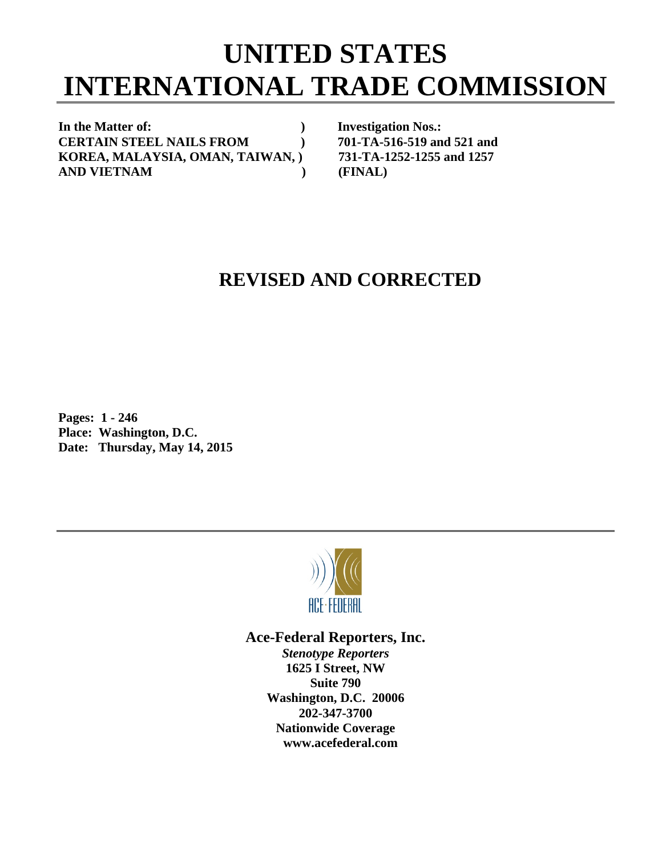## **UNITED STATES INTERNATIONAL TRADE COMMISSION**

In the Matter of: *In the Matter of: Physopherical contracts* **and** *Physopherical contracts* **and** *Physopherical contracts* **and** *Physopherical contracts* **and** *Physopherical contracts* **and** *Physopherical* **contracts and CERTAIN STEEL NAILS FROM ) 701-TA-516-519 and 521 and KOREA, MALAYSIA, OMAN, TAIWAN, ) 731-TA-1252-1255 and 1257 AND VIETNAM ) (FINAL)** 

## **REVISED AND CORRECTED**

**Pages: 1 - 246 Place: Washington, D.C. Date: Thursday, May 14, 2015** 



## **Ace-Federal Reporters, Inc.**

*Stenotype Reporters*  **1625 I Street, NW Suite 790 Washington, D.C. 20006 202-347-3700 Nationwide Coverage www.acefederal.com**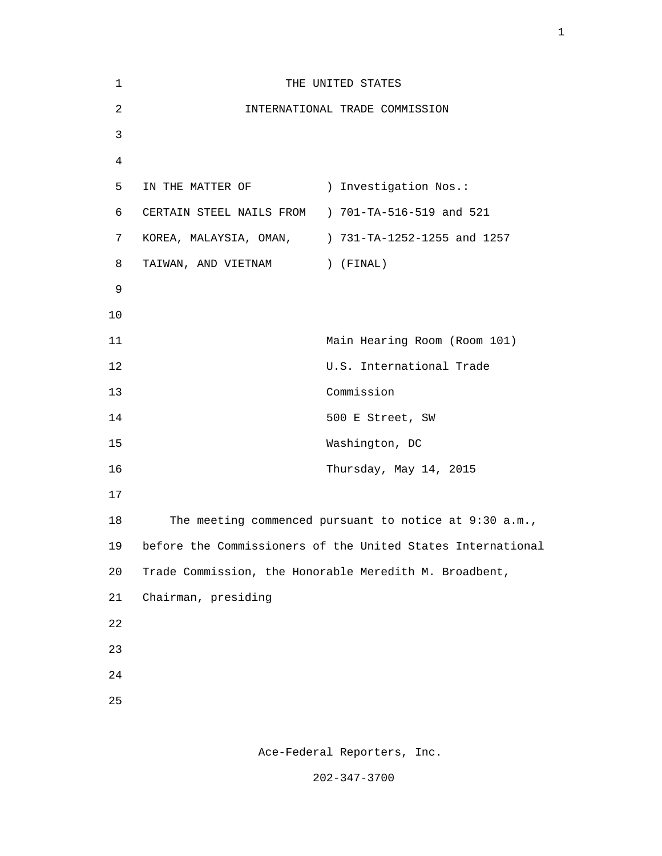| $\mathbf{1}$   |                                                        | THE UNITED STATES                                           |
|----------------|--------------------------------------------------------|-------------------------------------------------------------|
| $\overline{2}$ |                                                        | INTERNATIONAL TRADE COMMISSION                              |
| 3              |                                                        |                                                             |
| $\overline{4}$ |                                                        |                                                             |
| 5              | IN THE MATTER OF                                       | ) Investigation Nos.:                                       |
| 6              | CERTAIN STEEL NAILS FROM ) 701-TA-516-519 and 521      |                                                             |
| 7              |                                                        | KOREA, MALAYSIA, OMAN, 31-TA-1252-1255 and 1257             |
| 8              | TAIWAN, AND VIETNAM                                    | ) (FINAL)                                                   |
| $\mathsf 9$    |                                                        |                                                             |
| 10             |                                                        |                                                             |
| 11             |                                                        | Main Hearing Room (Room 101)                                |
| 12             |                                                        | U.S. International Trade                                    |
| 13             |                                                        | Commission                                                  |
| 14             |                                                        | 500 E Street, SW                                            |
| 15             |                                                        | Washington, DC                                              |
| 16             |                                                        | Thursday, May 14, 2015                                      |
| 17             |                                                        |                                                             |
| 18             |                                                        | The meeting commenced pursuant to notice at 9:30 a.m.,      |
| 19             |                                                        | before the Commissioners of the United States International |
| 20             | Trade Commission, the Honorable Meredith M. Broadbent, |                                                             |
| 21             | Chairman, presiding                                    |                                                             |
| 22             |                                                        |                                                             |
| 23             |                                                        |                                                             |
| 24             |                                                        |                                                             |
| 25             |                                                        |                                                             |

Ace-Federal Reporters, Inc.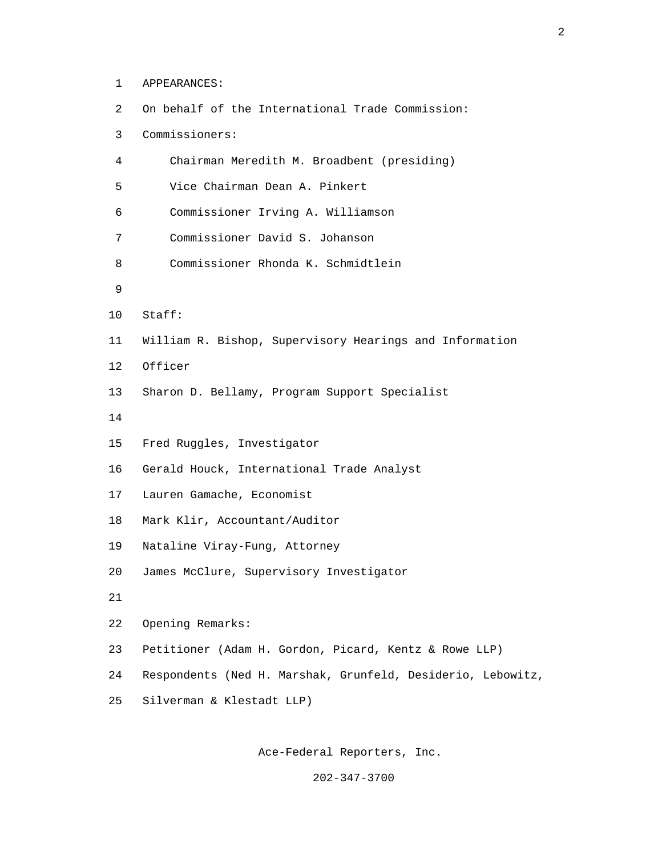1 APPEARANCES:

| 2  | On behalf of the International Trade Commission:            |
|----|-------------------------------------------------------------|
| 3  | Commissioners:                                              |
| 4  | Chairman Meredith M. Broadbent (presiding)                  |
| 5  | Vice Chairman Dean A. Pinkert                               |
| 6  | Commissioner Irving A. Williamson                           |
| 7  | Commissioner David S. Johanson                              |
| 8  | Commissioner Rhonda K. Schmidtlein                          |
| 9  |                                                             |
| 10 | Stat:                                                       |
| 11 | William R. Bishop, Supervisory Hearings and Information     |
| 12 | Officer                                                     |
| 13 | Sharon D. Bellamy, Program Support Specialist               |
| 14 |                                                             |
| 15 | Fred Ruggles, Investigator                                  |
| 16 | Gerald Houck, International Trade Analyst                   |
| 17 | Lauren Gamache, Economist                                   |
| 18 | Mark Klir, Accountant/Auditor                               |
| 19 | Nataline Viray-Fung, Attorney                               |
| 20 | James McClure, Supervisory Investigator                     |
| 21 |                                                             |
| 22 | Opening Remarks:                                            |
| 23 | Petitioner (Adam H. Gordon, Picard, Kentz & Rowe LLP)       |
| 24 | Respondents (Ned H. Marshak, Grunfeld, Desiderio, Lebowitz, |
| 25 | Silverman & Klestadt LLP)                                   |

Ace-Federal Reporters, Inc.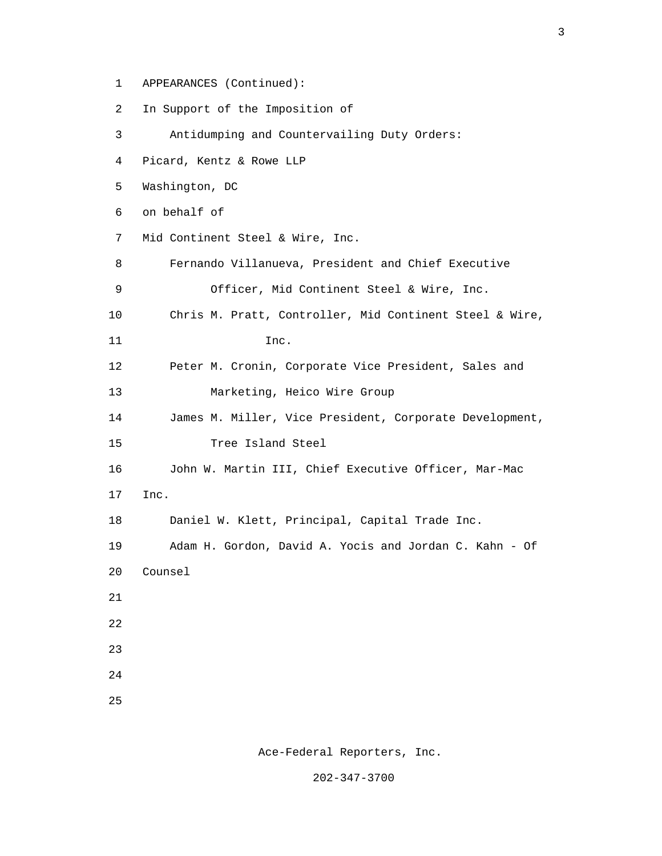1 APPEARANCES (Continued):

2 In Support of the Imposition of

 3 Antidumping and Countervailing Duty Orders: 4 Picard, Kentz & Rowe LLP 5 Washington, DC 6 on behalf of 7 Mid Continent Steel & Wire, Inc. 8 Fernando Villanueva, President and Chief Executive 9 Officer, Mid Continent Steel & Wire, Inc. 10 Chris M. Pratt, Controller, Mid Continent Steel & Wire, 11 Inc. 12 Peter M. Cronin, Corporate Vice President, Sales and 13 Marketing, Heico Wire Group 14 James M. Miller, Vice President, Corporate Development, 15 Tree Island Steel 16 John W. Martin III, Chief Executive Officer, Mar-Mac 17 Inc. 18 Daniel W. Klett, Principal, Capital Trade Inc. 19 Adam H. Gordon, David A. Yocis and Jordan C. Kahn - Of 20 Counsel 21 22 23 24 25

Ace-Federal Reporters, Inc.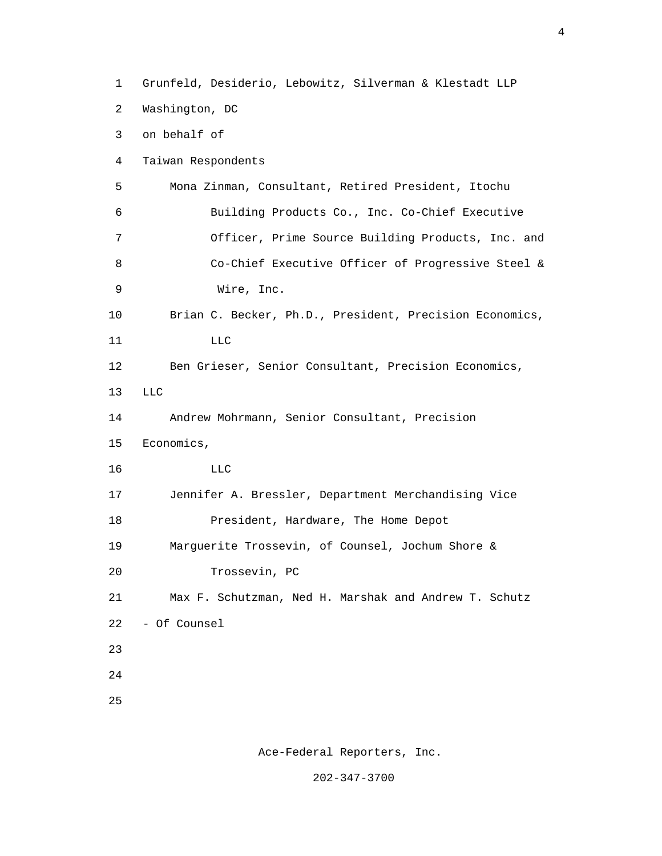1 Grunfeld, Desiderio, Lebowitz, Silverman & Klestadt LLP 2 Washington, DC 3 on behalf of 4 Taiwan Respondents 5 Mona Zinman, Consultant, Retired President, Itochu 6 Building Products Co., Inc. Co-Chief Executive 7 Officer, Prime Source Building Products, Inc. and 8 Co-Chief Executive Officer of Progressive Steel & 9 Wire, Inc. 10 Brian C. Becker, Ph.D., President, Precision Economics, 11 LLC 12 Ben Grieser, Senior Consultant, Precision Economics, 13 LLC 14 Andrew Mohrmann, Senior Consultant, Precision 15 Economics, 16 LLC 17 Jennifer A. Bressler, Department Merchandising Vice 18 President, Hardware, The Home Depot 19 Marguerite Trossevin, of Counsel, Jochum Shore & 20 Trossevin, PC 21 Max F. Schutzman, Ned H. Marshak and Andrew T. Schutz 22 - Of Counsel 23 24 25

4

Ace-Federal Reporters, Inc.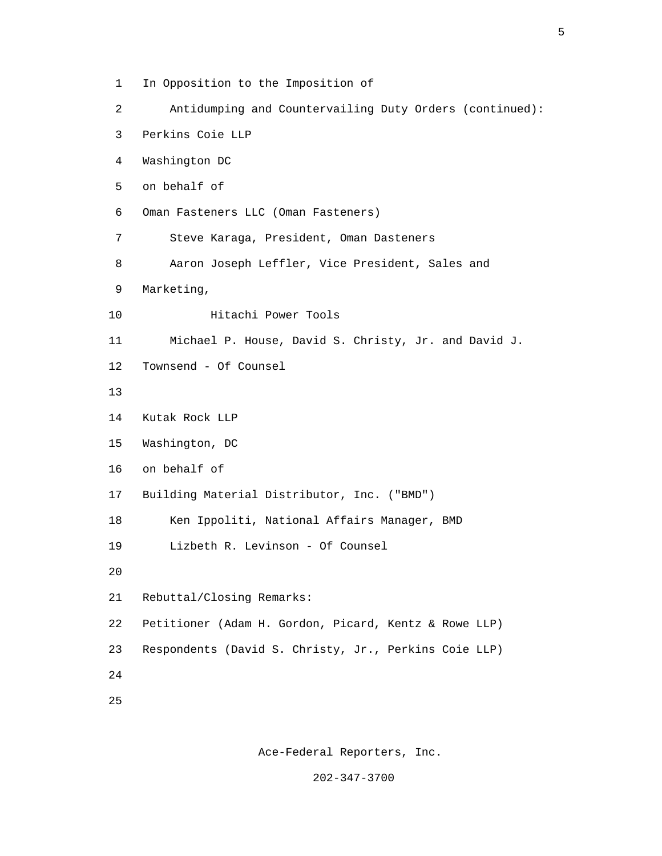- 1 In Opposition to the Imposition of
- 2 Antidumping and Countervailing Duty Orders (continued):
- 3 Perkins Coie LLP
- 4 Washington DC
- 5 on behalf of
- 6 Oman Fasteners LLC (Oman Fasteners)
- 7 Steve Karaga, President, Oman Dasteners
- 8 Aaron Joseph Leffler, Vice President, Sales and
- 9 Marketing,
- 10 Hitachi Power Tools
- 11 Michael P. House, David S. Christy, Jr. and David J.
- 12 Townsend Of Counsel
- 13
- 14 Kutak Rock LLP
- 15 Washington, DC
- 16 on behalf of
- 17 Building Material Distributor, Inc. ("BMD")
- 18 Ken Ippoliti, National Affairs Manager, BMD
- 19 Lizbeth R. Levinson Of Counsel
- 20

21 Rebuttal/Closing Remarks:

- 22 Petitioner (Adam H. Gordon, Picard, Kentz & Rowe LLP)
- 23 Respondents (David S. Christy, Jr., Perkins Coie LLP)
- 24
- 25

Ace-Federal Reporters, Inc.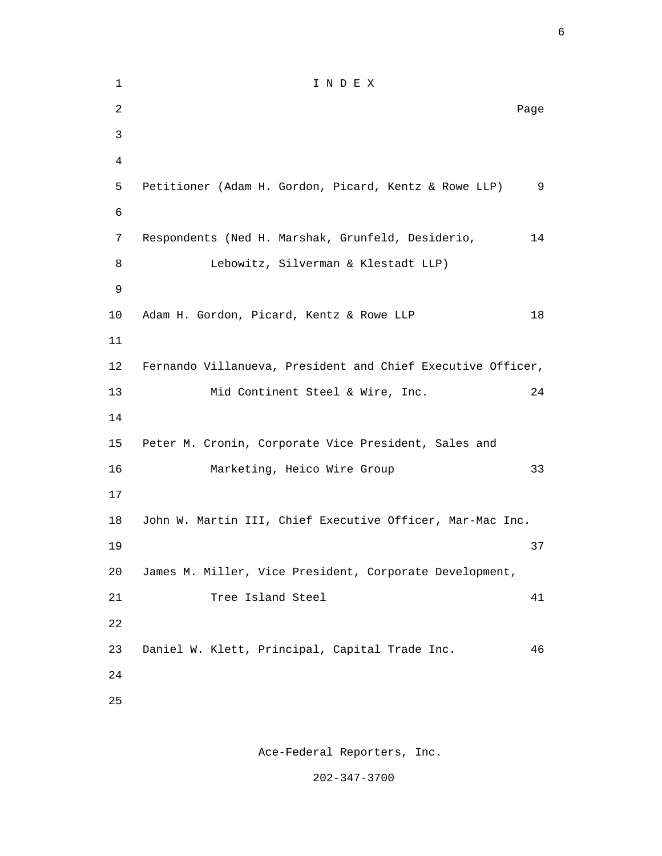1 I N D E X 2 **Page 12 Page 12 Page 12 Page 12 Page 12 Page 12 Page 12 Page 12 Page 12 Page 12 Page 12 Page 12 Page 12 Page 12 Page 12 Page 12 Page 12 Page 12 Page 12 Page 12 Page 12 Page 12** 3 4 5 Petitioner (Adam H. Gordon, Picard, Kentz & Rowe LLP) 9 6 7 Respondents (Ned H. Marshak, Grunfeld, Desiderio, 14 8 Lebowitz, Silverman & Klestadt LLP) 9 10 Adam H. Gordon, Picard, Kentz & Rowe LLP 18 11 12 Fernando Villanueva, President and Chief Executive Officer, 13 Mid Continent Steel & Wire, Inc. 24 14 15 Peter M. Cronin, Corporate Vice President, Sales and 16 Marketing, Heico Wire Group 33 17 18 John W. Martin III, Chief Executive Officer, Mar-Mac Inc.  $19 \hspace{2.5cm} 37$  20 James M. Miller, Vice President, Corporate Development, 21 Tree Island Steel 41 22 23 Daniel W. Klett, Principal, Capital Trade Inc. 46 24 25

Ace-Federal Reporters, Inc.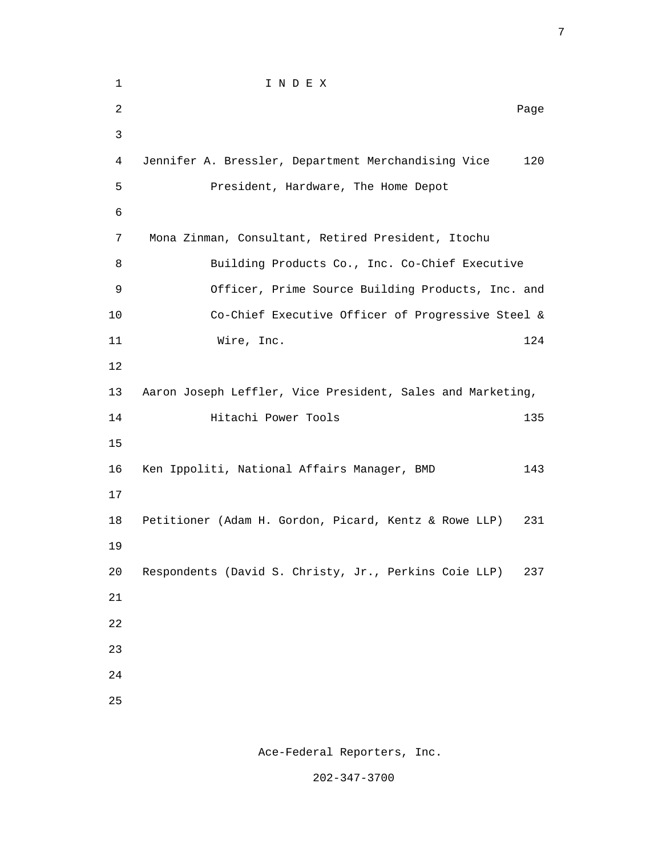| $\mathbf 1$    | I N D E X                                                  |      |
|----------------|------------------------------------------------------------|------|
| $\overline{c}$ |                                                            | Page |
| $\mathsf{3}$   |                                                            |      |
| 4              | Jennifer A. Bressler, Department Merchandising Vice        | 120  |
| 5              | President, Hardware, The Home Depot                        |      |
| 6              |                                                            |      |
| 7              | Mona Zinman, Consultant, Retired President, Itochu         |      |
| 8              | Building Products Co., Inc. Co-Chief Executive             |      |
| 9              | Officer, Prime Source Building Products, Inc. and          |      |
| 10             | Co-Chief Executive Officer of Progressive Steel &          |      |
| 11             | Wire, Inc.                                                 | 124  |
| 12             |                                                            |      |
| 13             | Aaron Joseph Leffler, Vice President, Sales and Marketing, |      |
| 14             | Hitachi Power Tools                                        | 135  |
| 15             |                                                            |      |
| 16             | Ken Ippoliti, National Affairs Manager, BMD                | 143  |
| 17             |                                                            |      |
| 18             | Petitioner (Adam H. Gordon, Picard, Kentz & Rowe LLP)      | 231  |
| 19             |                                                            |      |
| $20$           | Respondents (David S. Christy, Jr., Perkins Coie LLP)      | 237  |
| 21             |                                                            |      |
| 22             |                                                            |      |
| 23             |                                                            |      |
| 24             |                                                            |      |
| 25             |                                                            |      |
|                |                                                            |      |

<u>2003: Constantinople and the constantinople and the constantinople and the constantinople and the constantinople and the constantinople and the constantinople and the constantinople and the constantinople and the constant</u>

Ace-Federal Reporters, Inc.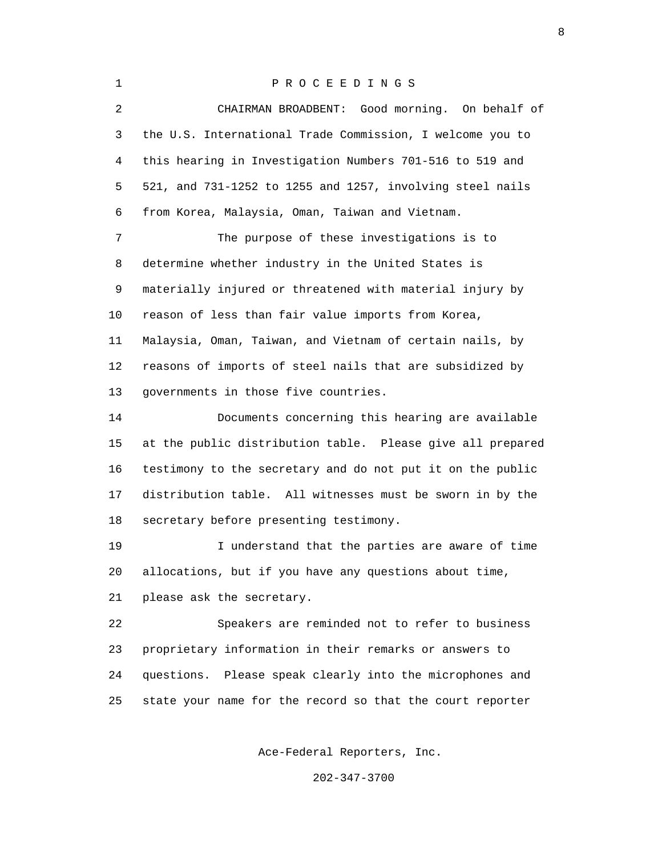1 P R O C E E D I N G S 2 CHAIRMAN BROADBENT: Good morning. On behalf of 3 the U.S. International Trade Commission, I welcome you to 4 this hearing in Investigation Numbers 701-516 to 519 and 5 521, and 731-1252 to 1255 and 1257, involving steel nails 6 from Korea, Malaysia, Oman, Taiwan and Vietnam. 7 The purpose of these investigations is to 8 determine whether industry in the United States is 9 materially injured or threatened with material injury by 10 reason of less than fair value imports from Korea, 11 Malaysia, Oman, Taiwan, and Vietnam of certain nails, by 12 reasons of imports of steel nails that are subsidized by 13 governments in those five countries. 14 Documents concerning this hearing are available 15 at the public distribution table. Please give all prepared 16 testimony to the secretary and do not put it on the public 17 distribution table. All witnesses must be sworn in by the 18 secretary before presenting testimony. 19 I understand that the parties are aware of time 20 allocations, but if you have any questions about time, 21 please ask the secretary. 22 Speakers are reminded not to refer to business 23 proprietary information in their remarks or answers to 24 questions. Please speak clearly into the microphones and 25 state your name for the record so that the court reporter Ace-Federal Reporters, Inc.

202-347-3700

experience of the state of the state of the state of the state of the state of the state of the state of the s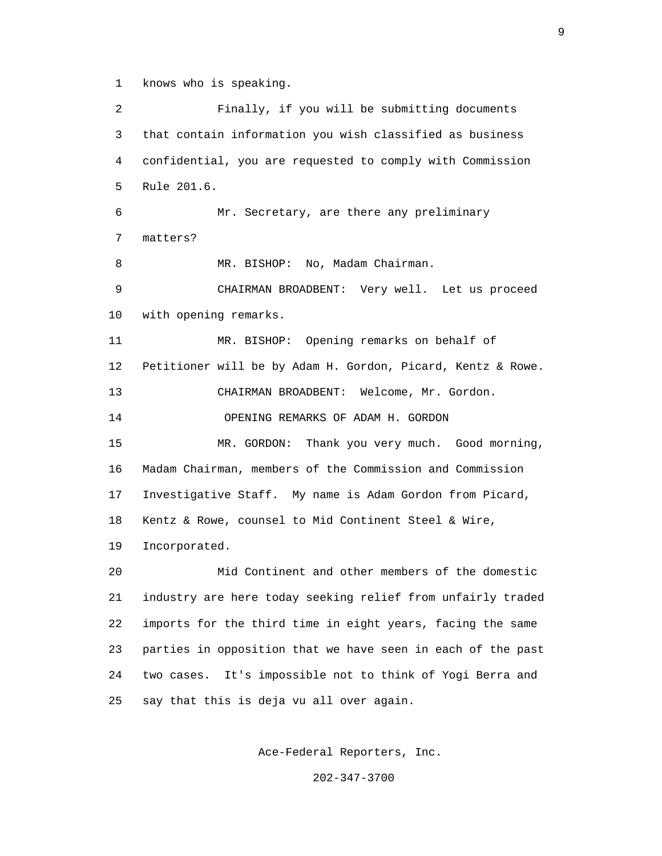1 knows who is speaking.

 2 Finally, if you will be submitting documents 3 that contain information you wish classified as business 4 confidential, you are requested to comply with Commission 5 Rule 201.6. 6 Mr. Secretary, are there any preliminary 7 matters? 8 MR. BISHOP: No, Madam Chairman. 9 CHAIRMAN BROADBENT: Very well. Let us proceed 10 with opening remarks. 11 MR. BISHOP: Opening remarks on behalf of 12 Petitioner will be by Adam H. Gordon, Picard, Kentz & Rowe. 13 CHAIRMAN BROADBENT: Welcome, Mr. Gordon. 14 OPENING REMARKS OF ADAM H. GORDON 15 MR. GORDON: Thank you very much. Good morning, 16 Madam Chairman, members of the Commission and Commission 17 Investigative Staff. My name is Adam Gordon from Picard, 18 Kentz & Rowe, counsel to Mid Continent Steel & Wire, 19 Incorporated. 20 Mid Continent and other members of the domestic 21 industry are here today seeking relief from unfairly traded 22 imports for the third time in eight years, facing the same 23 parties in opposition that we have seen in each of the past 24 two cases. It's impossible not to think of Yogi Berra and 25 say that this is deja vu all over again.

Ace-Federal Reporters, Inc.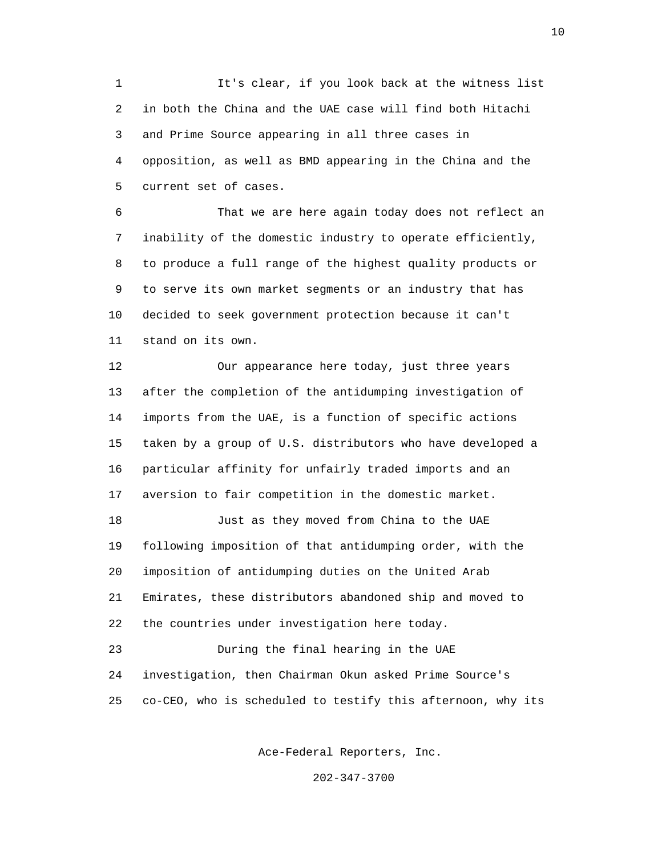1 It's clear, if you look back at the witness list 2 in both the China and the UAE case will find both Hitachi 3 and Prime Source appearing in all three cases in 4 opposition, as well as BMD appearing in the China and the 5 current set of cases.

 6 That we are here again today does not reflect an 7 inability of the domestic industry to operate efficiently, 8 to produce a full range of the highest quality products or 9 to serve its own market segments or an industry that has 10 decided to seek government protection because it can't 11 stand on its own.

 12 Our appearance here today, just three years 13 after the completion of the antidumping investigation of 14 imports from the UAE, is a function of specific actions 15 taken by a group of U.S. distributors who have developed a 16 particular affinity for unfairly traded imports and an 17 aversion to fair competition in the domestic market.

 18 Just as they moved from China to the UAE 19 following imposition of that antidumping order, with the 20 imposition of antidumping duties on the United Arab 21 Emirates, these distributors abandoned ship and moved to 22 the countries under investigation here today. 23 During the final hearing in the UAE

 24 investigation, then Chairman Okun asked Prime Source's 25 co-CEO, who is scheduled to testify this afternoon, why its

Ace-Federal Reporters, Inc.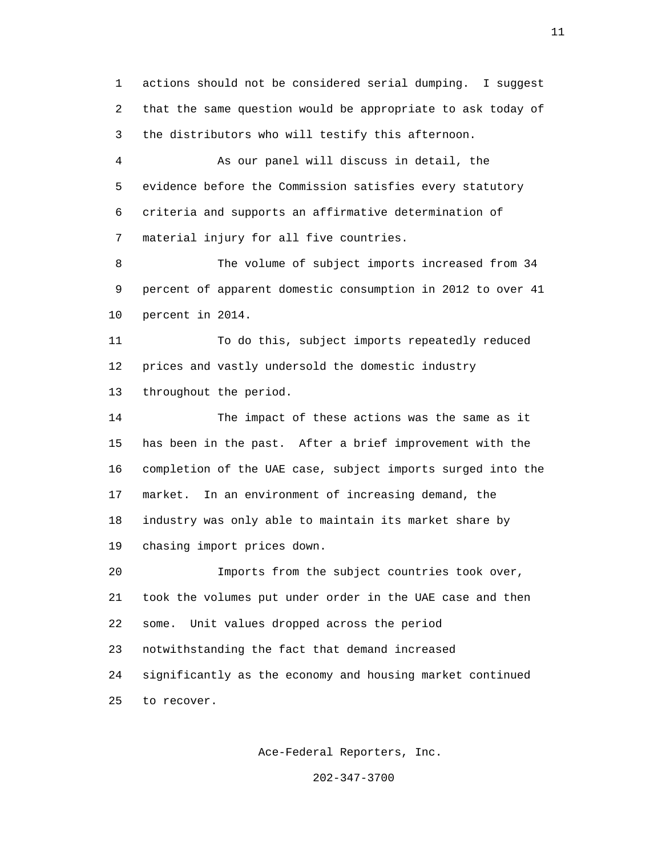1 actions should not be considered serial dumping. I suggest 2 that the same question would be appropriate to ask today of 3 the distributors who will testify this afternoon.

 4 As our panel will discuss in detail, the 5 evidence before the Commission satisfies every statutory 6 criteria and supports an affirmative determination of 7 material injury for all five countries.

 8 The volume of subject imports increased from 34 9 percent of apparent domestic consumption in 2012 to over 41 10 percent in 2014.

 11 To do this, subject imports repeatedly reduced 12 prices and vastly undersold the domestic industry 13 throughout the period.

 14 The impact of these actions was the same as it 15 has been in the past. After a brief improvement with the 16 completion of the UAE case, subject imports surged into the 17 market. In an environment of increasing demand, the 18 industry was only able to maintain its market share by 19 chasing import prices down.

 20 Imports from the subject countries took over, 21 took the volumes put under order in the UAE case and then 22 some. Unit values dropped across the period 23 notwithstanding the fact that demand increased 24 significantly as the economy and housing market continued 25 to recover.

Ace-Federal Reporters, Inc.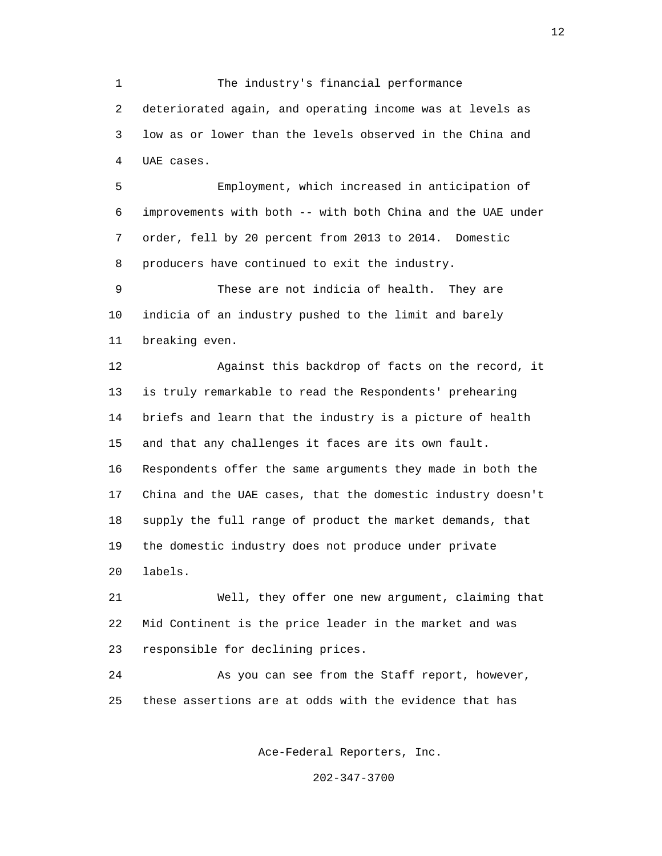1 The industry's financial performance 2 deteriorated again, and operating income was at levels as 3 low as or lower than the levels observed in the China and 4 UAE cases.

 5 Employment, which increased in anticipation of 6 improvements with both -- with both China and the UAE under 7 order, fell by 20 percent from 2013 to 2014. Domestic 8 producers have continued to exit the industry.

 9 These are not indicia of health. They are 10 indicia of an industry pushed to the limit and barely 11 breaking even.

 12 Against this backdrop of facts on the record, it 13 is truly remarkable to read the Respondents' prehearing 14 briefs and learn that the industry is a picture of health 15 and that any challenges it faces are its own fault. 16 Respondents offer the same arguments they made in both the 17 China and the UAE cases, that the domestic industry doesn't 18 supply the full range of product the market demands, that 19 the domestic industry does not produce under private 20 labels.

 21 Well, they offer one new argument, claiming that 22 Mid Continent is the price leader in the market and was 23 responsible for declining prices.

 24 As you can see from the Staff report, however, 25 these assertions are at odds with the evidence that has

Ace-Federal Reporters, Inc.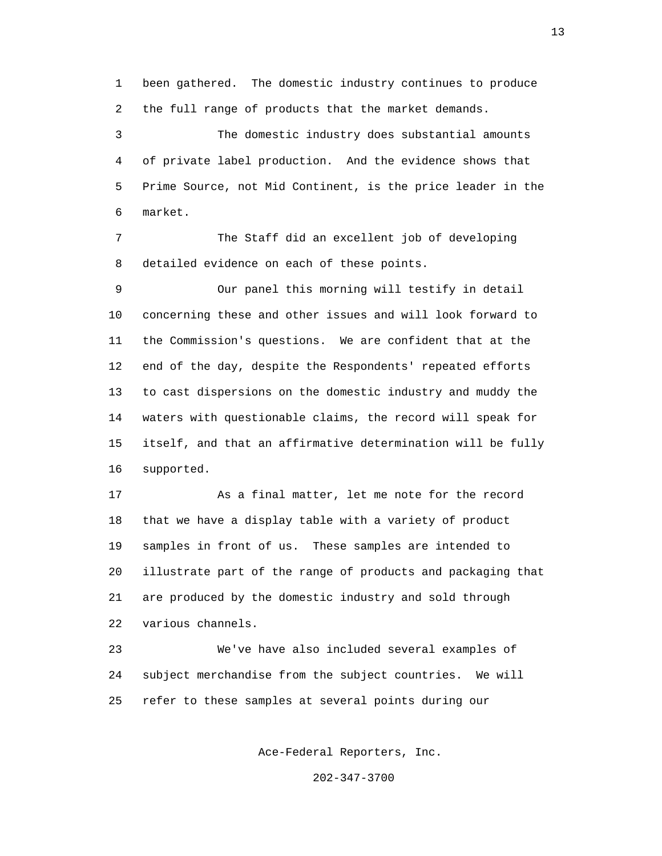1 been gathered. The domestic industry continues to produce 2 the full range of products that the market demands.

 3 The domestic industry does substantial amounts 4 of private label production. And the evidence shows that 5 Prime Source, not Mid Continent, is the price leader in the 6 market.

 7 The Staff did an excellent job of developing 8 detailed evidence on each of these points.

 9 Our panel this morning will testify in detail 10 concerning these and other issues and will look forward to 11 the Commission's questions. We are confident that at the 12 end of the day, despite the Respondents' repeated efforts 13 to cast dispersions on the domestic industry and muddy the 14 waters with questionable claims, the record will speak for 15 itself, and that an affirmative determination will be fully 16 supported.

 17 As a final matter, let me note for the record 18 that we have a display table with a variety of product 19 samples in front of us. These samples are intended to 20 illustrate part of the range of products and packaging that 21 are produced by the domestic industry and sold through 22 various channels.

 23 We've have also included several examples of 24 subject merchandise from the subject countries. We will 25 refer to these samples at several points during our

Ace-Federal Reporters, Inc.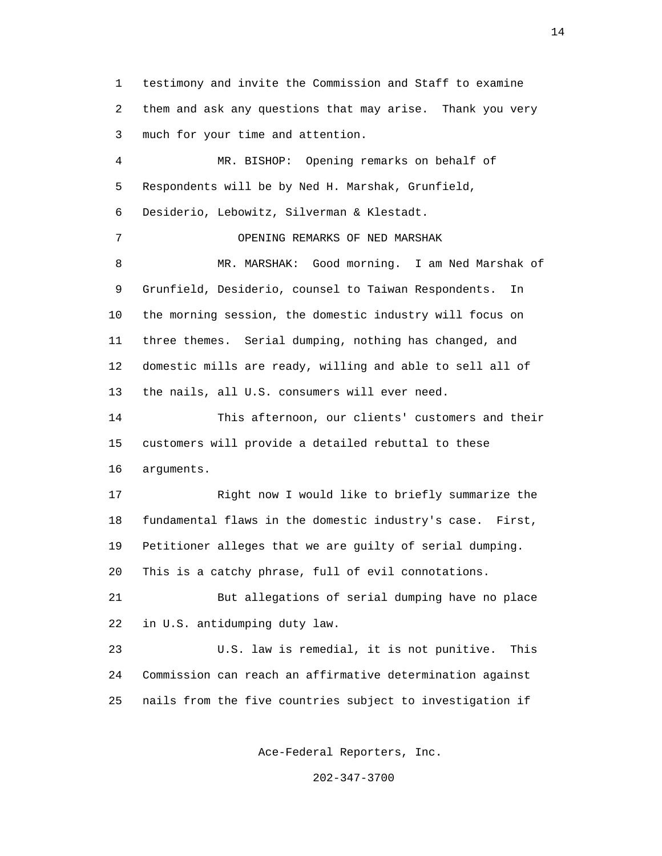1 testimony and invite the Commission and Staff to examine 2 them and ask any questions that may arise. Thank you very 3 much for your time and attention. 4 MR. BISHOP: Opening remarks on behalf of 5 Respondents will be by Ned H. Marshak, Grunfield, 6 Desiderio, Lebowitz, Silverman & Klestadt. 7 OPENING REMARKS OF NED MARSHAK 8 MR. MARSHAK: Good morning. I am Ned Marshak of 9 Grunfield, Desiderio, counsel to Taiwan Respondents. In 10 the morning session, the domestic industry will focus on 11 three themes. Serial dumping, nothing has changed, and 12 domestic mills are ready, willing and able to sell all of 13 the nails, all U.S. consumers will ever need. 14 This afternoon, our clients' customers and their 15 customers will provide a detailed rebuttal to these 16 arguments. 17 Right now I would like to briefly summarize the 18 fundamental flaws in the domestic industry's case. First, 19 Petitioner alleges that we are guilty of serial dumping. 20 This is a catchy phrase, full of evil connotations. 21 But allegations of serial dumping have no place 22 in U.S. antidumping duty law. 23 U.S. law is remedial, it is not punitive. This 24 Commission can reach an affirmative determination against 25 nails from the five countries subject to investigation if

Ace-Federal Reporters, Inc.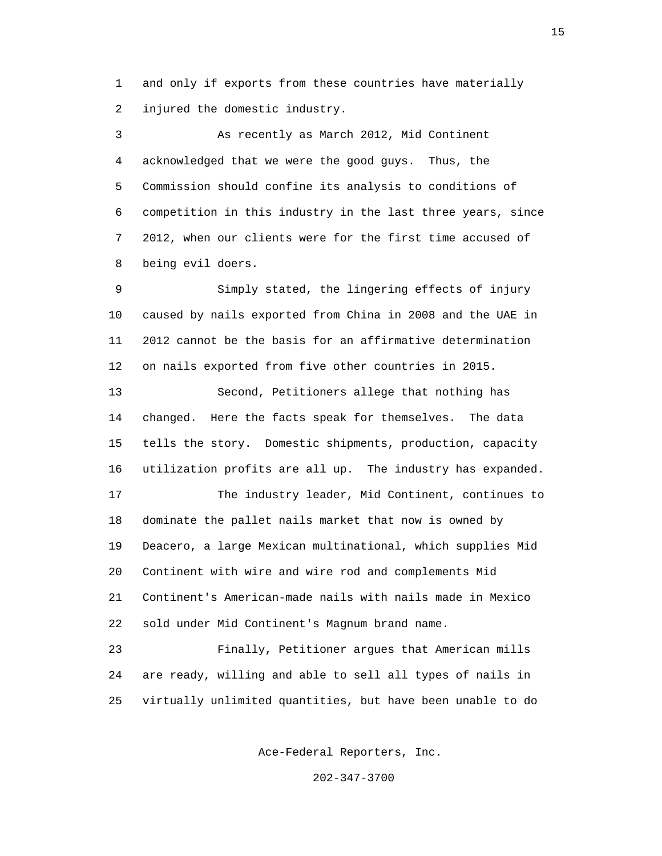1 and only if exports from these countries have materially 2 injured the domestic industry.

 3 As recently as March 2012, Mid Continent 4 acknowledged that we were the good guys. Thus, the 5 Commission should confine its analysis to conditions of 6 competition in this industry in the last three years, since 7 2012, when our clients were for the first time accused of 8 being evil doers.

 9 Simply stated, the lingering effects of injury 10 caused by nails exported from China in 2008 and the UAE in 11 2012 cannot be the basis for an affirmative determination 12 on nails exported from five other countries in 2015.

 13 Second, Petitioners allege that nothing has 14 changed. Here the facts speak for themselves. The data 15 tells the story. Domestic shipments, production, capacity 16 utilization profits are all up. The industry has expanded.

 17 The industry leader, Mid Continent, continues to 18 dominate the pallet nails market that now is owned by 19 Deacero, a large Mexican multinational, which supplies Mid 20 Continent with wire and wire rod and complements Mid 21 Continent's American-made nails with nails made in Mexico 22 sold under Mid Continent's Magnum brand name.

 23 Finally, Petitioner argues that American mills 24 are ready, willing and able to sell all types of nails in 25 virtually unlimited quantities, but have been unable to do

Ace-Federal Reporters, Inc.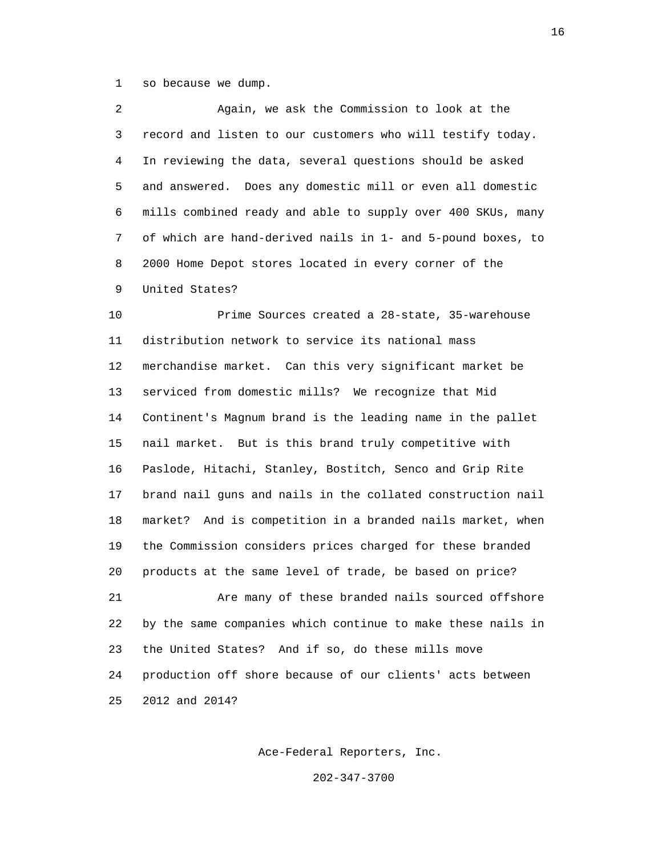1 so because we dump.

 2 Again, we ask the Commission to look at the 3 record and listen to our customers who will testify today. 4 In reviewing the data, several questions should be asked 5 and answered. Does any domestic mill or even all domestic 6 mills combined ready and able to supply over 400 SKUs, many 7 of which are hand-derived nails in 1- and 5-pound boxes, to 8 2000 Home Depot stores located in every corner of the 9 United States?

 10 Prime Sources created a 28-state, 35-warehouse 11 distribution network to service its national mass 12 merchandise market. Can this very significant market be 13 serviced from domestic mills? We recognize that Mid 14 Continent's Magnum brand is the leading name in the pallet 15 nail market. But is this brand truly competitive with 16 Paslode, Hitachi, Stanley, Bostitch, Senco and Grip Rite 17 brand nail guns and nails in the collated construction nail 18 market? And is competition in a branded nails market, when 19 the Commission considers prices charged for these branded 20 products at the same level of trade, be based on price? 21 Are many of these branded nails sourced offshore 22 by the same companies which continue to make these nails in 23 the United States? And if so, do these mills move 24 production off shore because of our clients' acts between

25 2012 and 2014?

Ace-Federal Reporters, Inc.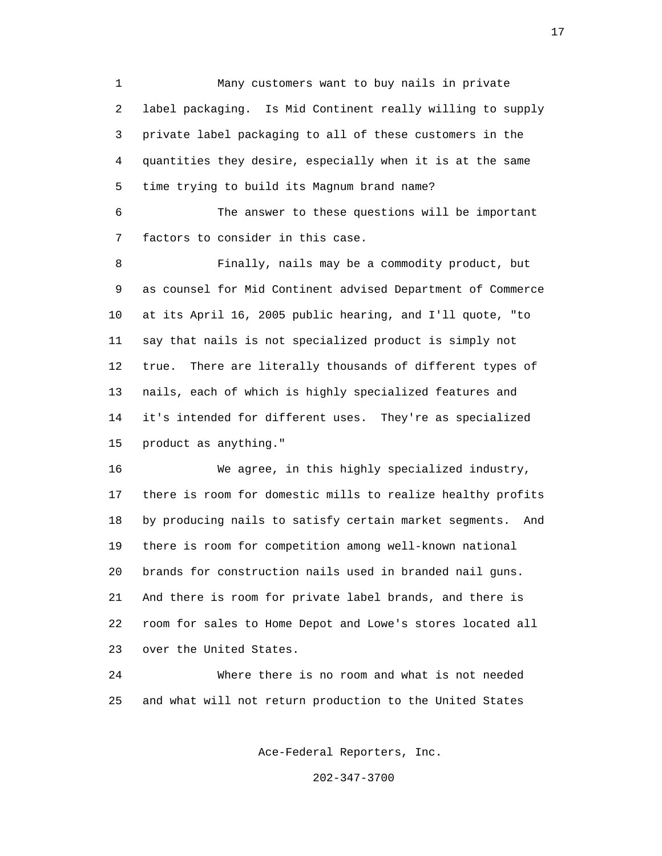1 Many customers want to buy nails in private 2 label packaging. Is Mid Continent really willing to supply 3 private label packaging to all of these customers in the 4 quantities they desire, especially when it is at the same 5 time trying to build its Magnum brand name?

 6 The answer to these questions will be important 7 factors to consider in this case.

 8 Finally, nails may be a commodity product, but 9 as counsel for Mid Continent advised Department of Commerce 10 at its April 16, 2005 public hearing, and I'll quote, "to 11 say that nails is not specialized product is simply not 12 true. There are literally thousands of different types of 13 nails, each of which is highly specialized features and 14 it's intended for different uses. They're as specialized 15 product as anything."

 16 We agree, in this highly specialized industry, 17 there is room for domestic mills to realize healthy profits 18 by producing nails to satisfy certain market segments. And 19 there is room for competition among well-known national 20 brands for construction nails used in branded nail guns. 21 And there is room for private label brands, and there is 22 room for sales to Home Depot and Lowe's stores located all 23 over the United States.

 24 Where there is no room and what is not needed 25 and what will not return production to the United States

Ace-Federal Reporters, Inc.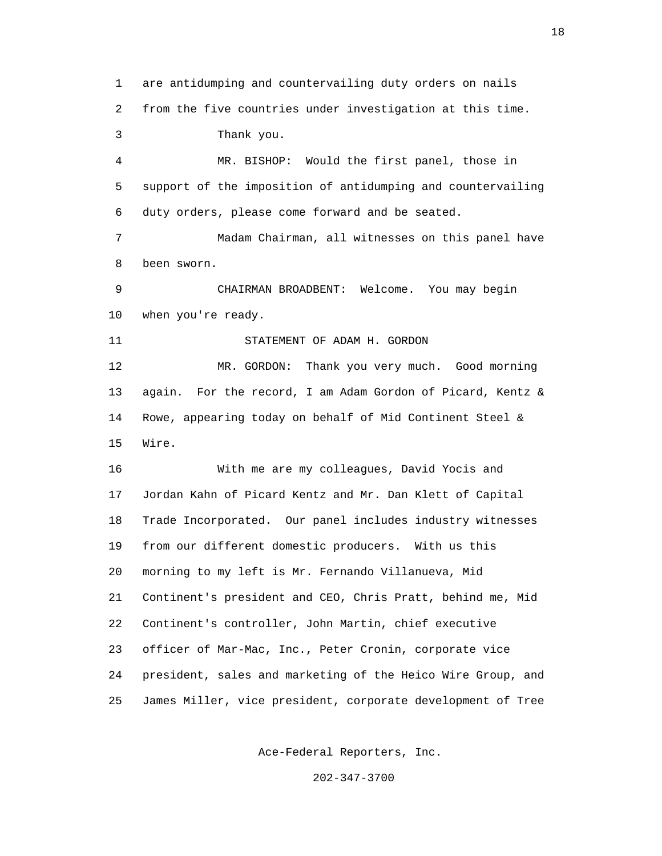1 are antidumping and countervailing duty orders on nails 2 from the five countries under investigation at this time. 3 Thank you. 4 MR. BISHOP: Would the first panel, those in 5 support of the imposition of antidumping and countervailing 6 duty orders, please come forward and be seated. 7 Madam Chairman, all witnesses on this panel have 8 been sworn. 9 CHAIRMAN BROADBENT: Welcome. You may begin 10 when you're ready. 11 STATEMENT OF ADAM H. GORDON 12 MR. GORDON: Thank you very much. Good morning 13 again. For the record, I am Adam Gordon of Picard, Kentz & 14 Rowe, appearing today on behalf of Mid Continent Steel & 15 Wire. 16 With me are my colleagues, David Yocis and 17 Jordan Kahn of Picard Kentz and Mr. Dan Klett of Capital 18 Trade Incorporated. Our panel includes industry witnesses 19 from our different domestic producers. With us this 20 morning to my left is Mr. Fernando Villanueva, Mid 21 Continent's president and CEO, Chris Pratt, behind me, Mid 22 Continent's controller, John Martin, chief executive 23 officer of Mar-Mac, Inc., Peter Cronin, corporate vice 24 president, sales and marketing of the Heico Wire Group, and 25 James Miller, vice president, corporate development of Tree

Ace-Federal Reporters, Inc.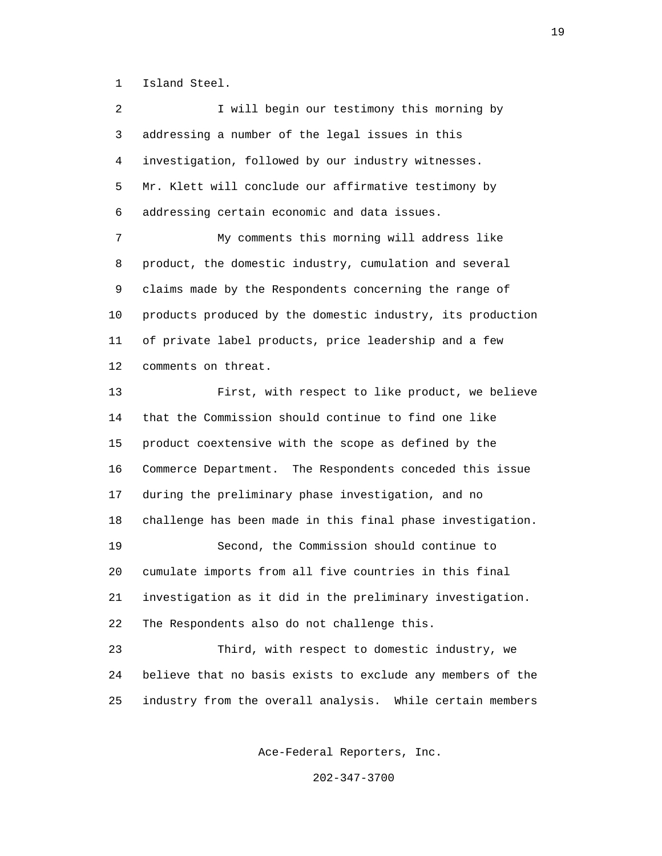1 Island Steel.

2 I will begin our testimony this morning by 3 addressing a number of the legal issues in this 4 investigation, followed by our industry witnesses. 5 Mr. Klett will conclude our affirmative testimony by 6 addressing certain economic and data issues. 7 My comments this morning will address like 8 product, the domestic industry, cumulation and several 9 claims made by the Respondents concerning the range of

 10 products produced by the domestic industry, its production 11 of private label products, price leadership and a few 12 comments on threat.

 13 First, with respect to like product, we believe 14 that the Commission should continue to find one like 15 product coextensive with the scope as defined by the 16 Commerce Department. The Respondents conceded this issue 17 during the preliminary phase investigation, and no 18 challenge has been made in this final phase investigation. 19 Second, the Commission should continue to 20 cumulate imports from all five countries in this final 21 investigation as it did in the preliminary investigation. 22 The Respondents also do not challenge this.

 23 Third, with respect to domestic industry, we 24 believe that no basis exists to exclude any members of the 25 industry from the overall analysis. While certain members

Ace-Federal Reporters, Inc.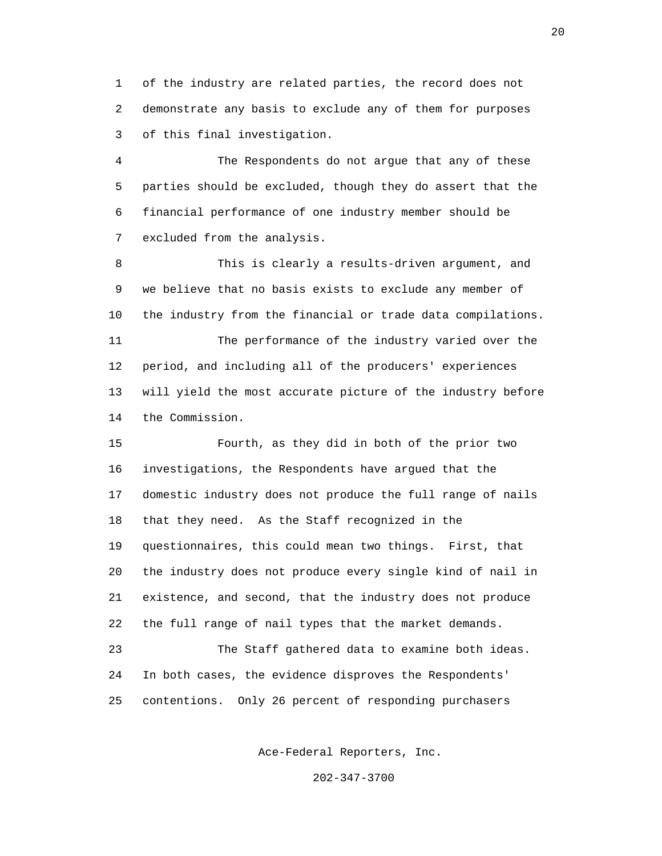1 of the industry are related parties, the record does not 2 demonstrate any basis to exclude any of them for purposes 3 of this final investigation.

 4 The Respondents do not argue that any of these 5 parties should be excluded, though they do assert that the 6 financial performance of one industry member should be 7 excluded from the analysis.

 8 This is clearly a results-driven argument, and 9 we believe that no basis exists to exclude any member of 10 the industry from the financial or trade data compilations.

 11 The performance of the industry varied over the 12 period, and including all of the producers' experiences 13 will yield the most accurate picture of the industry before 14 the Commission.

 15 Fourth, as they did in both of the prior two 16 investigations, the Respondents have argued that the 17 domestic industry does not produce the full range of nails 18 that they need. As the Staff recognized in the 19 questionnaires, this could mean two things. First, that 20 the industry does not produce every single kind of nail in 21 existence, and second, that the industry does not produce 22 the full range of nail types that the market demands. 23 The Staff gathered data to examine both ideas.

 24 In both cases, the evidence disproves the Respondents' 25 contentions. Only 26 percent of responding purchasers

Ace-Federal Reporters, Inc.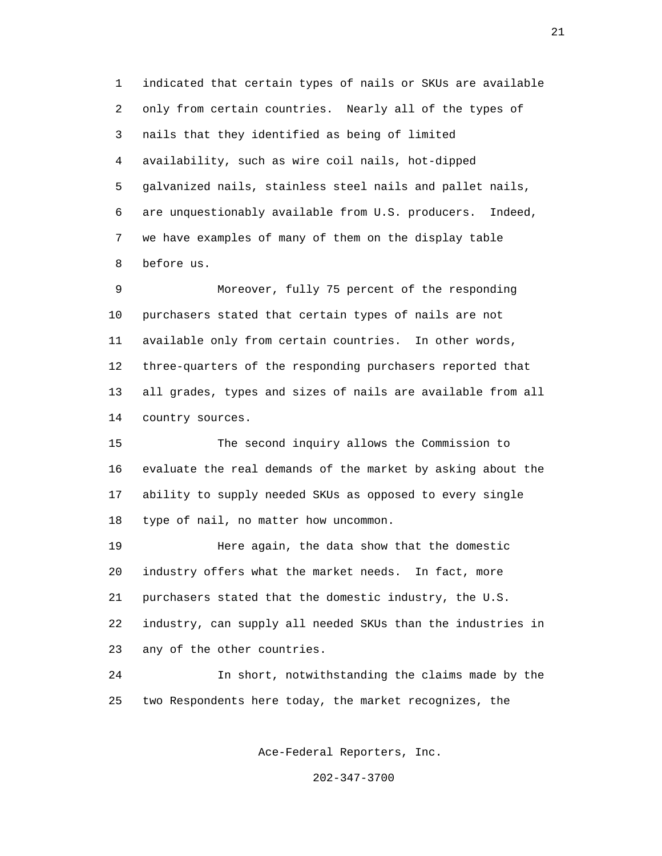1 indicated that certain types of nails or SKUs are available 2 only from certain countries. Nearly all of the types of 3 nails that they identified as being of limited 4 availability, such as wire coil nails, hot-dipped 5 galvanized nails, stainless steel nails and pallet nails, 6 are unquestionably available from U.S. producers. Indeed, 7 we have examples of many of them on the display table 8 before us.

 9 Moreover, fully 75 percent of the responding 10 purchasers stated that certain types of nails are not 11 available only from certain countries. In other words, 12 three-quarters of the responding purchasers reported that 13 all grades, types and sizes of nails are available from all 14 country sources.

 15 The second inquiry allows the Commission to 16 evaluate the real demands of the market by asking about the 17 ability to supply needed SKUs as opposed to every single 18 type of nail, no matter how uncommon.

 19 Here again, the data show that the domestic 20 industry offers what the market needs. In fact, more 21 purchasers stated that the domestic industry, the U.S. 22 industry, can supply all needed SKUs than the industries in 23 any of the other countries.

 24 In short, notwithstanding the claims made by the 25 two Respondents here today, the market recognizes, the

Ace-Federal Reporters, Inc.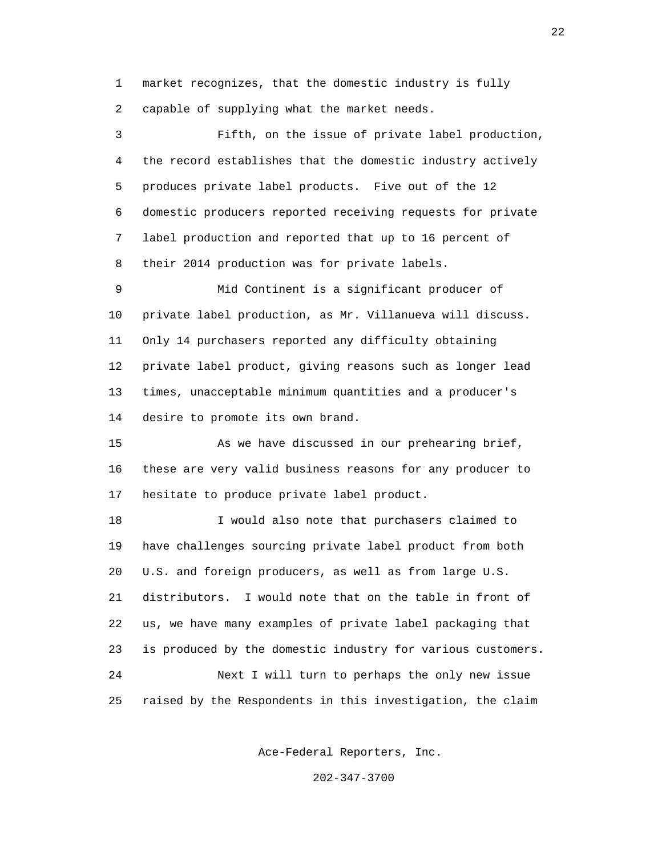1 market recognizes, that the domestic industry is fully 2 capable of supplying what the market needs.

 3 Fifth, on the issue of private label production, 4 the record establishes that the domestic industry actively 5 produces private label products. Five out of the 12 6 domestic producers reported receiving requests for private 7 label production and reported that up to 16 percent of 8 their 2014 production was for private labels.

 9 Mid Continent is a significant producer of 10 private label production, as Mr. Villanueva will discuss. 11 Only 14 purchasers reported any difficulty obtaining 12 private label product, giving reasons such as longer lead 13 times, unacceptable minimum quantities and a producer's 14 desire to promote its own brand.

 15 As we have discussed in our prehearing brief, 16 these are very valid business reasons for any producer to 17 hesitate to produce private label product.

 18 I would also note that purchasers claimed to 19 have challenges sourcing private label product from both 20 U.S. and foreign producers, as well as from large U.S. 21 distributors. I would note that on the table in front of 22 us, we have many examples of private label packaging that 23 is produced by the domestic industry for various customers. 24 Next I will turn to perhaps the only new issue 25 raised by the Respondents in this investigation, the claim

Ace-Federal Reporters, Inc.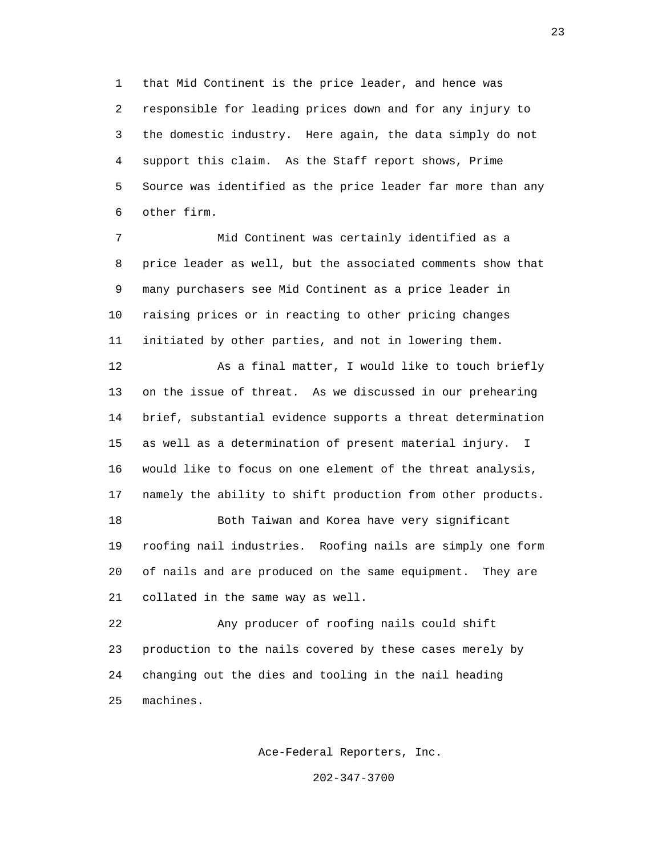1 that Mid Continent is the price leader, and hence was 2 responsible for leading prices down and for any injury to 3 the domestic industry. Here again, the data simply do not 4 support this claim. As the Staff report shows, Prime 5 Source was identified as the price leader far more than any 6 other firm.

 7 Mid Continent was certainly identified as a 8 price leader as well, but the associated comments show that 9 many purchasers see Mid Continent as a price leader in 10 raising prices or in reacting to other pricing changes 11 initiated by other parties, and not in lowering them.

12 As a final matter, I would like to touch briefly 13 on the issue of threat. As we discussed in our prehearing 14 brief, substantial evidence supports a threat determination 15 as well as a determination of present material injury. I 16 would like to focus on one element of the threat analysis, 17 namely the ability to shift production from other products. 18 Both Taiwan and Korea have very significant

 19 roofing nail industries. Roofing nails are simply one form 20 of nails and are produced on the same equipment. They are 21 collated in the same way as well.

 22 Any producer of roofing nails could shift 23 production to the nails covered by these cases merely by 24 changing out the dies and tooling in the nail heading 25 machines.

Ace-Federal Reporters, Inc.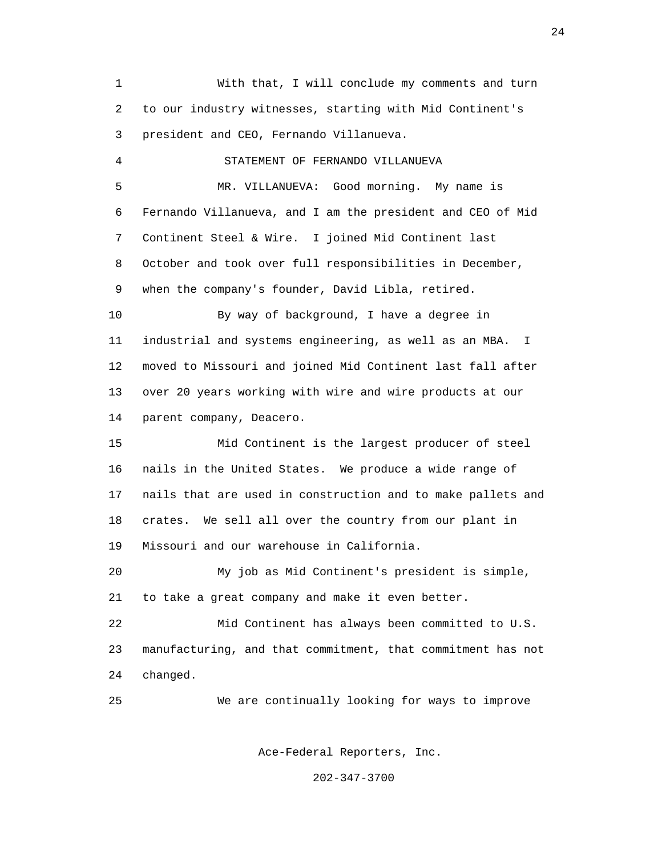1 With that, I will conclude my comments and turn 2 to our industry witnesses, starting with Mid Continent's 3 president and CEO, Fernando Villanueva. 4 STATEMENT OF FERNANDO VILLANUEVA 5 MR. VILLANUEVA: Good morning. My name is 6 Fernando Villanueva, and I am the president and CEO of Mid 7 Continent Steel & Wire. I joined Mid Continent last 8 October and took over full responsibilities in December, 9 when the company's founder, David Libla, retired. 10 By way of background, I have a degree in 11 industrial and systems engineering, as well as an MBA. I 12 moved to Missouri and joined Mid Continent last fall after 13 over 20 years working with wire and wire products at our 14 parent company, Deacero. 15 Mid Continent is the largest producer of steel 16 nails in the United States. We produce a wide range of 17 nails that are used in construction and to make pallets and 18 crates. We sell all over the country from our plant in 19 Missouri and our warehouse in California. 20 My job as Mid Continent's president is simple, 21 to take a great company and make it even better. 22 Mid Continent has always been committed to U.S. 23 manufacturing, and that commitment, that commitment has not 24 changed. 25 We are continually looking for ways to improve

Ace-Federal Reporters, Inc.

202-347-3700

24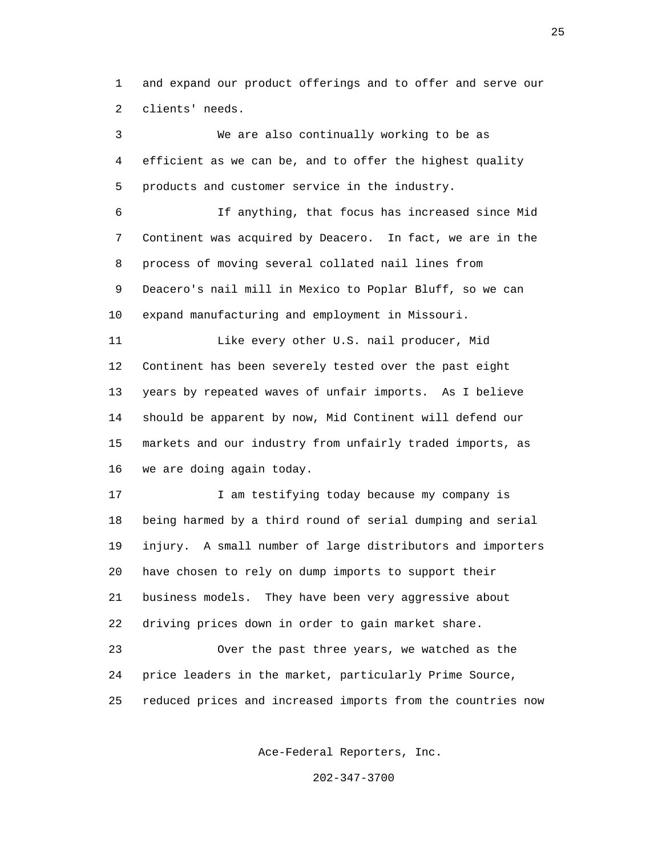1 and expand our product offerings and to offer and serve our 2 clients' needs.

 3 We are also continually working to be as 4 efficient as we can be, and to offer the highest quality 5 products and customer service in the industry. 6 If anything, that focus has increased since Mid 7 Continent was acquired by Deacero. In fact, we are in the 8 process of moving several collated nail lines from 9 Deacero's nail mill in Mexico to Poplar Bluff, so we can 10 expand manufacturing and employment in Missouri. 11 Like every other U.S. nail producer, Mid 12 Continent has been severely tested over the past eight 13 years by repeated waves of unfair imports. As I believe 14 should be apparent by now, Mid Continent will defend our 15 markets and our industry from unfairly traded imports, as 16 we are doing again today. 17 I am testifying today because my company is 18 being harmed by a third round of serial dumping and serial 19 injury. A small number of large distributors and importers 20 have chosen to rely on dump imports to support their 21 business models. They have been very aggressive about 22 driving prices down in order to gain market share. 23 Over the past three years, we watched as the 24 price leaders in the market, particularly Prime Source, 25 reduced prices and increased imports from the countries now

Ace-Federal Reporters, Inc.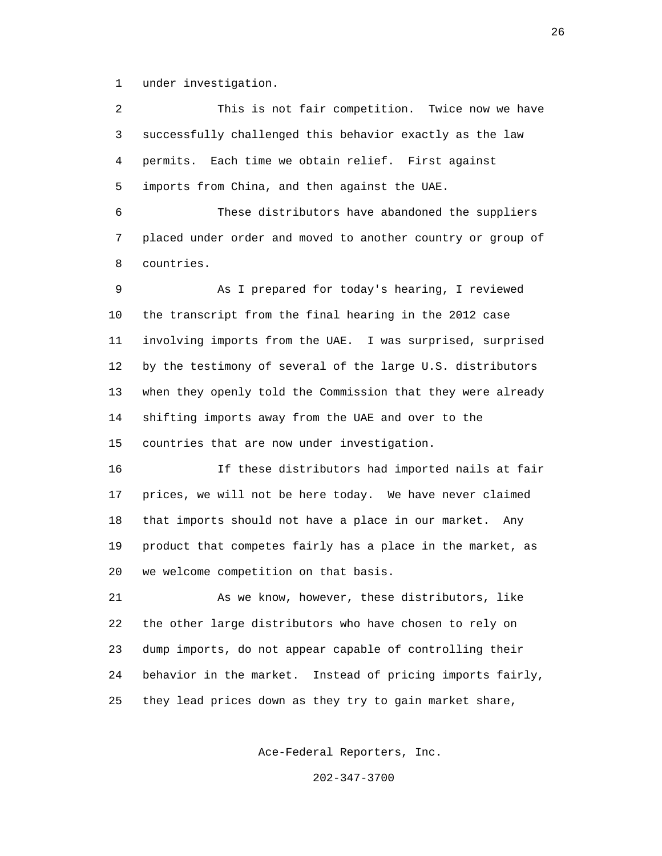1 under investigation.

 2 This is not fair competition. Twice now we have 3 successfully challenged this behavior exactly as the law 4 permits. Each time we obtain relief. First against 5 imports from China, and then against the UAE.

 6 These distributors have abandoned the suppliers 7 placed under order and moved to another country or group of 8 countries.

 9 As I prepared for today's hearing, I reviewed 10 the transcript from the final hearing in the 2012 case 11 involving imports from the UAE. I was surprised, surprised 12 by the testimony of several of the large U.S. distributors 13 when they openly told the Commission that they were already 14 shifting imports away from the UAE and over to the 15 countries that are now under investigation.

 16 If these distributors had imported nails at fair 17 prices, we will not be here today. We have never claimed 18 that imports should not have a place in our market. Any 19 product that competes fairly has a place in the market, as 20 we welcome competition on that basis.

 21 As we know, however, these distributors, like 22 the other large distributors who have chosen to rely on 23 dump imports, do not appear capable of controlling their 24 behavior in the market. Instead of pricing imports fairly, 25 they lead prices down as they try to gain market share,

Ace-Federal Reporters, Inc.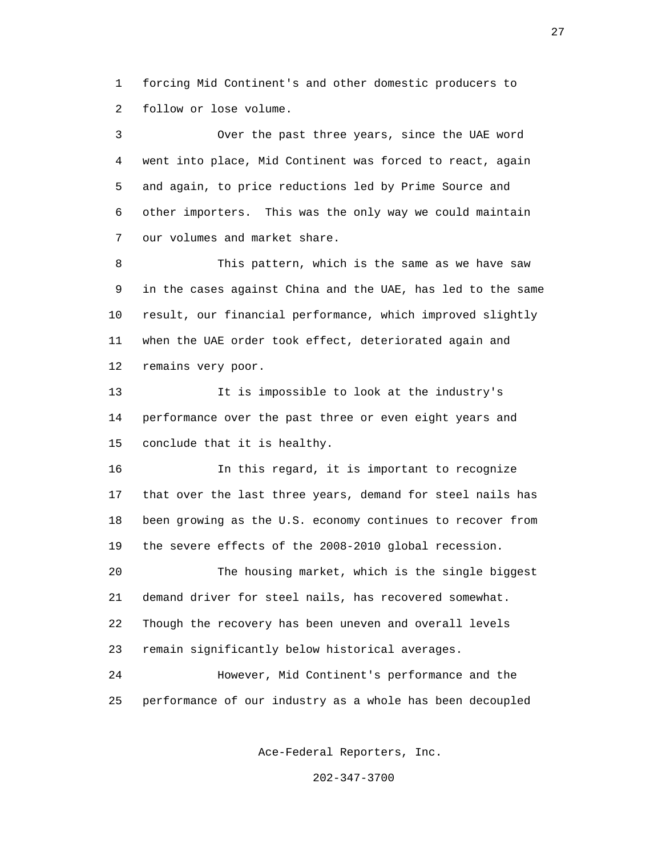1 forcing Mid Continent's and other domestic producers to 2 follow or lose volume.

 3 Over the past three years, since the UAE word 4 went into place, Mid Continent was forced to react, again 5 and again, to price reductions led by Prime Source and 6 other importers. This was the only way we could maintain 7 our volumes and market share.

 8 This pattern, which is the same as we have saw 9 in the cases against China and the UAE, has led to the same 10 result, our financial performance, which improved slightly 11 when the UAE order took effect, deteriorated again and 12 remains very poor.

 13 It is impossible to look at the industry's 14 performance over the past three or even eight years and 15 conclude that it is healthy.

 16 In this regard, it is important to recognize 17 that over the last three years, demand for steel nails has 18 been growing as the U.S. economy continues to recover from 19 the severe effects of the 2008-2010 global recession.

 20 The housing market, which is the single biggest 21 demand driver for steel nails, has recovered somewhat. 22 Though the recovery has been uneven and overall levels 23 remain significantly below historical averages.

 24 However, Mid Continent's performance and the 25 performance of our industry as a whole has been decoupled

Ace-Federal Reporters, Inc.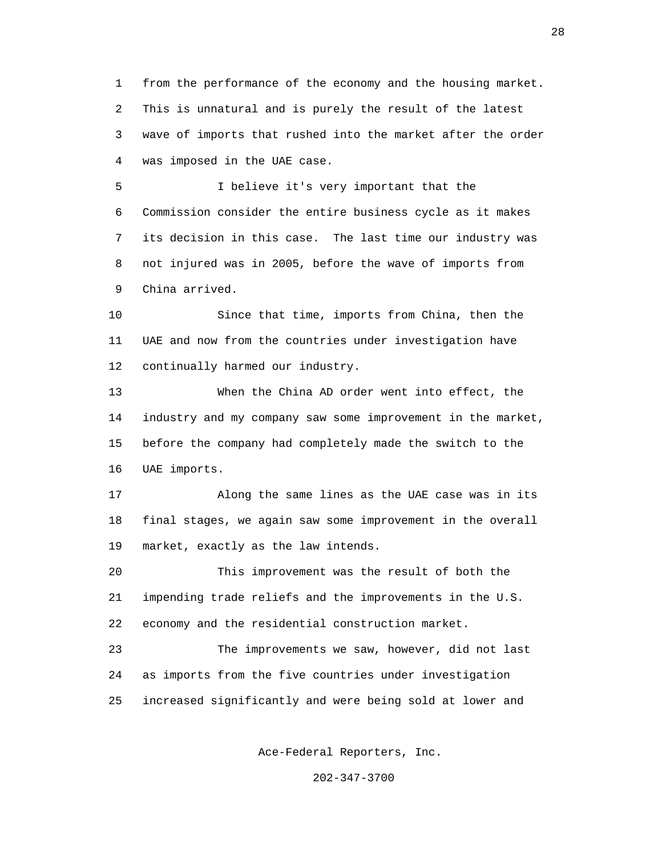1 from the performance of the economy and the housing market. 2 This is unnatural and is purely the result of the latest 3 wave of imports that rushed into the market after the order 4 was imposed in the UAE case.

 5 I believe it's very important that the 6 Commission consider the entire business cycle as it makes 7 its decision in this case. The last time our industry was 8 not injured was in 2005, before the wave of imports from 9 China arrived.

 10 Since that time, imports from China, then the 11 UAE and now from the countries under investigation have 12 continually harmed our industry.

 13 When the China AD order went into effect, the 14 industry and my company saw some improvement in the market, 15 before the company had completely made the switch to the 16 UAE imports.

 17 Along the same lines as the UAE case was in its 18 final stages, we again saw some improvement in the overall 19 market, exactly as the law intends.

 20 This improvement was the result of both the 21 impending trade reliefs and the improvements in the U.S. 22 economy and the residential construction market.

 23 The improvements we saw, however, did not last 24 as imports from the five countries under investigation 25 increased significantly and were being sold at lower and

Ace-Federal Reporters, Inc.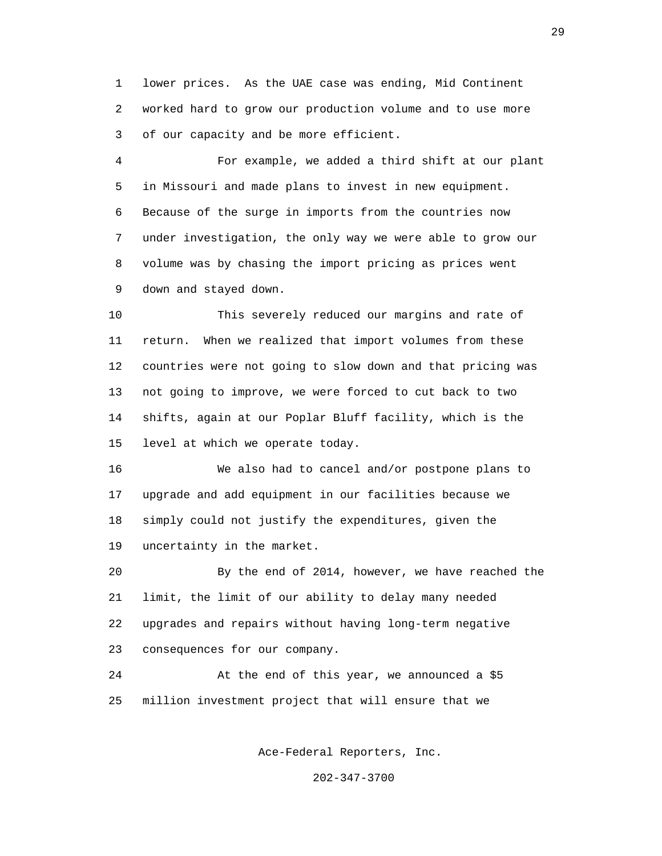1 lower prices. As the UAE case was ending, Mid Continent 2 worked hard to grow our production volume and to use more 3 of our capacity and be more efficient.

 4 For example, we added a third shift at our plant 5 in Missouri and made plans to invest in new equipment. 6 Because of the surge in imports from the countries now 7 under investigation, the only way we were able to grow our 8 volume was by chasing the import pricing as prices went 9 down and stayed down.

 10 This severely reduced our margins and rate of 11 return. When we realized that import volumes from these 12 countries were not going to slow down and that pricing was 13 not going to improve, we were forced to cut back to two 14 shifts, again at our Poplar Bluff facility, which is the 15 level at which we operate today.

 16 We also had to cancel and/or postpone plans to 17 upgrade and add equipment in our facilities because we 18 simply could not justify the expenditures, given the 19 uncertainty in the market.

 20 By the end of 2014, however, we have reached the 21 limit, the limit of our ability to delay many needed 22 upgrades and repairs without having long-term negative 23 consequences for our company.

 24 At the end of this year, we announced a \$5 25 million investment project that will ensure that we

Ace-Federal Reporters, Inc.

202-347-3700

29 and 20 and 20 and 20 and 20 and 20 and 20 and 20 and 20 and 20 and 20 and 20 and 20 and 20 and 20 and 20 an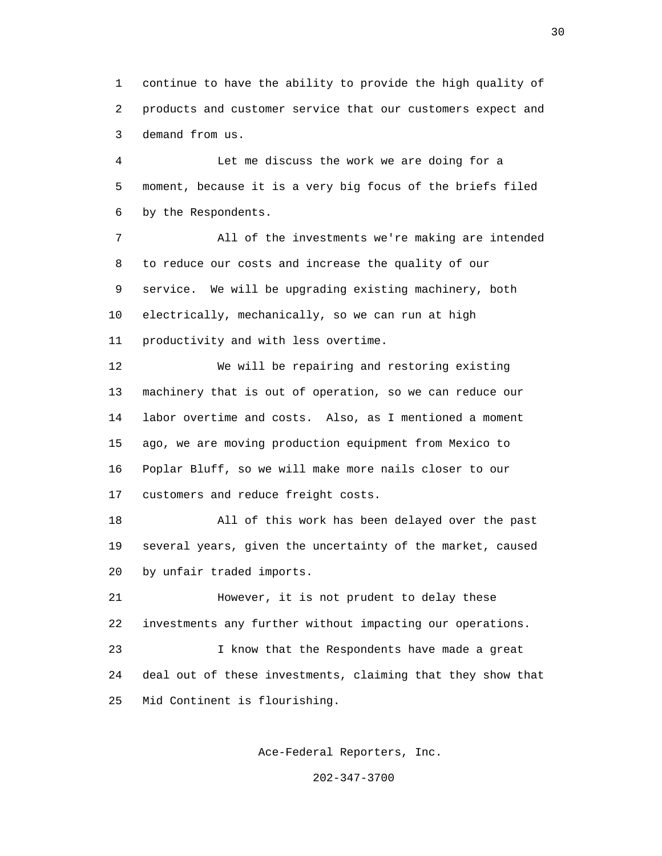1 continue to have the ability to provide the high quality of 2 products and customer service that our customers expect and 3 demand from us.

 4 Let me discuss the work we are doing for a 5 moment, because it is a very big focus of the briefs filed 6 by the Respondents.

 7 All of the investments we're making are intended 8 to reduce our costs and increase the quality of our 9 service. We will be upgrading existing machinery, both 10 electrically, mechanically, so we can run at high 11 productivity and with less overtime.

 12 We will be repairing and restoring existing 13 machinery that is out of operation, so we can reduce our 14 labor overtime and costs. Also, as I mentioned a moment 15 ago, we are moving production equipment from Mexico to 16 Poplar Bluff, so we will make more nails closer to our 17 customers and reduce freight costs.

 18 All of this work has been delayed over the past 19 several years, given the uncertainty of the market, caused 20 by unfair traded imports.

 21 However, it is not prudent to delay these 22 investments any further without impacting our operations.

 23 I know that the Respondents have made a great 24 deal out of these investments, claiming that they show that 25 Mid Continent is flourishing.

Ace-Federal Reporters, Inc.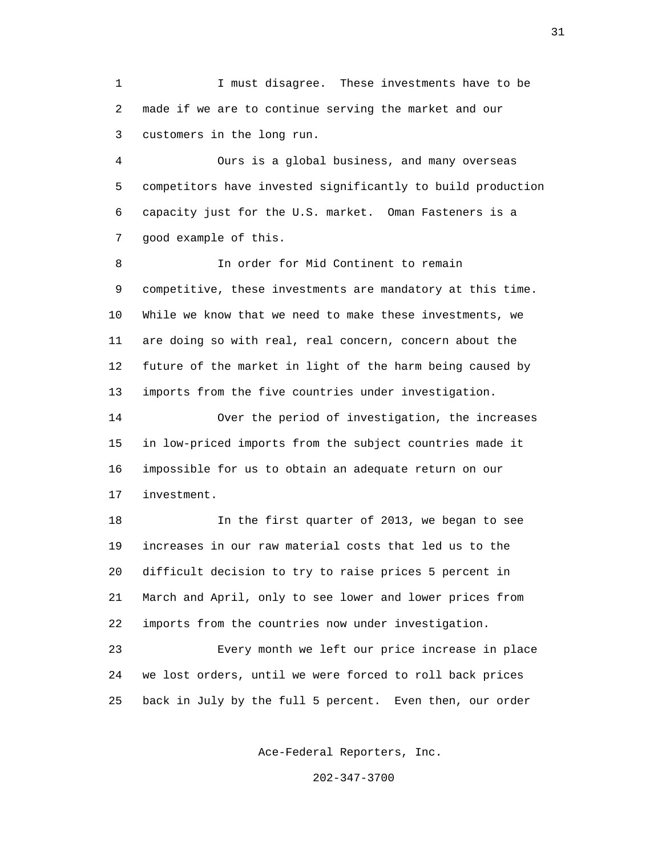1 I must disagree. These investments have to be 2 made if we are to continue serving the market and our 3 customers in the long run.

 4 Ours is a global business, and many overseas 5 competitors have invested significantly to build production 6 capacity just for the U.S. market. Oman Fasteners is a 7 good example of this.

 8 In order for Mid Continent to remain 9 competitive, these investments are mandatory at this time. 10 While we know that we need to make these investments, we 11 are doing so with real, real concern, concern about the 12 future of the market in light of the harm being caused by 13 imports from the five countries under investigation.

 14 Over the period of investigation, the increases 15 in low-priced imports from the subject countries made it 16 impossible for us to obtain an adequate return on our 17 investment.

 18 In the first quarter of 2013, we began to see 19 increases in our raw material costs that led us to the 20 difficult decision to try to raise prices 5 percent in 21 March and April, only to see lower and lower prices from 22 imports from the countries now under investigation.

 23 Every month we left our price increase in place 24 we lost orders, until we were forced to roll back prices 25 back in July by the full 5 percent. Even then, our order

Ace-Federal Reporters, Inc.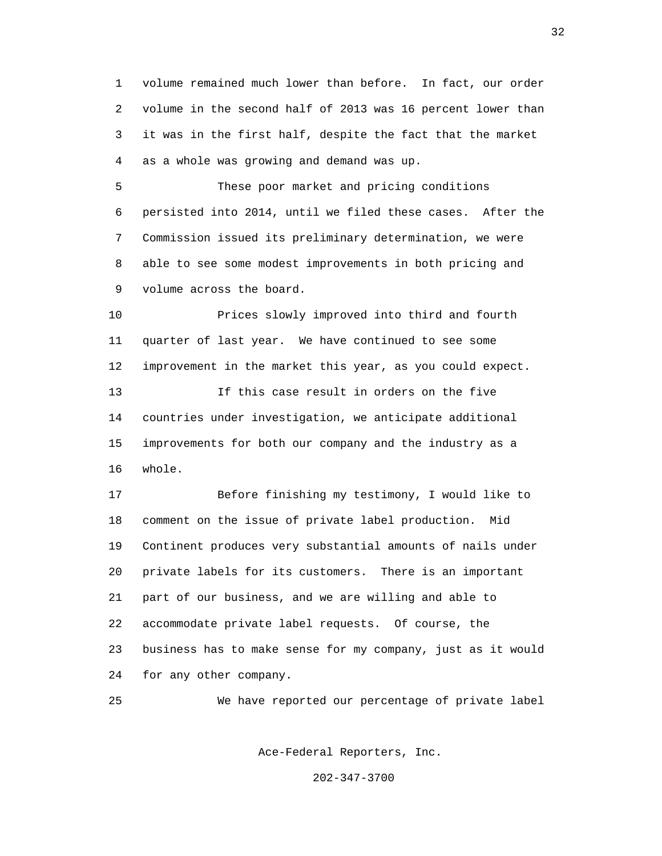1 volume remained much lower than before. In fact, our order 2 volume in the second half of 2013 was 16 percent lower than 3 it was in the first half, despite the fact that the market 4 as a whole was growing and demand was up.

 5 These poor market and pricing conditions 6 persisted into 2014, until we filed these cases. After the 7 Commission issued its preliminary determination, we were 8 able to see some modest improvements in both pricing and 9 volume across the board.

 10 Prices slowly improved into third and fourth 11 quarter of last year. We have continued to see some 12 improvement in the market this year, as you could expect. 13 If this case result in orders on the five 14 countries under investigation, we anticipate additional 15 improvements for both our company and the industry as a 16 whole.

 17 Before finishing my testimony, I would like to 18 comment on the issue of private label production. Mid 19 Continent produces very substantial amounts of nails under 20 private labels for its customers. There is an important 21 part of our business, and we are willing and able to 22 accommodate private label requests. Of course, the 23 business has to make sense for my company, just as it would 24 for any other company.

25 We have reported our percentage of private label

Ace-Federal Reporters, Inc.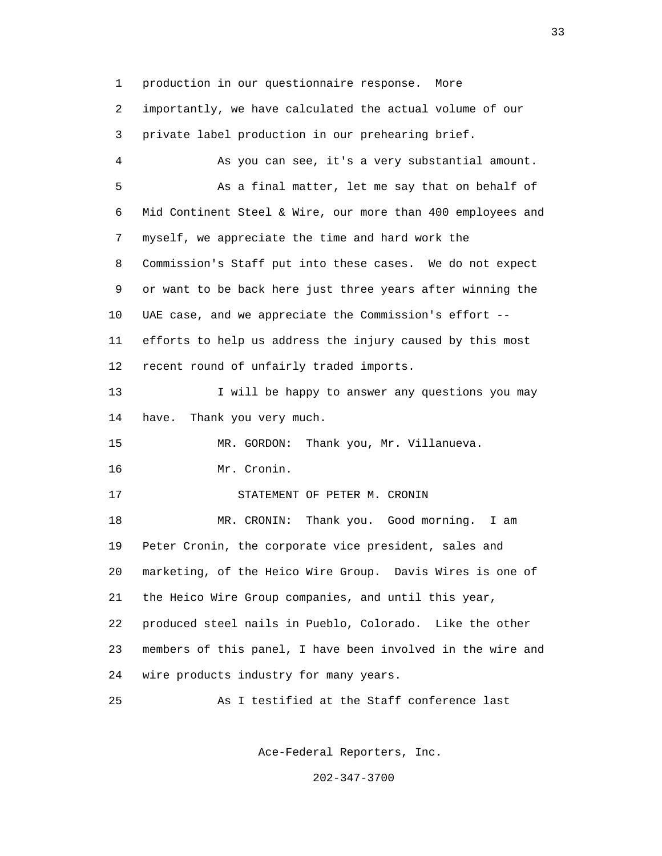1 production in our questionnaire response. More

 2 importantly, we have calculated the actual volume of our 3 private label production in our prehearing brief.

 4 As you can see, it's a very substantial amount. 5 As a final matter, let me say that on behalf of 6 Mid Continent Steel & Wire, our more than 400 employees and 7 myself, we appreciate the time and hard work the 8 Commission's Staff put into these cases. We do not expect 9 or want to be back here just three years after winning the 10 UAE case, and we appreciate the Commission's effort -- 11 efforts to help us address the injury caused by this most 12 recent round of unfairly traded imports. 13 I will be happy to answer any questions you may 14 have. Thank you very much. 15 MR. GORDON: Thank you, Mr. Villanueva. 16 Mr. Cronin. 17 STATEMENT OF PETER M. CRONIN 18 MR. CRONIN: Thank you. Good morning. I am 19 Peter Cronin, the corporate vice president, sales and 20 marketing, of the Heico Wire Group. Davis Wires is one of

21 the Heico Wire Group companies, and until this year,

 22 produced steel nails in Pueblo, Colorado. Like the other 23 members of this panel, I have been involved in the wire and 24 wire products industry for many years.

25 As I testified at the Staff conference last

Ace-Federal Reporters, Inc.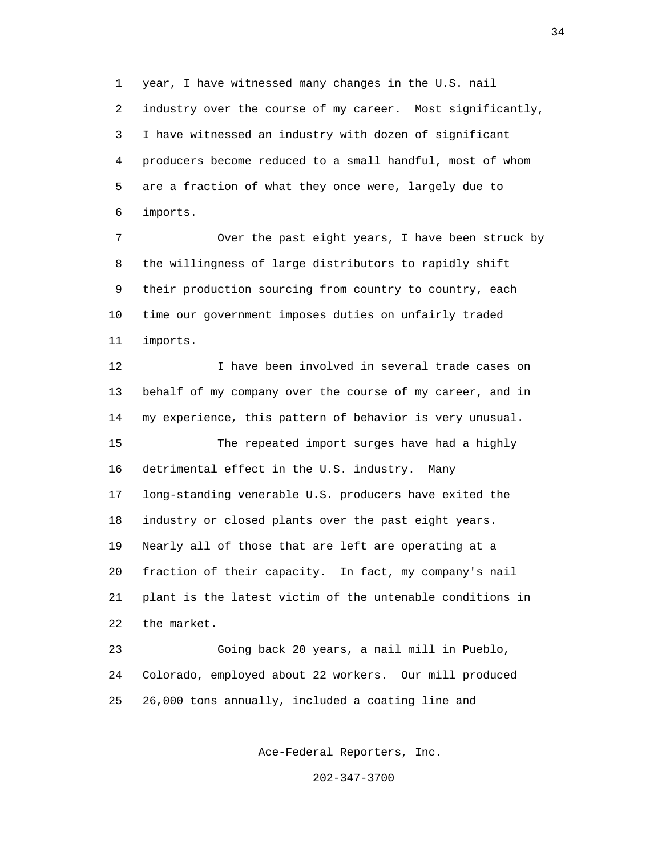1 year, I have witnessed many changes in the U.S. nail 2 industry over the course of my career. Most significantly, 3 I have witnessed an industry with dozen of significant 4 producers become reduced to a small handful, most of whom 5 are a fraction of what they once were, largely due to 6 imports.

 7 Over the past eight years, I have been struck by 8 the willingness of large distributors to rapidly shift 9 their production sourcing from country to country, each 10 time our government imposes duties on unfairly traded 11 imports.

 12 I have been involved in several trade cases on 13 behalf of my company over the course of my career, and in 14 my experience, this pattern of behavior is very unusual. 15 The repeated import surges have had a highly 16 detrimental effect in the U.S. industry. Many 17 long-standing venerable U.S. producers have exited the 18 industry or closed plants over the past eight years. 19 Nearly all of those that are left are operating at a 20 fraction of their capacity. In fact, my company's nail 21 plant is the latest victim of the untenable conditions in 22 the market.

 23 Going back 20 years, a nail mill in Pueblo, 24 Colorado, employed about 22 workers. Our mill produced 25 26,000 tons annually, included a coating line and

Ace-Federal Reporters, Inc.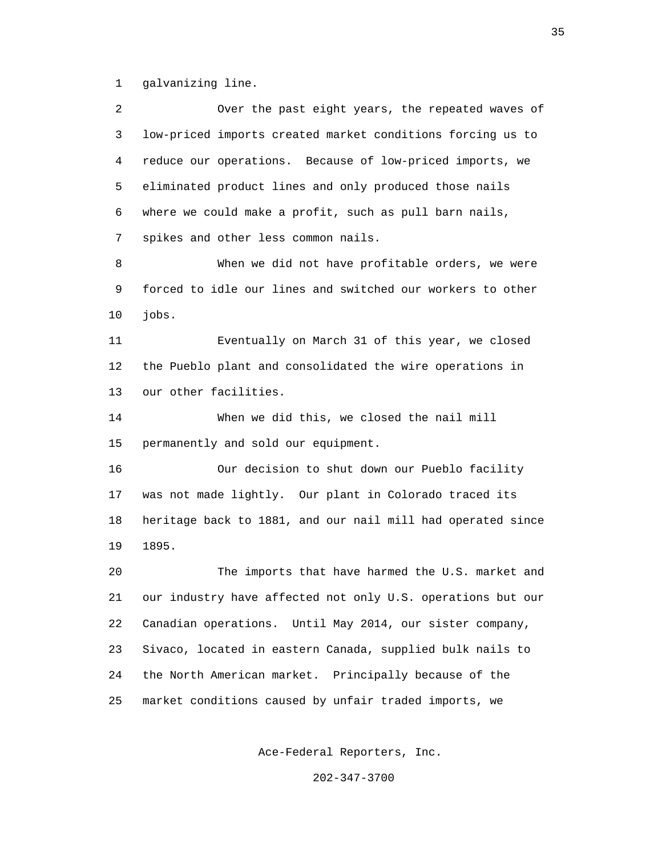1 galvanizing line.

 2 Over the past eight years, the repeated waves of 3 low-priced imports created market conditions forcing us to 4 reduce our operations. Because of low-priced imports, we 5 eliminated product lines and only produced those nails 6 where we could make a profit, such as pull barn nails, 7 spikes and other less common nails. 8 When we did not have profitable orders, we were 9 forced to idle our lines and switched our workers to other 10 jobs. 11 Eventually on March 31 of this year, we closed 12 the Pueblo plant and consolidated the wire operations in 13 our other facilities. 14 When we did this, we closed the nail mill 15 permanently and sold our equipment. 16 Our decision to shut down our Pueblo facility 17 was not made lightly. Our plant in Colorado traced its 18 heritage back to 1881, and our nail mill had operated since 19 1895. 20 The imports that have harmed the U.S. market and 21 our industry have affected not only U.S. operations but our 22 Canadian operations. Until May 2014, our sister company, 23 Sivaco, located in eastern Canada, supplied bulk nails to 24 the North American market. Principally because of the 25 market conditions caused by unfair traded imports, we

Ace-Federal Reporters, Inc.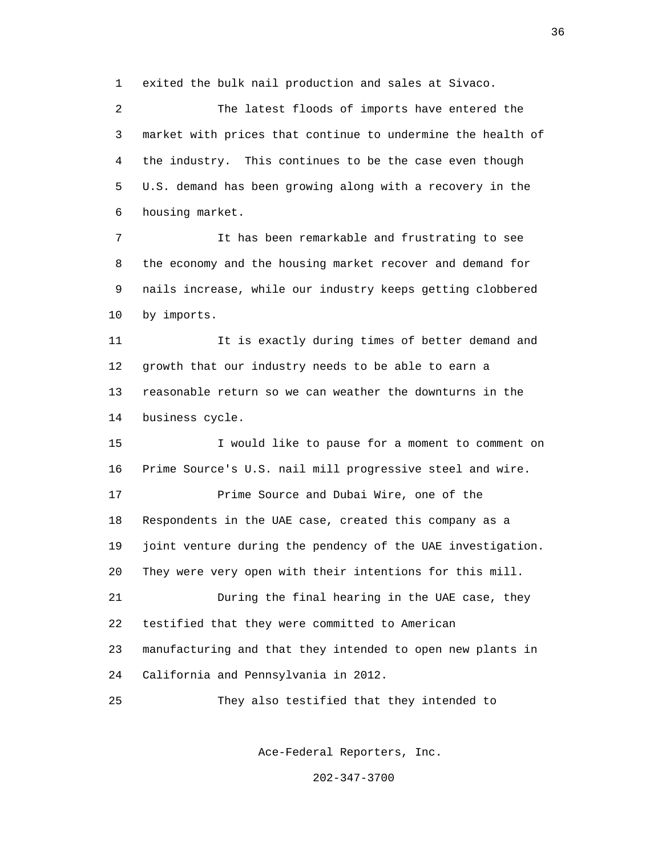1 exited the bulk nail production and sales at Sivaco.

 2 The latest floods of imports have entered the 3 market with prices that continue to undermine the health of 4 the industry. This continues to be the case even though 5 U.S. demand has been growing along with a recovery in the 6 housing market.

 7 It has been remarkable and frustrating to see 8 the economy and the housing market recover and demand for 9 nails increase, while our industry keeps getting clobbered 10 by imports.

 11 It is exactly during times of better demand and 12 growth that our industry needs to be able to earn a 13 reasonable return so we can weather the downturns in the 14 business cycle.

 15 I would like to pause for a moment to comment on 16 Prime Source's U.S. nail mill progressive steel and wire. 17 Prime Source and Dubai Wire, one of the 18 Respondents in the UAE case, created this company as a 19 joint venture during the pendency of the UAE investigation. 20 They were very open with their intentions for this mill. 21 During the final hearing in the UAE case, they 22 testified that they were committed to American 23 manufacturing and that they intended to open new plants in 24 California and Pennsylvania in 2012. 25 They also testified that they intended to

Ace-Federal Reporters, Inc.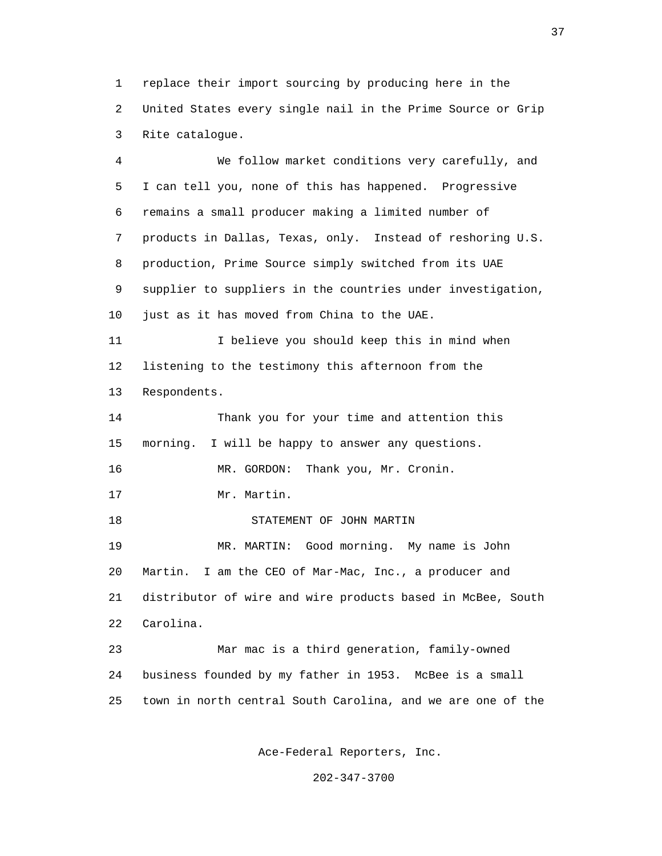1 replace their import sourcing by producing here in the 2 United States every single nail in the Prime Source or Grip 3 Rite catalogue.

 4 We follow market conditions very carefully, and 5 I can tell you, none of this has happened. Progressive 6 remains a small producer making a limited number of 7 products in Dallas, Texas, only. Instead of reshoring U.S. 8 production, Prime Source simply switched from its UAE 9 supplier to suppliers in the countries under investigation, 10 just as it has moved from China to the UAE. 11 I believe you should keep this in mind when 12 listening to the testimony this afternoon from the 13 Respondents. 14 Thank you for your time and attention this 15 morning. I will be happy to answer any questions. 16 MR. GORDON: Thank you, Mr. Cronin. 17 Mr. Martin. 18 STATEMENT OF JOHN MARTIN 19 MR. MARTIN: Good morning. My name is John 20 Martin. I am the CEO of Mar-Mac, Inc., a producer and 21 distributor of wire and wire products based in McBee, South 22 Carolina. 23 Mar mac is a third generation, family-owned 24 business founded by my father in 1953. McBee is a small 25 town in north central South Carolina, and we are one of the

Ace-Federal Reporters, Inc.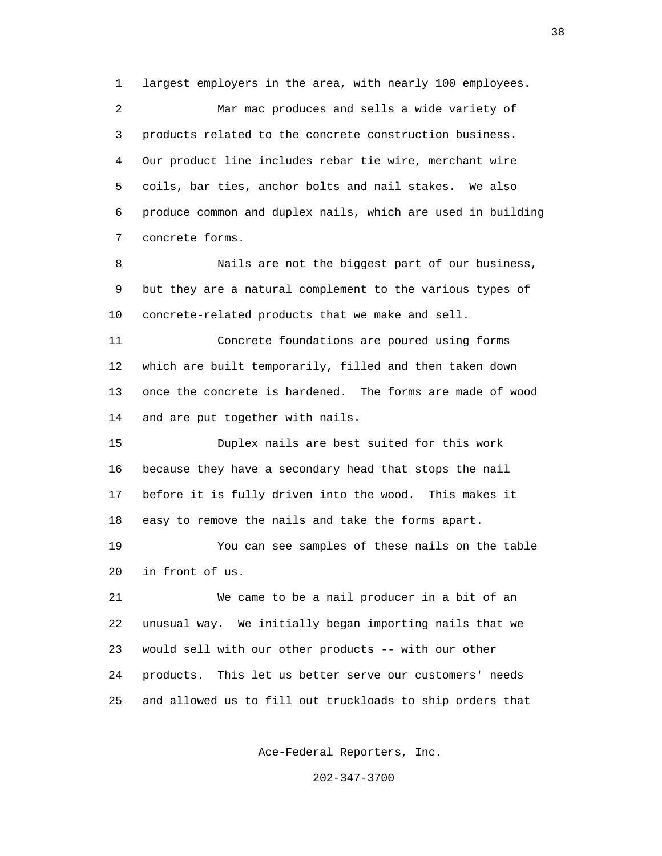1 largest employers in the area, with nearly 100 employees. 2 Mar mac produces and sells a wide variety of 3 products related to the concrete construction business. 4 Our product line includes rebar tie wire, merchant wire 5 coils, bar ties, anchor bolts and nail stakes. We also 6 produce common and duplex nails, which are used in building 7 concrete forms.

 8 Nails are not the biggest part of our business, 9 but they are a natural complement to the various types of 10 concrete-related products that we make and sell.

 11 Concrete foundations are poured using forms 12 which are built temporarily, filled and then taken down 13 once the concrete is hardened. The forms are made of wood 14 and are put together with nails.

 15 Duplex nails are best suited for this work 16 because they have a secondary head that stops the nail 17 before it is fully driven into the wood. This makes it 18 easy to remove the nails and take the forms apart.

 19 You can see samples of these nails on the table 20 in front of us.

 21 We came to be a nail producer in a bit of an 22 unusual way. We initially began importing nails that we 23 would sell with our other products -- with our other 24 products. This let us better serve our customers' needs 25 and allowed us to fill out truckloads to ship orders that

Ace-Federal Reporters, Inc.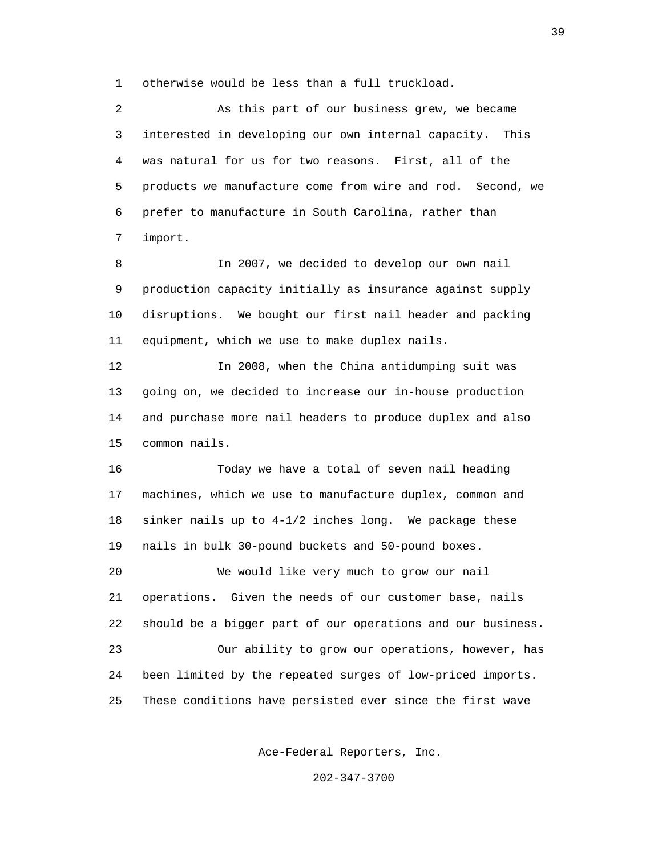1 otherwise would be less than a full truckload.

 2 As this part of our business grew, we became 3 interested in developing our own internal capacity. This 4 was natural for us for two reasons. First, all of the 5 products we manufacture come from wire and rod. Second, we 6 prefer to manufacture in South Carolina, rather than 7 import.

 8 In 2007, we decided to develop our own nail 9 production capacity initially as insurance against supply 10 disruptions. We bought our first nail header and packing 11 equipment, which we use to make duplex nails.

 12 In 2008, when the China antidumping suit was 13 going on, we decided to increase our in-house production 14 and purchase more nail headers to produce duplex and also 15 common nails.

 16 Today we have a total of seven nail heading 17 machines, which we use to manufacture duplex, common and 18 sinker nails up to 4-1/2 inches long. We package these 19 nails in bulk 30-pound buckets and 50-pound boxes. 20 We would like very much to grow our nail 21 operations. Given the needs of our customer base, nails 22 should be a bigger part of our operations and our business. 23 Our ability to grow our operations, however, has 24 been limited by the repeated surges of low-priced imports. 25 These conditions have persisted ever since the first wave

Ace-Federal Reporters, Inc.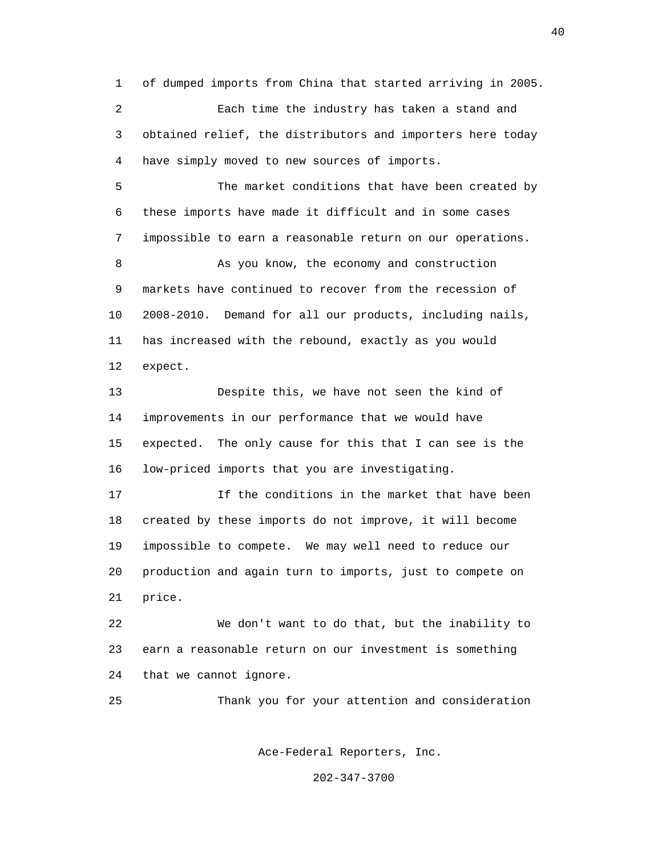1 of dumped imports from China that started arriving in 2005. 2 Each time the industry has taken a stand and 3 obtained relief, the distributors and importers here today 4 have simply moved to new sources of imports. 5 The market conditions that have been created by 6 these imports have made it difficult and in some cases 7 impossible to earn a reasonable return on our operations. 8 As you know, the economy and construction 9 markets have continued to recover from the recession of 10 2008-2010. Demand for all our products, including nails, 11 has increased with the rebound, exactly as you would 12 expect. 13 Despite this, we have not seen the kind of 14 improvements in our performance that we would have

 15 expected. The only cause for this that I can see is the 16 low-priced imports that you are investigating.

 17 If the conditions in the market that have been 18 created by these imports do not improve, it will become 19 impossible to compete. We may well need to reduce our 20 production and again turn to imports, just to compete on 21 price.

 22 We don't want to do that, but the inability to 23 earn a reasonable return on our investment is something 24 that we cannot ignore.

25 Thank you for your attention and consideration

Ace-Federal Reporters, Inc.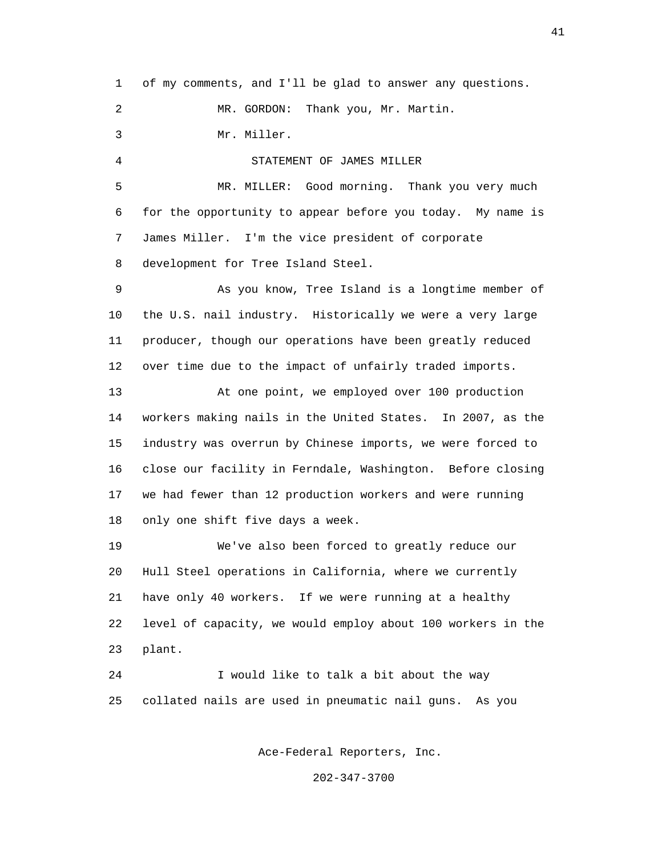1 of my comments, and I'll be glad to answer any questions. 2 MR. GORDON: Thank you, Mr. Martin. 3 Mr. Miller. 4 STATEMENT OF JAMES MILLER 5 MR. MILLER: Good morning. Thank you very much 6 for the opportunity to appear before you today. My name is 7 James Miller. I'm the vice president of corporate 8 development for Tree Island Steel. 9 As you know, Tree Island is a longtime member of 10 the U.S. nail industry. Historically we were a very large 11 producer, though our operations have been greatly reduced 12 over time due to the impact of unfairly traded imports. 13 At one point, we employed over 100 production 14 workers making nails in the United States. In 2007, as the 15 industry was overrun by Chinese imports, we were forced to 16 close our facility in Ferndale, Washington. Before closing 17 we had fewer than 12 production workers and were running 18 only one shift five days a week. 19 We've also been forced to greatly reduce our 20 Hull Steel operations in California, where we currently 21 have only 40 workers. If we were running at a healthy 22 level of capacity, we would employ about 100 workers in the 23 plant. 24 I would like to talk a bit about the way 25 collated nails are used in pneumatic nail guns. As you

Ace-Federal Reporters, Inc.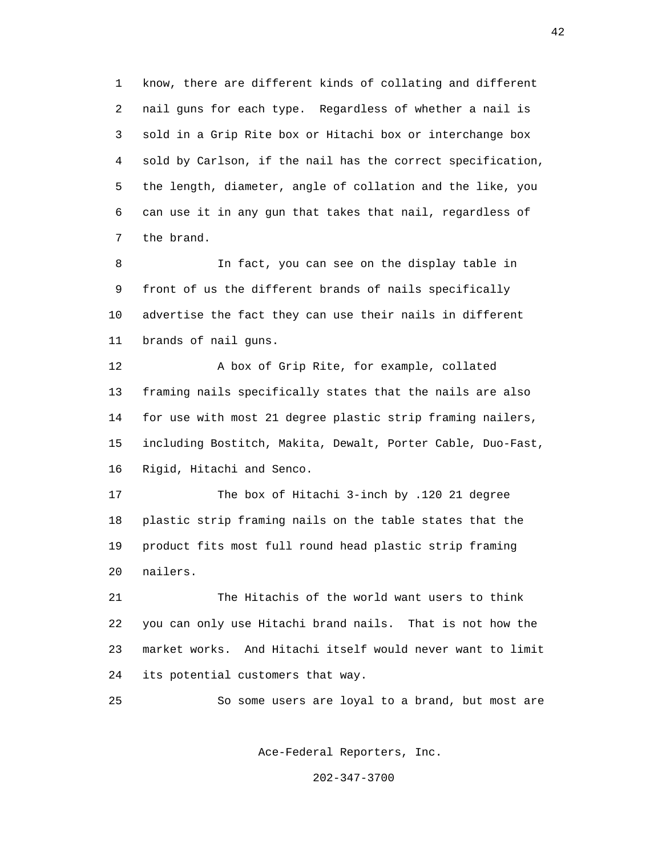1 know, there are different kinds of collating and different 2 nail guns for each type. Regardless of whether a nail is 3 sold in a Grip Rite box or Hitachi box or interchange box 4 sold by Carlson, if the nail has the correct specification, 5 the length, diameter, angle of collation and the like, you 6 can use it in any gun that takes that nail, regardless of 7 the brand.

 8 In fact, you can see on the display table in 9 front of us the different brands of nails specifically 10 advertise the fact they can use their nails in different 11 brands of nail guns.

 12 A box of Grip Rite, for example, collated 13 framing nails specifically states that the nails are also 14 for use with most 21 degree plastic strip framing nailers, 15 including Bostitch, Makita, Dewalt, Porter Cable, Duo-Fast, 16 Rigid, Hitachi and Senco.

 17 The box of Hitachi 3-inch by .120 21 degree 18 plastic strip framing nails on the table states that the 19 product fits most full round head plastic strip framing 20 nailers.

 21 The Hitachis of the world want users to think 22 you can only use Hitachi brand nails. That is not how the 23 market works. And Hitachi itself would never want to limit 24 its potential customers that way.

25 So some users are loyal to a brand, but most are

Ace-Federal Reporters, Inc.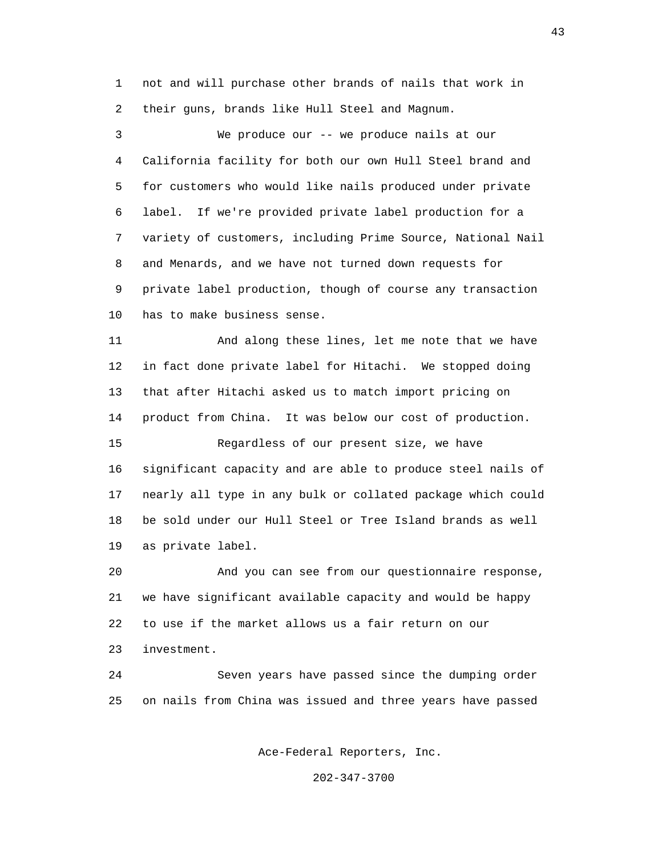1 not and will purchase other brands of nails that work in 2 their guns, brands like Hull Steel and Magnum.

 3 We produce our -- we produce nails at our 4 California facility for both our own Hull Steel brand and 5 for customers who would like nails produced under private 6 label. If we're provided private label production for a 7 variety of customers, including Prime Source, National Nail 8 and Menards, and we have not turned down requests for 9 private label production, though of course any transaction 10 has to make business sense.

 11 And along these lines, let me note that we have 12 in fact done private label for Hitachi. We stopped doing 13 that after Hitachi asked us to match import pricing on 14 product from China. It was below our cost of production.

 15 Regardless of our present size, we have 16 significant capacity and are able to produce steel nails of 17 nearly all type in any bulk or collated package which could 18 be sold under our Hull Steel or Tree Island brands as well 19 as private label.

 20 And you can see from our questionnaire response, 21 we have significant available capacity and would be happy 22 to use if the market allows us a fair return on our 23 investment.

 24 Seven years have passed since the dumping order 25 on nails from China was issued and three years have passed

Ace-Federal Reporters, Inc.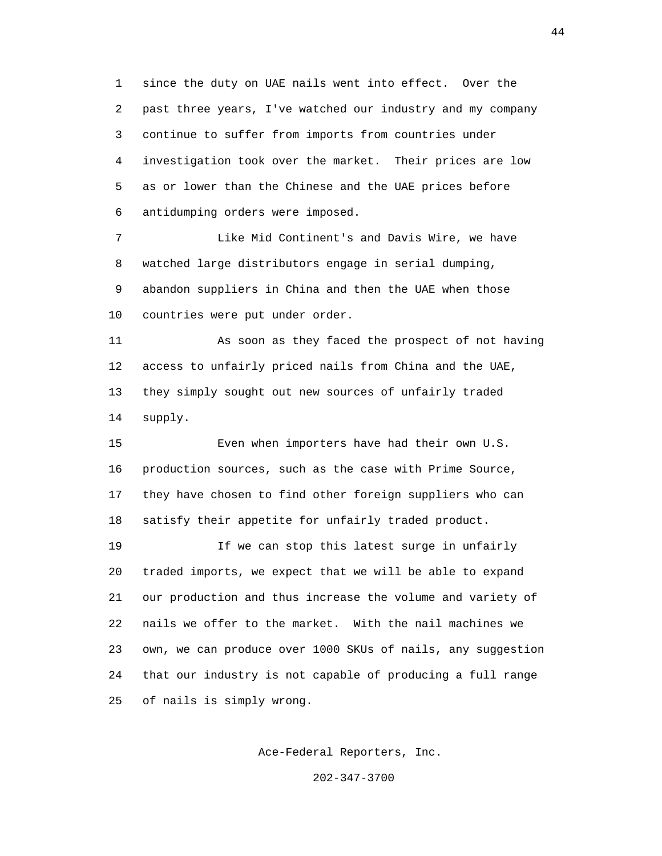1 since the duty on UAE nails went into effect. Over the 2 past three years, I've watched our industry and my company 3 continue to suffer from imports from countries under 4 investigation took over the market. Their prices are low 5 as or lower than the Chinese and the UAE prices before 6 antidumping orders were imposed.

 7 Like Mid Continent's and Davis Wire, we have 8 watched large distributors engage in serial dumping, 9 abandon suppliers in China and then the UAE when those 10 countries were put under order.

 11 As soon as they faced the prospect of not having 12 access to unfairly priced nails from China and the UAE, 13 they simply sought out new sources of unfairly traded 14 supply.

 15 Even when importers have had their own U.S. 16 production sources, such as the case with Prime Source, 17 they have chosen to find other foreign suppliers who can 18 satisfy their appetite for unfairly traded product.

 19 If we can stop this latest surge in unfairly 20 traded imports, we expect that we will be able to expand 21 our production and thus increase the volume and variety of 22 nails we offer to the market. With the nail machines we 23 own, we can produce over 1000 SKUs of nails, any suggestion 24 that our industry is not capable of producing a full range 25 of nails is simply wrong.

Ace-Federal Reporters, Inc.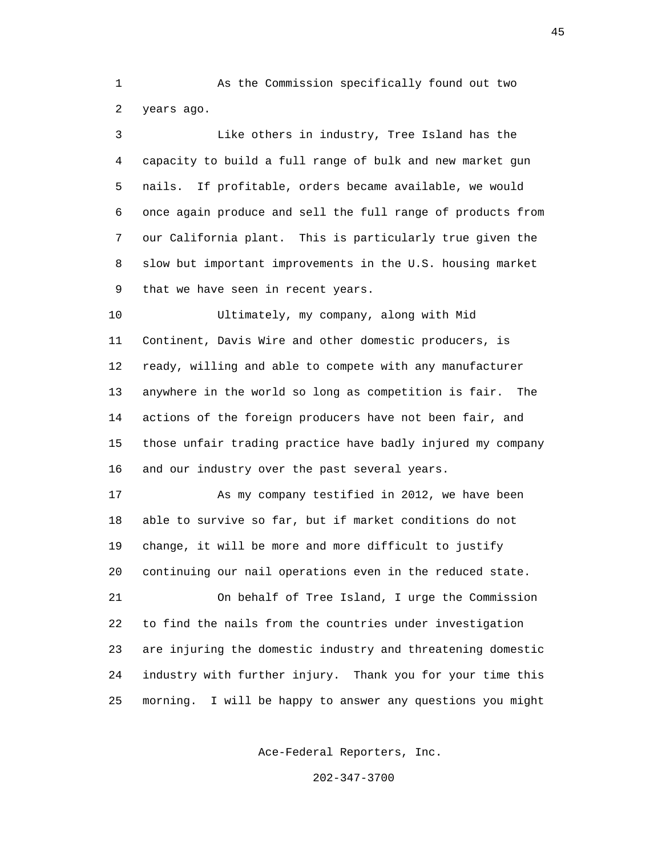1 As the Commission specifically found out two 2 years ago.

 3 Like others in industry, Tree Island has the 4 capacity to build a full range of bulk and new market gun 5 nails. If profitable, orders became available, we would 6 once again produce and sell the full range of products from 7 our California plant. This is particularly true given the 8 slow but important improvements in the U.S. housing market 9 that we have seen in recent years. 10 Ultimately, my company, along with Mid 11 Continent, Davis Wire and other domestic producers, is 12 ready, willing and able to compete with any manufacturer 13 anywhere in the world so long as competition is fair. The 14 actions of the foreign producers have not been fair, and 15 those unfair trading practice have badly injured my company 16 and our industry over the past several years. 17 As my company testified in 2012, we have been 18 able to survive so far, but if market conditions do not 19 change, it will be more and more difficult to justify 20 continuing our nail operations even in the reduced state. 21 On behalf of Tree Island, I urge the Commission

 22 to find the nails from the countries under investigation 23 are injuring the domestic industry and threatening domestic 24 industry with further injury. Thank you for your time this 25 morning. I will be happy to answer any questions you might

Ace-Federal Reporters, Inc.

202-347-3700

45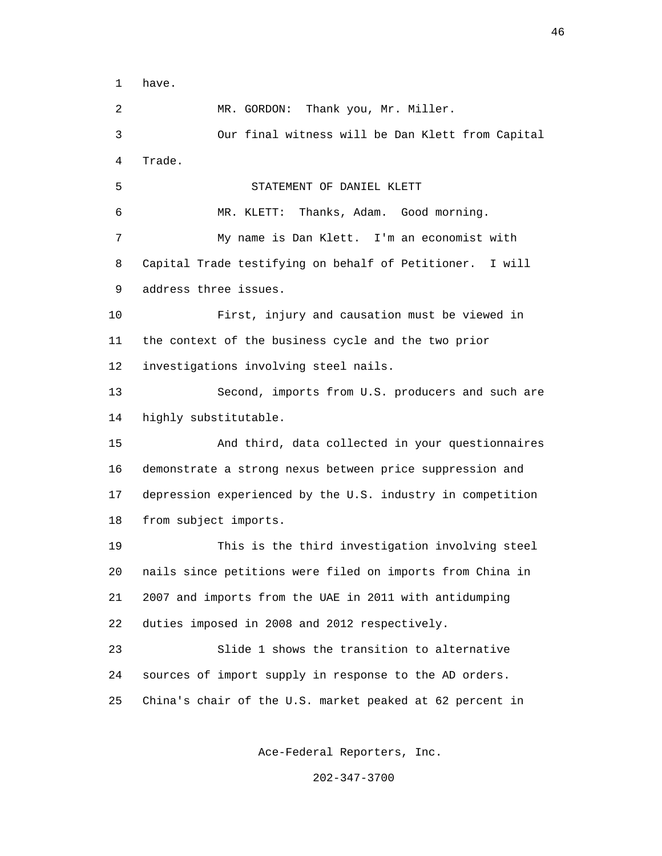1 have.

 2 MR. GORDON: Thank you, Mr. Miller. 3 Our final witness will be Dan Klett from Capital 4 Trade. 5 STATEMENT OF DANIEL KLETT 6 MR. KLETT: Thanks, Adam. Good morning. 7 My name is Dan Klett. I'm an economist with 8 Capital Trade testifying on behalf of Petitioner. I will 9 address three issues. 10 First, injury and causation must be viewed in 11 the context of the business cycle and the two prior 12 investigations involving steel nails. 13 Second, imports from U.S. producers and such are 14 highly substitutable. 15 And third, data collected in your questionnaires 16 demonstrate a strong nexus between price suppression and 17 depression experienced by the U.S. industry in competition 18 from subject imports. 19 This is the third investigation involving steel 20 nails since petitions were filed on imports from China in 21 2007 and imports from the UAE in 2011 with antidumping 22 duties imposed in 2008 and 2012 respectively. 23 Slide 1 shows the transition to alternative 24 sources of import supply in response to the AD orders. 25 China's chair of the U.S. market peaked at 62 percent in

Ace-Federal Reporters, Inc.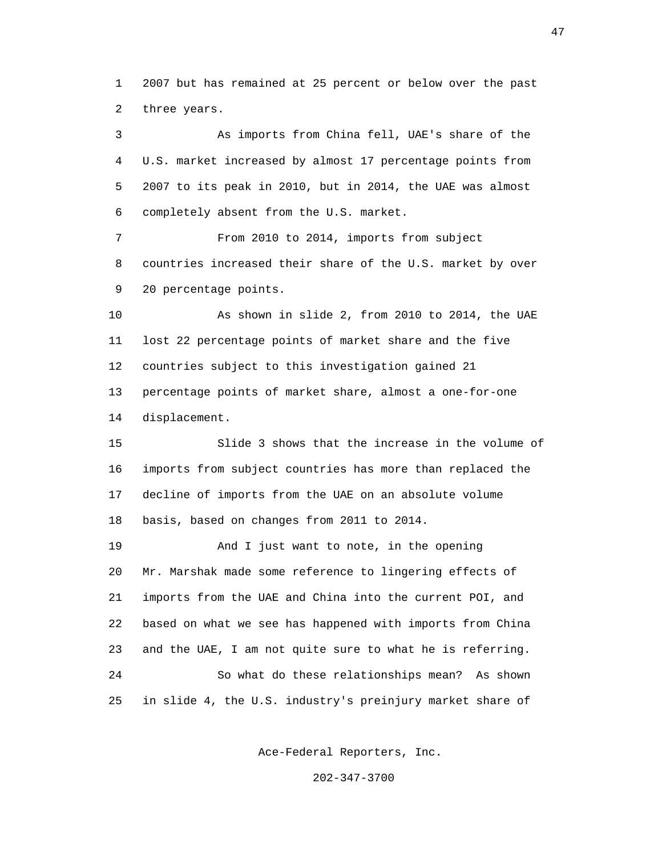1 2007 but has remained at 25 percent or below over the past 2 three years.

 3 As imports from China fell, UAE's share of the 4 U.S. market increased by almost 17 percentage points from 5 2007 to its peak in 2010, but in 2014, the UAE was almost 6 completely absent from the U.S. market.

 7 From 2010 to 2014, imports from subject 8 countries increased their share of the U.S. market by over 9 20 percentage points.

 10 As shown in slide 2, from 2010 to 2014, the UAE 11 lost 22 percentage points of market share and the five 12 countries subject to this investigation gained 21 13 percentage points of market share, almost a one-for-one 14 displacement.

 15 Slide 3 shows that the increase in the volume of 16 imports from subject countries has more than replaced the 17 decline of imports from the UAE on an absolute volume 18 basis, based on changes from 2011 to 2014.

 19 And I just want to note, in the opening 20 Mr. Marshak made some reference to lingering effects of 21 imports from the UAE and China into the current POI, and 22 based on what we see has happened with imports from China 23 and the UAE, I am not quite sure to what he is referring. 24 So what do these relationships mean? As shown 25 in slide 4, the U.S. industry's preinjury market share of

Ace-Federal Reporters, Inc.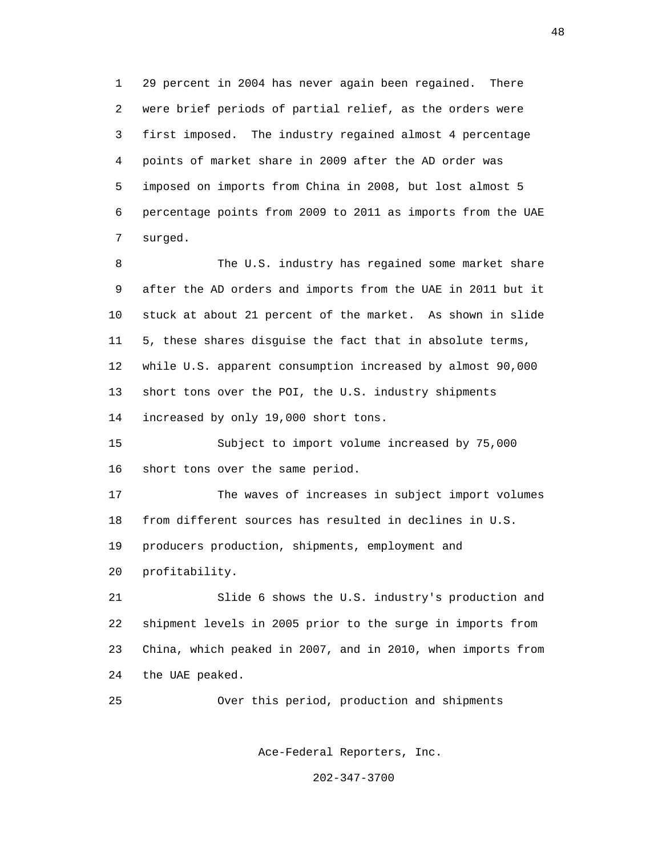1 29 percent in 2004 has never again been regained. There 2 were brief periods of partial relief, as the orders were 3 first imposed. The industry regained almost 4 percentage 4 points of market share in 2009 after the AD order was 5 imposed on imports from China in 2008, but lost almost 5 6 percentage points from 2009 to 2011 as imports from the UAE 7 surged.

 8 The U.S. industry has regained some market share 9 after the AD orders and imports from the UAE in 2011 but it 10 stuck at about 21 percent of the market. As shown in slide 11 5, these shares disguise the fact that in absolute terms, 12 while U.S. apparent consumption increased by almost 90,000 13 short tons over the POI, the U.S. industry shipments 14 increased by only 19,000 short tons.

 15 Subject to import volume increased by 75,000 16 short tons over the same period.

 17 The waves of increases in subject import volumes 18 from different sources has resulted in declines in U.S. 19 producers production, shipments, employment and

20 profitability.

 21 Slide 6 shows the U.S. industry's production and 22 shipment levels in 2005 prior to the surge in imports from 23 China, which peaked in 2007, and in 2010, when imports from 24 the UAE peaked.

25 Over this period, production and shipments

Ace-Federal Reporters, Inc.

202-347-3700

48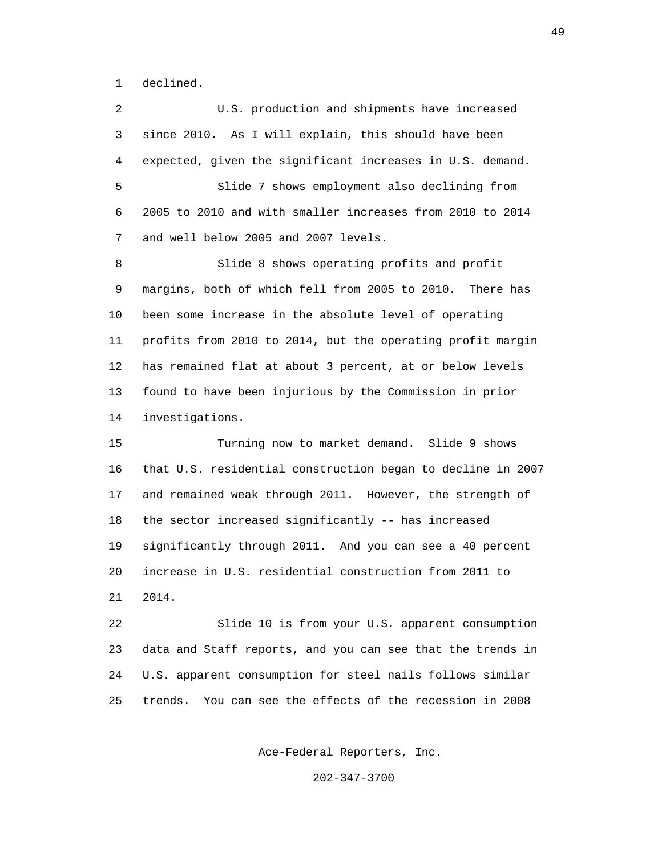1 declined.

 2 U.S. production and shipments have increased 3 since 2010. As I will explain, this should have been 4 expected, given the significant increases in U.S. demand. 5 Slide 7 shows employment also declining from 6 2005 to 2010 and with smaller increases from 2010 to 2014 7 and well below 2005 and 2007 levels. 8 Slide 8 shows operating profits and profit 9 margins, both of which fell from 2005 to 2010. There has 10 been some increase in the absolute level of operating 11 profits from 2010 to 2014, but the operating profit margin 12 has remained flat at about 3 percent, at or below levels 13 found to have been injurious by the Commission in prior 14 investigations. 15 Turning now to market demand. Slide 9 shows 16 that U.S. residential construction began to decline in 2007 17 and remained weak through 2011. However, the strength of 18 the sector increased significantly -- has increased 19 significantly through 2011. And you can see a 40 percent 20 increase in U.S. residential construction from 2011 to 21 2014. 22 Slide 10 is from your U.S. apparent consumption

 23 data and Staff reports, and you can see that the trends in 24 U.S. apparent consumption for steel nails follows similar 25 trends. You can see the effects of the recession in 2008

Ace-Federal Reporters, Inc.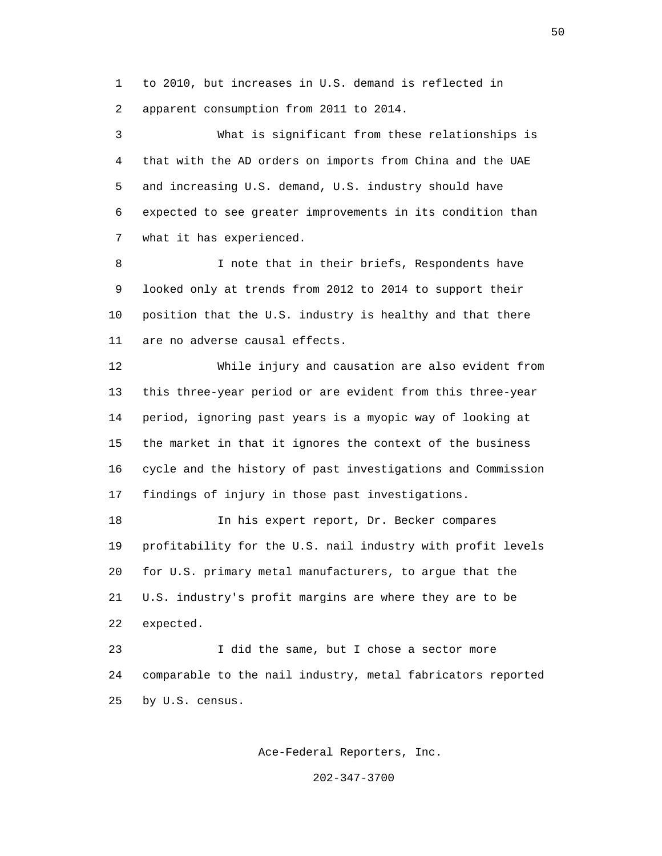1 to 2010, but increases in U.S. demand is reflected in 2 apparent consumption from 2011 to 2014.

 3 What is significant from these relationships is 4 that with the AD orders on imports from China and the UAE 5 and increasing U.S. demand, U.S. industry should have 6 expected to see greater improvements in its condition than 7 what it has experienced.

 8 I note that in their briefs, Respondents have 9 looked only at trends from 2012 to 2014 to support their 10 position that the U.S. industry is healthy and that there 11 are no adverse causal effects.

 12 While injury and causation are also evident from 13 this three-year period or are evident from this three-year 14 period, ignoring past years is a myopic way of looking at 15 the market in that it ignores the context of the business 16 cycle and the history of past investigations and Commission 17 findings of injury in those past investigations.

 18 In his expert report, Dr. Becker compares 19 profitability for the U.S. nail industry with profit levels 20 for U.S. primary metal manufacturers, to argue that the 21 U.S. industry's profit margins are where they are to be 22 expected.

 23 I did the same, but I chose a sector more 24 comparable to the nail industry, metal fabricators reported 25 by U.S. census.

Ace-Federal Reporters, Inc.

202-347-3700

 $50<sub>50</sub>$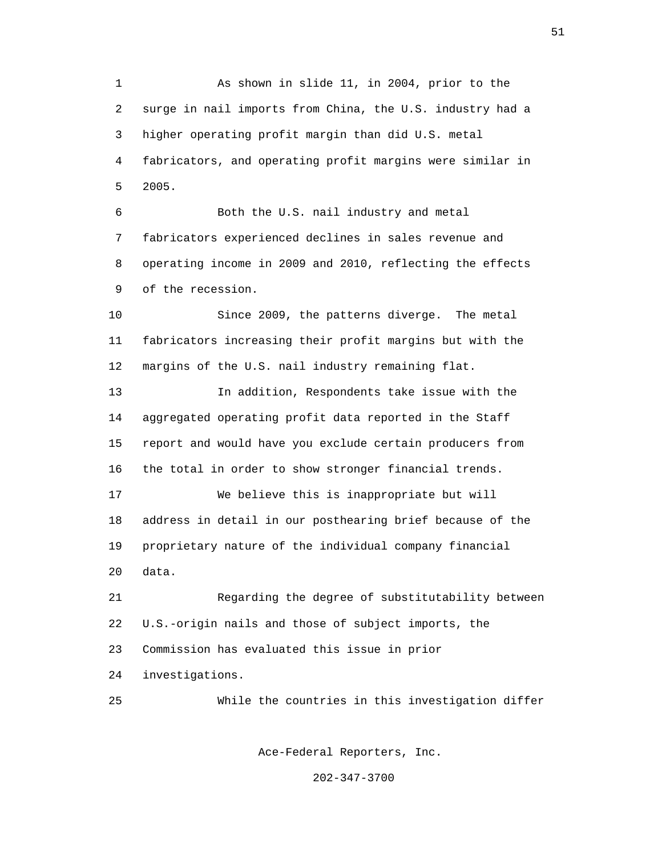1 As shown in slide 11, in 2004, prior to the 2 surge in nail imports from China, the U.S. industry had a 3 higher operating profit margin than did U.S. metal 4 fabricators, and operating profit margins were similar in 5 2005.

 6 Both the U.S. nail industry and metal 7 fabricators experienced declines in sales revenue and 8 operating income in 2009 and 2010, reflecting the effects 9 of the recession.

 10 Since 2009, the patterns diverge. The metal 11 fabricators increasing their profit margins but with the 12 margins of the U.S. nail industry remaining flat.

 13 In addition, Respondents take issue with the 14 aggregated operating profit data reported in the Staff 15 report and would have you exclude certain producers from 16 the total in order to show stronger financial trends.

 17 We believe this is inappropriate but will 18 address in detail in our posthearing brief because of the 19 proprietary nature of the individual company financial 20 data.

 21 Regarding the degree of substitutability between 22 U.S.-origin nails and those of subject imports, the 23 Commission has evaluated this issue in prior 24 investigations.

25 While the countries in this investigation differ

Ace-Federal Reporters, Inc.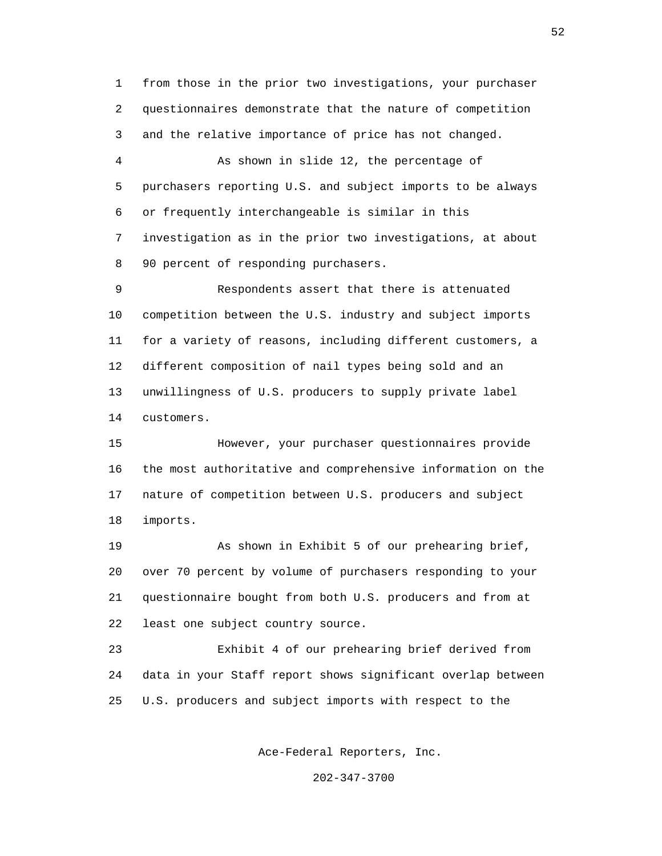1 from those in the prior two investigations, your purchaser 2 questionnaires demonstrate that the nature of competition 3 and the relative importance of price has not changed.

 4 As shown in slide 12, the percentage of 5 purchasers reporting U.S. and subject imports to be always 6 or frequently interchangeable is similar in this 7 investigation as in the prior two investigations, at about 8 90 percent of responding purchasers.

 9 Respondents assert that there is attenuated 10 competition between the U.S. industry and subject imports 11 for a variety of reasons, including different customers, a 12 different composition of nail types being sold and an 13 unwillingness of U.S. producers to supply private label 14 customers.

 15 However, your purchaser questionnaires provide 16 the most authoritative and comprehensive information on the 17 nature of competition between U.S. producers and subject 18 imports.

 19 As shown in Exhibit 5 of our prehearing brief, 20 over 70 percent by volume of purchasers responding to your 21 questionnaire bought from both U.S. producers and from at 22 least one subject country source.

 23 Exhibit 4 of our prehearing brief derived from 24 data in your Staff report shows significant overlap between 25 U.S. producers and subject imports with respect to the

Ace-Federal Reporters, Inc.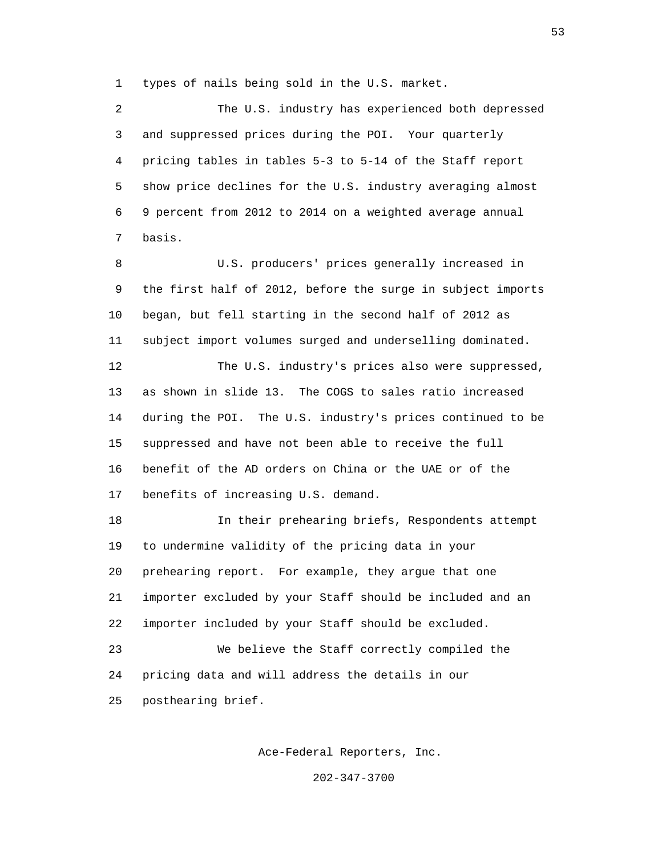1 types of nails being sold in the U.S. market.

 2 The U.S. industry has experienced both depressed 3 and suppressed prices during the POI. Your quarterly 4 pricing tables in tables 5-3 to 5-14 of the Staff report 5 show price declines for the U.S. industry averaging almost 6 9 percent from 2012 to 2014 on a weighted average annual 7 basis. 8 U.S. producers' prices generally increased in 9 the first half of 2012, before the surge in subject imports 10 began, but fell starting in the second half of 2012 as 11 subject import volumes surged and underselling dominated. 12 The U.S. industry's prices also were suppressed, 13 as shown in slide 13. The COGS to sales ratio increased 14 during the POI. The U.S. industry's prices continued to be 15 suppressed and have not been able to receive the full 16 benefit of the AD orders on China or the UAE or of the 17 benefits of increasing U.S. demand. 18 In their prehearing briefs, Respondents attempt 19 to undermine validity of the pricing data in your 20 prehearing report. For example, they argue that one 21 importer excluded by your Staff should be included and an 22 importer included by your Staff should be excluded. 23 We believe the Staff correctly compiled the 24 pricing data and will address the details in our 25 posthearing brief.

Ace-Federal Reporters, Inc.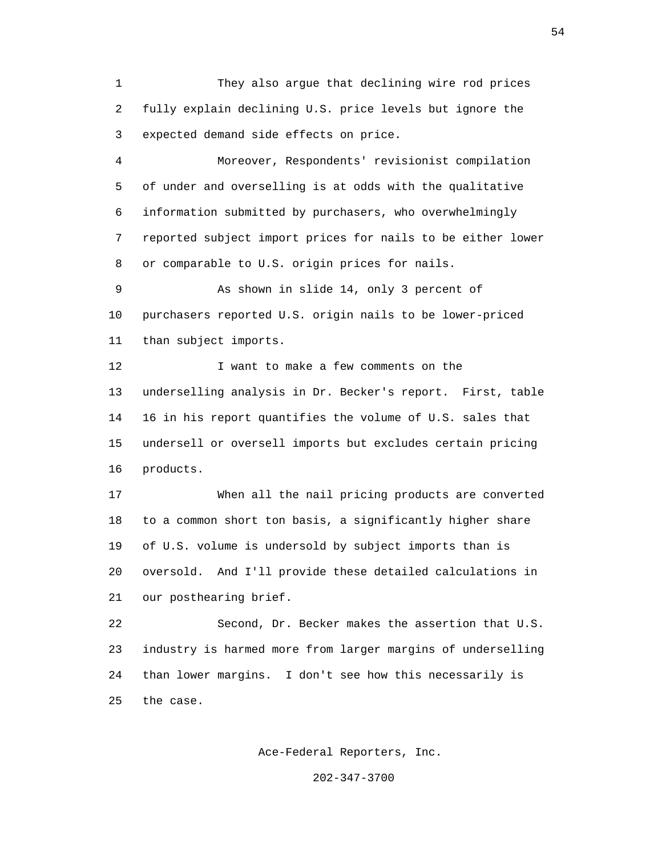1 They also argue that declining wire rod prices 2 fully explain declining U.S. price levels but ignore the 3 expected demand side effects on price.

 4 Moreover, Respondents' revisionist compilation 5 of under and overselling is at odds with the qualitative 6 information submitted by purchasers, who overwhelmingly 7 reported subject import prices for nails to be either lower 8 or comparable to U.S. origin prices for nails.

 9 As shown in slide 14, only 3 percent of 10 purchasers reported U.S. origin nails to be lower-priced 11 than subject imports.

12 I want to make a few comments on the 13 underselling analysis in Dr. Becker's report. First, table 14 16 in his report quantifies the volume of U.S. sales that 15 undersell or oversell imports but excludes certain pricing 16 products.

 17 When all the nail pricing products are converted 18 to a common short ton basis, a significantly higher share 19 of U.S. volume is undersold by subject imports than is 20 oversold. And I'll provide these detailed calculations in 21 our posthearing brief.

 22 Second, Dr. Becker makes the assertion that U.S. 23 industry is harmed more from larger margins of underselling 24 than lower margins. I don't see how this necessarily is 25 the case.

Ace-Federal Reporters, Inc.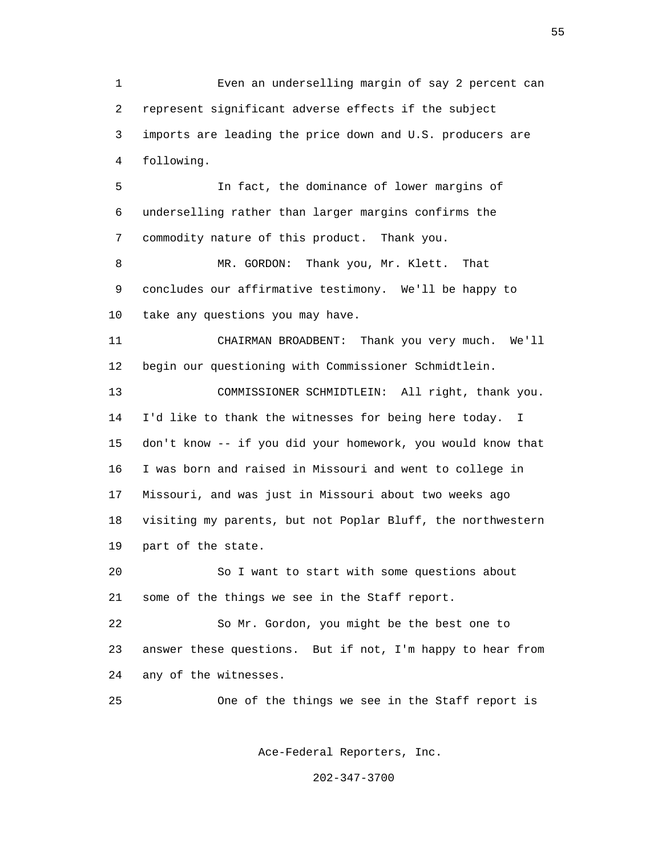1 Even an underselling margin of say 2 percent can 2 represent significant adverse effects if the subject 3 imports are leading the price down and U.S. producers are 4 following. 5 In fact, the dominance of lower margins of 6 underselling rather than larger margins confirms the 7 commodity nature of this product. Thank you. 8 MR. GORDON: Thank you, Mr. Klett. That 9 concludes our affirmative testimony. We'll be happy to 10 take any questions you may have. 11 CHAIRMAN BROADBENT: Thank you very much. We'll 12 begin our questioning with Commissioner Schmidtlein. 13 COMMISSIONER SCHMIDTLEIN: All right, thank you. 14 I'd like to thank the witnesses for being here today. I 15 don't know -- if you did your homework, you would know that 16 I was born and raised in Missouri and went to college in 17 Missouri, and was just in Missouri about two weeks ago 18 visiting my parents, but not Poplar Bluff, the northwestern 19 part of the state. 20 So I want to start with some questions about 21 some of the things we see in the Staff report. 22 So Mr. Gordon, you might be the best one to 23 answer these questions. But if not, I'm happy to hear from 24 any of the witnesses. 25 One of the things we see in the Staff report is Ace-Federal Reporters, Inc.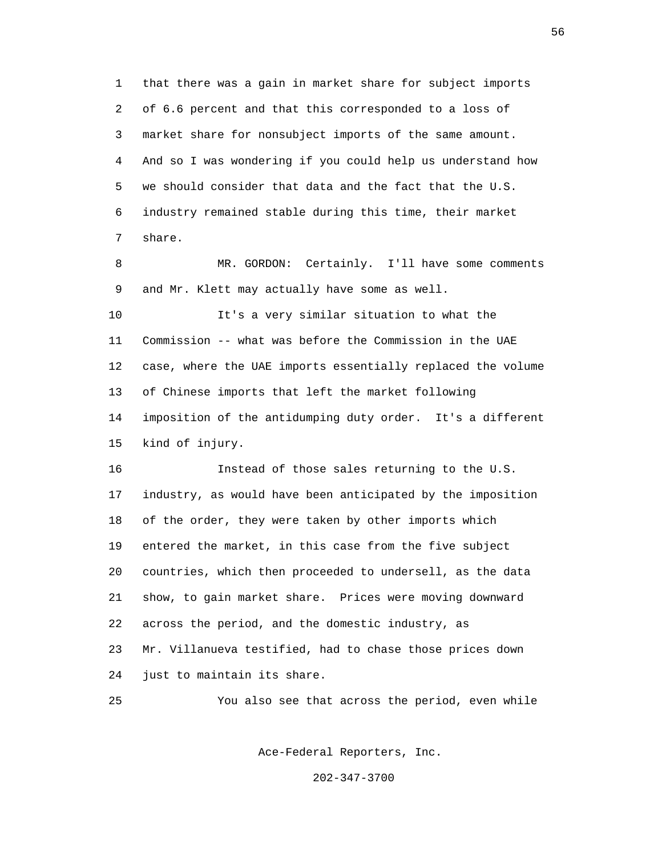1 that there was a gain in market share for subject imports 2 of 6.6 percent and that this corresponded to a loss of 3 market share for nonsubject imports of the same amount. 4 And so I was wondering if you could help us understand how 5 we should consider that data and the fact that the U.S. 6 industry remained stable during this time, their market 7 share.

 8 MR. GORDON: Certainly. I'll have some comments 9 and Mr. Klett may actually have some as well.

 10 It's a very similar situation to what the 11 Commission -- what was before the Commission in the UAE 12 case, where the UAE imports essentially replaced the volume 13 of Chinese imports that left the market following 14 imposition of the antidumping duty order. It's a different 15 kind of injury.

 16 Instead of those sales returning to the U.S. 17 industry, as would have been anticipated by the imposition 18 of the order, they were taken by other imports which 19 entered the market, in this case from the five subject 20 countries, which then proceeded to undersell, as the data 21 show, to gain market share. Prices were moving downward 22 across the period, and the domestic industry, as 23 Mr. Villanueva testified, had to chase those prices down 24 just to maintain its share.

25 You also see that across the period, even while

Ace-Federal Reporters, Inc.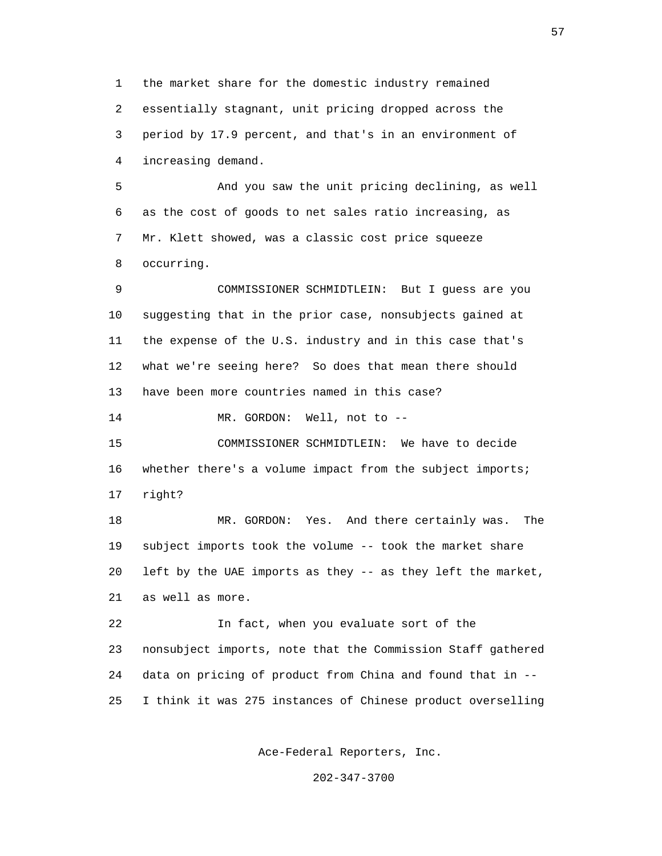1 the market share for the domestic industry remained 2 essentially stagnant, unit pricing dropped across the 3 period by 17.9 percent, and that's in an environment of 4 increasing demand.

 5 And you saw the unit pricing declining, as well 6 as the cost of goods to net sales ratio increasing, as 7 Mr. Klett showed, was a classic cost price squeeze 8 occurring.

 9 COMMISSIONER SCHMIDTLEIN: But I guess are you 10 suggesting that in the prior case, nonsubjects gained at 11 the expense of the U.S. industry and in this case that's 12 what we're seeing here? So does that mean there should 13 have been more countries named in this case?

14 MR. GORDON: Well, not to --

 15 COMMISSIONER SCHMIDTLEIN: We have to decide 16 whether there's a volume impact from the subject imports; 17 right?

 18 MR. GORDON: Yes. And there certainly was. The 19 subject imports took the volume -- took the market share 20 left by the UAE imports as they -- as they left the market, 21 as well as more.

 22 In fact, when you evaluate sort of the 23 nonsubject imports, note that the Commission Staff gathered 24 data on pricing of product from China and found that in -- 25 I think it was 275 instances of Chinese product overselling

Ace-Federal Reporters, Inc.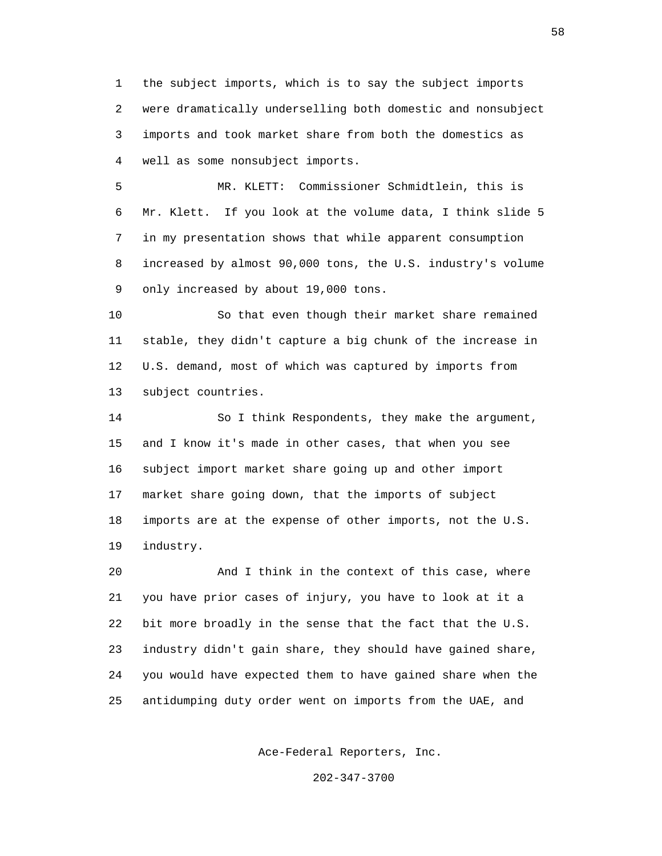1 the subject imports, which is to say the subject imports 2 were dramatically underselling both domestic and nonsubject 3 imports and took market share from both the domestics as 4 well as some nonsubject imports.

 5 MR. KLETT: Commissioner Schmidtlein, this is 6 Mr. Klett. If you look at the volume data, I think slide 5 7 in my presentation shows that while apparent consumption 8 increased by almost 90,000 tons, the U.S. industry's volume 9 only increased by about 19,000 tons.

 10 So that even though their market share remained 11 stable, they didn't capture a big chunk of the increase in 12 U.S. demand, most of which was captured by imports from 13 subject countries.

 14 So I think Respondents, they make the argument, 15 and I know it's made in other cases, that when you see 16 subject import market share going up and other import 17 market share going down, that the imports of subject 18 imports are at the expense of other imports, not the U.S. 19 industry.

 20 And I think in the context of this case, where 21 you have prior cases of injury, you have to look at it a 22 bit more broadly in the sense that the fact that the U.S. 23 industry didn't gain share, they should have gained share, 24 you would have expected them to have gained share when the 25 antidumping duty order went on imports from the UAE, and

Ace-Federal Reporters, Inc.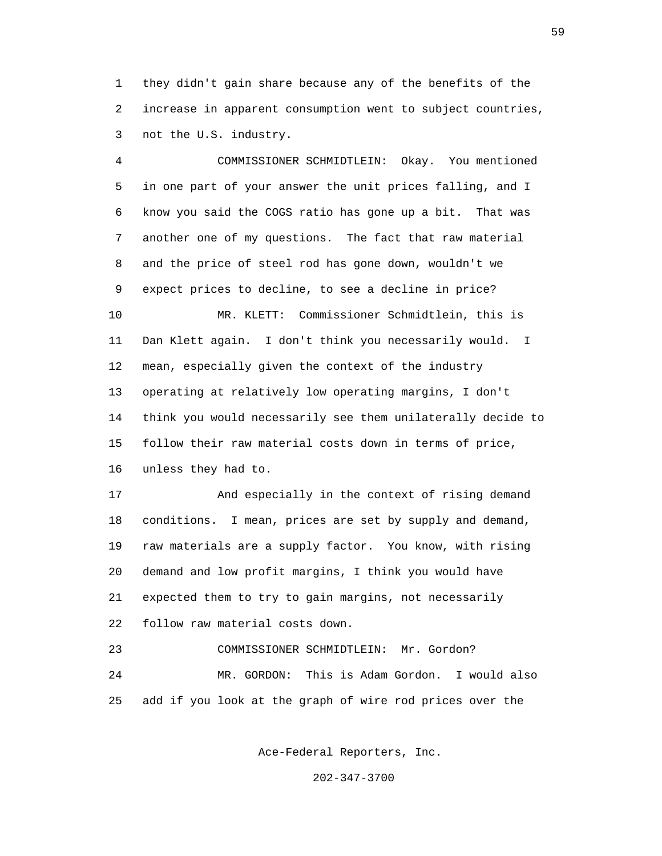1 they didn't gain share because any of the benefits of the 2 increase in apparent consumption went to subject countries, 3 not the U.S. industry.

 4 COMMISSIONER SCHMIDTLEIN: Okay. You mentioned 5 in one part of your answer the unit prices falling, and I 6 know you said the COGS ratio has gone up a bit. That was 7 another one of my questions. The fact that raw material 8 and the price of steel rod has gone down, wouldn't we 9 expect prices to decline, to see a decline in price? 10 MR. KLETT: Commissioner Schmidtlein, this is 11 Dan Klett again. I don't think you necessarily would. I 12 mean, especially given the context of the industry 13 operating at relatively low operating margins, I don't 14 think you would necessarily see them unilaterally decide to 15 follow their raw material costs down in terms of price, 16 unless they had to.

 17 And especially in the context of rising demand 18 conditions. I mean, prices are set by supply and demand, 19 raw materials are a supply factor. You know, with rising 20 demand and low profit margins, I think you would have 21 expected them to try to gain margins, not necessarily 22 follow raw material costs down.

 23 COMMISSIONER SCHMIDTLEIN: Mr. Gordon? 24 MR. GORDON: This is Adam Gordon. I would also 25 add if you look at the graph of wire rod prices over the

Ace-Federal Reporters, Inc.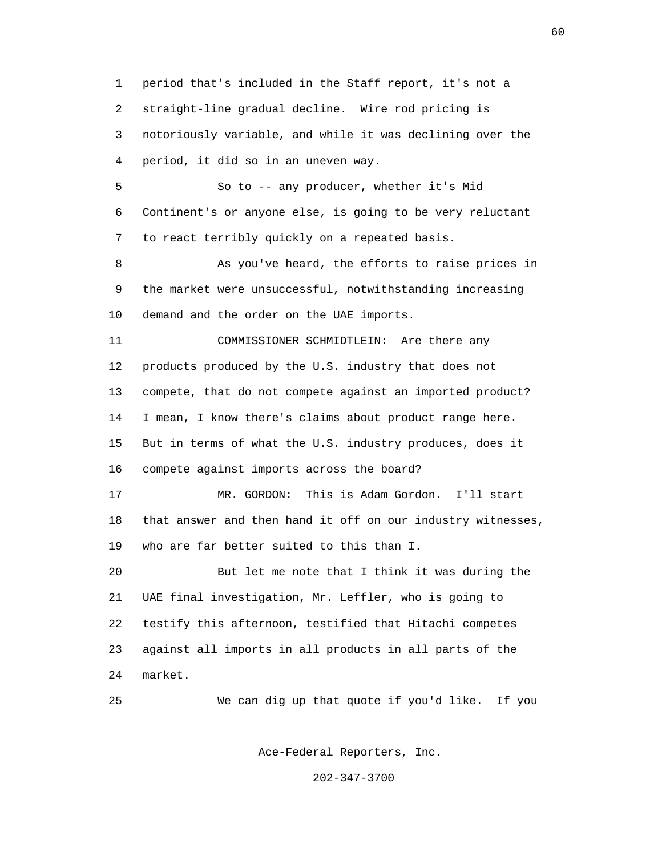1 period that's included in the Staff report, it's not a 2 straight-line gradual decline. Wire rod pricing is 3 notoriously variable, and while it was declining over the 4 period, it did so in an uneven way.

 5 So to -- any producer, whether it's Mid 6 Continent's or anyone else, is going to be very reluctant 7 to react terribly quickly on a repeated basis.

 8 As you've heard, the efforts to raise prices in 9 the market were unsuccessful, notwithstanding increasing 10 demand and the order on the UAE imports.

 11 COMMISSIONER SCHMIDTLEIN: Are there any 12 products produced by the U.S. industry that does not 13 compete, that do not compete against an imported product? 14 I mean, I know there's claims about product range here. 15 But in terms of what the U.S. industry produces, does it 16 compete against imports across the board?

 17 MR. GORDON: This is Adam Gordon. I'll start 18 that answer and then hand it off on our industry witnesses, 19 who are far better suited to this than I.

 20 But let me note that I think it was during the 21 UAE final investigation, Mr. Leffler, who is going to 22 testify this afternoon, testified that Hitachi competes 23 against all imports in all products in all parts of the 24 market.

25 We can dig up that quote if you'd like. If you

Ace-Federal Reporters, Inc.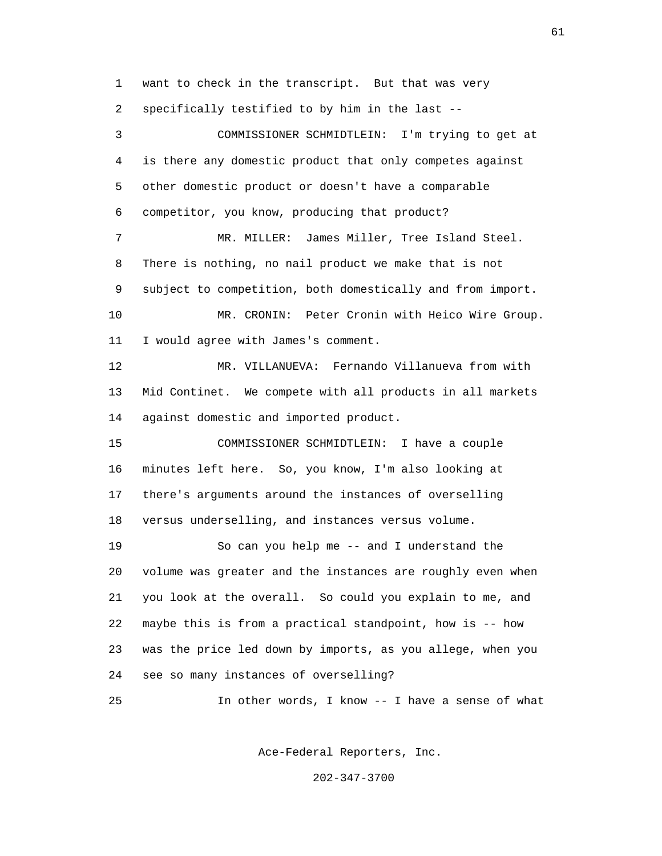1 want to check in the transcript. But that was very 2 specifically testified to by him in the last --

 3 COMMISSIONER SCHMIDTLEIN: I'm trying to get at 4 is there any domestic product that only competes against 5 other domestic product or doesn't have a comparable 6 competitor, you know, producing that product? 7 MR. MILLER: James Miller, Tree Island Steel. 8 There is nothing, no nail product we make that is not 9 subject to competition, both domestically and from import. 10 MR. CRONIN: Peter Cronin with Heico Wire Group. 11 I would agree with James's comment. 12 MR. VILLANUEVA: Fernando Villanueva from with 13 Mid Continet. We compete with all products in all markets 14 against domestic and imported product. 15 COMMISSIONER SCHMIDTLEIN: I have a couple 16 minutes left here. So, you know, I'm also looking at 17 there's arguments around the instances of overselling 18 versus underselling, and instances versus volume. 19 So can you help me -- and I understand the 20 volume was greater and the instances are roughly even when 21 you look at the overall. So could you explain to me, and 22 maybe this is from a practical standpoint, how is -- how 23 was the price led down by imports, as you allege, when you 24 see so many instances of overselling?

25 In other words, I know -- I have a sense of what

Ace-Federal Reporters, Inc.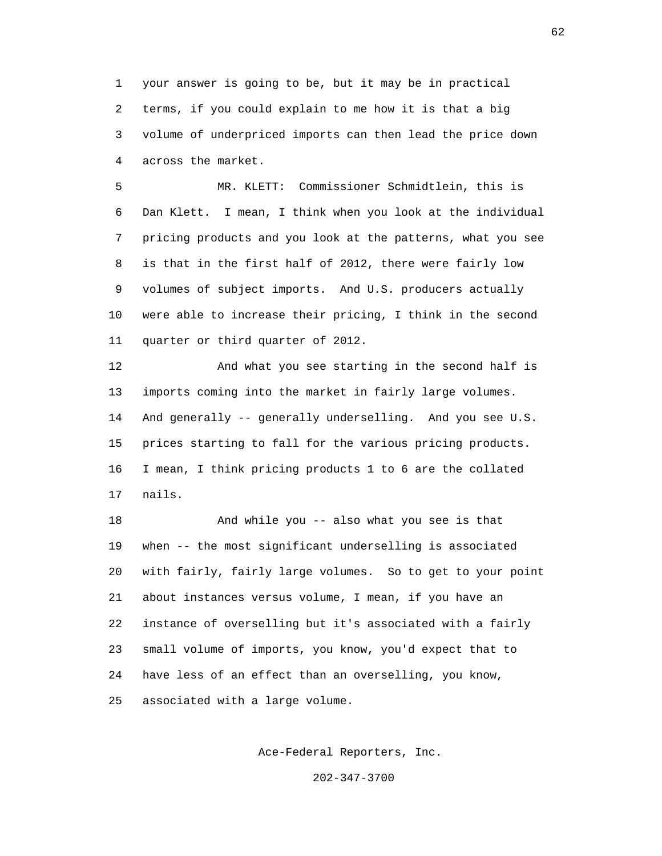1 your answer is going to be, but it may be in practical 2 terms, if you could explain to me how it is that a big 3 volume of underpriced imports can then lead the price down 4 across the market.

 5 MR. KLETT: Commissioner Schmidtlein, this is 6 Dan Klett. I mean, I think when you look at the individual 7 pricing products and you look at the patterns, what you see 8 is that in the first half of 2012, there were fairly low 9 volumes of subject imports. And U.S. producers actually 10 were able to increase their pricing, I think in the second 11 quarter or third quarter of 2012.

 12 And what you see starting in the second half is 13 imports coming into the market in fairly large volumes. 14 And generally -- generally underselling. And you see U.S. 15 prices starting to fall for the various pricing products. 16 I mean, I think pricing products 1 to 6 are the collated 17 nails.

 18 And while you -- also what you see is that 19 when -- the most significant underselling is associated 20 with fairly, fairly large volumes. So to get to your point 21 about instances versus volume, I mean, if you have an 22 instance of overselling but it's associated with a fairly 23 small volume of imports, you know, you'd expect that to 24 have less of an effect than an overselling, you know, 25 associated with a large volume.

Ace-Federal Reporters, Inc.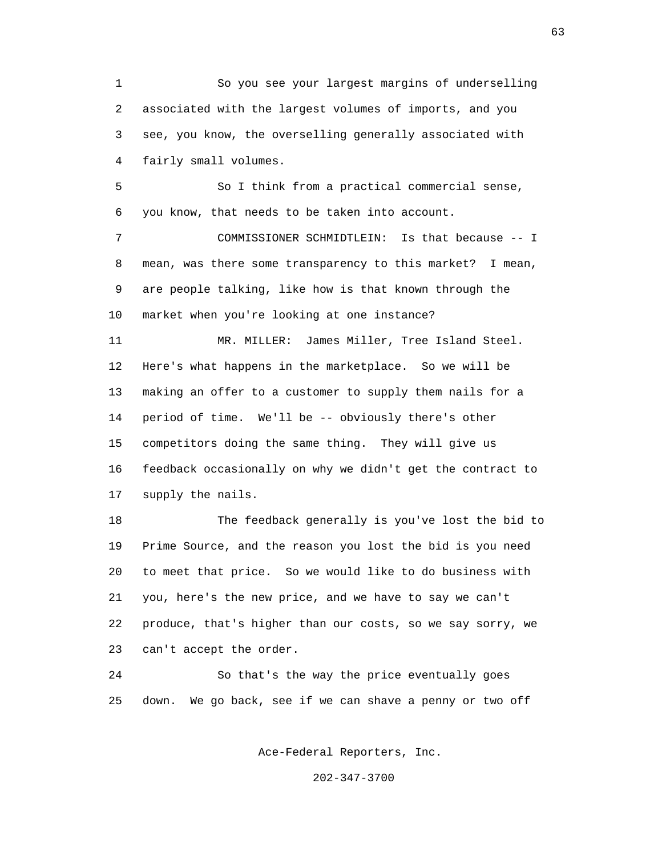1 So you see your largest margins of underselling 2 associated with the largest volumes of imports, and you 3 see, you know, the overselling generally associated with 4 fairly small volumes.

 5 So I think from a practical commercial sense, 6 you know, that needs to be taken into account.

 7 COMMISSIONER SCHMIDTLEIN: Is that because -- I 8 mean, was there some transparency to this market? I mean, 9 are people talking, like how is that known through the 10 market when you're looking at one instance?

 11 MR. MILLER: James Miller, Tree Island Steel. 12 Here's what happens in the marketplace. So we will be 13 making an offer to a customer to supply them nails for a 14 period of time. We'll be -- obviously there's other 15 competitors doing the same thing. They will give us 16 feedback occasionally on why we didn't get the contract to 17 supply the nails.

 18 The feedback generally is you've lost the bid to 19 Prime Source, and the reason you lost the bid is you need 20 to meet that price. So we would like to do business with 21 you, here's the new price, and we have to say we can't 22 produce, that's higher than our costs, so we say sorry, we 23 can't accept the order.

 24 So that's the way the price eventually goes 25 down. We go back, see if we can shave a penny or two off

Ace-Federal Reporters, Inc.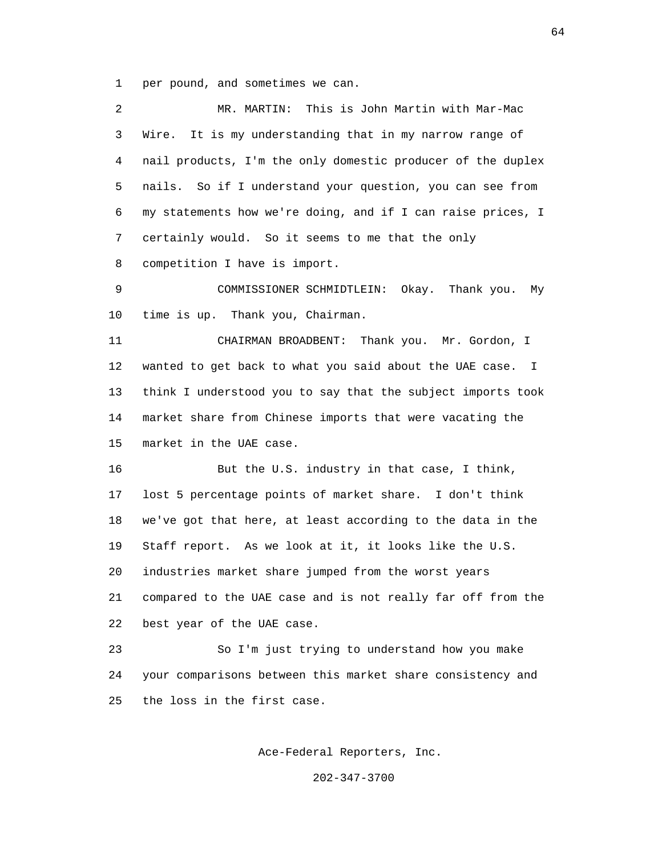1 per pound, and sometimes we can.

| 2  | This is John Martin with Mar-Mac<br>MR. MARTIN:             |
|----|-------------------------------------------------------------|
| 3  | It is my understanding that in my narrow range of<br>Wire.  |
| 4  | nail products, I'm the only domestic producer of the duplex |
| 5  | nails. So if I understand your question, you can see from   |
| 6  | my statements how we're doing, and if I can raise prices, I |
| 7  | certainly would. So it seems to me that the only            |
| 8  | competition I have is import.                               |
| 9  | COMMISSIONER SCHMIDTLEIN: Okay. Thank you.<br>Мy            |
| 10 | time is up. Thank you, Chairman.                            |
| 11 | CHAIRMAN BROADBENT: Thank you. Mr. Gordon, I                |
| 12 | wanted to get back to what you said about the UAE case. I   |
| 13 | think I understood you to say that the subject imports took |
| 14 | market share from Chinese imports that were vacating the    |
| 15 | market in the UAE case.                                     |
| 16 | But the U.S. industry in that case, I think,                |
| 17 | lost 5 percentage points of market share. I don't think     |
| 18 | we've got that here, at least according to the data in the  |
| 19 | Staff report. As we look at it, it looks like the U.S.      |
| 20 | industries market share jumped from the worst years         |
| 21 | compared to the UAE case and is not really far off from the |
| 22 | best year of the UAE case.                                  |
| 23 | So I'm just trying to understand how you make               |
| 24 | your comparisons between this market share consistency and  |
| 25 | the loss in the first case.                                 |
|    |                                                             |

Ace-Federal Reporters, Inc.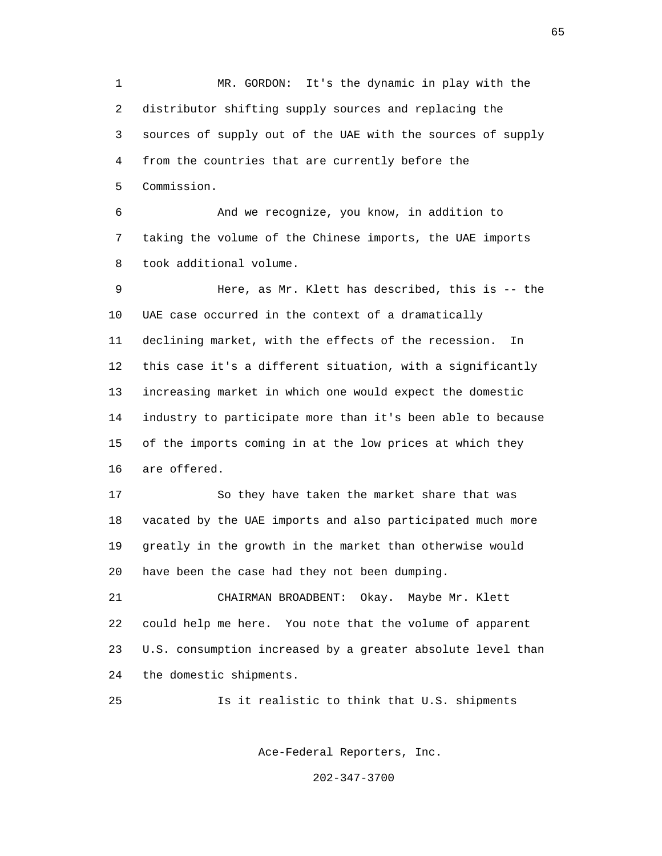1 MR. GORDON: It's the dynamic in play with the 2 distributor shifting supply sources and replacing the 3 sources of supply out of the UAE with the sources of supply 4 from the countries that are currently before the 5 Commission.

 6 And we recognize, you know, in addition to 7 taking the volume of the Chinese imports, the UAE imports 8 took additional volume.

 9 Here, as Mr. Klett has described, this is -- the 10 UAE case occurred in the context of a dramatically 11 declining market, with the effects of the recession. In 12 this case it's a different situation, with a significantly 13 increasing market in which one would expect the domestic 14 industry to participate more than it's been able to because 15 of the imports coming in at the low prices at which they 16 are offered.

 17 So they have taken the market share that was 18 vacated by the UAE imports and also participated much more 19 greatly in the growth in the market than otherwise would 20 have been the case had they not been dumping.

 21 CHAIRMAN BROADBENT: Okay. Maybe Mr. Klett 22 could help me here. You note that the volume of apparent 23 U.S. consumption increased by a greater absolute level than 24 the domestic shipments.

25 Is it realistic to think that U.S. shipments

Ace-Federal Reporters, Inc.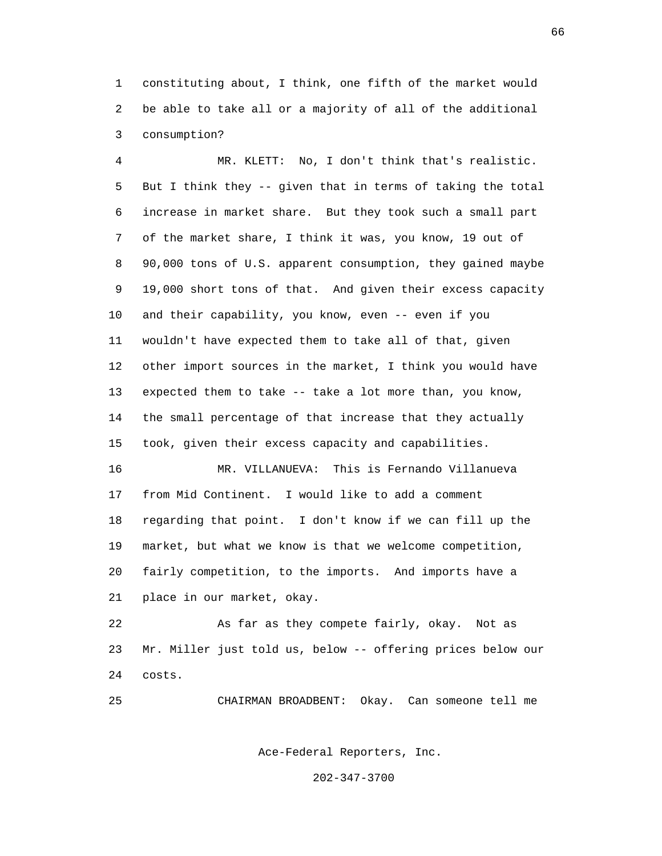1 constituting about, I think, one fifth of the market would 2 be able to take all or a majority of all of the additional 3 consumption?

 4 MR. KLETT: No, I don't think that's realistic. 5 But I think they -- given that in terms of taking the total 6 increase in market share. But they took such a small part 7 of the market share, I think it was, you know, 19 out of 8 90,000 tons of U.S. apparent consumption, they gained maybe 9 19,000 short tons of that. And given their excess capacity 10 and their capability, you know, even -- even if you 11 wouldn't have expected them to take all of that, given 12 other import sources in the market, I think you would have 13 expected them to take -- take a lot more than, you know, 14 the small percentage of that increase that they actually 15 took, given their excess capacity and capabilities.

 16 MR. VILLANUEVA: This is Fernando Villanueva 17 from Mid Continent. I would like to add a comment 18 regarding that point. I don't know if we can fill up the 19 market, but what we know is that we welcome competition, 20 fairly competition, to the imports. And imports have a 21 place in our market, okay.

 22 As far as they compete fairly, okay. Not as 23 Mr. Miller just told us, below -- offering prices below our 24 costs.

25 CHAIRMAN BROADBENT: Okay. Can someone tell me

Ace-Federal Reporters, Inc.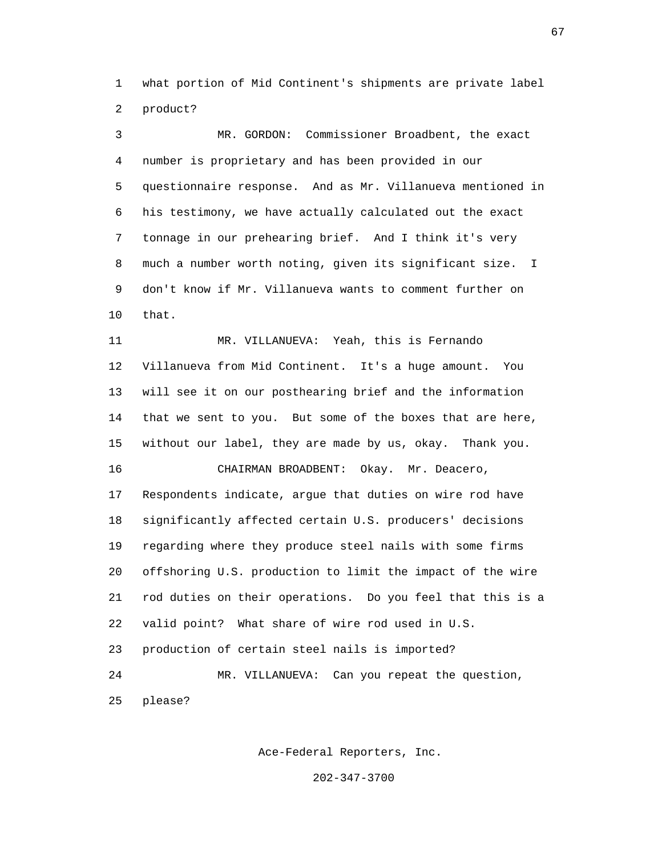1 what portion of Mid Continent's shipments are private label 2 product?

 3 MR. GORDON: Commissioner Broadbent, the exact 4 number is proprietary and has been provided in our 5 questionnaire response. And as Mr. Villanueva mentioned in 6 his testimony, we have actually calculated out the exact 7 tonnage in our prehearing brief. And I think it's very 8 much a number worth noting, given its significant size. I 9 don't know if Mr. Villanueva wants to comment further on 10 that.

 11 MR. VILLANUEVA: Yeah, this is Fernando 12 Villanueva from Mid Continent. It's a huge amount. You 13 will see it on our posthearing brief and the information 14 that we sent to you. But some of the boxes that are here, 15 without our label, they are made by us, okay. Thank you. 16 CHAIRMAN BROADBENT: Okay. Mr. Deacero, 17 Respondents indicate, argue that duties on wire rod have 18 significantly affected certain U.S. producers' decisions 19 regarding where they produce steel nails with some firms 20 offshoring U.S. production to limit the impact of the wire 21 rod duties on their operations. Do you feel that this is a 22 valid point? What share of wire rod used in U.S. 23 production of certain steel nails is imported? 24 MR. VILLANUEVA: Can you repeat the question,

25 please?

Ace-Federal Reporters, Inc.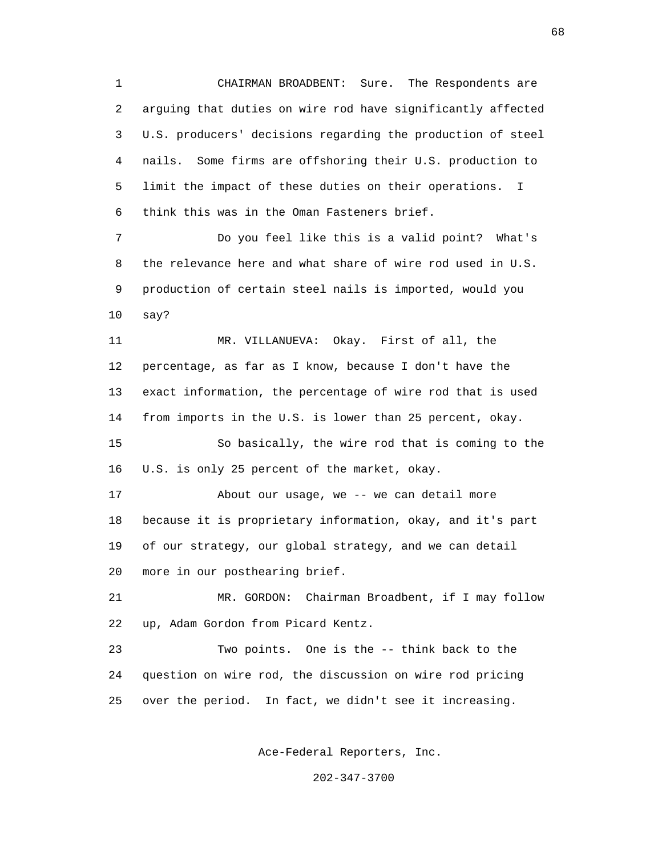1 CHAIRMAN BROADBENT: Sure. The Respondents are 2 arguing that duties on wire rod have significantly affected 3 U.S. producers' decisions regarding the production of steel 4 nails. Some firms are offshoring their U.S. production to 5 limit the impact of these duties on their operations. I 6 think this was in the Oman Fasteners brief.

 7 Do you feel like this is a valid point? What's 8 the relevance here and what share of wire rod used in U.S. 9 production of certain steel nails is imported, would you 10 say?

 11 MR. VILLANUEVA: Okay. First of all, the 12 percentage, as far as I know, because I don't have the 13 exact information, the percentage of wire rod that is used 14 from imports in the U.S. is lower than 25 percent, okay. 15 So basically, the wire rod that is coming to the 16 U.S. is only 25 percent of the market, okay. 17 About our usage, we -- we can detail more

 18 because it is proprietary information, okay, and it's part 19 of our strategy, our global strategy, and we can detail 20 more in our posthearing brief.

 21 MR. GORDON: Chairman Broadbent, if I may follow 22 up, Adam Gordon from Picard Kentz.

 23 Two points. One is the -- think back to the 24 question on wire rod, the discussion on wire rod pricing 25 over the period. In fact, we didn't see it increasing.

Ace-Federal Reporters, Inc.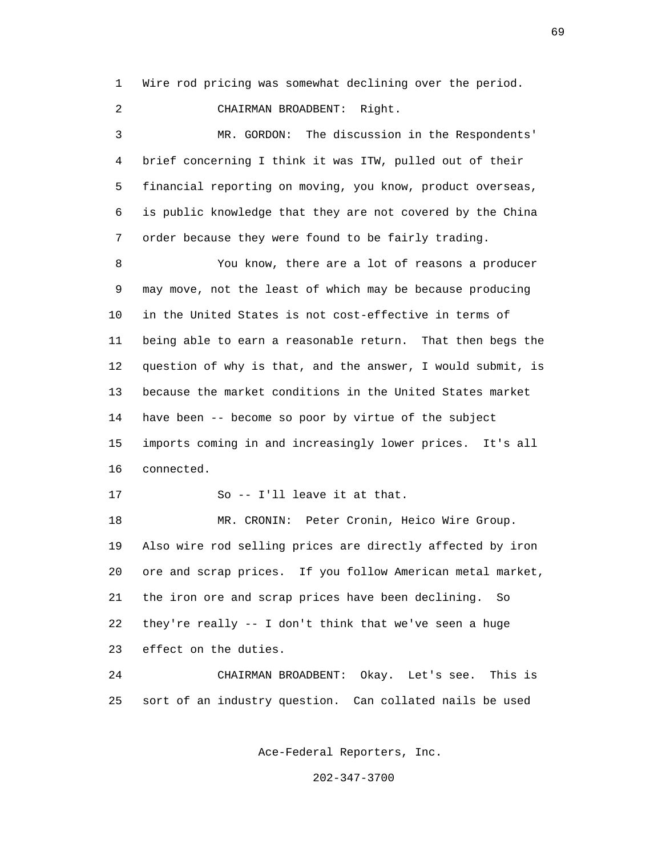1 Wire rod pricing was somewhat declining over the period.

2 CHAIRMAN BROADBENT: Right.

 3 MR. GORDON: The discussion in the Respondents' 4 brief concerning I think it was ITW, pulled out of their 5 financial reporting on moving, you know, product overseas, 6 is public knowledge that they are not covered by the China 7 order because they were found to be fairly trading.

 8 You know, there are a lot of reasons a producer 9 may move, not the least of which may be because producing 10 in the United States is not cost-effective in terms of 11 being able to earn a reasonable return. That then begs the 12 question of why is that, and the answer, I would submit, is 13 because the market conditions in the United States market 14 have been -- become so poor by virtue of the subject 15 imports coming in and increasingly lower prices. It's all 16 connected.

17 So -- I'll leave it at that.

 18 MR. CRONIN: Peter Cronin, Heico Wire Group. 19 Also wire rod selling prices are directly affected by iron 20 ore and scrap prices. If you follow American metal market, 21 the iron ore and scrap prices have been declining. So 22 they're really -- I don't think that we've seen a huge 23 effect on the duties.

 24 CHAIRMAN BROADBENT: Okay. Let's see. This is 25 sort of an industry question. Can collated nails be used

Ace-Federal Reporters, Inc.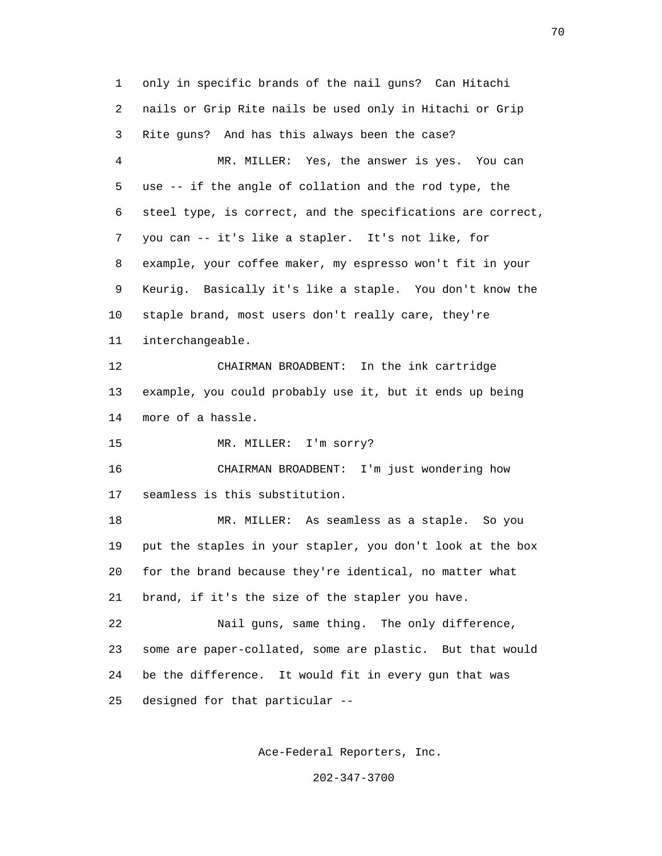1 only in specific brands of the nail guns? Can Hitachi 2 nails or Grip Rite nails be used only in Hitachi or Grip 3 Rite guns? And has this always been the case? 4 MR. MILLER: Yes, the answer is yes. You can 5 use -- if the angle of collation and the rod type, the 6 steel type, is correct, and the specifications are correct, 7 you can -- it's like a stapler. It's not like, for 8 example, your coffee maker, my espresso won't fit in your 9 Keurig. Basically it's like a staple. You don't know the 10 staple brand, most users don't really care, they're 11 interchangeable. 12 CHAIRMAN BROADBENT: In the ink cartridge 13 example, you could probably use it, but it ends up being 14 more of a hassle. 15 MR. MILLER: I'm sorry? 16 CHAIRMAN BROADBENT: I'm just wondering how 17 seamless is this substitution. 18 MR. MILLER: As seamless as a staple. So you 19 put the staples in your stapler, you don't look at the box 20 for the brand because they're identical, no matter what 21 brand, if it's the size of the stapler you have. 22 Nail guns, same thing. The only difference, 23 some are paper-collated, some are plastic. But that would 24 be the difference. It would fit in every gun that was 25 designed for that particular --

Ace-Federal Reporters, Inc.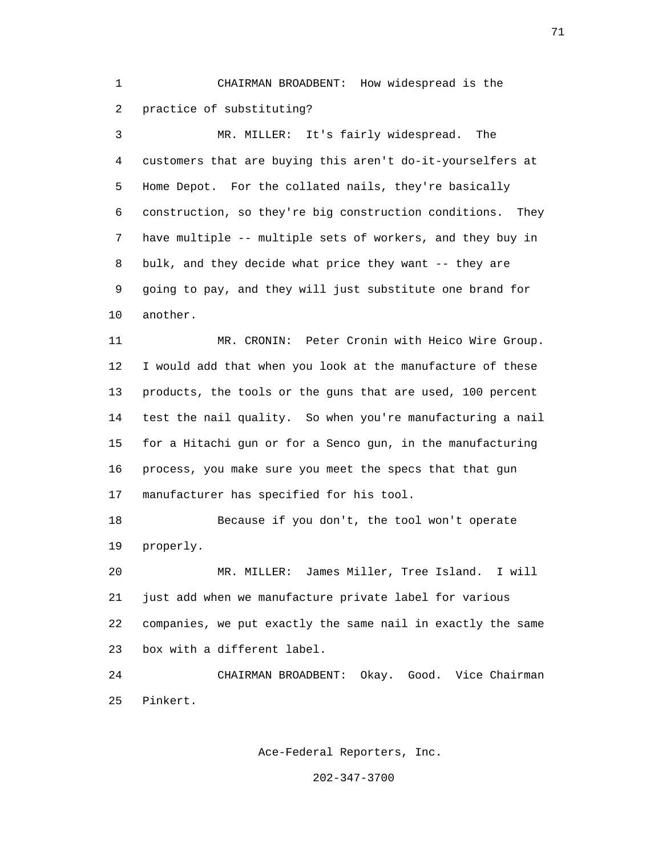1 CHAIRMAN BROADBENT: How widespread is the 2 practice of substituting?

 3 MR. MILLER: It's fairly widespread. The 4 customers that are buying this aren't do-it-yourselfers at 5 Home Depot. For the collated nails, they're basically 6 construction, so they're big construction conditions. They 7 have multiple -- multiple sets of workers, and they buy in 8 bulk, and they decide what price they want -- they are 9 going to pay, and they will just substitute one brand for 10 another.

 11 MR. CRONIN: Peter Cronin with Heico Wire Group. 12 I would add that when you look at the manufacture of these 13 products, the tools or the guns that are used, 100 percent 14 test the nail quality. So when you're manufacturing a nail 15 for a Hitachi gun or for a Senco gun, in the manufacturing 16 process, you make sure you meet the specs that that gun 17 manufacturer has specified for his tool.

 18 Because if you don't, the tool won't operate 19 properly.

 20 MR. MILLER: James Miller, Tree Island. I will 21 just add when we manufacture private label for various 22 companies, we put exactly the same nail in exactly the same 23 box with a different label.

 24 CHAIRMAN BROADBENT: Okay. Good. Vice Chairman 25 Pinkert.

Ace-Federal Reporters, Inc.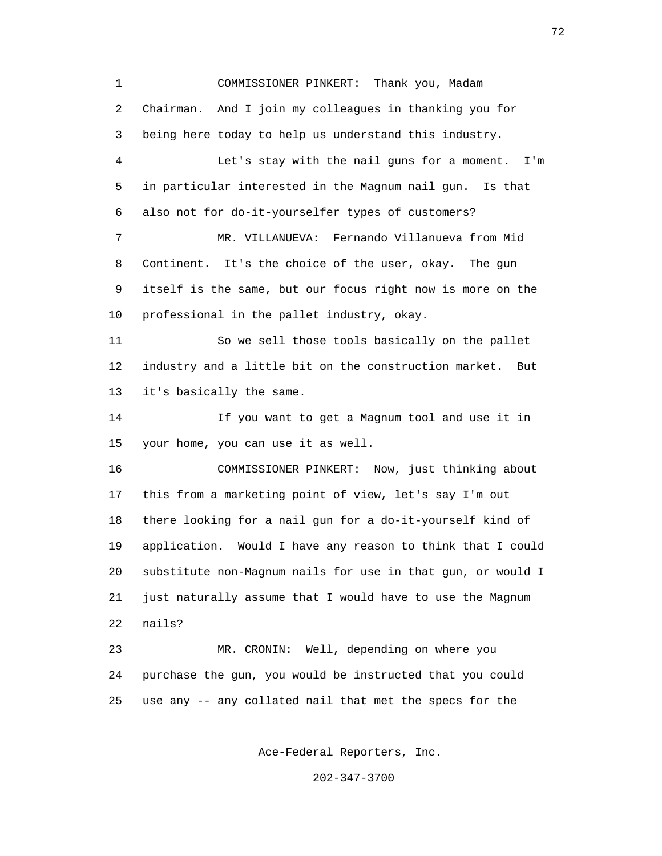1 COMMISSIONER PINKERT: Thank you, Madam 2 Chairman. And I join my colleagues in thanking you for 3 being here today to help us understand this industry. 4 Let's stay with the nail guns for a moment. I'm 5 in particular interested in the Magnum nail gun. Is that 6 also not for do-it-yourselfer types of customers? 7 MR. VILLANUEVA: Fernando Villanueva from Mid 8 Continent. It's the choice of the user, okay. The gun 9 itself is the same, but our focus right now is more on the 10 professional in the pallet industry, okay. 11 So we sell those tools basically on the pallet 12 industry and a little bit on the construction market. But 13 it's basically the same. 14 If you want to get a Magnum tool and use it in 15 your home, you can use it as well. 16 COMMISSIONER PINKERT: Now, just thinking about 17 this from a marketing point of view, let's say I'm out 18 there looking for a nail gun for a do-it-yourself kind of 19 application. Would I have any reason to think that I could 20 substitute non-Magnum nails for use in that gun, or would I 21 just naturally assume that I would have to use the Magnum 22 nails? 23 MR. CRONIN: Well, depending on where you 24 purchase the gun, you would be instructed that you could 25 use any -- any collated nail that met the specs for the

Ace-Federal Reporters, Inc.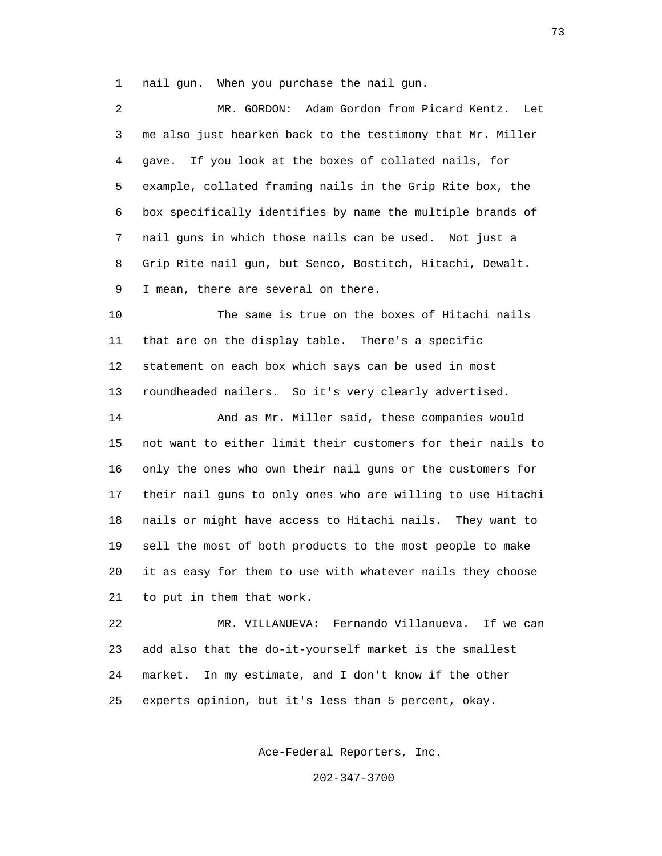1 nail gun. When you purchase the nail gun.

| 2  | Adam Gordon from Picard Kentz.<br>MR. GORDON:<br>Let         |
|----|--------------------------------------------------------------|
| 3  | me also just hearken back to the testimony that Mr. Miller   |
| 4  | If you look at the boxes of collated nails, for<br>qave.     |
| 5  | example, collated framing nails in the Grip Rite box, the    |
| 6  | box specifically identifies by name the multiple brands of   |
| 7  | nail guns in which those nails can be used. Not just a       |
| 8  | Grip Rite nail gun, but Senco, Bostitch, Hitachi, Dewalt.    |
| 9  | I mean, there are several on there.                          |
| 10 | The same is true on the boxes of Hitachi nails               |
| 11 | that are on the display table. There's a specific            |
| 12 | statement on each box which says can be used in most         |
| 13 | roundheaded nailers. So it's very clearly advertised.        |
| 14 | And as Mr. Miller said, these companies would                |
| 15 | not want to either limit their customers for their nails to  |
| 16 | only the ones who own their nail guns or the customers for   |
| 17 | their nail guns to only ones who are willing to use Hitachi  |
| 18 | nails or might have access to Hitachi nails.<br>They want to |
| 19 | sell the most of both products to the most people to make    |
| 20 | it as easy for them to use with whatever nails they choose   |
| 21 | to put in them that work.                                    |
| 22 | Fernando Villanueva.<br>If we can<br>MR. VILLANUEVA:         |

 23 add also that the do-it-yourself market is the smallest 24 market. In my estimate, and I don't know if the other 25 experts opinion, but it's less than 5 percent, okay.

Ace-Federal Reporters, Inc.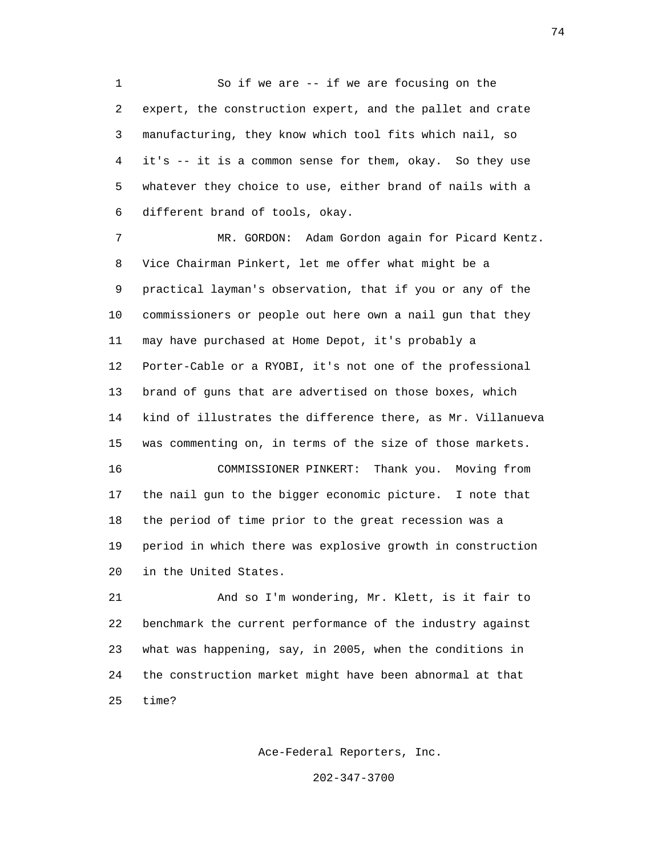1 So if we are -- if we are focusing on the 2 expert, the construction expert, and the pallet and crate 3 manufacturing, they know which tool fits which nail, so 4 it's -- it is a common sense for them, okay. So they use 5 whatever they choice to use, either brand of nails with a 6 different brand of tools, okay.

 7 MR. GORDON: Adam Gordon again for Picard Kentz. 8 Vice Chairman Pinkert, let me offer what might be a 9 practical layman's observation, that if you or any of the 10 commissioners or people out here own a nail gun that they 11 may have purchased at Home Depot, it's probably a 12 Porter-Cable or a RYOBI, it's not one of the professional 13 brand of guns that are advertised on those boxes, which 14 kind of illustrates the difference there, as Mr. Villanueva 15 was commenting on, in terms of the size of those markets. 16 COMMISSIONER PINKERT: Thank you. Moving from 17 the nail gun to the bigger economic picture. I note that 18 the period of time prior to the great recession was a 19 period in which there was explosive growth in construction 20 in the United States.

 21 And so I'm wondering, Mr. Klett, is it fair to 22 benchmark the current performance of the industry against 23 what was happening, say, in 2005, when the conditions in 24 the construction market might have been abnormal at that 25 time?

Ace-Federal Reporters, Inc.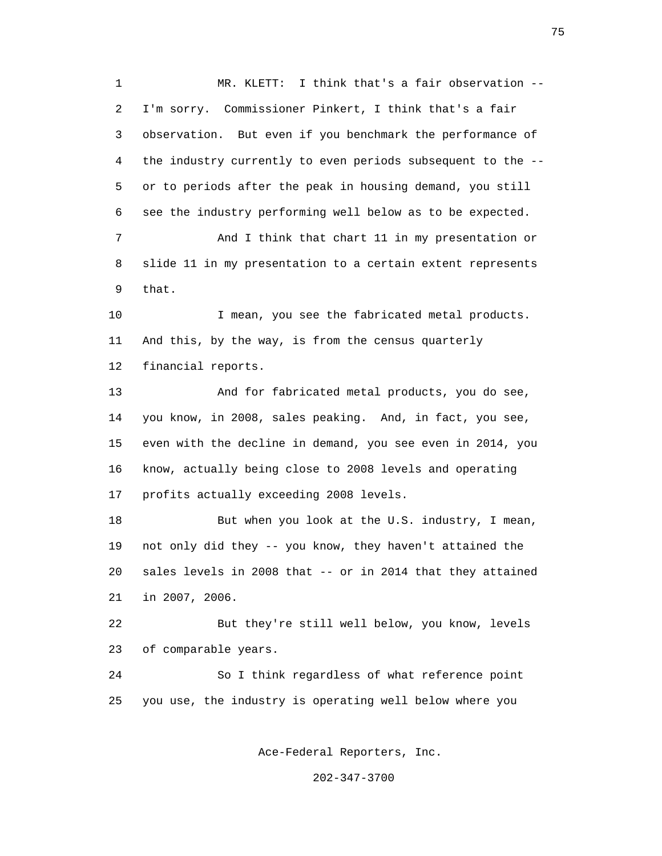1 MR. KLETT: I think that's a fair observation -- 2 I'm sorry. Commissioner Pinkert, I think that's a fair 3 observation. But even if you benchmark the performance of 4 the industry currently to even periods subsequent to the -- 5 or to periods after the peak in housing demand, you still 6 see the industry performing well below as to be expected. 7 And I think that chart 11 in my presentation or 8 slide 11 in my presentation to a certain extent represents 9 that. 10 I mean, you see the fabricated metal products. 11 And this, by the way, is from the census quarterly 12 financial reports. 13 And for fabricated metal products, you do see, 14 you know, in 2008, sales peaking. And, in fact, you see, 15 even with the decline in demand, you see even in 2014, you 16 know, actually being close to 2008 levels and operating 17 profits actually exceeding 2008 levels. 18 But when you look at the U.S. industry, I mean, 19 not only did they -- you know, they haven't attained the 20 sales levels in 2008 that -- or in 2014 that they attained 21 in 2007, 2006. 22 But they're still well below, you know, levels 23 of comparable years. 24 So I think regardless of what reference point 25 you use, the industry is operating well below where you

Ace-Federal Reporters, Inc.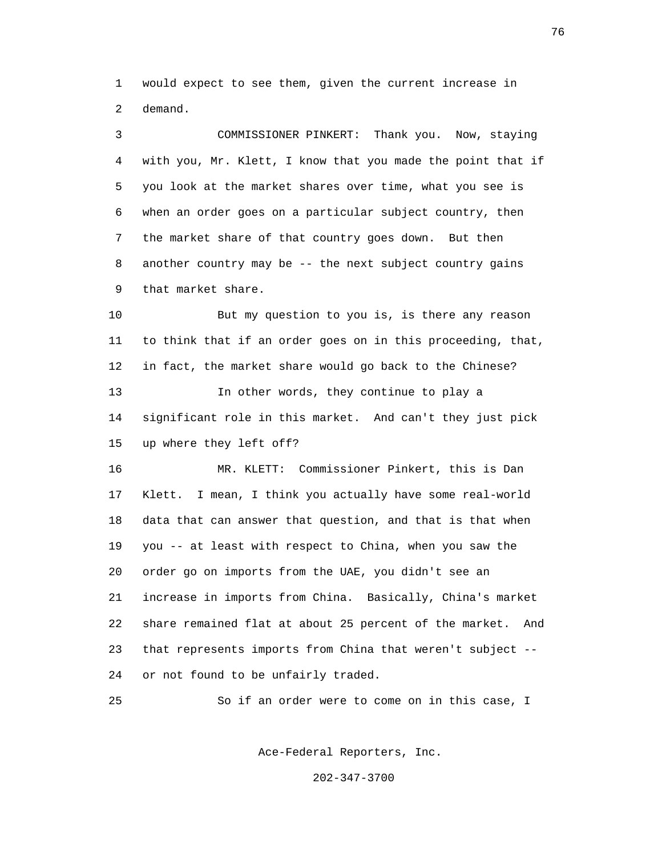1 would expect to see them, given the current increase in 2 demand.

 3 COMMISSIONER PINKERT: Thank you. Now, staying 4 with you, Mr. Klett, I know that you made the point that if 5 you look at the market shares over time, what you see is 6 when an order goes on a particular subject country, then 7 the market share of that country goes down. But then 8 another country may be -- the next subject country gains 9 that market share.

 10 But my question to you is, is there any reason 11 to think that if an order goes on in this proceeding, that, 12 in fact, the market share would go back to the Chinese? 13 In other words, they continue to play a 14 significant role in this market. And can't they just pick 15 up where they left off?

 16 MR. KLETT: Commissioner Pinkert, this is Dan 17 Klett. I mean, I think you actually have some real-world 18 data that can answer that question, and that is that when 19 you -- at least with respect to China, when you saw the 20 order go on imports from the UAE, you didn't see an 21 increase in imports from China. Basically, China's market 22 share remained flat at about 25 percent of the market. And 23 that represents imports from China that weren't subject -- 24 or not found to be unfairly traded.

25 So if an order were to come on in this case, I

Ace-Federal Reporters, Inc.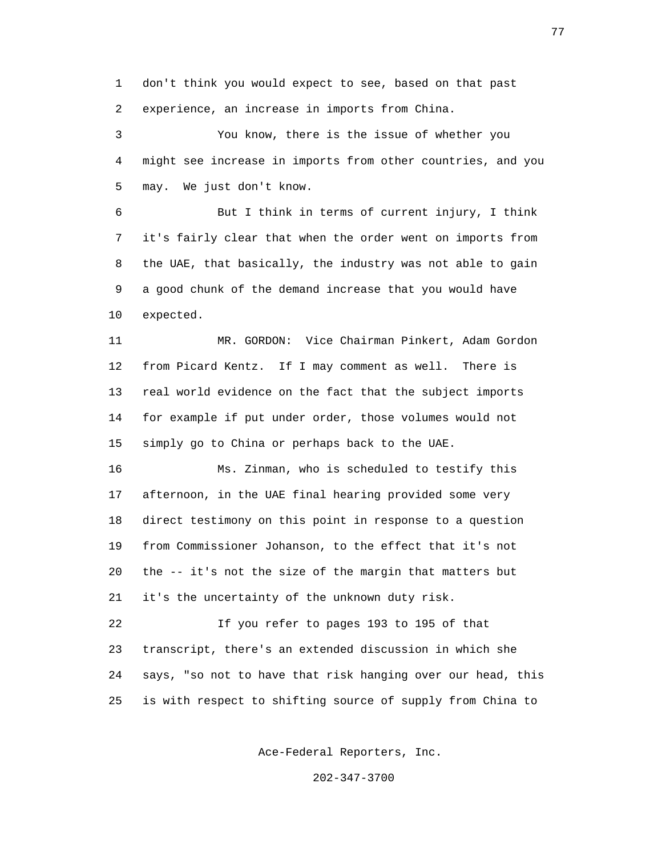1 don't think you would expect to see, based on that past 2 experience, an increase in imports from China.

 3 You know, there is the issue of whether you 4 might see increase in imports from other countries, and you 5 may. We just don't know.

 6 But I think in terms of current injury, I think 7 it's fairly clear that when the order went on imports from 8 the UAE, that basically, the industry was not able to gain 9 a good chunk of the demand increase that you would have 10 expected.

 11 MR. GORDON: Vice Chairman Pinkert, Adam Gordon 12 from Picard Kentz. If I may comment as well. There is 13 real world evidence on the fact that the subject imports 14 for example if put under order, those volumes would not 15 simply go to China or perhaps back to the UAE.

 16 Ms. Zinman, who is scheduled to testify this 17 afternoon, in the UAE final hearing provided some very 18 direct testimony on this point in response to a question 19 from Commissioner Johanson, to the effect that it's not 20 the -- it's not the size of the margin that matters but 21 it's the uncertainty of the unknown duty risk.

 22 If you refer to pages 193 to 195 of that 23 transcript, there's an extended discussion in which she 24 says, "so not to have that risk hanging over our head, this 25 is with respect to shifting source of supply from China to

Ace-Federal Reporters, Inc.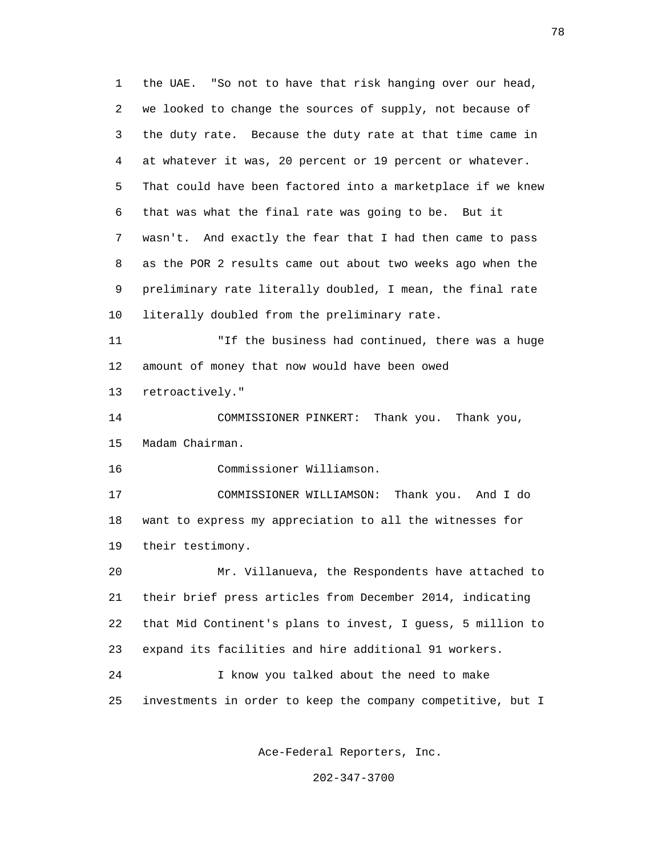1 the UAE. "So not to have that risk hanging over our head, 2 we looked to change the sources of supply, not because of 3 the duty rate. Because the duty rate at that time came in 4 at whatever it was, 20 percent or 19 percent or whatever. 5 That could have been factored into a marketplace if we knew 6 that was what the final rate was going to be. But it 7 wasn't. And exactly the fear that I had then came to pass 8 as the POR 2 results came out about two weeks ago when the 9 preliminary rate literally doubled, I mean, the final rate 10 literally doubled from the preliminary rate. 11 "If the business had continued, there was a huge 12 amount of money that now would have been owed 13 retroactively." 14 COMMISSIONER PINKERT: Thank you. Thank you, 15 Madam Chairman. 16 Commissioner Williamson. 17 COMMISSIONER WILLIAMSON: Thank you. And I do 18 want to express my appreciation to all the witnesses for 19 their testimony. 20 Mr. Villanueva, the Respondents have attached to 21 their brief press articles from December 2014, indicating

Ace-Federal Reporters, Inc.

22 that Mid Continent's plans to invest, I guess, 5 million to

25 investments in order to keep the company competitive, but I

23 expand its facilities and hire additional 91 workers.

24 I know you talked about the need to make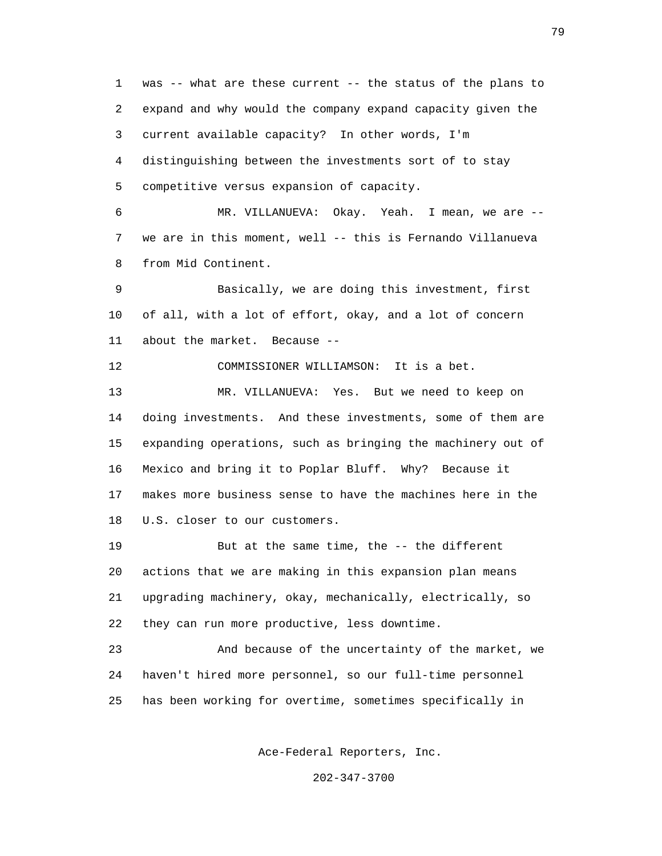1 was -- what are these current -- the status of the plans to 2 expand and why would the company expand capacity given the 3 current available capacity? In other words, I'm 4 distinguishing between the investments sort of to stay 5 competitive versus expansion of capacity.

 6 MR. VILLANUEVA: Okay. Yeah. I mean, we are -- 7 we are in this moment, well -- this is Fernando Villanueva 8 from Mid Continent.

 9 Basically, we are doing this investment, first 10 of all, with a lot of effort, okay, and a lot of concern 11 about the market. Because --

12 COMMISSIONER WILLIAMSON: It is a bet.

 13 MR. VILLANUEVA: Yes. But we need to keep on 14 doing investments. And these investments, some of them are 15 expanding operations, such as bringing the machinery out of 16 Mexico and bring it to Poplar Bluff. Why? Because it 17 makes more business sense to have the machines here in the 18 U.S. closer to our customers.

 19 But at the same time, the -- the different 20 actions that we are making in this expansion plan means 21 upgrading machinery, okay, mechanically, electrically, so 22 they can run more productive, less downtime.

 23 And because of the uncertainty of the market, we 24 haven't hired more personnel, so our full-time personnel 25 has been working for overtime, sometimes specifically in

Ace-Federal Reporters, Inc.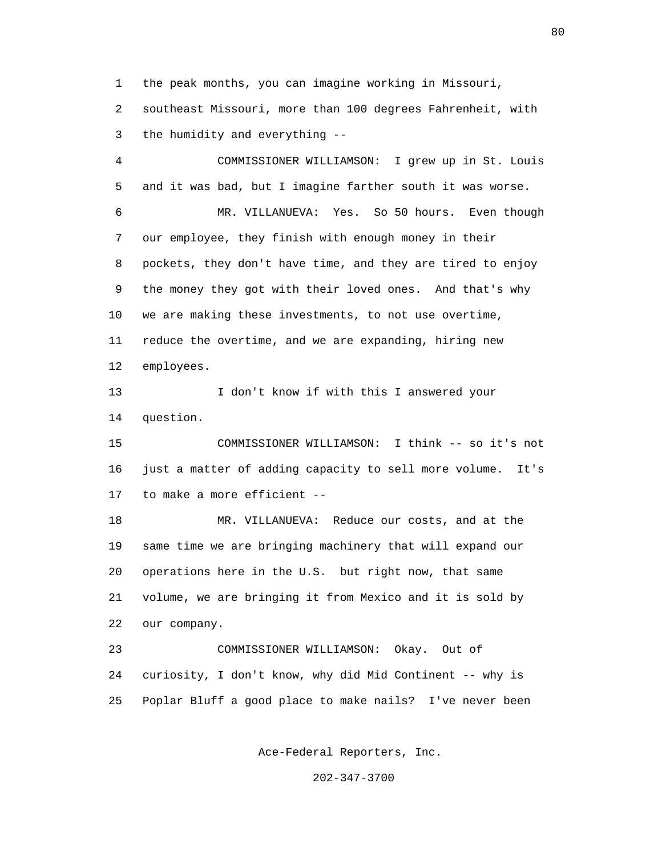1 the peak months, you can imagine working in Missouri,

 2 southeast Missouri, more than 100 degrees Fahrenheit, with 3 the humidity and everything --

 4 COMMISSIONER WILLIAMSON: I grew up in St. Louis 5 and it was bad, but I imagine farther south it was worse. 6 MR. VILLANUEVA: Yes. So 50 hours. Even though 7 our employee, they finish with enough money in their 8 pockets, they don't have time, and they are tired to enjoy 9 the money they got with their loved ones. And that's why 10 we are making these investments, to not use overtime, 11 reduce the overtime, and we are expanding, hiring new 12 employees.

13 I don't know if with this I answered your 14 question.

 15 COMMISSIONER WILLIAMSON: I think -- so it's not 16 just a matter of adding capacity to sell more volume. It's 17 to make a more efficient --

 18 MR. VILLANUEVA: Reduce our costs, and at the 19 same time we are bringing machinery that will expand our 20 operations here in the U.S. but right now, that same 21 volume, we are bringing it from Mexico and it is sold by 22 our company.

 23 COMMISSIONER WILLIAMSON: Okay. Out of 24 curiosity, I don't know, why did Mid Continent -- why is 25 Poplar Bluff a good place to make nails? I've never been

Ace-Federal Reporters, Inc.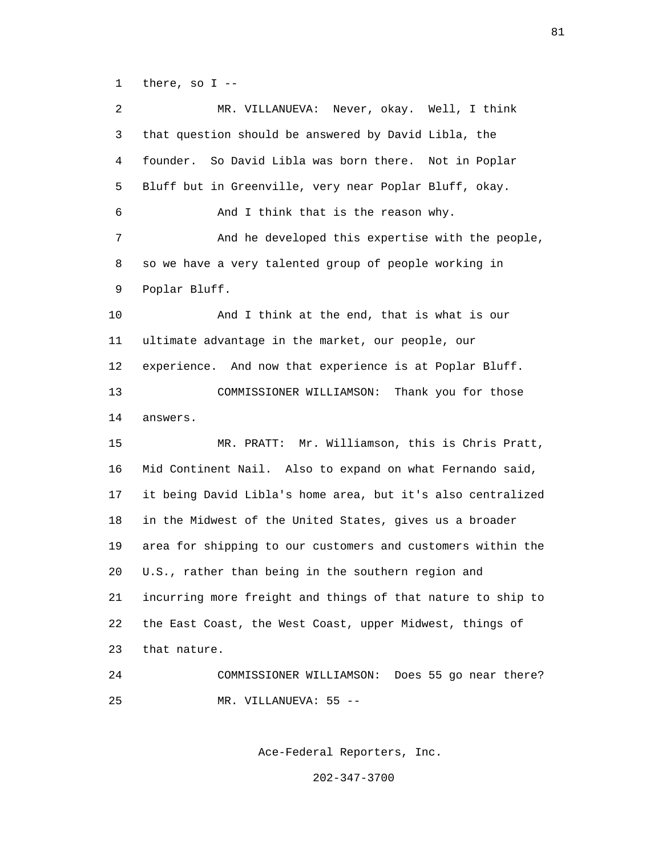1 there, so I --

 2 MR. VILLANUEVA: Never, okay. Well, I think 3 that question should be answered by David Libla, the 4 founder. So David Libla was born there. Not in Poplar 5 Bluff but in Greenville, very near Poplar Bluff, okay. 6 And I think that is the reason why. 7 And he developed this expertise with the people, 8 so we have a very talented group of people working in 9 Poplar Bluff. 10 And I think at the end, that is what is our 11 ultimate advantage in the market, our people, our 12 experience. And now that experience is at Poplar Bluff. 13 COMMISSIONER WILLIAMSON: Thank you for those 14 answers. 15 MR. PRATT: Mr. Williamson, this is Chris Pratt, 16 Mid Continent Nail. Also to expand on what Fernando said, 17 it being David Libla's home area, but it's also centralized 18 in the Midwest of the United States, gives us a broader 19 area for shipping to our customers and customers within the 20 U.S., rather than being in the southern region and 21 incurring more freight and things of that nature to ship to 22 the East Coast, the West Coast, upper Midwest, things of 23 that nature. 24 COMMISSIONER WILLIAMSON: Does 55 go near there? 25 MR. VILLANUEVA: 55 --

Ace-Federal Reporters, Inc.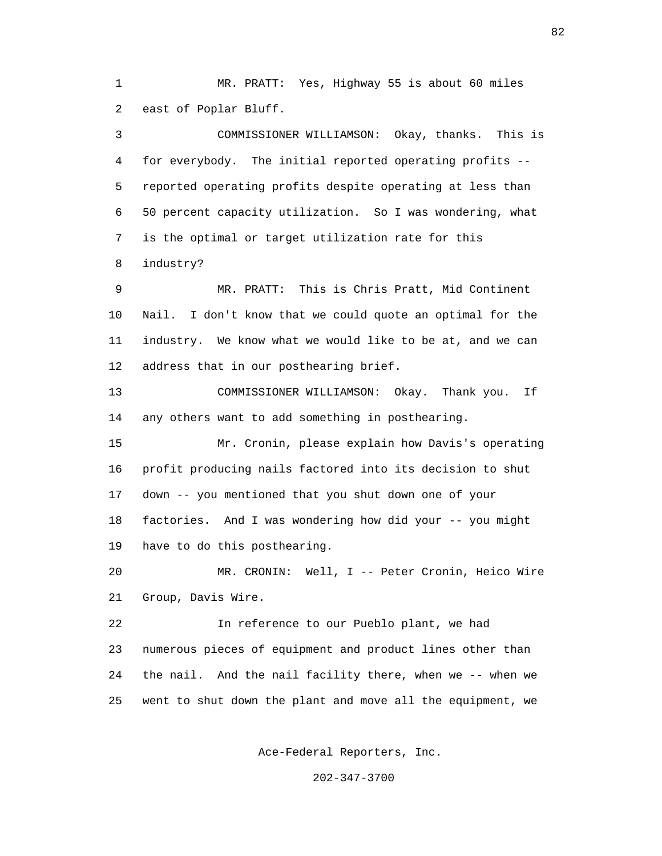1 MR. PRATT: Yes, Highway 55 is about 60 miles 2 east of Poplar Bluff.

 3 COMMISSIONER WILLIAMSON: Okay, thanks. This is 4 for everybody. The initial reported operating profits -- 5 reported operating profits despite operating at less than 6 50 percent capacity utilization. So I was wondering, what 7 is the optimal or target utilization rate for this 8 industry?

 9 MR. PRATT: This is Chris Pratt, Mid Continent 10 Nail. I don't know that we could quote an optimal for the 11 industry. We know what we would like to be at, and we can 12 address that in our posthearing brief.

 13 COMMISSIONER WILLIAMSON: Okay. Thank you. If 14 any others want to add something in posthearing.

 15 Mr. Cronin, please explain how Davis's operating 16 profit producing nails factored into its decision to shut 17 down -- you mentioned that you shut down one of your 18 factories. And I was wondering how did your -- you might 19 have to do this posthearing.

 20 MR. CRONIN: Well, I -- Peter Cronin, Heico Wire 21 Group, Davis Wire.

 22 In reference to our Pueblo plant, we had 23 numerous pieces of equipment and product lines other than 24 the nail. And the nail facility there, when we -- when we 25 went to shut down the plant and move all the equipment, we

Ace-Federal Reporters, Inc.

202-347-3700

82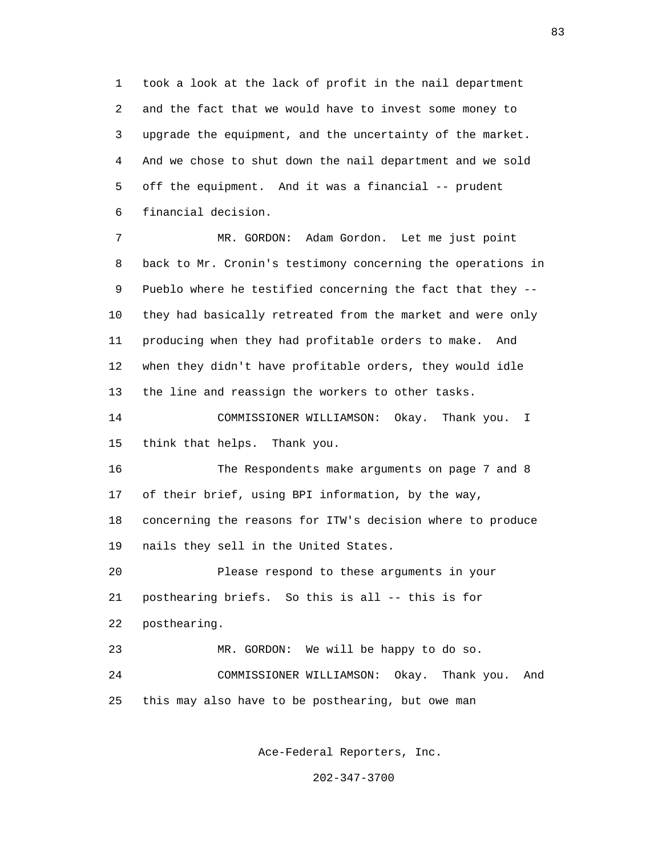1 took a look at the lack of profit in the nail department 2 and the fact that we would have to invest some money to 3 upgrade the equipment, and the uncertainty of the market. 4 And we chose to shut down the nail department and we sold 5 off the equipment. And it was a financial -- prudent 6 financial decision.

 7 MR. GORDON: Adam Gordon. Let me just point 8 back to Mr. Cronin's testimony concerning the operations in 9 Pueblo where he testified concerning the fact that they -- 10 they had basically retreated from the market and were only 11 producing when they had profitable orders to make. And 12 when they didn't have profitable orders, they would idle 13 the line and reassign the workers to other tasks.

 14 COMMISSIONER WILLIAMSON: Okay. Thank you. I 15 think that helps. Thank you.

 16 The Respondents make arguments on page 7 and 8 17 of their brief, using BPI information, by the way, 18 concerning the reasons for ITW's decision where to produce 19 nails they sell in the United States.

 20 Please respond to these arguments in your 21 posthearing briefs. So this is all -- this is for 22 posthearing. 23 MR. GORDON: We will be happy to do so.

 24 COMMISSIONER WILLIAMSON: Okay. Thank you. And 25 this may also have to be posthearing, but owe man

Ace-Federal Reporters, Inc.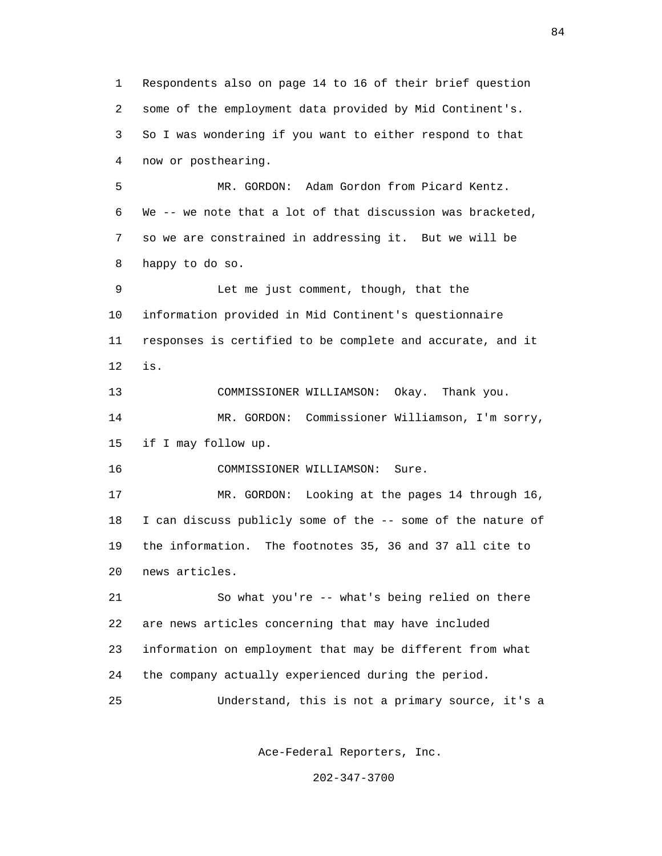1 Respondents also on page 14 to 16 of their brief question 2 some of the employment data provided by Mid Continent's. 3 So I was wondering if you want to either respond to that 4 now or posthearing. 5 MR. GORDON: Adam Gordon from Picard Kentz. 6 We -- we note that a lot of that discussion was bracketed, 7 so we are constrained in addressing it. But we will be 8 happy to do so. 9 Let me just comment, though, that the 10 information provided in Mid Continent's questionnaire 11 responses is certified to be complete and accurate, and it 12 is. 13 COMMISSIONER WILLIAMSON: Okay. Thank you. 14 MR. GORDON: Commissioner Williamson, I'm sorry, 15 if I may follow up. 16 COMMISSIONER WILLIAMSON: Sure. 17 MR. GORDON: Looking at the pages 14 through 16, 18 I can discuss publicly some of the -- some of the nature of 19 the information. The footnotes 35, 36 and 37 all cite to 20 news articles. 21 So what you're -- what's being relied on there 22 are news articles concerning that may have included 23 information on employment that may be different from what 24 the company actually experienced during the period. 25 Understand, this is not a primary source, it's a

Ace-Federal Reporters, Inc.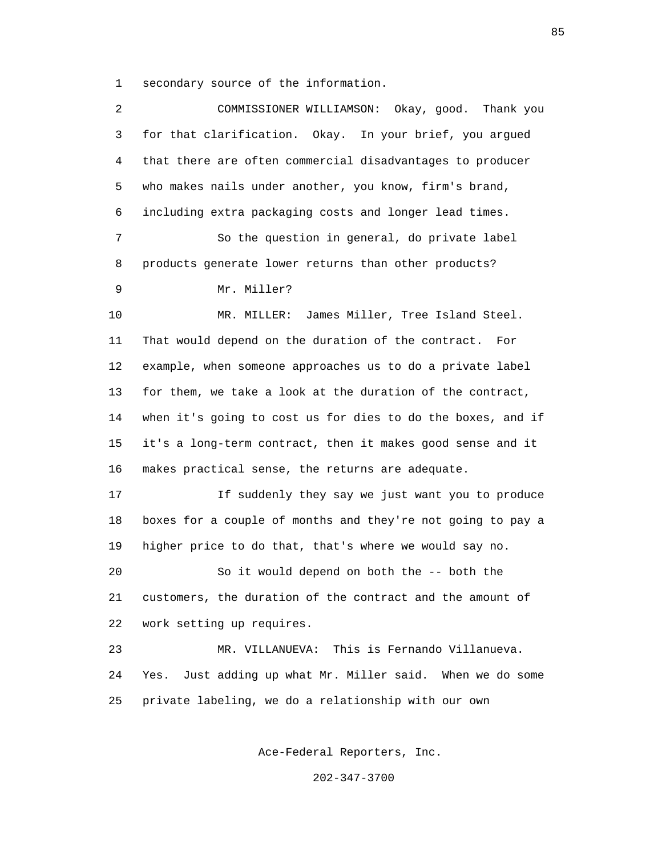1 secondary source of the information.

| 2  | COMMISSIONER WILLIAMSON: Okay, good. Thank you               |
|----|--------------------------------------------------------------|
| 3  | for that clarification. Okay. In your brief, you argued      |
| 4  | that there are often commercial disadvantages to producer    |
| 5  | who makes nails under another, you know, firm's brand,       |
| 6  | including extra packaging costs and longer lead times.       |
| 7  | So the question in general, do private label                 |
| 8  | products generate lower returns than other products?         |
| 9  | Mr. Miller?                                                  |
| 10 | James Miller, Tree Island Steel.<br>MR. MILLER:              |
| 11 | That would depend on the duration of the contract. For       |
| 12 | example, when someone approaches us to do a private label    |
| 13 | for them, we take a look at the duration of the contract,    |
| 14 | when it's going to cost us for dies to do the boxes, and if  |
| 15 | it's a long-term contract, then it makes good sense and it   |
| 16 | makes practical sense, the returns are adequate.             |
| 17 | If suddenly they say we just want you to produce             |
| 18 | boxes for a couple of months and they're not going to pay a  |
| 19 | higher price to do that, that's where we would say no.       |
| 20 | So it would depend on both the -- both the                   |
| 21 | customers, the duration of the contract and the amount of    |
| 22 | work setting up requires.                                    |
| 23 | MR. VILLANUEVA: This is Fernando Villanueva.                 |
| 24 | Just adding up what Mr. Miller said. When we do some<br>Yes. |
| 25 | private labeling, we do a relationship with our own          |
|    |                                                              |

Ace-Federal Reporters, Inc.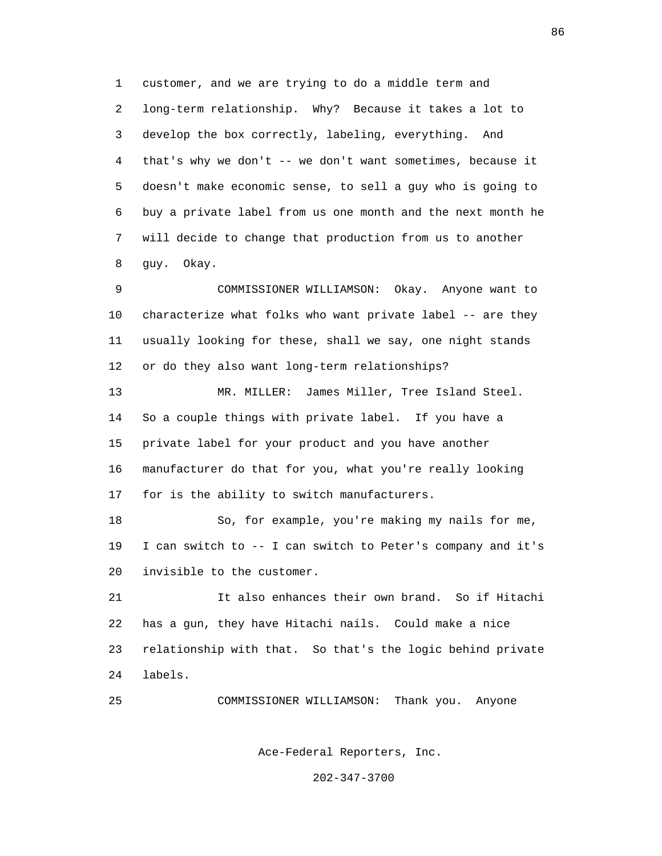1 customer, and we are trying to do a middle term and 2 long-term relationship. Why? Because it takes a lot to 3 develop the box correctly, labeling, everything. And 4 that's why we don't -- we don't want sometimes, because it 5 doesn't make economic sense, to sell a guy who is going to 6 buy a private label from us one month and the next month he 7 will decide to change that production from us to another 8 guy. Okay.

 9 COMMISSIONER WILLIAMSON: Okay. Anyone want to 10 characterize what folks who want private label -- are they 11 usually looking for these, shall we say, one night stands 12 or do they also want long-term relationships?

 13 MR. MILLER: James Miller, Tree Island Steel. 14 So a couple things with private label. If you have a 15 private label for your product and you have another 16 manufacturer do that for you, what you're really looking 17 for is the ability to switch manufacturers.

 18 So, for example, you're making my nails for me, 19 I can switch to -- I can switch to Peter's company and it's 20 invisible to the customer.

 21 It also enhances their own brand. So if Hitachi 22 has a gun, they have Hitachi nails. Could make a nice 23 relationship with that. So that's the logic behind private 24 labels.

25 COMMISSIONER WILLIAMSON: Thank you. Anyone

Ace-Federal Reporters, Inc.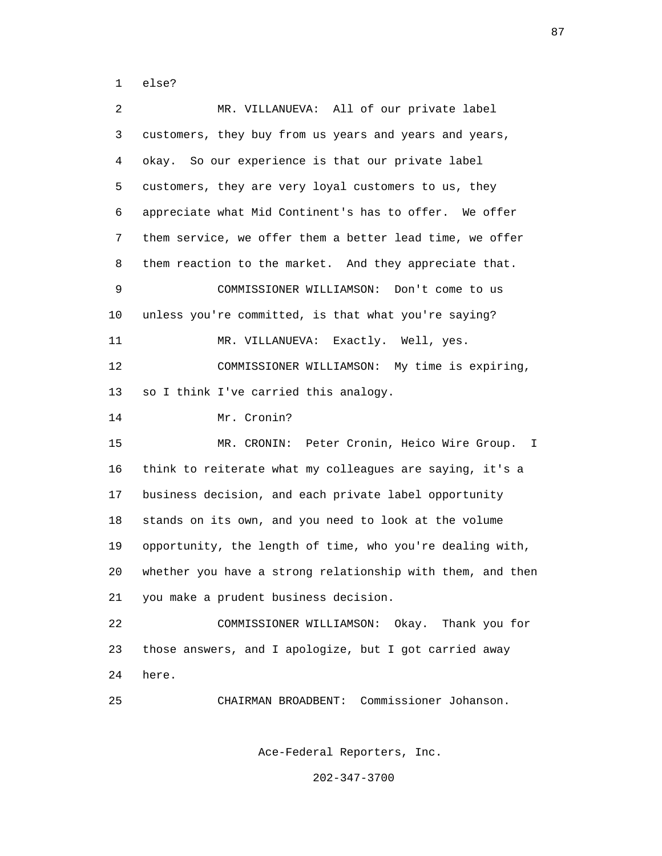1 else?

 2 MR. VILLANUEVA: All of our private label 3 customers, they buy from us years and years and years, 4 okay. So our experience is that our private label 5 customers, they are very loyal customers to us, they 6 appreciate what Mid Continent's has to offer. We offer 7 them service, we offer them a better lead time, we offer 8 them reaction to the market. And they appreciate that. 9 COMMISSIONER WILLIAMSON: Don't come to us 10 unless you're committed, is that what you're saying? 11 MR. VILLANUEVA: Exactly. Well, yes. 12 COMMISSIONER WILLIAMSON: My time is expiring, 13 so I think I've carried this analogy. 14 Mr. Cronin? 15 MR. CRONIN: Peter Cronin, Heico Wire Group. I 16 think to reiterate what my colleagues are saying, it's a 17 business decision, and each private label opportunity 18 stands on its own, and you need to look at the volume 19 opportunity, the length of time, who you're dealing with, 20 whether you have a strong relationship with them, and then 21 you make a prudent business decision. 22 COMMISSIONER WILLIAMSON: Okay. Thank you for 23 those answers, and I apologize, but I got carried away 24 here. 25 CHAIRMAN BROADBENT: Commissioner Johanson.

Ace-Federal Reporters, Inc.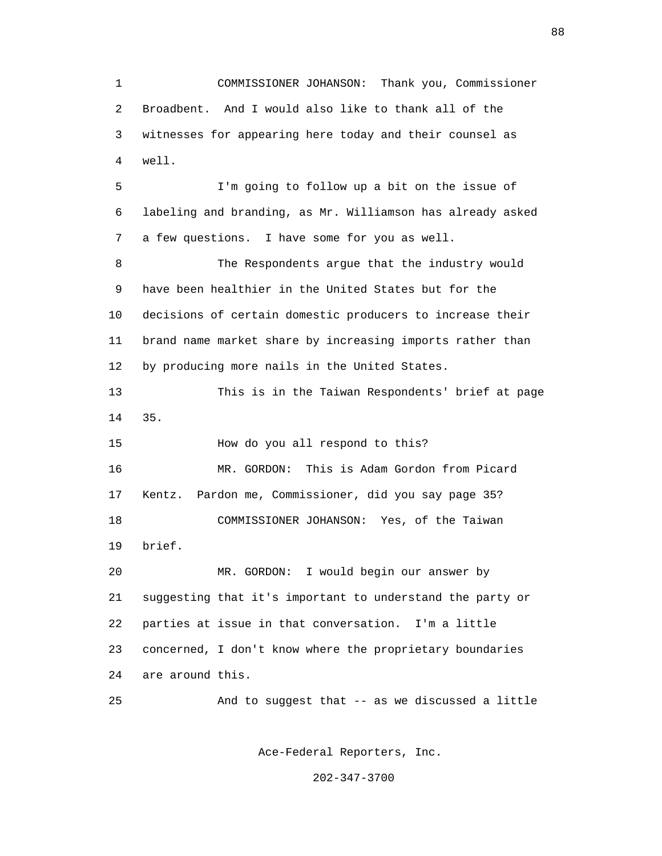1 COMMISSIONER JOHANSON: Thank you, Commissioner 2 Broadbent. And I would also like to thank all of the 3 witnesses for appearing here today and their counsel as 4 well. 5 I'm going to follow up a bit on the issue of 6 labeling and branding, as Mr. Williamson has already asked 7 a few questions. I have some for you as well. 8 The Respondents argue that the industry would 9 have been healthier in the United States but for the 10 decisions of certain domestic producers to increase their 11 brand name market share by increasing imports rather than 12 by producing more nails in the United States. 13 This is in the Taiwan Respondents' brief at page 14 35. 15 How do you all respond to this? 16 MR. GORDON: This is Adam Gordon from Picard 17 Kentz. Pardon me, Commissioner, did you say page 35?

 18 COMMISSIONER JOHANSON: Yes, of the Taiwan 19 brief.

 20 MR. GORDON: I would begin our answer by 21 suggesting that it's important to understand the party or 22 parties at issue in that conversation. I'm a little 23 concerned, I don't know where the proprietary boundaries 24 are around this.

25 And to suggest that -- as we discussed a little

Ace-Federal Reporters, Inc.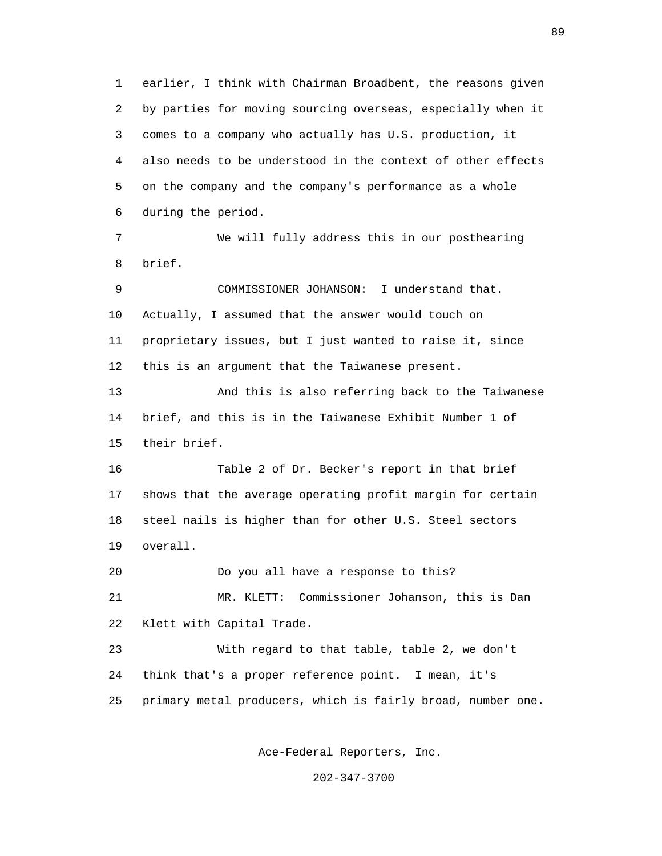1 earlier, I think with Chairman Broadbent, the reasons given 2 by parties for moving sourcing overseas, especially when it 3 comes to a company who actually has U.S. production, it 4 also needs to be understood in the context of other effects 5 on the company and the company's performance as a whole 6 during the period. 7 We will fully address this in our posthearing 8 brief. 9 COMMISSIONER JOHANSON: I understand that. 10 Actually, I assumed that the answer would touch on 11 proprietary issues, but I just wanted to raise it, since 12 this is an argument that the Taiwanese present. 13 And this is also referring back to the Taiwanese 14 brief, and this is in the Taiwanese Exhibit Number 1 of 15 their brief. 16 Table 2 of Dr. Becker's report in that brief 17 shows that the average operating profit margin for certain 18 steel nails is higher than for other U.S. Steel sectors 19 overall. 20 Do you all have a response to this? 21 MR. KLETT: Commissioner Johanson, this is Dan 22 Klett with Capital Trade. 23 With regard to that table, table 2, we don't 24 think that's a proper reference point. I mean, it's 25 primary metal producers, which is fairly broad, number one.

Ace-Federal Reporters, Inc.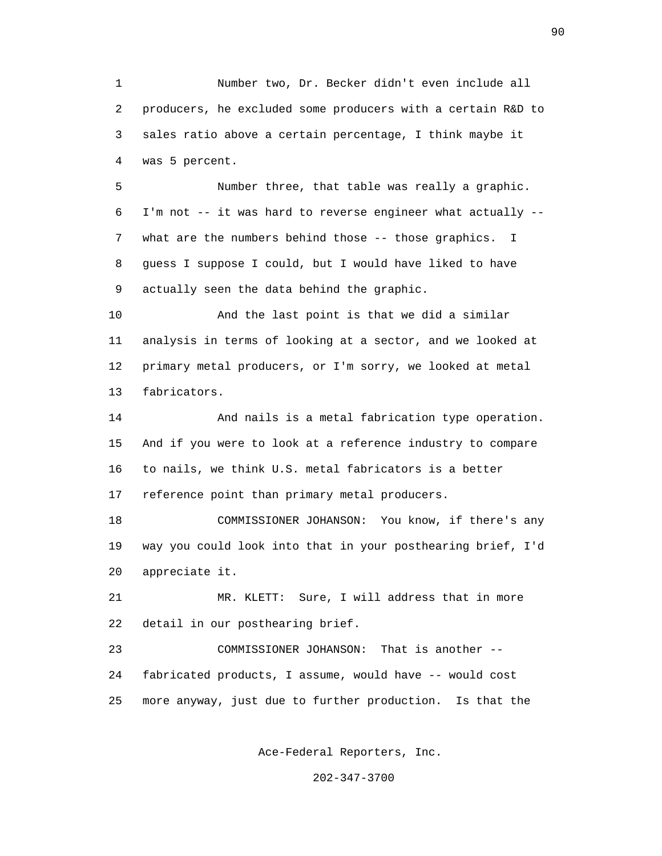1 Number two, Dr. Becker didn't even include all 2 producers, he excluded some producers with a certain R&D to 3 sales ratio above a certain percentage, I think maybe it 4 was 5 percent.

 5 Number three, that table was really a graphic. 6 I'm not -- it was hard to reverse engineer what actually -- 7 what are the numbers behind those -- those graphics. I 8 guess I suppose I could, but I would have liked to have 9 actually seen the data behind the graphic.

 10 And the last point is that we did a similar 11 analysis in terms of looking at a sector, and we looked at 12 primary metal producers, or I'm sorry, we looked at metal 13 fabricators.

 14 And nails is a metal fabrication type operation. 15 And if you were to look at a reference industry to compare 16 to nails, we think U.S. metal fabricators is a better 17 reference point than primary metal producers.

 18 COMMISSIONER JOHANSON: You know, if there's any 19 way you could look into that in your posthearing brief, I'd 20 appreciate it.

 21 MR. KLETT: Sure, I will address that in more 22 detail in our posthearing brief.

 23 COMMISSIONER JOHANSON: That is another -- 24 fabricated products, I assume, would have -- would cost 25 more anyway, just due to further production. Is that the

Ace-Federal Reporters, Inc.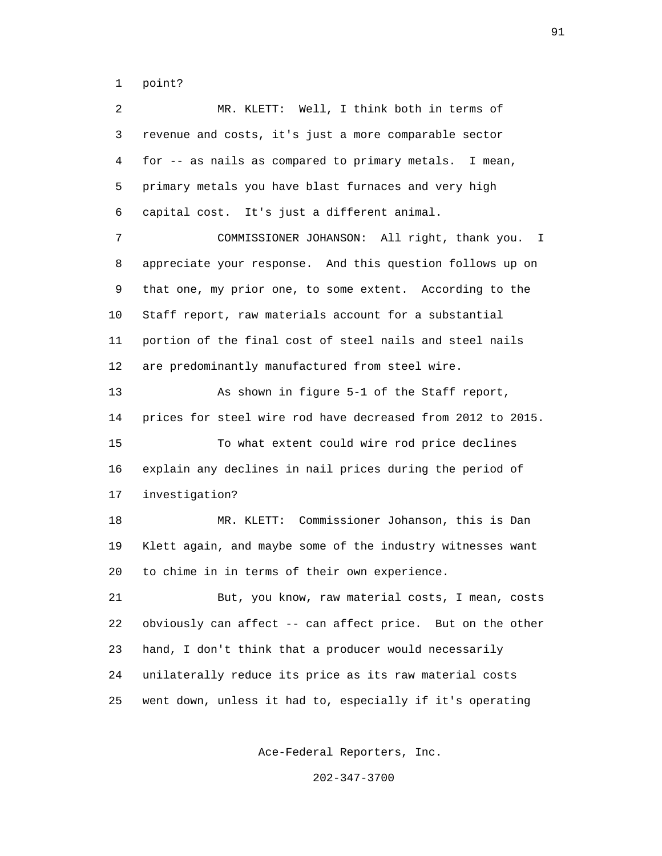1 point?

 2 MR. KLETT: Well, I think both in terms of 3 revenue and costs, it's just a more comparable sector 4 for -- as nails as compared to primary metals. I mean, 5 primary metals you have blast furnaces and very high 6 capital cost. It's just a different animal. 7 COMMISSIONER JOHANSON: All right, thank you. I 8 appreciate your response. And this question follows up on 9 that one, my prior one, to some extent. According to the 10 Staff report, raw materials account for a substantial 11 portion of the final cost of steel nails and steel nails 12 are predominantly manufactured from steel wire. 13 As shown in figure 5-1 of the Staff report, 14 prices for steel wire rod have decreased from 2012 to 2015. 15 To what extent could wire rod price declines 16 explain any declines in nail prices during the period of 17 investigation? 18 MR. KLETT: Commissioner Johanson, this is Dan 19 Klett again, and maybe some of the industry witnesses want 20 to chime in in terms of their own experience. 21 But, you know, raw material costs, I mean, costs 22 obviously can affect -- can affect price. But on the other 23 hand, I don't think that a producer would necessarily 24 unilaterally reduce its price as its raw material costs 25 went down, unless it had to, especially if it's operating

Ace-Federal Reporters, Inc.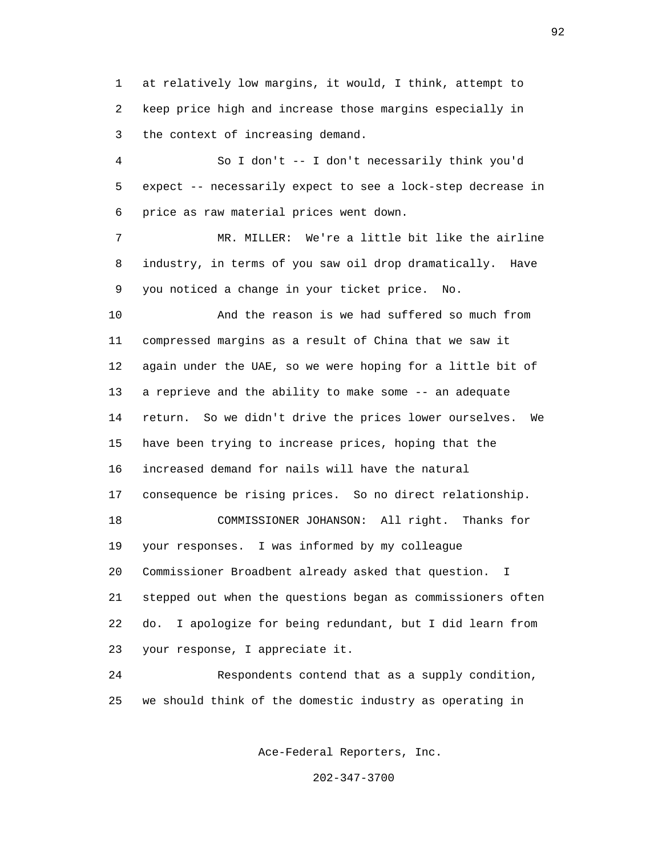1 at relatively low margins, it would, I think, attempt to 2 keep price high and increase those margins especially in 3 the context of increasing demand.

 4 So I don't -- I don't necessarily think you'd 5 expect -- necessarily expect to see a lock-step decrease in 6 price as raw material prices went down.

 7 MR. MILLER: We're a little bit like the airline 8 industry, in terms of you saw oil drop dramatically. Have 9 you noticed a change in your ticket price. No.

 10 And the reason is we had suffered so much from 11 compressed margins as a result of China that we saw it 12 again under the UAE, so we were hoping for a little bit of 13 a reprieve and the ability to make some -- an adequate 14 return. So we didn't drive the prices lower ourselves. We 15 have been trying to increase prices, hoping that the 16 increased demand for nails will have the natural 17 consequence be rising prices. So no direct relationship. 18 COMMISSIONER JOHANSON: All right. Thanks for 19 your responses. I was informed by my colleague 20 Commissioner Broadbent already asked that question. I 21 stepped out when the questions began as commissioners often 22 do. I apologize for being redundant, but I did learn from 23 your response, I appreciate it.

 24 Respondents contend that as a supply condition, 25 we should think of the domestic industry as operating in

Ace-Federal Reporters, Inc.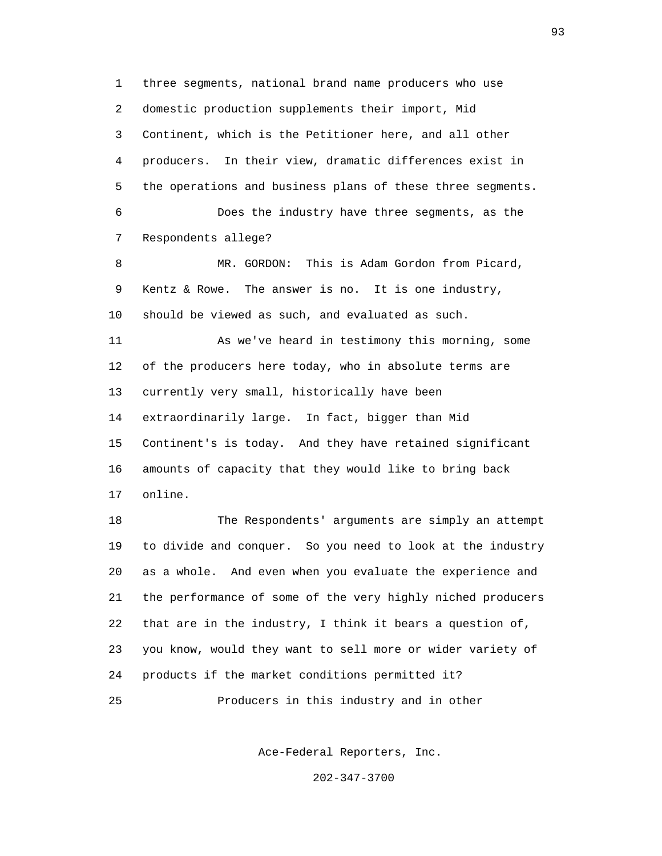1 three segments, national brand name producers who use 2 domestic production supplements their import, Mid 3 Continent, which is the Petitioner here, and all other 4 producers. In their view, dramatic differences exist in 5 the operations and business plans of these three segments. 6 Does the industry have three segments, as the 7 Respondents allege? 8 MR. GORDON: This is Adam Gordon from Picard, 9 Kentz & Rowe. The answer is no. It is one industry, 10 should be viewed as such, and evaluated as such. 11 As we've heard in testimony this morning, some 12 of the producers here today, who in absolute terms are 13 currently very small, historically have been 14 extraordinarily large. In fact, bigger than Mid 15 Continent's is today. And they have retained significant 16 amounts of capacity that they would like to bring back 17 online. 18 The Respondents' arguments are simply an attempt 19 to divide and conquer. So you need to look at the industry 20 as a whole. And even when you evaluate the experience and 21 the performance of some of the very highly niched producers 22 that are in the industry, I think it bears a question of, 23 you know, would they want to sell more or wider variety of 24 products if the market conditions permitted it?

25 Producers in this industry and in other

Ace-Federal Reporters, Inc.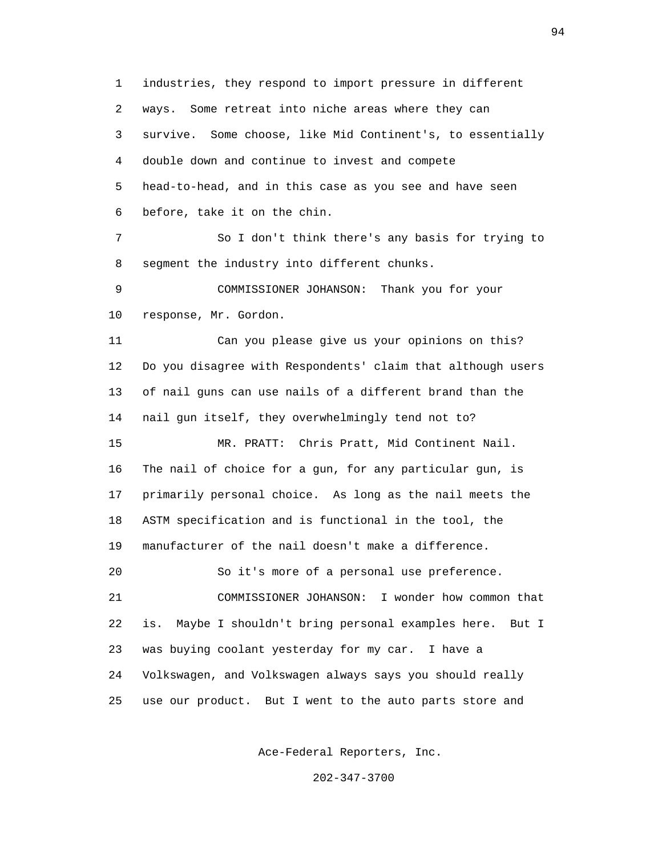1 industries, they respond to import pressure in different 2 ways. Some retreat into niche areas where they can 3 survive. Some choose, like Mid Continent's, to essentially 4 double down and continue to invest and compete 5 head-to-head, and in this case as you see and have seen 6 before, take it on the chin.

 7 So I don't think there's any basis for trying to 8 segment the industry into different chunks.

 9 COMMISSIONER JOHANSON: Thank you for your 10 response, Mr. Gordon.

 11 Can you please give us your opinions on this? 12 Do you disagree with Respondents' claim that although users 13 of nail guns can use nails of a different brand than the 14 nail gun itself, they overwhelmingly tend not to?

 15 MR. PRATT: Chris Pratt, Mid Continent Nail. 16 The nail of choice for a gun, for any particular gun, is 17 primarily personal choice. As long as the nail meets the 18 ASTM specification and is functional in the tool, the 19 manufacturer of the nail doesn't make a difference.

20 So it's more of a personal use preference.

 21 COMMISSIONER JOHANSON: I wonder how common that 22 is. Maybe I shouldn't bring personal examples here. But I 23 was buying coolant yesterday for my car. I have a 24 Volkswagen, and Volkswagen always says you should really 25 use our product. But I went to the auto parts store and

Ace-Federal Reporters, Inc.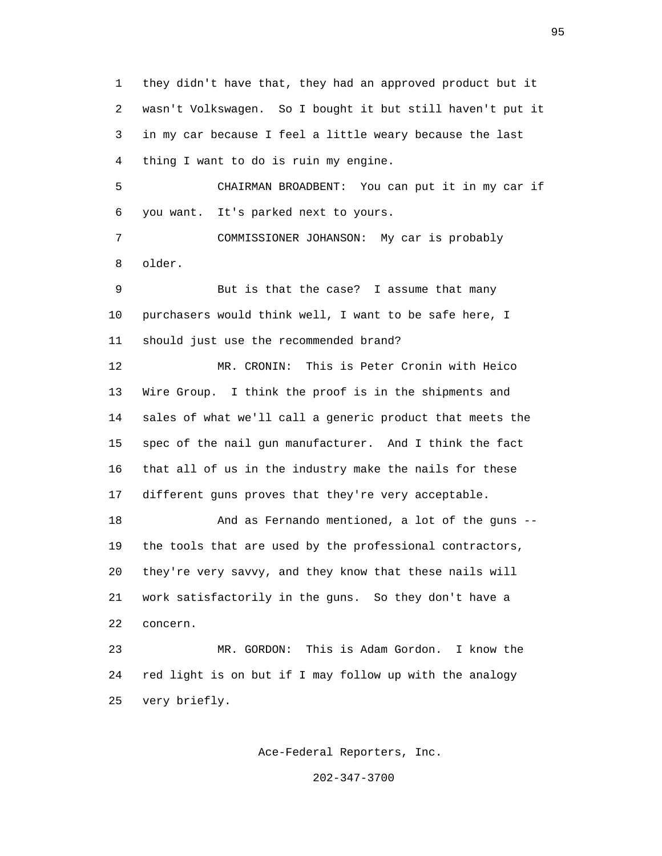1 they didn't have that, they had an approved product but it 2 wasn't Volkswagen. So I bought it but still haven't put it 3 in my car because I feel a little weary because the last 4 thing I want to do is ruin my engine.

 5 CHAIRMAN BROADBENT: You can put it in my car if 6 you want. It's parked next to yours.

 7 COMMISSIONER JOHANSON: My car is probably 8 older.

 9 But is that the case? I assume that many 10 purchasers would think well, I want to be safe here, I 11 should just use the recommended brand?

 12 MR. CRONIN: This is Peter Cronin with Heico 13 Wire Group. I think the proof is in the shipments and 14 sales of what we'll call a generic product that meets the 15 spec of the nail gun manufacturer. And I think the fact 16 that all of us in the industry make the nails for these 17 different guns proves that they're very acceptable.

 18 And as Fernando mentioned, a lot of the guns -- 19 the tools that are used by the professional contractors, 20 they're very savvy, and they know that these nails will 21 work satisfactorily in the guns. So they don't have a 22 concern.

 23 MR. GORDON: This is Adam Gordon. I know the 24 red light is on but if I may follow up with the analogy 25 very briefly.

Ace-Federal Reporters, Inc.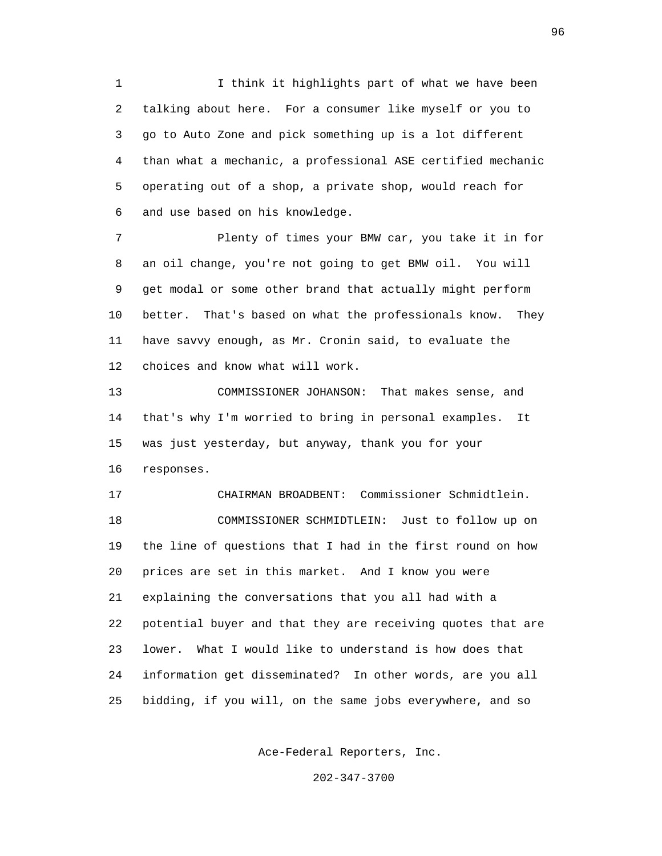1 I think it highlights part of what we have been 2 talking about here. For a consumer like myself or you to 3 go to Auto Zone and pick something up is a lot different 4 than what a mechanic, a professional ASE certified mechanic 5 operating out of a shop, a private shop, would reach for 6 and use based on his knowledge.

 7 Plenty of times your BMW car, you take it in for 8 an oil change, you're not going to get BMW oil. You will 9 get modal or some other brand that actually might perform 10 better. That's based on what the professionals know. They 11 have savvy enough, as Mr. Cronin said, to evaluate the 12 choices and know what will work.

 13 COMMISSIONER JOHANSON: That makes sense, and 14 that's why I'm worried to bring in personal examples. It 15 was just yesterday, but anyway, thank you for your 16 responses.

 17 CHAIRMAN BROADBENT: Commissioner Schmidtlein. 18 COMMISSIONER SCHMIDTLEIN: Just to follow up on 19 the line of questions that I had in the first round on how 20 prices are set in this market. And I know you were 21 explaining the conversations that you all had with a 22 potential buyer and that they are receiving quotes that are 23 lower. What I would like to understand is how does that 24 information get disseminated? In other words, are you all 25 bidding, if you will, on the same jobs everywhere, and so

Ace-Federal Reporters, Inc.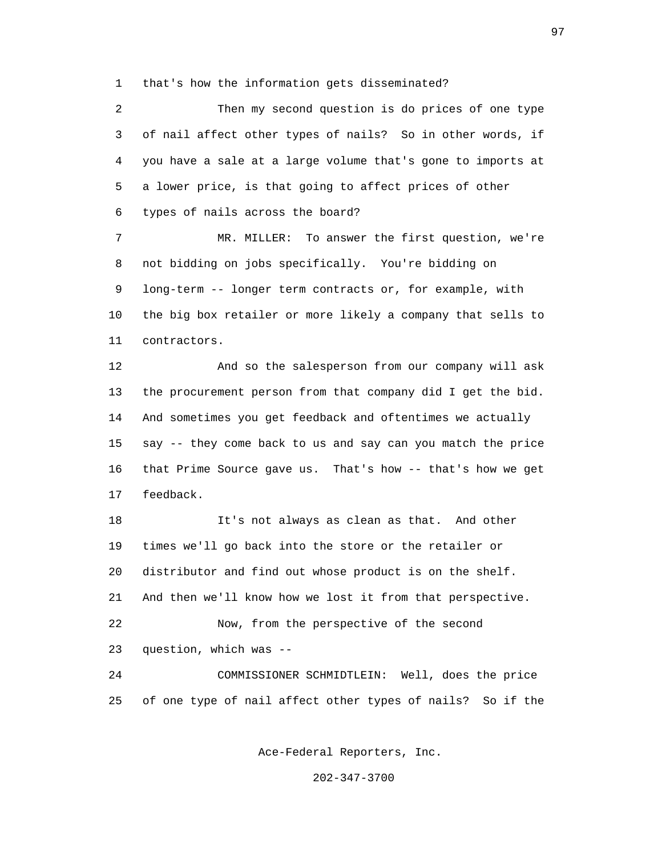1 that's how the information gets disseminated?

 2 Then my second question is do prices of one type 3 of nail affect other types of nails? So in other words, if 4 you have a sale at a large volume that's gone to imports at 5 a lower price, is that going to affect prices of other 6 types of nails across the board?

 7 MR. MILLER: To answer the first question, we're 8 not bidding on jobs specifically. You're bidding on 9 long-term -- longer term contracts or, for example, with 10 the big box retailer or more likely a company that sells to 11 contractors.

 12 And so the salesperson from our company will ask 13 the procurement person from that company did I get the bid. 14 And sometimes you get feedback and oftentimes we actually 15 say -- they come back to us and say can you match the price 16 that Prime Source gave us. That's how -- that's how we get 17 feedback.

 18 It's not always as clean as that. And other 19 times we'll go back into the store or the retailer or 20 distributor and find out whose product is on the shelf. 21 And then we'll know how we lost it from that perspective. 22 Now, from the perspective of the second 23 question, which was -- 24 COMMISSIONER SCHMIDTLEIN: Well, does the price

25 of one type of nail affect other types of nails? So if the

Ace-Federal Reporters, Inc.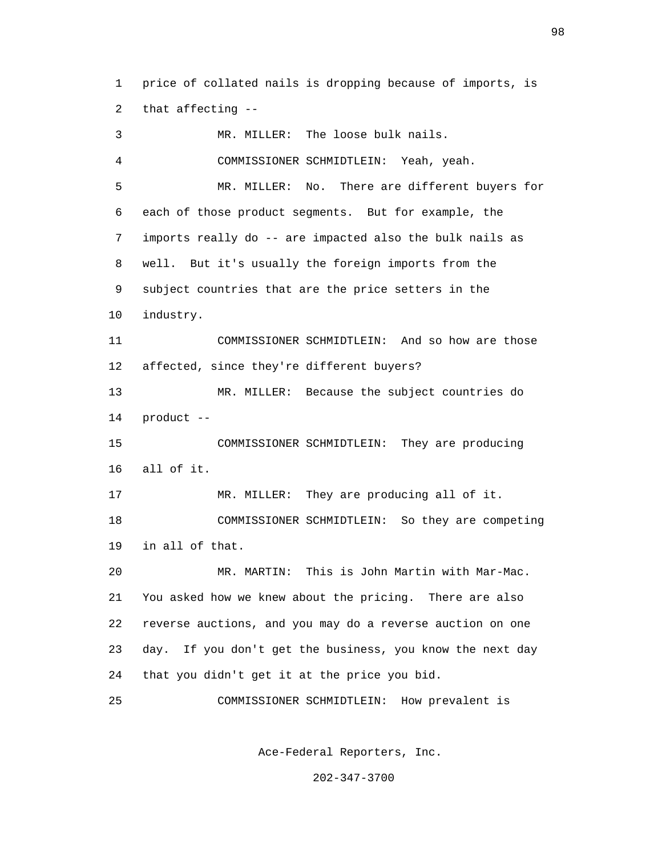1 price of collated nails is dropping because of imports, is 2 that affecting --

 3 MR. MILLER: The loose bulk nails. 4 COMMISSIONER SCHMIDTLEIN: Yeah, yeah. 5 MR. MILLER: No. There are different buyers for 6 each of those product segments. But for example, the 7 imports really do -- are impacted also the bulk nails as 8 well. But it's usually the foreign imports from the 9 subject countries that are the price setters in the 10 industry. 11 COMMISSIONER SCHMIDTLEIN: And so how are those 12 affected, since they're different buyers? 13 MR. MILLER: Because the subject countries do 14 product -- 15 COMMISSIONER SCHMIDTLEIN: They are producing 16 all of it. 17 MR. MILLER: They are producing all of it. 18 COMMISSIONER SCHMIDTLEIN: So they are competing 19 in all of that. 20 MR. MARTIN: This is John Martin with Mar-Mac. 21 You asked how we knew about the pricing. There are also 22 reverse auctions, and you may do a reverse auction on one 23 day. If you don't get the business, you know the next day 24 that you didn't get it at the price you bid. 25 COMMISSIONER SCHMIDTLEIN: How prevalent is

Ace-Federal Reporters, Inc.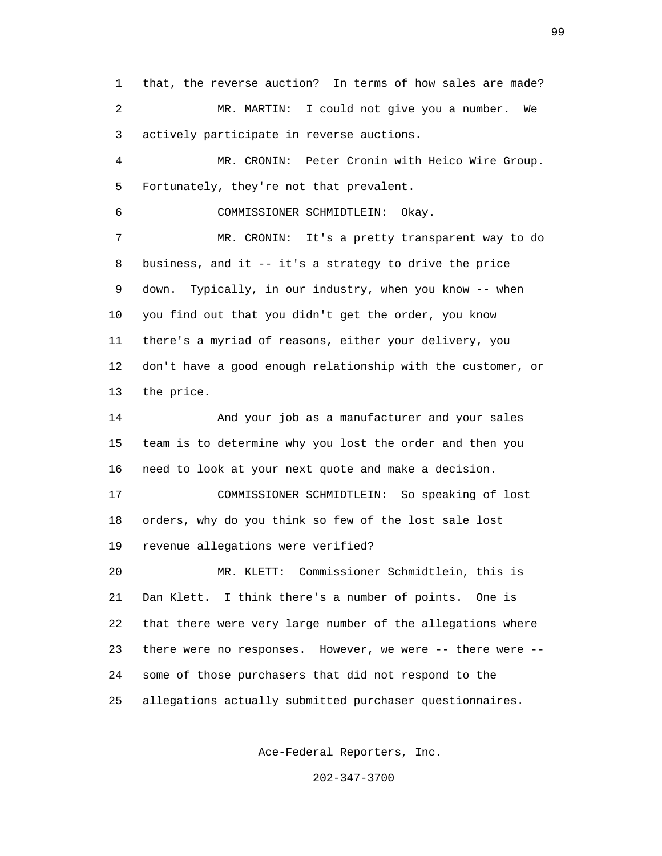1 that, the reverse auction? In terms of how sales are made? 2 MR. MARTIN: I could not give you a number. We 3 actively participate in reverse auctions. 4 MR. CRONIN: Peter Cronin with Heico Wire Group. 5 Fortunately, they're not that prevalent. 6 COMMISSIONER SCHMIDTLEIN: Okay. 7 MR. CRONIN: It's a pretty transparent way to do 8 business, and it -- it's a strategy to drive the price 9 down. Typically, in our industry, when you know -- when 10 you find out that you didn't get the order, you know 11 there's a myriad of reasons, either your delivery, you 12 don't have a good enough relationship with the customer, or 13 the price. 14 And your job as a manufacturer and your sales 15 team is to determine why you lost the order and then you 16 need to look at your next quote and make a decision. 17 COMMISSIONER SCHMIDTLEIN: So speaking of lost 18 orders, why do you think so few of the lost sale lost 19 revenue allegations were verified? 20 MR. KLETT: Commissioner Schmidtlein, this is 21 Dan Klett. I think there's a number of points. One is 22 that there were very large number of the allegations where 23 there were no responses. However, we were -- there were -- 24 some of those purchasers that did not respond to the 25 allegations actually submitted purchaser questionnaires.

Ace-Federal Reporters, Inc.

202-347-3700

 $\sim$  99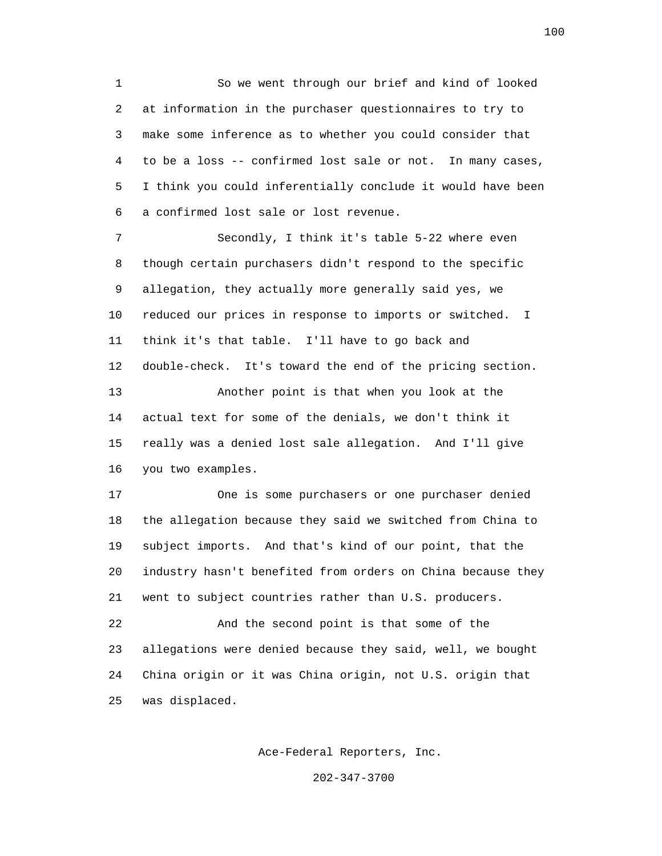1 So we went through our brief and kind of looked 2 at information in the purchaser questionnaires to try to 3 make some inference as to whether you could consider that 4 to be a loss -- confirmed lost sale or not. In many cases, 5 I think you could inferentially conclude it would have been 6 a confirmed lost sale or lost revenue.

 7 Secondly, I think it's table 5-22 where even 8 though certain purchasers didn't respond to the specific 9 allegation, they actually more generally said yes, we 10 reduced our prices in response to imports or switched. I 11 think it's that table. I'll have to go back and 12 double-check. It's toward the end of the pricing section. 13 Another point is that when you look at the 14 actual text for some of the denials, we don't think it 15 really was a denied lost sale allegation. And I'll give 16 you two examples.

 17 One is some purchasers or one purchaser denied 18 the allegation because they said we switched from China to 19 subject imports. And that's kind of our point, that the 20 industry hasn't benefited from orders on China because they 21 went to subject countries rather than U.S. producers.

 22 And the second point is that some of the 23 allegations were denied because they said, well, we bought 24 China origin or it was China origin, not U.S. origin that 25 was displaced.

Ace-Federal Reporters, Inc.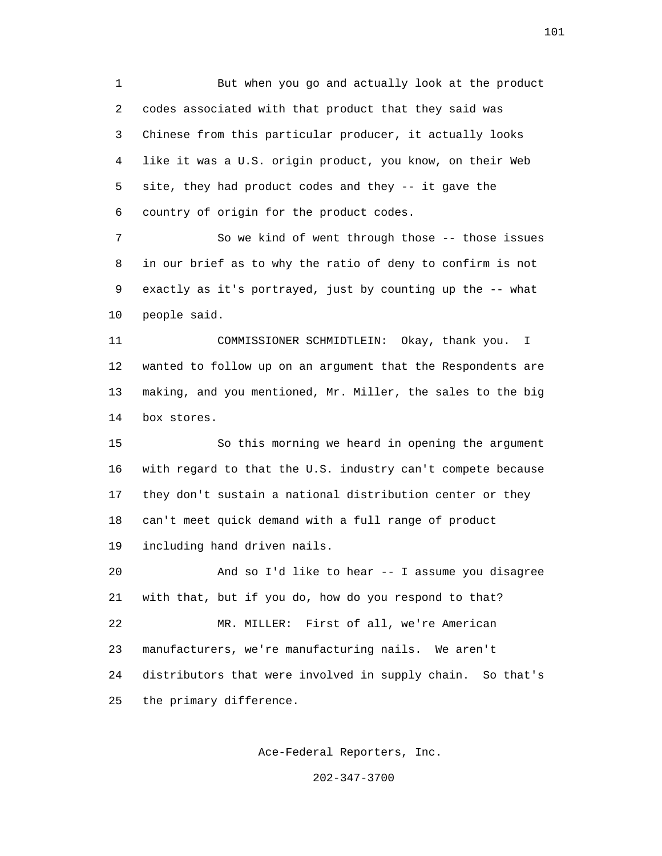1 But when you go and actually look at the product 2 codes associated with that product that they said was 3 Chinese from this particular producer, it actually looks 4 like it was a U.S. origin product, you know, on their Web 5 site, they had product codes and they -- it gave the 6 country of origin for the product codes.

 7 So we kind of went through those -- those issues 8 in our brief as to why the ratio of deny to confirm is not 9 exactly as it's portrayed, just by counting up the -- what 10 people said.

 11 COMMISSIONER SCHMIDTLEIN: Okay, thank you. I 12 wanted to follow up on an argument that the Respondents are 13 making, and you mentioned, Mr. Miller, the sales to the big 14 box stores.

 15 So this morning we heard in opening the argument 16 with regard to that the U.S. industry can't compete because 17 they don't sustain a national distribution center or they 18 can't meet quick demand with a full range of product 19 including hand driven nails.

 20 And so I'd like to hear -- I assume you disagree 21 with that, but if you do, how do you respond to that? 22 MR. MILLER: First of all, we're American 23 manufacturers, we're manufacturing nails. We aren't 24 distributors that were involved in supply chain. So that's 25 the primary difference.

Ace-Federal Reporters, Inc.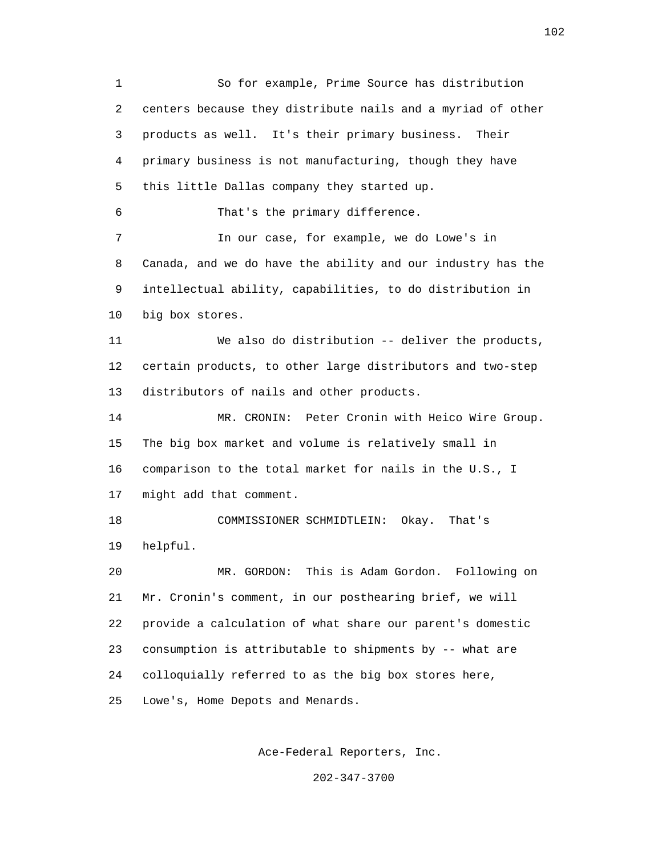1 So for example, Prime Source has distribution 2 centers because they distribute nails and a myriad of other 3 products as well. It's their primary business. Their 4 primary business is not manufacturing, though they have 5 this little Dallas company they started up. 6 That's the primary difference. 7 In our case, for example, we do Lowe's in 8 Canada, and we do have the ability and our industry has the 9 intellectual ability, capabilities, to do distribution in 10 big box stores. 11 We also do distribution -- deliver the products, 12 certain products, to other large distributors and two-step 13 distributors of nails and other products. 14 MR. CRONIN: Peter Cronin with Heico Wire Group. 15 The big box market and volume is relatively small in 16 comparison to the total market for nails in the U.S., I 17 might add that comment. 18 COMMISSIONER SCHMIDTLEIN: Okay. That's 19 helpful. 20 MR. GORDON: This is Adam Gordon. Following on 21 Mr. Cronin's comment, in our posthearing brief, we will 22 provide a calculation of what share our parent's domestic 23 consumption is attributable to shipments by -- what are 24 colloquially referred to as the big box stores here, 25 Lowe's, Home Depots and Menards.

Ace-Federal Reporters, Inc.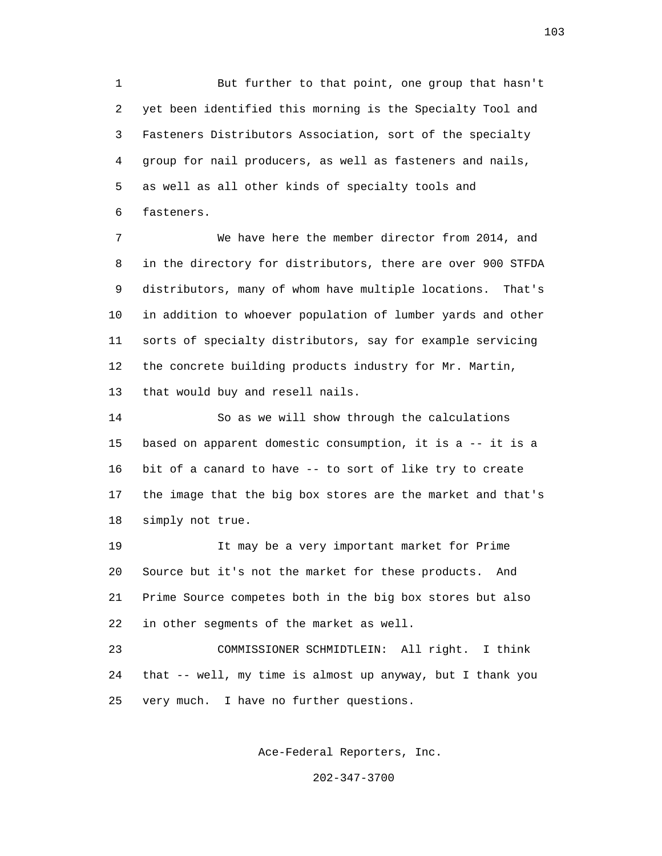1 But further to that point, one group that hasn't 2 yet been identified this morning is the Specialty Tool and 3 Fasteners Distributors Association, sort of the specialty 4 group for nail producers, as well as fasteners and nails, 5 as well as all other kinds of specialty tools and 6 fasteners.

 7 We have here the member director from 2014, and 8 in the directory for distributors, there are over 900 STFDA 9 distributors, many of whom have multiple locations. That's 10 in addition to whoever population of lumber yards and other 11 sorts of specialty distributors, say for example servicing 12 the concrete building products industry for Mr. Martin, 13 that would buy and resell nails.

 14 So as we will show through the calculations 15 based on apparent domestic consumption, it is a -- it is a 16 bit of a canard to have -- to sort of like try to create 17 the image that the big box stores are the market and that's 18 simply not true.

 19 It may be a very important market for Prime 20 Source but it's not the market for these products. And 21 Prime Source competes both in the big box stores but also 22 in other segments of the market as well.

 23 COMMISSIONER SCHMIDTLEIN: All right. I think 24 that -- well, my time is almost up anyway, but I thank you 25 very much. I have no further questions.

Ace-Federal Reporters, Inc.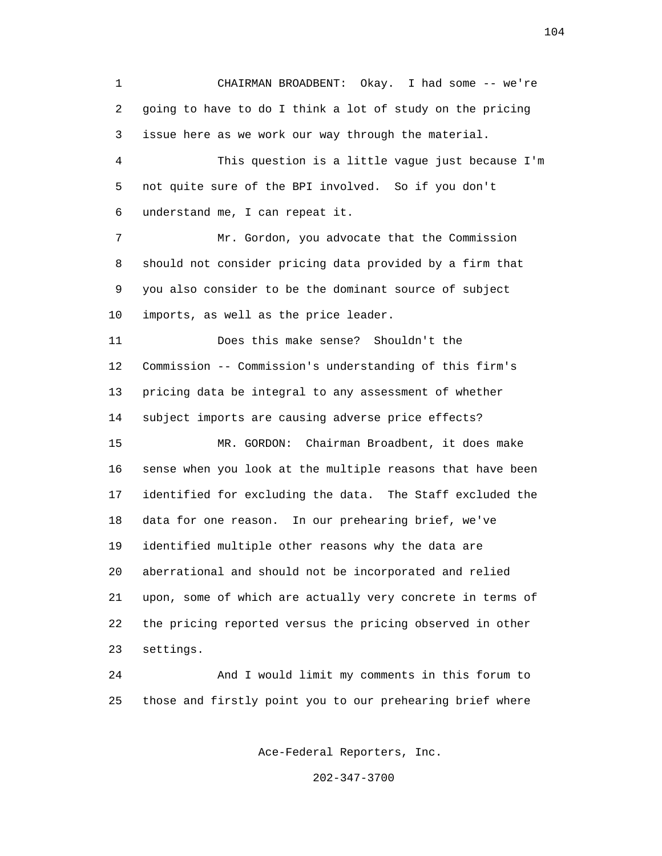1 CHAIRMAN BROADBENT: Okay. I had some -- we're 2 going to have to do I think a lot of study on the pricing 3 issue here as we work our way through the material. 4 This question is a little vague just because I'm 5 not quite sure of the BPI involved. So if you don't 6 understand me, I can repeat it. 7 Mr. Gordon, you advocate that the Commission 8 should not consider pricing data provided by a firm that 9 you also consider to be the dominant source of subject 10 imports, as well as the price leader. 11 Does this make sense? Shouldn't the 12 Commission -- Commission's understanding of this firm's 13 pricing data be integral to any assessment of whether 14 subject imports are causing adverse price effects? 15 MR. GORDON: Chairman Broadbent, it does make 16 sense when you look at the multiple reasons that have been 17 identified for excluding the data. The Staff excluded the 18 data for one reason. In our prehearing brief, we've 19 identified multiple other reasons why the data are 20 aberrational and should not be incorporated and relied 21 upon, some of which are actually very concrete in terms of 22 the pricing reported versus the pricing observed in other 23 settings. 24 And I would limit my comments in this forum to 25 those and firstly point you to our prehearing brief where

Ace-Federal Reporters, Inc.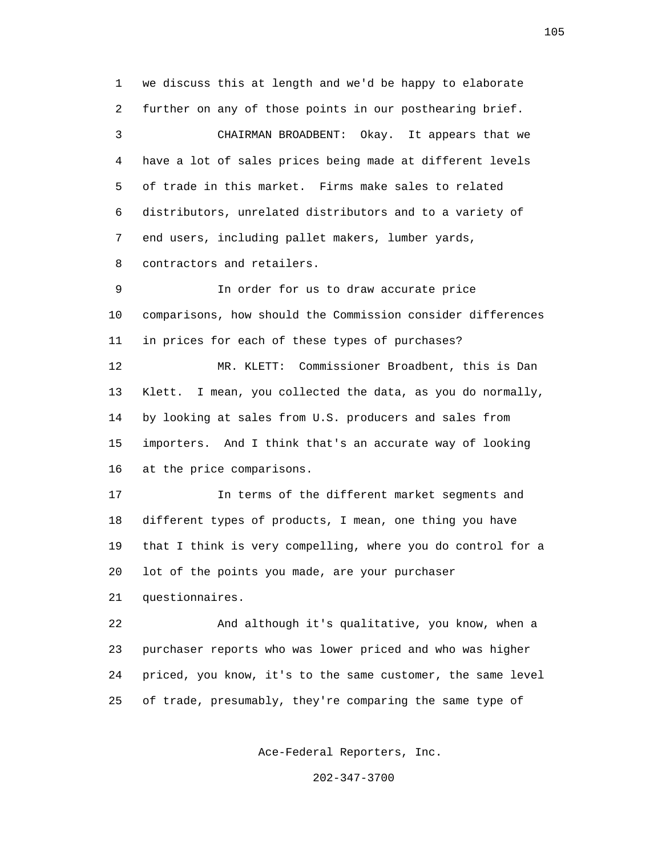1 we discuss this at length and we'd be happy to elaborate 2 further on any of those points in our posthearing brief. 3 CHAIRMAN BROADBENT: Okay. It appears that we 4 have a lot of sales prices being made at different levels 5 of trade in this market. Firms make sales to related 6 distributors, unrelated distributors and to a variety of 7 end users, including pallet makers, lumber yards, 8 contractors and retailers. 9 In order for us to draw accurate price 10 comparisons, how should the Commission consider differences 11 in prices for each of these types of purchases? 12 MR. KLETT: Commissioner Broadbent, this is Dan 13 Klett. I mean, you collected the data, as you do normally, 14 by looking at sales from U.S. producers and sales from 15 importers. And I think that's an accurate way of looking 16 at the price comparisons.

 17 In terms of the different market segments and 18 different types of products, I mean, one thing you have 19 that I think is very compelling, where you do control for a 20 lot of the points you made, are your purchaser

21 questionnaires.

 22 And although it's qualitative, you know, when a 23 purchaser reports who was lower priced and who was higher 24 priced, you know, it's to the same customer, the same level 25 of trade, presumably, they're comparing the same type of

Ace-Federal Reporters, Inc.

202-347-3700

105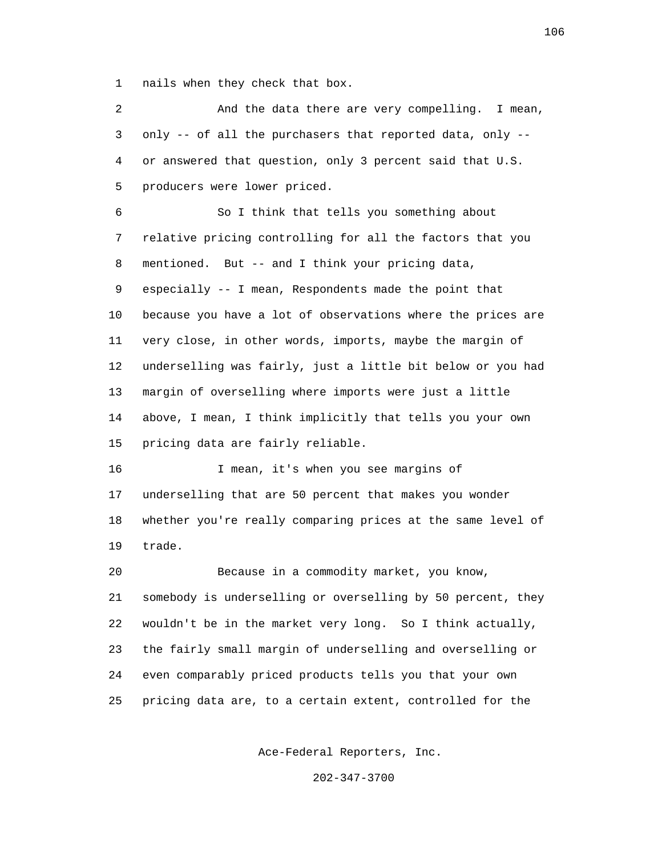1 nails when they check that box.

 2 And the data there are very compelling. I mean, 3 only -- of all the purchasers that reported data, only -- 4 or answered that question, only 3 percent said that U.S. 5 producers were lower priced. 6 So I think that tells you something about 7 relative pricing controlling for all the factors that you 8 mentioned. But -- and I think your pricing data, 9 especially -- I mean, Respondents made the point that 10 because you have a lot of observations where the prices are 11 very close, in other words, imports, maybe the margin of 12 underselling was fairly, just a little bit below or you had 13 margin of overselling where imports were just a little 14 above, I mean, I think implicitly that tells you your own 15 pricing data are fairly reliable. 16 I mean, it's when you see margins of 17 underselling that are 50 percent that makes you wonder 18 whether you're really comparing prices at the same level of 19 trade. 20 Because in a commodity market, you know, 21 somebody is underselling or overselling by 50 percent, they 22 wouldn't be in the market very long. So I think actually, 23 the fairly small margin of underselling and overselling or 24 even comparably priced products tells you that your own 25 pricing data are, to a certain extent, controlled for the

Ace-Federal Reporters, Inc.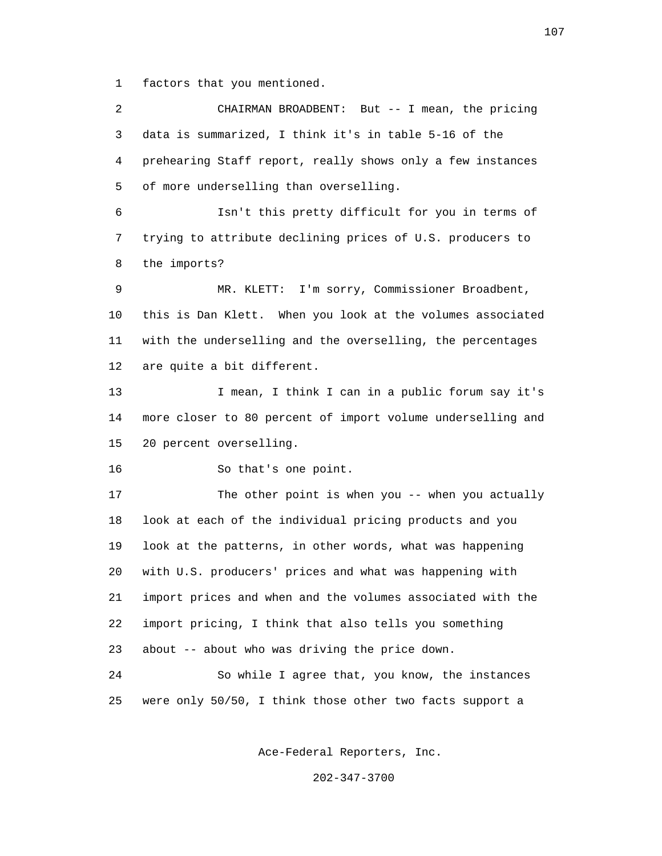1 factors that you mentioned.

 2 CHAIRMAN BROADBENT: But -- I mean, the pricing 3 data is summarized, I think it's in table 5-16 of the 4 prehearing Staff report, really shows only a few instances 5 of more underselling than overselling. 6 Isn't this pretty difficult for you in terms of 7 trying to attribute declining prices of U.S. producers to 8 the imports? 9 MR. KLETT: I'm sorry, Commissioner Broadbent, 10 this is Dan Klett. When you look at the volumes associated 11 with the underselling and the overselling, the percentages 12 are quite a bit different. 13 I mean, I think I can in a public forum say it's 14 more closer to 80 percent of import volume underselling and 15 20 percent overselling. 16 So that's one point. 17 The other point is when you -- when you actually 18 look at each of the individual pricing products and you 19 look at the patterns, in other words, what was happening 20 with U.S. producers' prices and what was happening with 21 import prices and when and the volumes associated with the 22 import pricing, I think that also tells you something 23 about -- about who was driving the price down. 24 So while I agree that, you know, the instances 25 were only 50/50, I think those other two facts support a

Ace-Federal Reporters, Inc.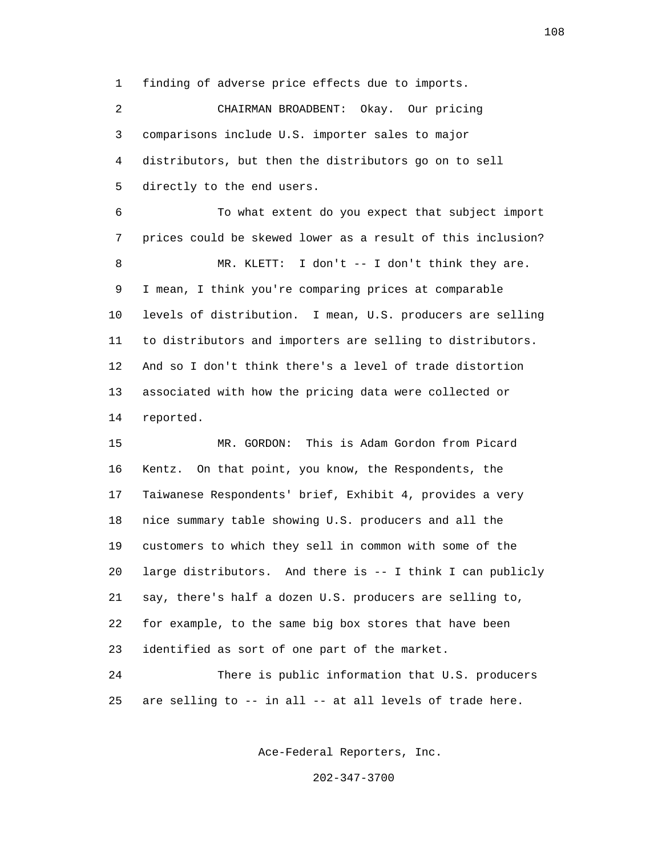1 finding of adverse price effects due to imports.

 2 CHAIRMAN BROADBENT: Okay. Our pricing 3 comparisons include U.S. importer sales to major 4 distributors, but then the distributors go on to sell 5 directly to the end users.

 6 To what extent do you expect that subject import 7 prices could be skewed lower as a result of this inclusion? 8 MR. KLETT: I don't -- I don't think they are. 9 I mean, I think you're comparing prices at comparable 10 levels of distribution. I mean, U.S. producers are selling 11 to distributors and importers are selling to distributors. 12 And so I don't think there's a level of trade distortion 13 associated with how the pricing data were collected or 14 reported.

 15 MR. GORDON: This is Adam Gordon from Picard 16 Kentz. On that point, you know, the Respondents, the 17 Taiwanese Respondents' brief, Exhibit 4, provides a very 18 nice summary table showing U.S. producers and all the 19 customers to which they sell in common with some of the 20 large distributors. And there is -- I think I can publicly 21 say, there's half a dozen U.S. producers are selling to, 22 for example, to the same big box stores that have been 23 identified as sort of one part of the market.

 24 There is public information that U.S. producers 25 are selling to -- in all -- at all levels of trade here.

Ace-Federal Reporters, Inc.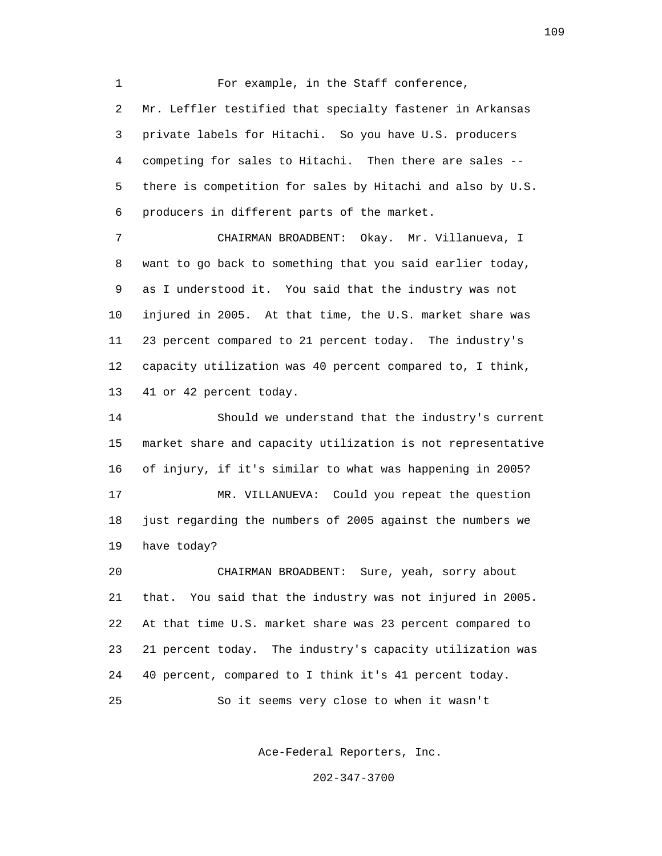1 For example, in the Staff conference, 2 Mr. Leffler testified that specialty fastener in Arkansas 3 private labels for Hitachi. So you have U.S. producers 4 competing for sales to Hitachi. Then there are sales -- 5 there is competition for sales by Hitachi and also by U.S. 6 producers in different parts of the market.

 7 CHAIRMAN BROADBENT: Okay. Mr. Villanueva, I 8 want to go back to something that you said earlier today, 9 as I understood it. You said that the industry was not 10 injured in 2005. At that time, the U.S. market share was 11 23 percent compared to 21 percent today. The industry's 12 capacity utilization was 40 percent compared to, I think, 13 41 or 42 percent today.

 14 Should we understand that the industry's current 15 market share and capacity utilization is not representative 16 of injury, if it's similar to what was happening in 2005? 17 MR. VILLANUEVA: Could you repeat the question 18 just regarding the numbers of 2005 against the numbers we 19 have today? 20 CHAIRMAN BROADBENT: Sure, yeah, sorry about

 21 that. You said that the industry was not injured in 2005. 22 At that time U.S. market share was 23 percent compared to 23 21 percent today. The industry's capacity utilization was 24 40 percent, compared to I think it's 41 percent today. 25 So it seems very close to when it wasn't

Ace-Federal Reporters, Inc.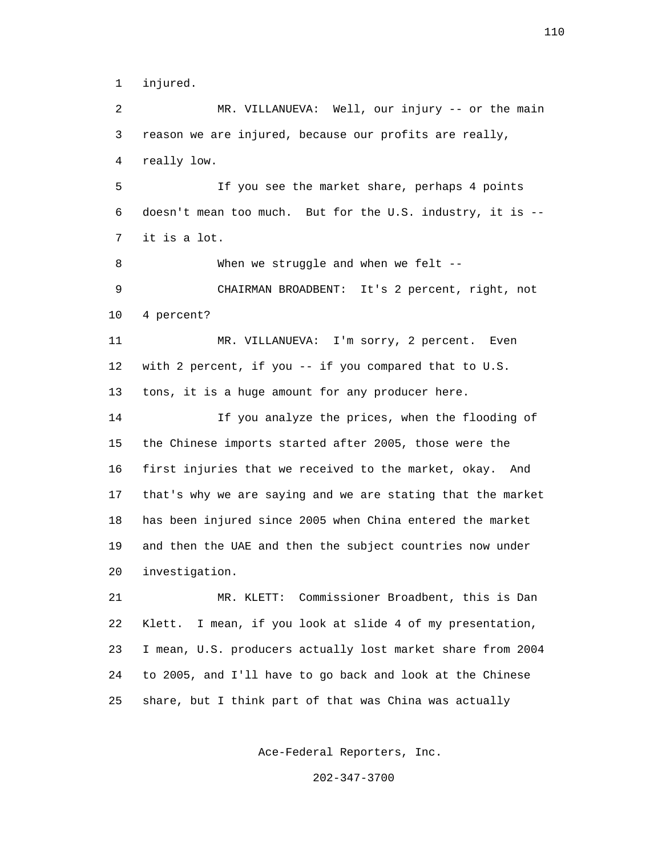1 injured.

 2 MR. VILLANUEVA: Well, our injury -- or the main 3 reason we are injured, because our profits are really, 4 really low. 5 If you see the market share, perhaps 4 points 6 doesn't mean too much. But for the U.S. industry, it is -- 7 it is a lot. 8 When we struggle and when we felt -- 9 CHAIRMAN BROADBENT: It's 2 percent, right, not 10 4 percent? 11 MR. VILLANUEVA: I'm sorry, 2 percent. Even 12 with 2 percent, if you -- if you compared that to U.S. 13 tons, it is a huge amount for any producer here. 14 If you analyze the prices, when the flooding of 15 the Chinese imports started after 2005, those were the 16 first injuries that we received to the market, okay. And 17 that's why we are saying and we are stating that the market 18 has been injured since 2005 when China entered the market 19 and then the UAE and then the subject countries now under 20 investigation. 21 MR. KLETT: Commissioner Broadbent, this is Dan

 22 Klett. I mean, if you look at slide 4 of my presentation, 23 I mean, U.S. producers actually lost market share from 2004 24 to 2005, and I'll have to go back and look at the Chinese 25 share, but I think part of that was China was actually

Ace-Federal Reporters, Inc.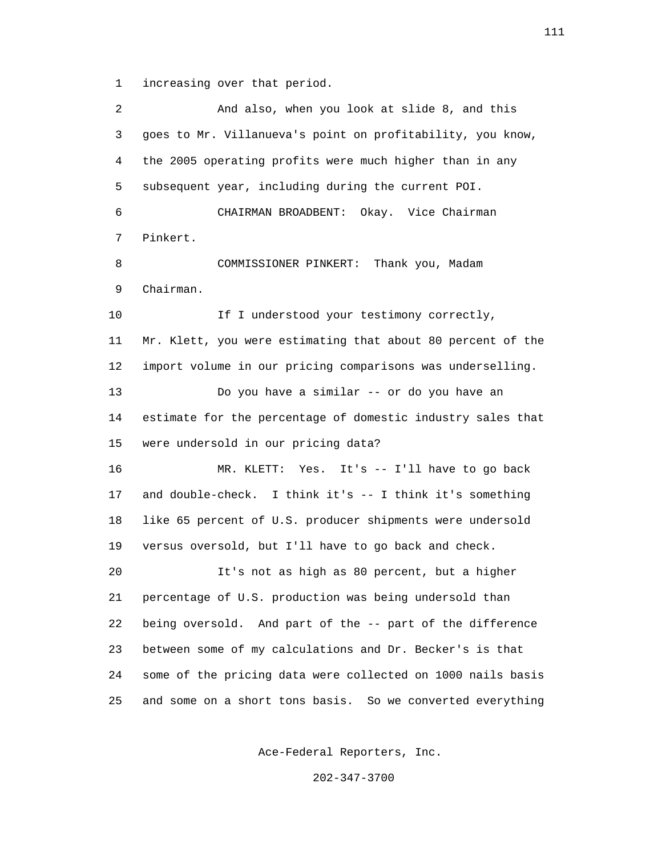1 increasing over that period.

 2 And also, when you look at slide 8, and this 3 goes to Mr. Villanueva's point on profitability, you know, 4 the 2005 operating profits were much higher than in any 5 subsequent year, including during the current POI. 6 CHAIRMAN BROADBENT: Okay. Vice Chairman 7 Pinkert. 8 COMMISSIONER PINKERT: Thank you, Madam 9 Chairman. 10 10 If I understood your testimony correctly, 11 Mr. Klett, you were estimating that about 80 percent of the 12 import volume in our pricing comparisons was underselling. 13 Do you have a similar -- or do you have an 14 estimate for the percentage of domestic industry sales that 15 were undersold in our pricing data? 16 MR. KLETT: Yes. It's -- I'll have to go back 17 and double-check. I think it's -- I think it's something 18 like 65 percent of U.S. producer shipments were undersold 19 versus oversold, but I'll have to go back and check. 20 It's not as high as 80 percent, but a higher 21 percentage of U.S. production was being undersold than 22 being oversold. And part of the -- part of the difference 23 between some of my calculations and Dr. Becker's is that 24 some of the pricing data were collected on 1000 nails basis 25 and some on a short tons basis. So we converted everything

Ace-Federal Reporters, Inc.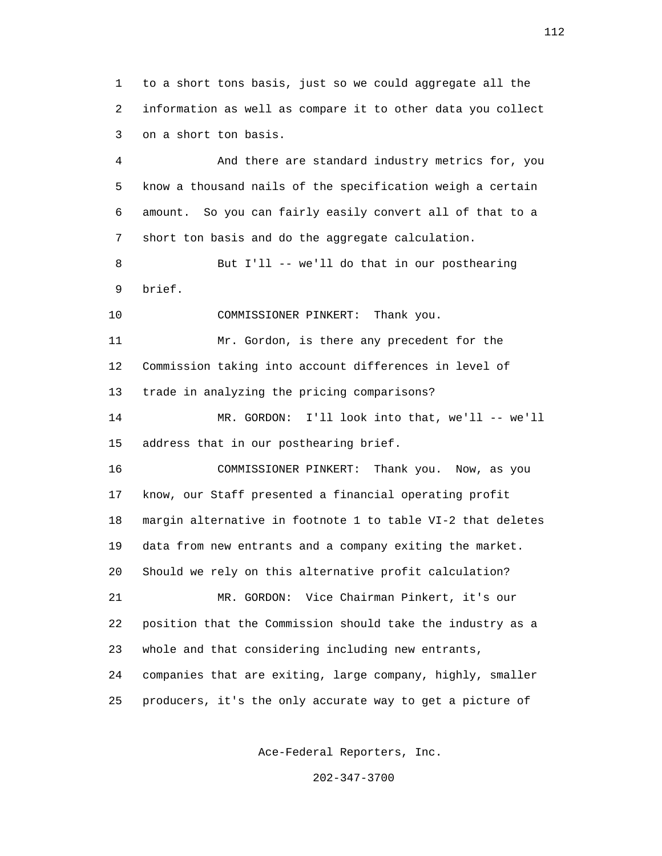1 to a short tons basis, just so we could aggregate all the 2 information as well as compare it to other data you collect 3 on a short ton basis.

 4 And there are standard industry metrics for, you 5 know a thousand nails of the specification weigh a certain 6 amount. So you can fairly easily convert all of that to a 7 short ton basis and do the aggregate calculation.

 8 But I'll -- we'll do that in our posthearing 9 brief.

10 COMMISSIONER PINKERT: Thank you.

 11 Mr. Gordon, is there any precedent for the 12 Commission taking into account differences in level of 13 trade in analyzing the pricing comparisons?

 14 MR. GORDON: I'll look into that, we'll -- we'll 15 address that in our posthearing brief.

 16 COMMISSIONER PINKERT: Thank you. Now, as you 17 know, our Staff presented a financial operating profit 18 margin alternative in footnote 1 to table VI-2 that deletes 19 data from new entrants and a company exiting the market. 20 Should we rely on this alternative profit calculation? 21 MR. GORDON: Vice Chairman Pinkert, it's our 22 position that the Commission should take the industry as a 23 whole and that considering including new entrants, 24 companies that are exiting, large company, highly, smaller 25 producers, it's the only accurate way to get a picture of

Ace-Federal Reporters, Inc.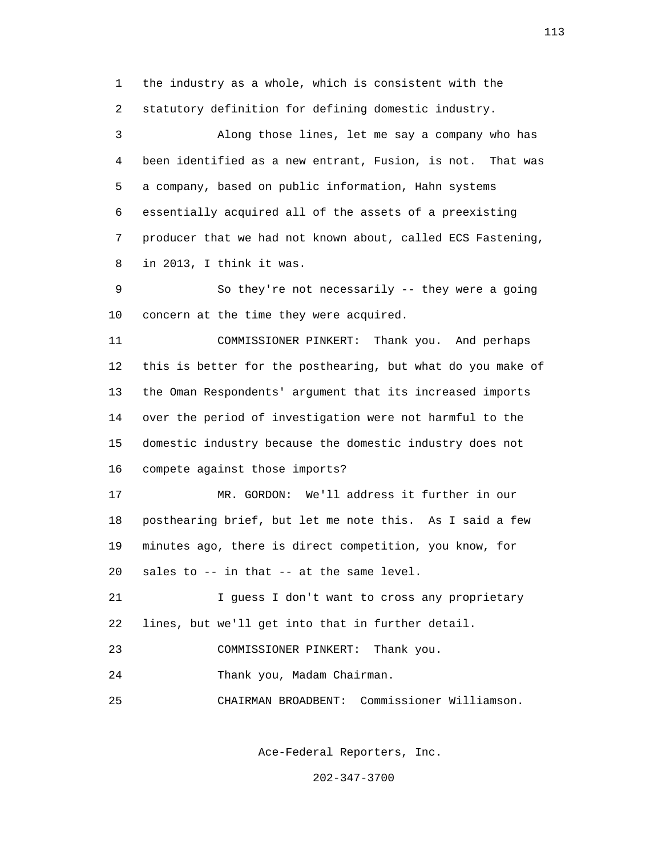1 the industry as a whole, which is consistent with the 2 statutory definition for defining domestic industry.

 3 Along those lines, let me say a company who has 4 been identified as a new entrant, Fusion, is not. That was 5 a company, based on public information, Hahn systems 6 essentially acquired all of the assets of a preexisting 7 producer that we had not known about, called ECS Fastening, 8 in 2013, I think it was.

 9 So they're not necessarily -- they were a going 10 concern at the time they were acquired.

 11 COMMISSIONER PINKERT: Thank you. And perhaps 12 this is better for the posthearing, but what do you make of 13 the Oman Respondents' argument that its increased imports 14 over the period of investigation were not harmful to the 15 domestic industry because the domestic industry does not 16 compete against those imports?

 17 MR. GORDON: We'll address it further in our 18 posthearing brief, but let me note this. As I said a few 19 minutes ago, there is direct competition, you know, for 20 sales to -- in that -- at the same level.

 21 I guess I don't want to cross any proprietary 22 lines, but we'll get into that in further detail.

23 COMMISSIONER PINKERT: Thank you.

24 Thank you, Madam Chairman.

25 CHAIRMAN BROADBENT: Commissioner Williamson.

Ace-Federal Reporters, Inc.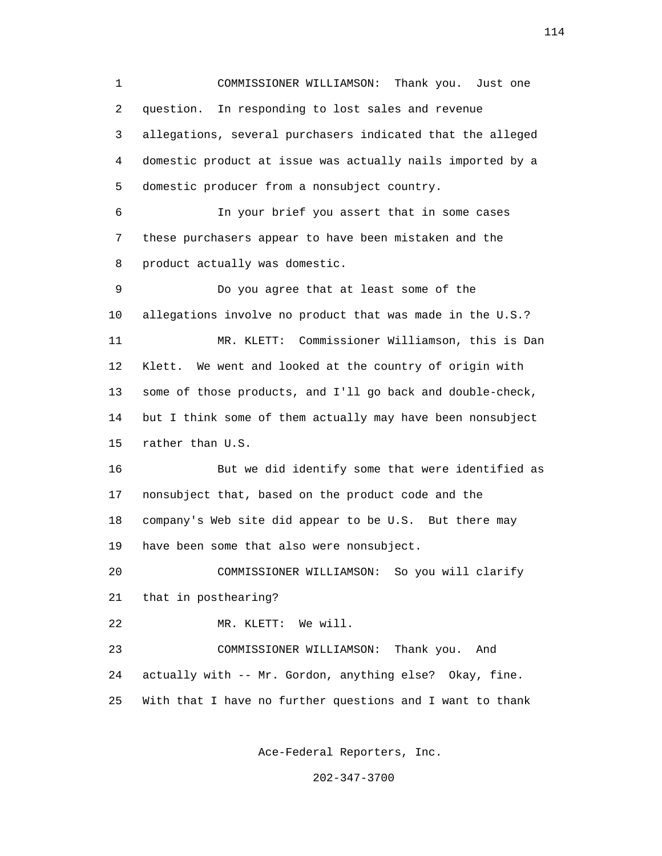1 COMMISSIONER WILLIAMSON: Thank you. Just one 2 question. In responding to lost sales and revenue 3 allegations, several purchasers indicated that the alleged 4 domestic product at issue was actually nails imported by a 5 domestic producer from a nonsubject country. 6 In your brief you assert that in some cases 7 these purchasers appear to have been mistaken and the 8 product actually was domestic. 9 Do you agree that at least some of the 10 allegations involve no product that was made in the U.S.? 11 MR. KLETT: Commissioner Williamson, this is Dan 12 Klett. We went and looked at the country of origin with 13 some of those products, and I'll go back and double-check, 14 but I think some of them actually may have been nonsubject 15 rather than U.S. 16 But we did identify some that were identified as 17 nonsubject that, based on the product code and the 18 company's Web site did appear to be U.S. But there may 19 have been some that also were nonsubject. 20 COMMISSIONER WILLIAMSON: So you will clarify 21 that in posthearing? 22 MR. KLETT: We will. 23 COMMISSIONER WILLIAMSON: Thank you. And 24 actually with -- Mr. Gordon, anything else? Okay, fine. 25 With that I have no further questions and I want to thank

Ace-Federal Reporters, Inc.

202-347-3700

114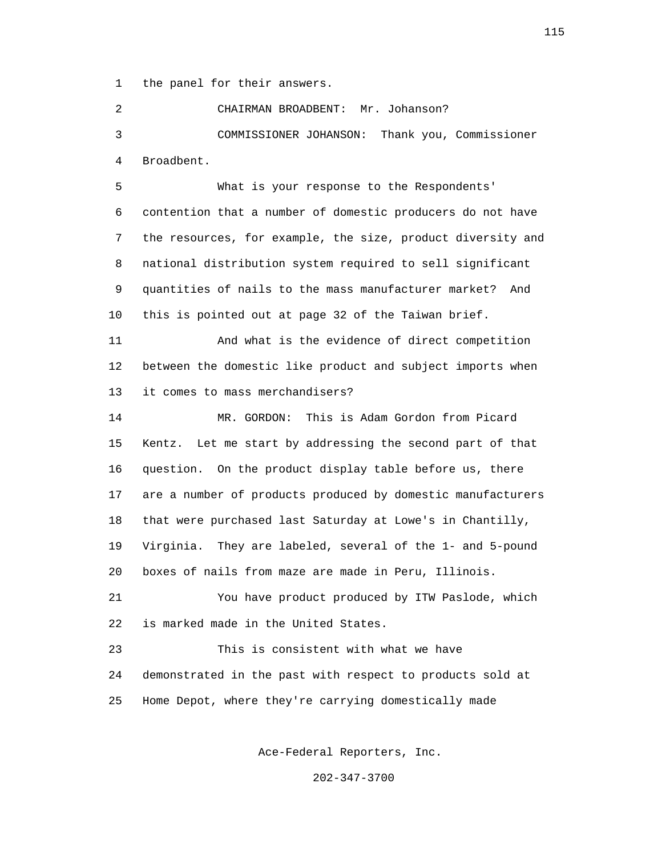1 the panel for their answers.

 2 CHAIRMAN BROADBENT: Mr. Johanson? 3 COMMISSIONER JOHANSON: Thank you, Commissioner 4 Broadbent.

 5 What is your response to the Respondents' 6 contention that a number of domestic producers do not have 7 the resources, for example, the size, product diversity and 8 national distribution system required to sell significant 9 quantities of nails to the mass manufacturer market? And 10 this is pointed out at page 32 of the Taiwan brief.

 11 And what is the evidence of direct competition 12 between the domestic like product and subject imports when 13 it comes to mass merchandisers?

 14 MR. GORDON: This is Adam Gordon from Picard 15 Kentz. Let me start by addressing the second part of that 16 question. On the product display table before us, there 17 are a number of products produced by domestic manufacturers 18 that were purchased last Saturday at Lowe's in Chantilly, 19 Virginia. They are labeled, several of the 1- and 5-pound 20 boxes of nails from maze are made in Peru, Illinois.

 21 You have product produced by ITW Paslode, which 22 is marked made in the United States.

 23 This is consistent with what we have 24 demonstrated in the past with respect to products sold at 25 Home Depot, where they're carrying domestically made

Ace-Federal Reporters, Inc.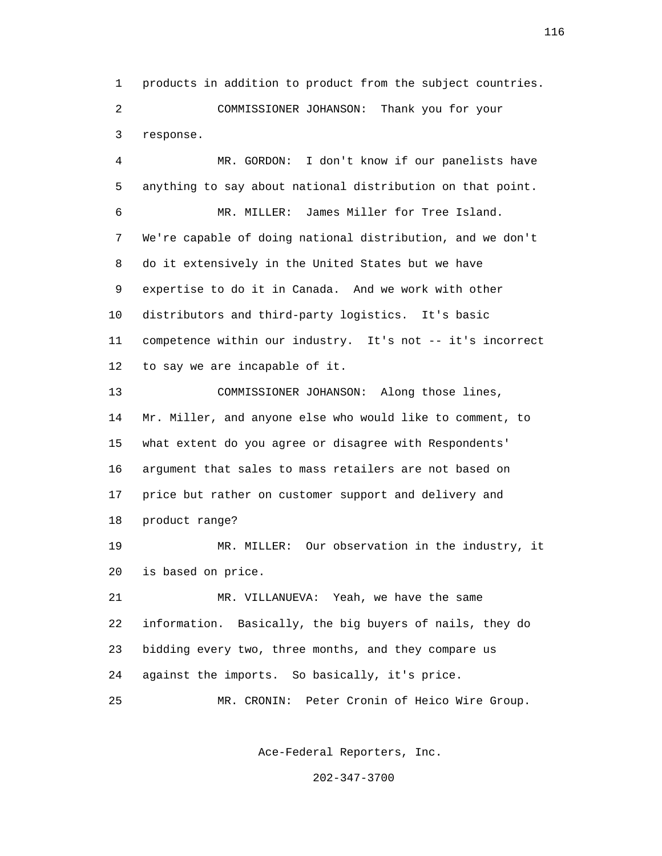1 products in addition to product from the subject countries. 2 COMMISSIONER JOHANSON: Thank you for your 3 response.

 4 MR. GORDON: I don't know if our panelists have 5 anything to say about national distribution on that point. 6 MR. MILLER: James Miller for Tree Island. 7 We're capable of doing national distribution, and we don't 8 do it extensively in the United States but we have 9 expertise to do it in Canada. And we work with other 10 distributors and third-party logistics. It's basic 11 competence within our industry. It's not -- it's incorrect 12 to say we are incapable of it. 13 COMMISSIONER JOHANSON: Along those lines,

 14 Mr. Miller, and anyone else who would like to comment, to 15 what extent do you agree or disagree with Respondents' 16 argument that sales to mass retailers are not based on 17 price but rather on customer support and delivery and 18 product range?

 19 MR. MILLER: Our observation in the industry, it 20 is based on price.

 21 MR. VILLANUEVA: Yeah, we have the same 22 information. Basically, the big buyers of nails, they do 23 bidding every two, three months, and they compare us 24 against the imports. So basically, it's price.

25 MR. CRONIN: Peter Cronin of Heico Wire Group.

Ace-Federal Reporters, Inc.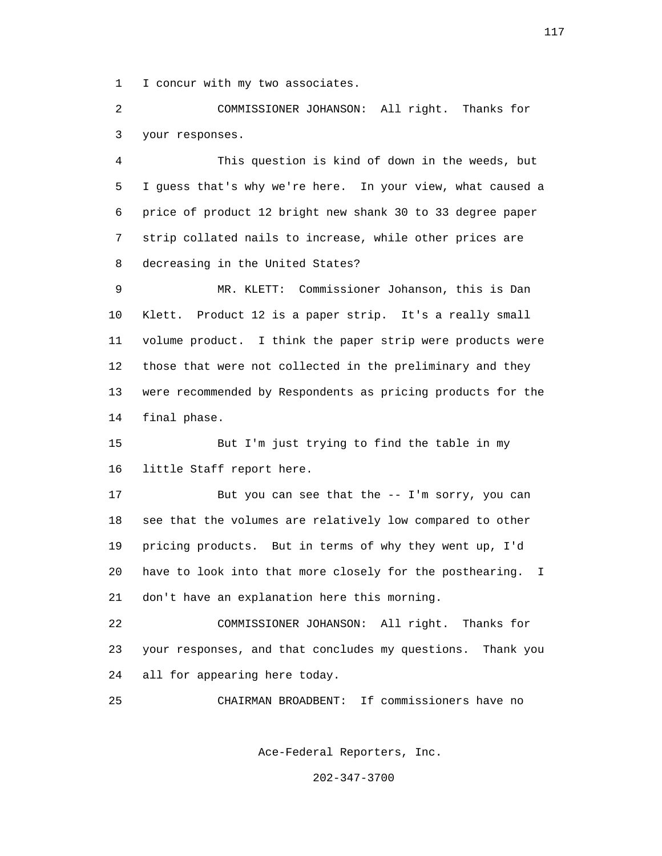1 I concur with my two associates.

 2 COMMISSIONER JOHANSON: All right. Thanks for 3 your responses.

 4 This question is kind of down in the weeds, but 5 I guess that's why we're here. In your view, what caused a 6 price of product 12 bright new shank 30 to 33 degree paper 7 strip collated nails to increase, while other prices are 8 decreasing in the United States?

 9 MR. KLETT: Commissioner Johanson, this is Dan 10 Klett. Product 12 is a paper strip. It's a really small 11 volume product. I think the paper strip were products were 12 those that were not collected in the preliminary and they 13 were recommended by Respondents as pricing products for the 14 final phase.

 15 But I'm just trying to find the table in my 16 little Staff report here.

 17 But you can see that the -- I'm sorry, you can 18 see that the volumes are relatively low compared to other 19 pricing products. But in terms of why they went up, I'd 20 have to look into that more closely for the posthearing. I 21 don't have an explanation here this morning.

 22 COMMISSIONER JOHANSON: All right. Thanks for 23 your responses, and that concludes my questions. Thank you 24 all for appearing here today.

25 CHAIRMAN BROADBENT: If commissioners have no

Ace-Federal Reporters, Inc.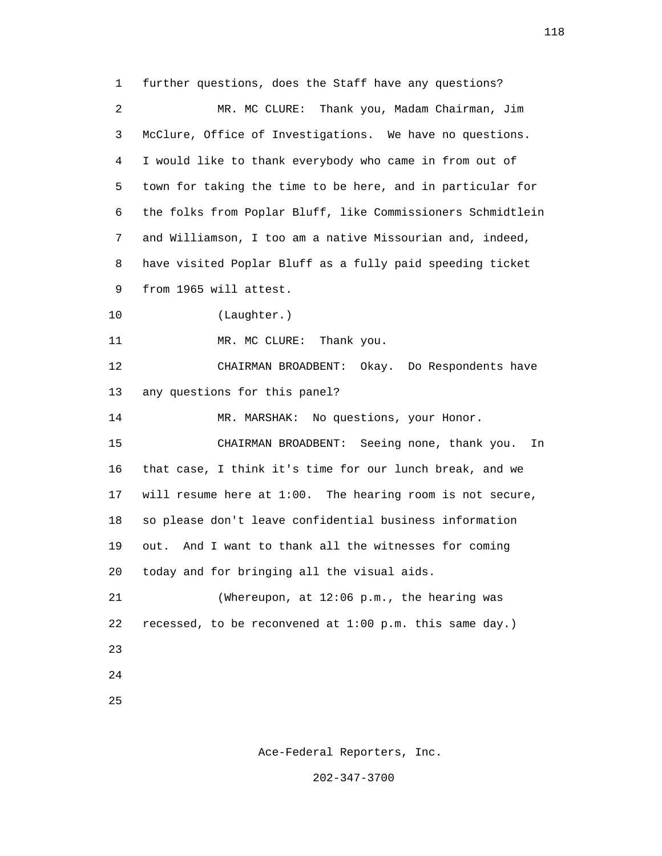1 further questions, does the Staff have any questions? 2 MR. MC CLURE: Thank you, Madam Chairman, Jim 3 McClure, Office of Investigations. We have no questions. 4 I would like to thank everybody who came in from out of 5 town for taking the time to be here, and in particular for 6 the folks from Poplar Bluff, like Commissioners Schmidtlein 7 and Williamson, I too am a native Missourian and, indeed, 8 have visited Poplar Bluff as a fully paid speeding ticket 9 from 1965 will attest. 10 (Laughter.) 11 MR. MC CLURE: Thank you. 12 CHAIRMAN BROADBENT: Okay. Do Respondents have 13 any questions for this panel? 14 MR. MARSHAK: No questions, your Honor. 15 CHAIRMAN BROADBENT: Seeing none, thank you. In 16 that case, I think it's time for our lunch break, and we 17 will resume here at 1:00. The hearing room is not secure, 18 so please don't leave confidential business information 19 out. And I want to thank all the witnesses for coming 20 today and for bringing all the visual aids. 21 (Whereupon, at 12:06 p.m., the hearing was 22 recessed, to be reconvened at 1:00 p.m. this same day.) 23 24 25

Ace-Federal Reporters, Inc.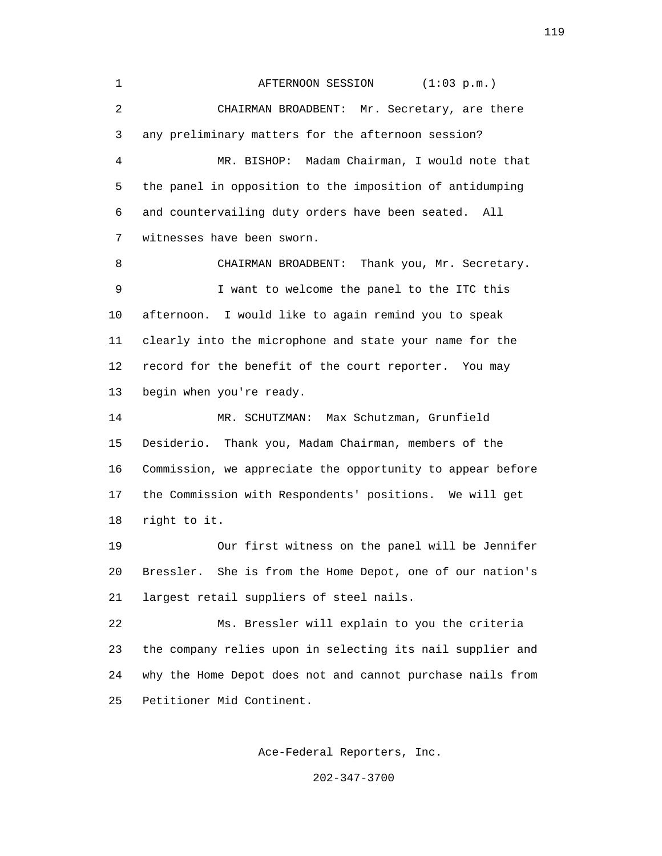1 **AFTERNOON SESSION** (1:03 p.m.) 2 CHAIRMAN BROADBENT: Mr. Secretary, are there 3 any preliminary matters for the afternoon session? 4 MR. BISHOP: Madam Chairman, I would note that 5 the panel in opposition to the imposition of antidumping 6 and countervailing duty orders have been seated. All 7 witnesses have been sworn. 8 CHAIRMAN BROADBENT: Thank you, Mr. Secretary. 9 I want to welcome the panel to the ITC this 10 afternoon. I would like to again remind you to speak 11 clearly into the microphone and state your name for the 12 record for the benefit of the court reporter. You may 13 begin when you're ready. 14 MR. SCHUTZMAN: Max Schutzman, Grunfield 15 Desiderio. Thank you, Madam Chairman, members of the 16 Commission, we appreciate the opportunity to appear before 17 the Commission with Respondents' positions. We will get 18 right to it. 19 Our first witness on the panel will be Jennifer 20 Bressler. She is from the Home Depot, one of our nation's 21 largest retail suppliers of steel nails. 22 Ms. Bressler will explain to you the criteria 23 the company relies upon in selecting its nail supplier and 24 why the Home Depot does not and cannot purchase nails from 25 Petitioner Mid Continent.

Ace-Federal Reporters, Inc.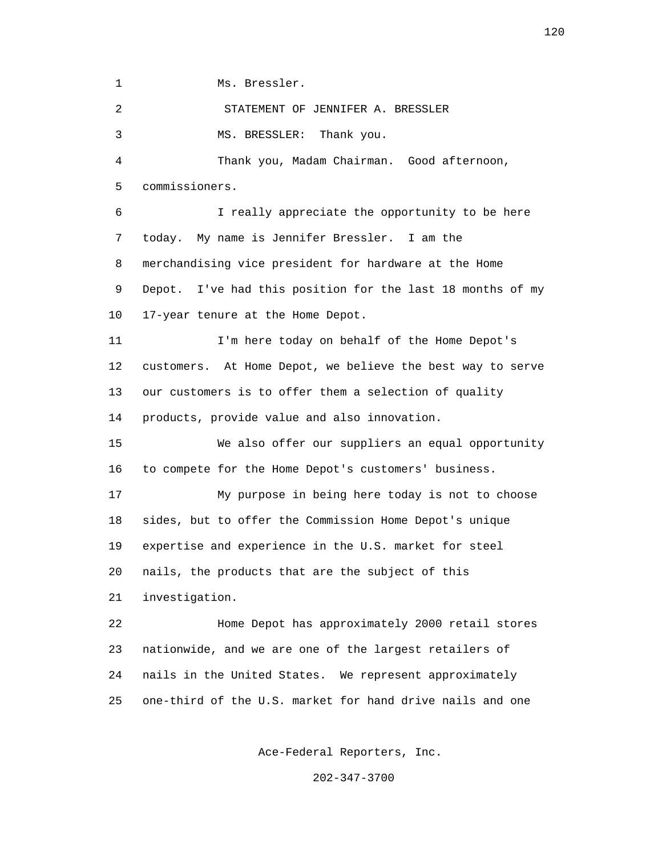1 Ms. Bressler.

2 STATEMENT OF JENNIFER A. BRESSLER

3 MS. BRESSLER: Thank you.

 4 Thank you, Madam Chairman. Good afternoon, 5 commissioners.

 6 I really appreciate the opportunity to be here 7 today. My name is Jennifer Bressler. I am the 8 merchandising vice president for hardware at the Home 9 Depot. I've had this position for the last 18 months of my 10 17-year tenure at the Home Depot.

 11 I'm here today on behalf of the Home Depot's 12 customers. At Home Depot, we believe the best way to serve 13 our customers is to offer them a selection of quality 14 products, provide value and also innovation.

 15 We also offer our suppliers an equal opportunity 16 to compete for the Home Depot's customers' business.

 17 My purpose in being here today is not to choose 18 sides, but to offer the Commission Home Depot's unique 19 expertise and experience in the U.S. market for steel 20 nails, the products that are the subject of this 21 investigation.

 22 Home Depot has approximately 2000 retail stores 23 nationwide, and we are one of the largest retailers of 24 nails in the United States. We represent approximately 25 one-third of the U.S. market for hand drive nails and one

Ace-Federal Reporters, Inc.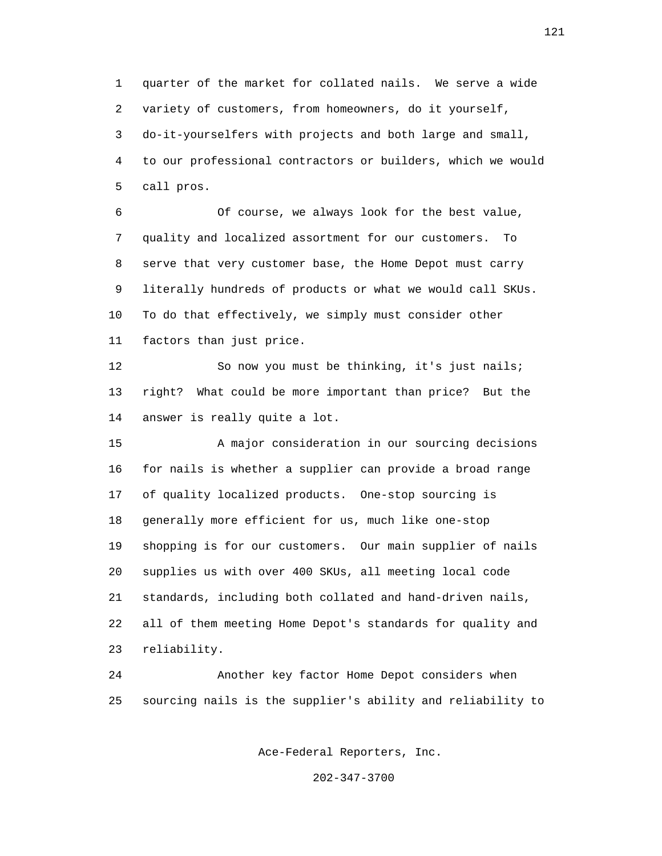1 quarter of the market for collated nails. We serve a wide 2 variety of customers, from homeowners, do it yourself, 3 do-it-yourselfers with projects and both large and small, 4 to our professional contractors or builders, which we would 5 call pros.

 6 Of course, we always look for the best value, 7 quality and localized assortment for our customers. To 8 serve that very customer base, the Home Depot must carry 9 literally hundreds of products or what we would call SKUs. 10 To do that effectively, we simply must consider other 11 factors than just price.

 12 So now you must be thinking, it's just nails; 13 right? What could be more important than price? But the 14 answer is really quite a lot.

 15 A major consideration in our sourcing decisions 16 for nails is whether a supplier can provide a broad range 17 of quality localized products. One-stop sourcing is 18 generally more efficient for us, much like one-stop 19 shopping is for our customers. Our main supplier of nails 20 supplies us with over 400 SKUs, all meeting local code 21 standards, including both collated and hand-driven nails, 22 all of them meeting Home Depot's standards for quality and 23 reliability.

 24 Another key factor Home Depot considers when 25 sourcing nails is the supplier's ability and reliability to

Ace-Federal Reporters, Inc.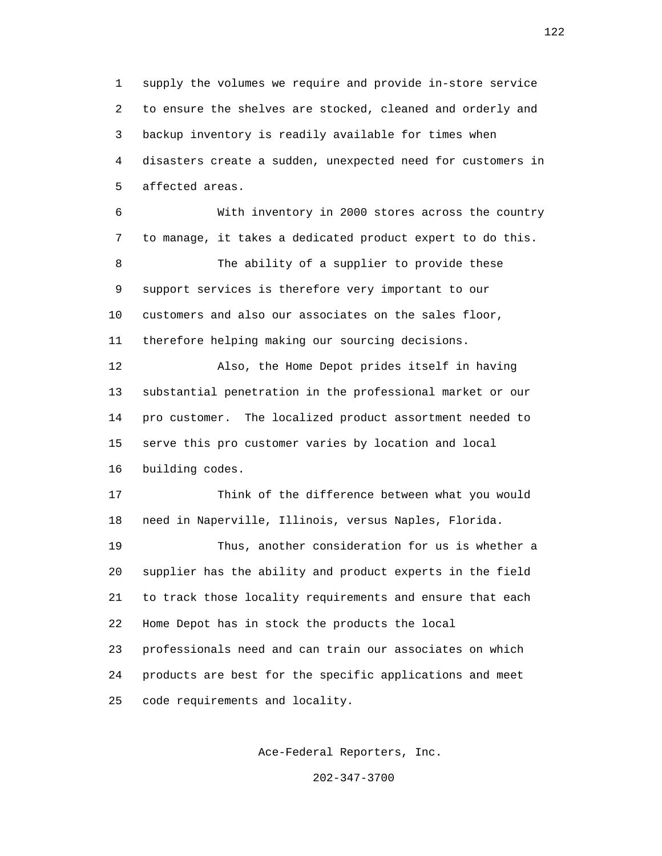1 supply the volumes we require and provide in-store service 2 to ensure the shelves are stocked, cleaned and orderly and 3 backup inventory is readily available for times when 4 disasters create a sudden, unexpected need for customers in 5 affected areas.

 6 With inventory in 2000 stores across the country 7 to manage, it takes a dedicated product expert to do this. 8 The ability of a supplier to provide these 9 support services is therefore very important to our 10 customers and also our associates on the sales floor, 11 therefore helping making our sourcing decisions.

 12 Also, the Home Depot prides itself in having 13 substantial penetration in the professional market or our 14 pro customer. The localized product assortment needed to 15 serve this pro customer varies by location and local 16 building codes.

 17 Think of the difference between what you would 18 need in Naperville, Illinois, versus Naples, Florida.

 19 Thus, another consideration for us is whether a 20 supplier has the ability and product experts in the field 21 to track those locality requirements and ensure that each 22 Home Depot has in stock the products the local 23 professionals need and can train our associates on which 24 products are best for the specific applications and meet 25 code requirements and locality.

Ace-Federal Reporters, Inc.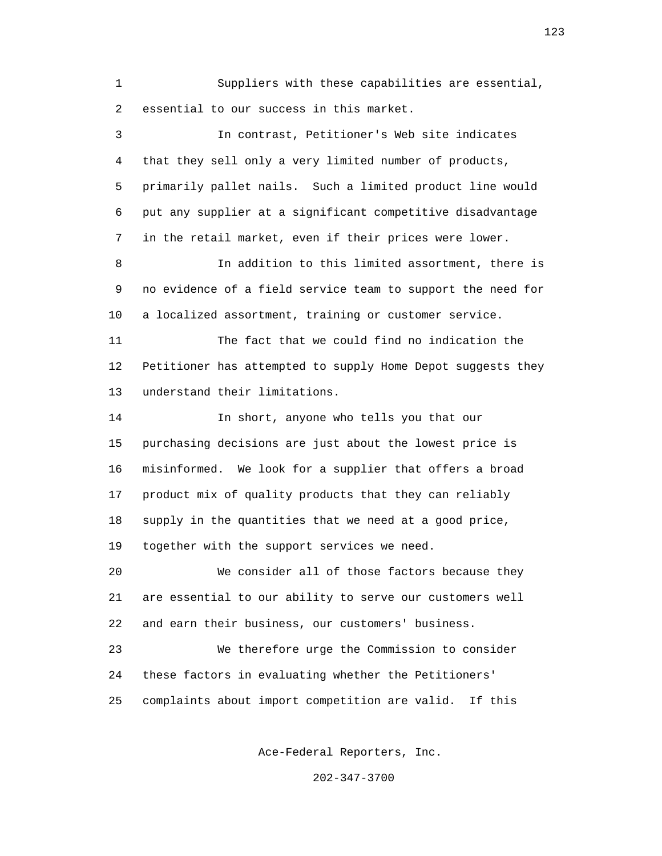1 Suppliers with these capabilities are essential, 2 essential to our success in this market.

 3 In contrast, Petitioner's Web site indicates 4 that they sell only a very limited number of products, 5 primarily pallet nails. Such a limited product line would 6 put any supplier at a significant competitive disadvantage 7 in the retail market, even if their prices were lower. 8 In addition to this limited assortment, there is 9 no evidence of a field service team to support the need for 10 a localized assortment, training or customer service. 11 The fact that we could find no indication the 12 Petitioner has attempted to supply Home Depot suggests they 13 understand their limitations. 14 In short, anyone who tells you that our 15 purchasing decisions are just about the lowest price is 16 misinformed. We look for a supplier that offers a broad 17 product mix of quality products that they can reliably 18 supply in the quantities that we need at a good price, 19 together with the support services we need. 20 We consider all of those factors because they 21 are essential to our ability to serve our customers well 22 and earn their business, our customers' business. 23 We therefore urge the Commission to consider 24 these factors in evaluating whether the Petitioners' 25 complaints about import competition are valid. If this

Ace-Federal Reporters, Inc.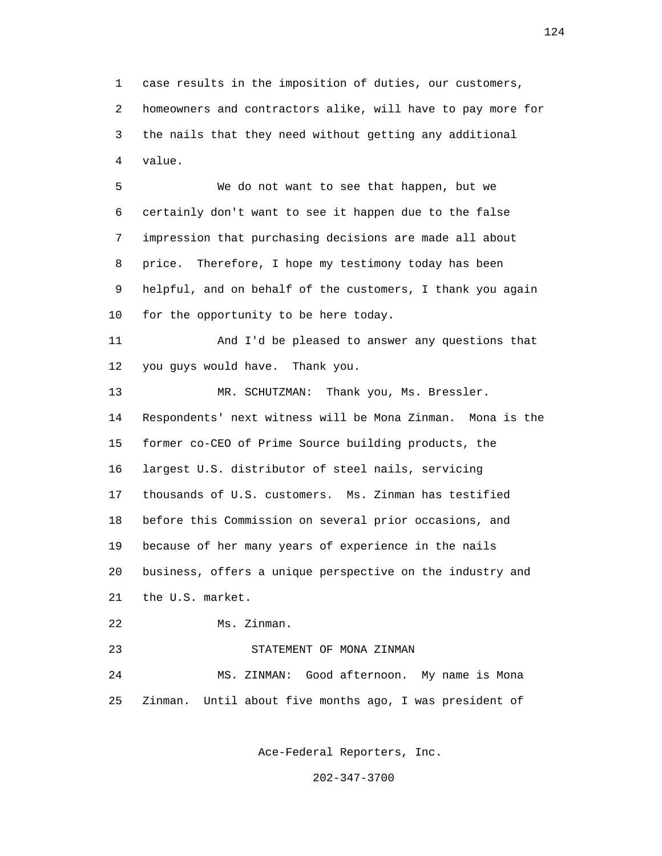1 case results in the imposition of duties, our customers, 2 homeowners and contractors alike, will have to pay more for 3 the nails that they need without getting any additional 4 value.

 5 We do not want to see that happen, but we 6 certainly don't want to see it happen due to the false 7 impression that purchasing decisions are made all about 8 price. Therefore, I hope my testimony today has been 9 helpful, and on behalf of the customers, I thank you again 10 for the opportunity to be here today.

 11 And I'd be pleased to answer any questions that 12 you guys would have. Thank you.

 13 MR. SCHUTZMAN: Thank you, Ms. Bressler. 14 Respondents' next witness will be Mona Zinman. Mona is the 15 former co-CEO of Prime Source building products, the 16 largest U.S. distributor of steel nails, servicing 17 thousands of U.S. customers. Ms. Zinman has testified 18 before this Commission on several prior occasions, and 19 because of her many years of experience in the nails 20 business, offers a unique perspective on the industry and 21 the U.S. market.

22 Ms. Zinman.

23 STATEMENT OF MONA ZINMAN

 24 MS. ZINMAN: Good afternoon. My name is Mona 25 Zinman. Until about five months ago, I was president of

Ace-Federal Reporters, Inc.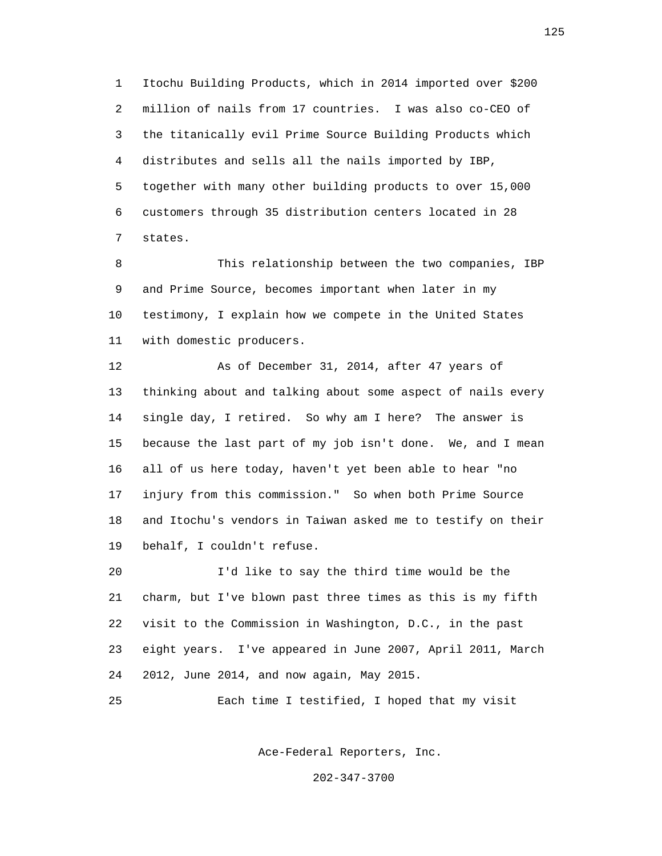1 Itochu Building Products, which in 2014 imported over \$200 2 million of nails from 17 countries. I was also co-CEO of 3 the titanically evil Prime Source Building Products which 4 distributes and sells all the nails imported by IBP, 5 together with many other building products to over 15,000 6 customers through 35 distribution centers located in 28 7 states.

 8 This relationship between the two companies, IBP 9 and Prime Source, becomes important when later in my 10 testimony, I explain how we compete in the United States 11 with domestic producers.

 12 As of December 31, 2014, after 47 years of 13 thinking about and talking about some aspect of nails every 14 single day, I retired. So why am I here? The answer is 15 because the last part of my job isn't done. We, and I mean 16 all of us here today, haven't yet been able to hear "no 17 injury from this commission." So when both Prime Source 18 and Itochu's vendors in Taiwan asked me to testify on their 19 behalf, I couldn't refuse.

 20 I'd like to say the third time would be the 21 charm, but I've blown past three times as this is my fifth 22 visit to the Commission in Washington, D.C., in the past 23 eight years. I've appeared in June 2007, April 2011, March 24 2012, June 2014, and now again, May 2015.

25 Each time I testified, I hoped that my visit

Ace-Federal Reporters, Inc.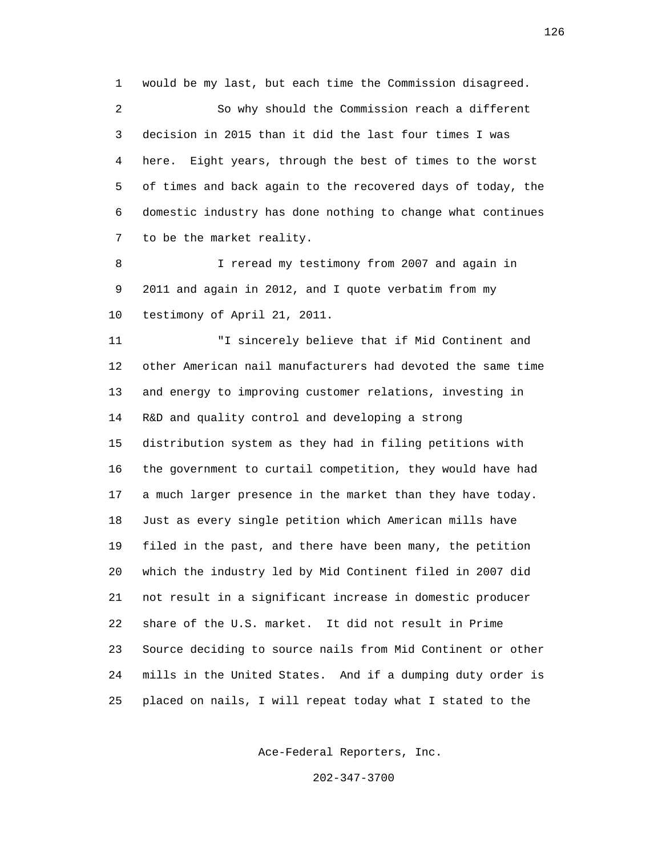1 would be my last, but each time the Commission disagreed.

 2 So why should the Commission reach a different 3 decision in 2015 than it did the last four times I was 4 here. Eight years, through the best of times to the worst 5 of times and back again to the recovered days of today, the 6 domestic industry has done nothing to change what continues 7 to be the market reality.

8 I reread my testimony from 2007 and again in 9 2011 and again in 2012, and I quote verbatim from my 10 testimony of April 21, 2011.

 11 "I sincerely believe that if Mid Continent and 12 other American nail manufacturers had devoted the same time 13 and energy to improving customer relations, investing in 14 R&D and quality control and developing a strong 15 distribution system as they had in filing petitions with 16 the government to curtail competition, they would have had 17 a much larger presence in the market than they have today. 18 Just as every single petition which American mills have 19 filed in the past, and there have been many, the petition 20 which the industry led by Mid Continent filed in 2007 did 21 not result in a significant increase in domestic producer 22 share of the U.S. market. It did not result in Prime 23 Source deciding to source nails from Mid Continent or other 24 mills in the United States. And if a dumping duty order is 25 placed on nails, I will repeat today what I stated to the

Ace-Federal Reporters, Inc.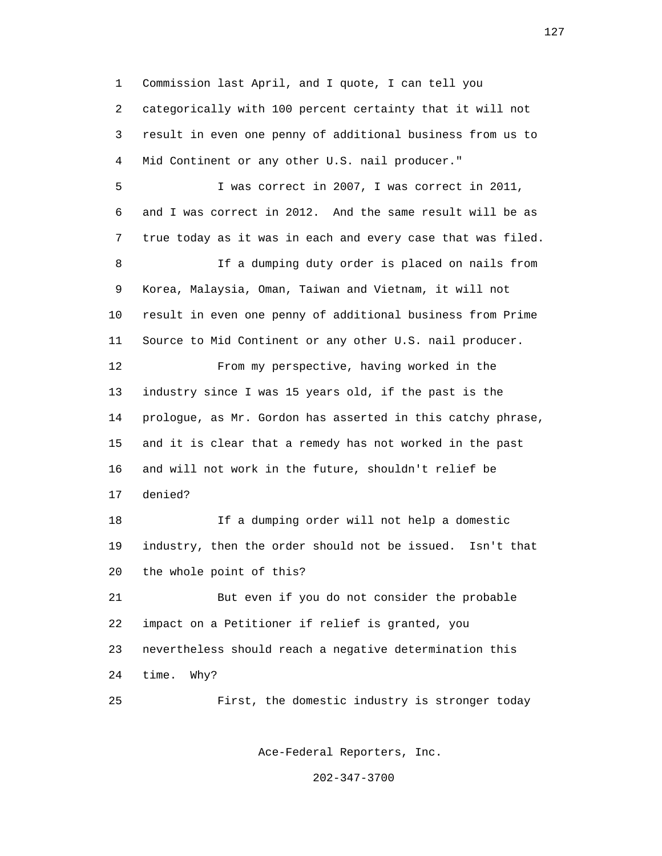1 Commission last April, and I quote, I can tell you 2 categorically with 100 percent certainty that it will not 3 result in even one penny of additional business from us to 4 Mid Continent or any other U.S. nail producer."

 5 I was correct in 2007, I was correct in 2011, 6 and I was correct in 2012. And the same result will be as 7 true today as it was in each and every case that was filed. 8 15 If a dumping duty order is placed on nails from 9 Korea, Malaysia, Oman, Taiwan and Vietnam, it will not 10 result in even one penny of additional business from Prime 11 Source to Mid Continent or any other U.S. nail producer. 12 From my perspective, having worked in the 13 industry since I was 15 years old, if the past is the 14 prologue, as Mr. Gordon has asserted in this catchy phrase, 15 and it is clear that a remedy has not worked in the past 16 and will not work in the future, shouldn't relief be 17 denied? 18 If a dumping order will not help a domestic 19 industry, then the order should not be issued. Isn't that

20 the whole point of this?

 21 But even if you do not consider the probable 22 impact on a Petitioner if relief is granted, you 23 nevertheless should reach a negative determination this 24 time. Why?

25 First, the domestic industry is stronger today

Ace-Federal Reporters, Inc.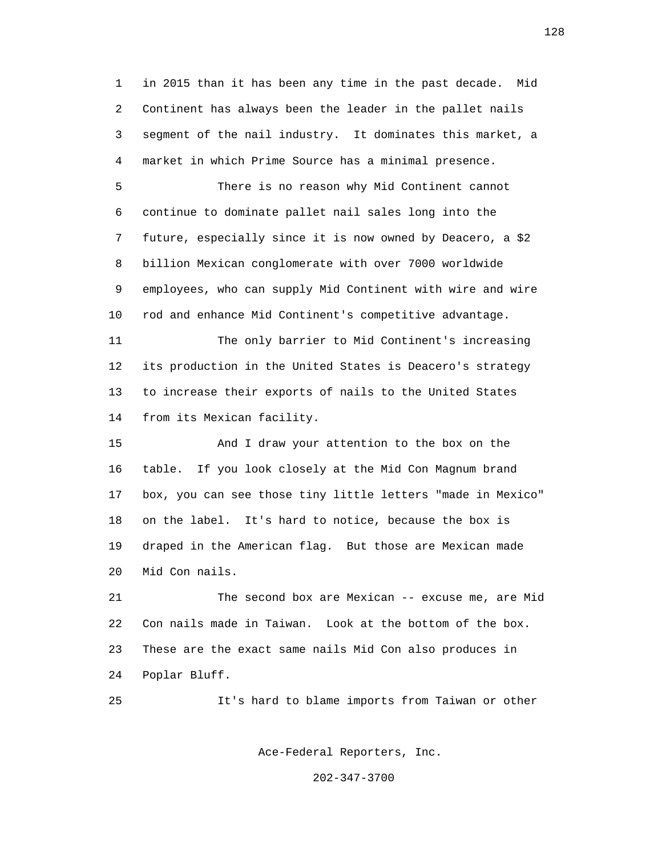1 in 2015 than it has been any time in the past decade. Mid 2 Continent has always been the leader in the pallet nails 3 segment of the nail industry. It dominates this market, a 4 market in which Prime Source has a minimal presence.

 5 There is no reason why Mid Continent cannot 6 continue to dominate pallet nail sales long into the 7 future, especially since it is now owned by Deacero, a \$2 8 billion Mexican conglomerate with over 7000 worldwide 9 employees, who can supply Mid Continent with wire and wire 10 rod and enhance Mid Continent's competitive advantage.

 11 The only barrier to Mid Continent's increasing 12 its production in the United States is Deacero's strategy 13 to increase their exports of nails to the United States 14 from its Mexican facility.

 15 And I draw your attention to the box on the 16 table. If you look closely at the Mid Con Magnum brand 17 box, you can see those tiny little letters "made in Mexico" 18 on the label. It's hard to notice, because the box is 19 draped in the American flag. But those are Mexican made 20 Mid Con nails.

 21 The second box are Mexican -- excuse me, are Mid 22 Con nails made in Taiwan. Look at the bottom of the box. 23 These are the exact same nails Mid Con also produces in 24 Poplar Bluff.

25 It's hard to blame imports from Taiwan or other

Ace-Federal Reporters, Inc.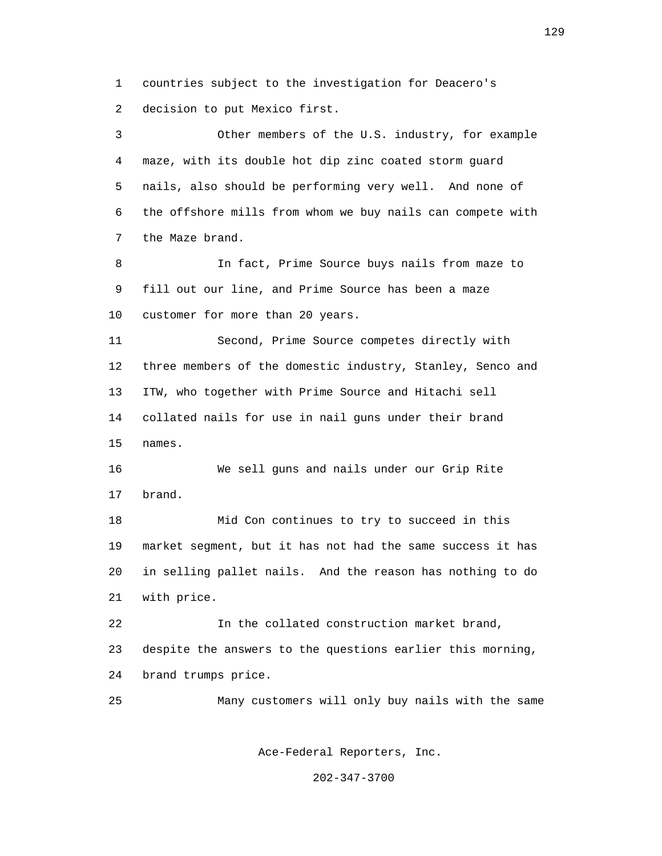1 countries subject to the investigation for Deacero's 2 decision to put Mexico first.

 3 Other members of the U.S. industry, for example 4 maze, with its double hot dip zinc coated storm guard 5 nails, also should be performing very well. And none of 6 the offshore mills from whom we buy nails can compete with 7 the Maze brand.

 8 In fact, Prime Source buys nails from maze to 9 fill out our line, and Prime Source has been a maze 10 customer for more than 20 years.

 11 Second, Prime Source competes directly with 12 three members of the domestic industry, Stanley, Senco and 13 ITW, who together with Prime Source and Hitachi sell 14 collated nails for use in nail guns under their brand 15 names.

 16 We sell guns and nails under our Grip Rite 17 brand.

 18 Mid Con continues to try to succeed in this 19 market segment, but it has not had the same success it has 20 in selling pallet nails. And the reason has nothing to do 21 with price.

 22 In the collated construction market brand, 23 despite the answers to the questions earlier this morning, 24 brand trumps price.

25 Many customers will only buy nails with the same

Ace-Federal Reporters, Inc.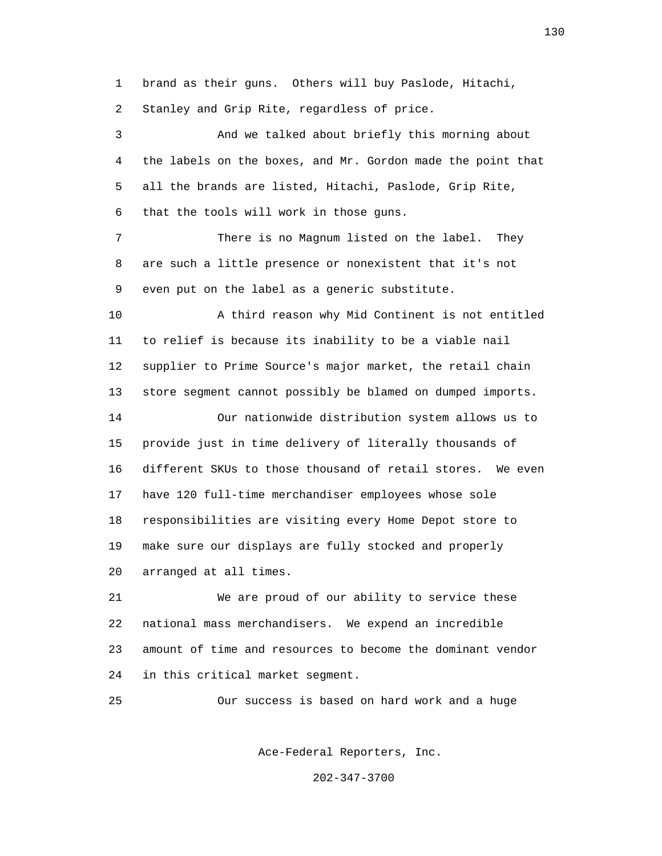1 brand as their guns. Others will buy Paslode, Hitachi, 2 Stanley and Grip Rite, regardless of price.

 3 And we talked about briefly this morning about 4 the labels on the boxes, and Mr. Gordon made the point that 5 all the brands are listed, Hitachi, Paslode, Grip Rite, 6 that the tools will work in those guns.

 7 There is no Magnum listed on the label. They 8 are such a little presence or nonexistent that it's not 9 even put on the label as a generic substitute.

 10 A third reason why Mid Continent is not entitled 11 to relief is because its inability to be a viable nail 12 supplier to Prime Source's major market, the retail chain 13 store segment cannot possibly be blamed on dumped imports. 14 Our nationwide distribution system allows us to 15 provide just in time delivery of literally thousands of 16 different SKUs to those thousand of retail stores. We even 17 have 120 full-time merchandiser employees whose sole 18 responsibilities are visiting every Home Depot store to 19 make sure our displays are fully stocked and properly 20 arranged at all times.

 21 We are proud of our ability to service these 22 national mass merchandisers. We expend an incredible 23 amount of time and resources to become the dominant vendor 24 in this critical market segment.

25 Our success is based on hard work and a huge

Ace-Federal Reporters, Inc.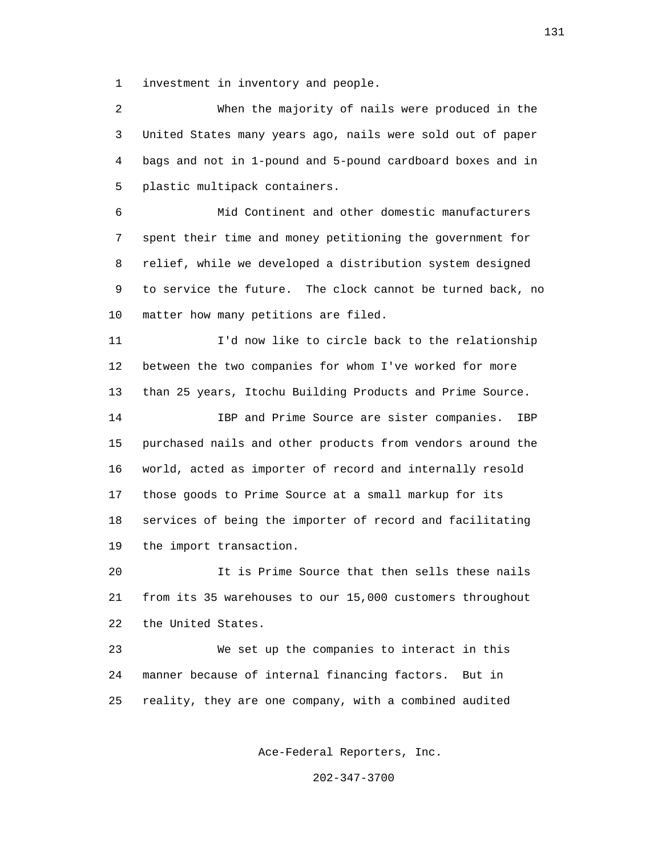1 investment in inventory and people.

 2 When the majority of nails were produced in the 3 United States many years ago, nails were sold out of paper 4 bags and not in 1-pound and 5-pound cardboard boxes and in 5 plastic multipack containers.

 6 Mid Continent and other domestic manufacturers 7 spent their time and money petitioning the government for 8 relief, while we developed a distribution system designed 9 to service the future. The clock cannot be turned back, no 10 matter how many petitions are filed.

 11 I'd now like to circle back to the relationship 12 between the two companies for whom I've worked for more 13 than 25 years, Itochu Building Products and Prime Source.

 14 IBP and Prime Source are sister companies. IBP 15 purchased nails and other products from vendors around the 16 world, acted as importer of record and internally resold 17 those goods to Prime Source at a small markup for its 18 services of being the importer of record and facilitating 19 the import transaction.

 20 It is Prime Source that then sells these nails 21 from its 35 warehouses to our 15,000 customers throughout 22 the United States.

 23 We set up the companies to interact in this 24 manner because of internal financing factors. But in 25 reality, they are one company, with a combined audited

Ace-Federal Reporters, Inc.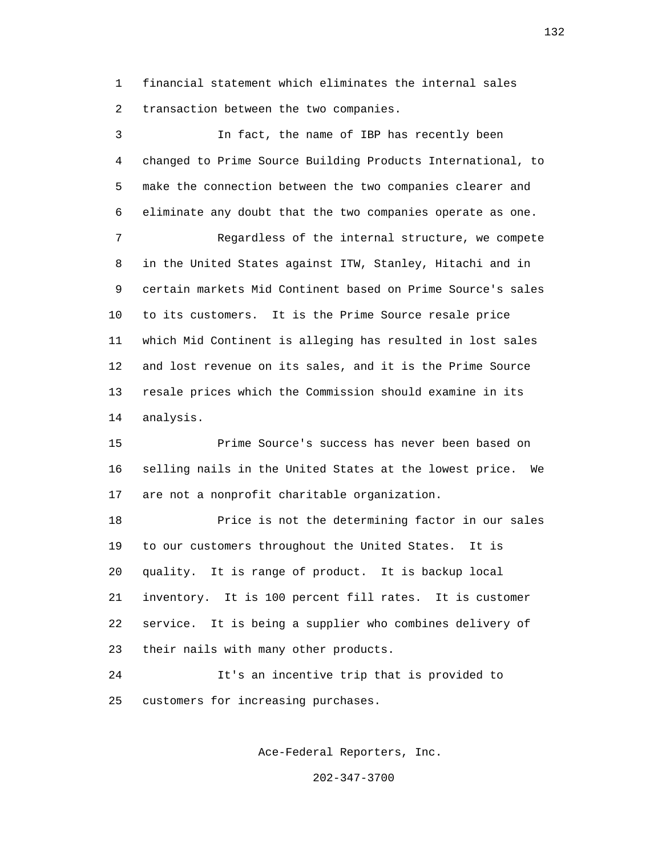1 financial statement which eliminates the internal sales 2 transaction between the two companies.

 3 In fact, the name of IBP has recently been 4 changed to Prime Source Building Products International, to 5 make the connection between the two companies clearer and 6 eliminate any doubt that the two companies operate as one. 7 Regardless of the internal structure, we compete 8 in the United States against ITW, Stanley, Hitachi and in 9 certain markets Mid Continent based on Prime Source's sales 10 to its customers. It is the Prime Source resale price 11 which Mid Continent is alleging has resulted in lost sales 12 and lost revenue on its sales, and it is the Prime Source 13 resale prices which the Commission should examine in its 14 analysis.

 15 Prime Source's success has never been based on 16 selling nails in the United States at the lowest price. We 17 are not a nonprofit charitable organization.

 18 Price is not the determining factor in our sales 19 to our customers throughout the United States. It is 20 quality. It is range of product. It is backup local 21 inventory. It is 100 percent fill rates. It is customer 22 service. It is being a supplier who combines delivery of 23 their nails with many other products.

 24 It's an incentive trip that is provided to 25 customers for increasing purchases.

Ace-Federal Reporters, Inc.

202-347-3700

132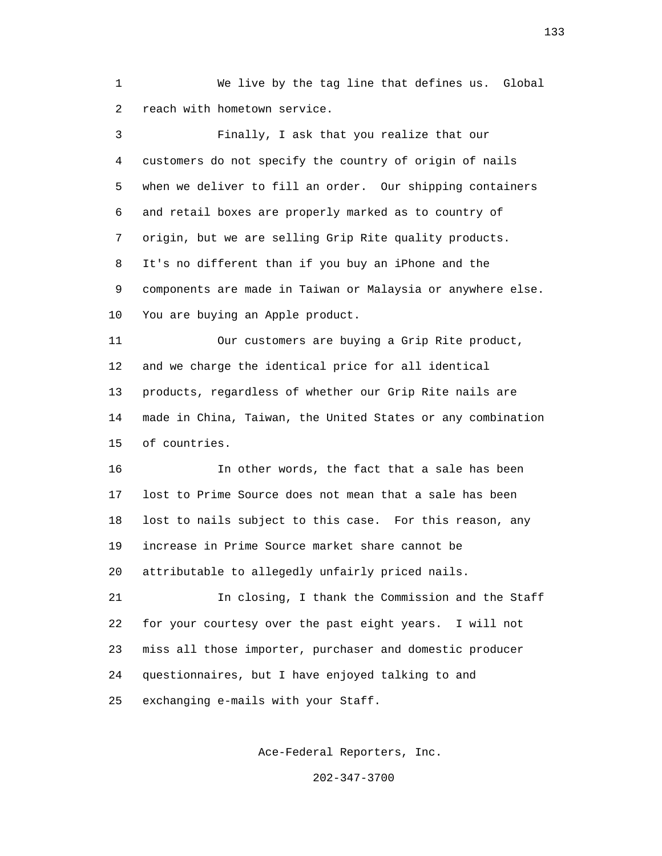1 We live by the tag line that defines us. Global 2 reach with hometown service.

| 3  | Finally, I ask that you realize that our                    |
|----|-------------------------------------------------------------|
| 4  | customers do not specify the country of origin of nails     |
| 5  | when we deliver to fill an order. Our shipping containers   |
| 6  | and retail boxes are properly marked as to country of       |
| 7  | origin, but we are selling Grip Rite quality products.      |
| 8  | It's no different than if you buy an iPhone and the         |
| 9  | components are made in Taiwan or Malaysia or anywhere else. |
| 10 | You are buying an Apple product.                            |
| 11 | Our customers are buying a Grip Rite product,               |
| 12 | and we charge the identical price for all identical         |
| 13 | products, regardless of whether our Grip Rite nails are     |
| 14 | made in China, Taiwan, the United States or any combination |
| 15 | of countries.                                               |
| 16 | In other words, the fact that a sale has been               |
| 17 | lost to Prime Source does not mean that a sale has been     |
| 18 | lost to nails subject to this case. For this reason, any    |
| 19 | increase in Prime Source market share cannot be             |
| 20 | attributable to allegedly unfairly priced nails.            |
| 21 | In closing, I thank the Commission and the Staff            |
| 22 | for your courtesy over the past eight years. I will not     |
| 23 | miss all those importer, purchaser and domestic producer    |
| 24 | questionnaires, but I have enjoyed talking to and           |
| 25 | exchanging e-mails with your Staff.                         |

Ace-Federal Reporters, Inc.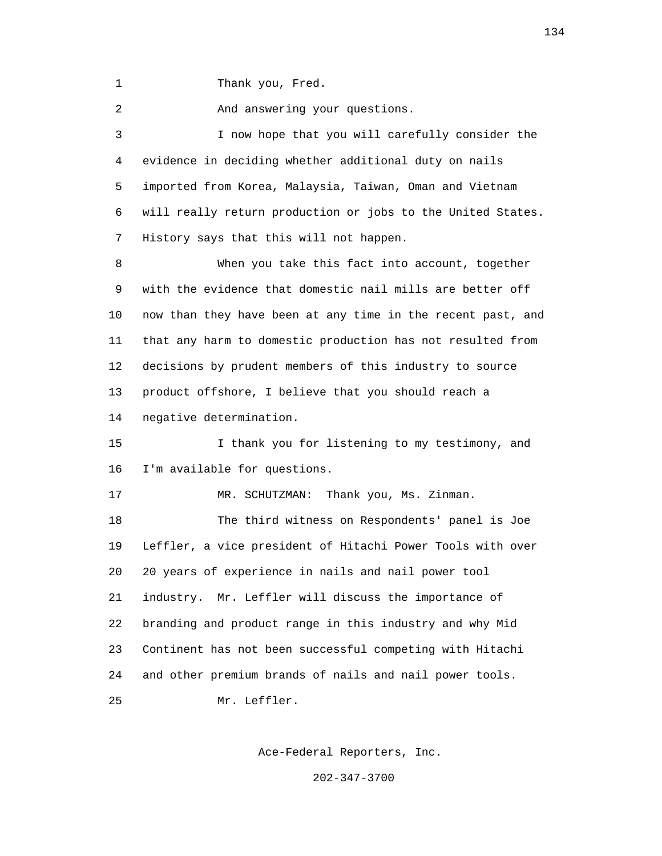1 Thank you, Fred.

2 And answering your questions.

 3 I now hope that you will carefully consider the 4 evidence in deciding whether additional duty on nails 5 imported from Korea, Malaysia, Taiwan, Oman and Vietnam 6 will really return production or jobs to the United States. 7 History says that this will not happen.

 8 When you take this fact into account, together 9 with the evidence that domestic nail mills are better off 10 now than they have been at any time in the recent past, and 11 that any harm to domestic production has not resulted from 12 decisions by prudent members of this industry to source 13 product offshore, I believe that you should reach a 14 negative determination.

 15 I thank you for listening to my testimony, and 16 I'm available for questions.

17 MR. SCHUTZMAN: Thank you, Ms. Zinman.

 18 The third witness on Respondents' panel is Joe 19 Leffler, a vice president of Hitachi Power Tools with over 20 20 years of experience in nails and nail power tool 21 industry. Mr. Leffler will discuss the importance of 22 branding and product range in this industry and why Mid 23 Continent has not been successful competing with Hitachi 24 and other premium brands of nails and nail power tools. 25 Mr. Leffler.

Ace-Federal Reporters, Inc.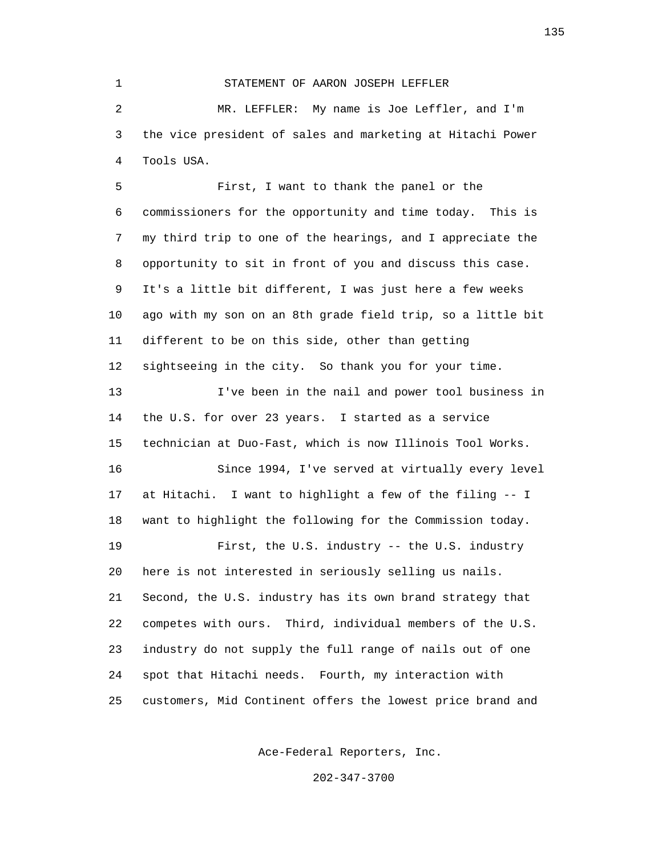1 STATEMENT OF AARON JOSEPH LEFFLER 2 MR. LEFFLER: My name is Joe Leffler, and I'm 3 the vice president of sales and marketing at Hitachi Power 4 Tools USA.

 5 First, I want to thank the panel or the 6 commissioners for the opportunity and time today. This is 7 my third trip to one of the hearings, and I appreciate the 8 opportunity to sit in front of you and discuss this case. 9 It's a little bit different, I was just here a few weeks 10 ago with my son on an 8th grade field trip, so a little bit 11 different to be on this side, other than getting 12 sightseeing in the city. So thank you for your time. 13 I've been in the nail and power tool business in 14 the U.S. for over 23 years. I started as a service 15 technician at Duo-Fast, which is now Illinois Tool Works. 16 Since 1994, I've served at virtually every level 17 at Hitachi. I want to highlight a few of the filing -- I 18 want to highlight the following for the Commission today. 19 First, the U.S. industry -- the U.S. industry 20 here is not interested in seriously selling us nails. 21 Second, the U.S. industry has its own brand strategy that 22 competes with ours. Third, individual members of the U.S. 23 industry do not supply the full range of nails out of one 24 spot that Hitachi needs. Fourth, my interaction with 25 customers, Mid Continent offers the lowest price brand and

Ace-Federal Reporters, Inc.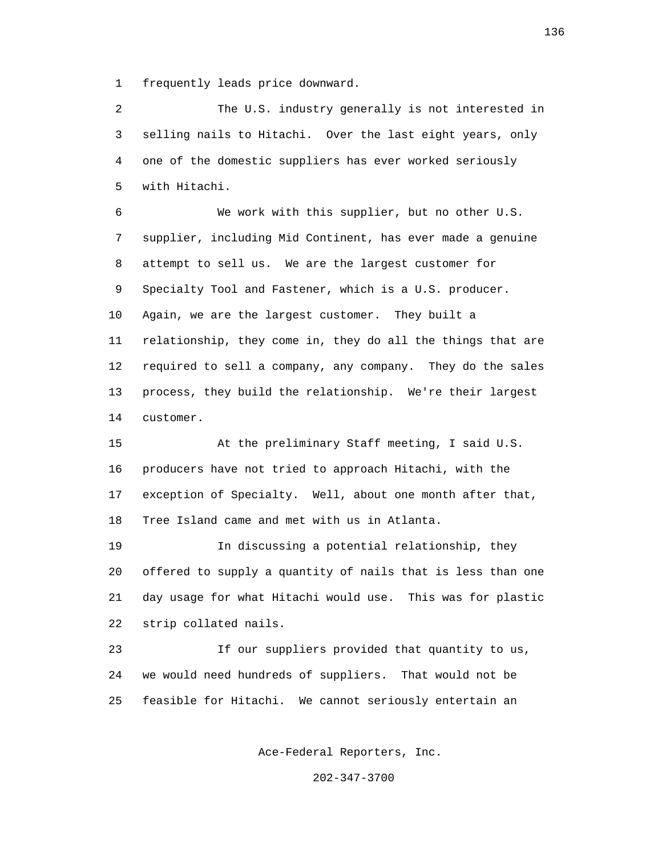1 frequently leads price downward.

 2 The U.S. industry generally is not interested in 3 selling nails to Hitachi. Over the last eight years, only 4 one of the domestic suppliers has ever worked seriously 5 with Hitachi.

 6 We work with this supplier, but no other U.S. 7 supplier, including Mid Continent, has ever made a genuine 8 attempt to sell us. We are the largest customer for 9 Specialty Tool and Fastener, which is a U.S. producer. 10 Again, we are the largest customer. They built a 11 relationship, they come in, they do all the things that are 12 required to sell a company, any company. They do the sales 13 process, they build the relationship. We're their largest 14 customer.

 15 At the preliminary Staff meeting, I said U.S. 16 producers have not tried to approach Hitachi, with the 17 exception of Specialty. Well, about one month after that, 18 Tree Island came and met with us in Atlanta.

 19 In discussing a potential relationship, they 20 offered to supply a quantity of nails that is less than one 21 day usage for what Hitachi would use. This was for plastic 22 strip collated nails.

 23 If our suppliers provided that quantity to us, 24 we would need hundreds of suppliers. That would not be 25 feasible for Hitachi. We cannot seriously entertain an

Ace-Federal Reporters, Inc.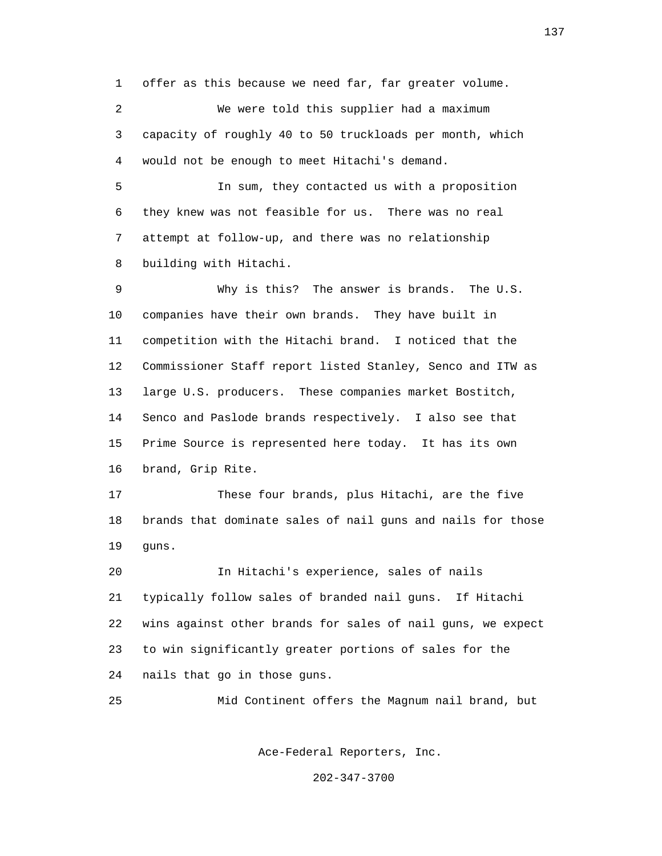1 offer as this because we need far, far greater volume.

 2 We were told this supplier had a maximum 3 capacity of roughly 40 to 50 truckloads per month, which 4 would not be enough to meet Hitachi's demand.

 5 In sum, they contacted us with a proposition 6 they knew was not feasible for us. There was no real 7 attempt at follow-up, and there was no relationship 8 building with Hitachi.

 9 Why is this? The answer is brands. The U.S. 10 companies have their own brands. They have built in 11 competition with the Hitachi brand. I noticed that the 12 Commissioner Staff report listed Stanley, Senco and ITW as 13 large U.S. producers. These companies market Bostitch, 14 Senco and Paslode brands respectively. I also see that 15 Prime Source is represented here today. It has its own 16 brand, Grip Rite.

 17 These four brands, plus Hitachi, are the five 18 brands that dominate sales of nail guns and nails for those 19 guns.

 20 In Hitachi's experience, sales of nails 21 typically follow sales of branded nail guns. If Hitachi 22 wins against other brands for sales of nail guns, we expect 23 to win significantly greater portions of sales for the 24 nails that go in those guns.

25 Mid Continent offers the Magnum nail brand, but

Ace-Federal Reporters, Inc.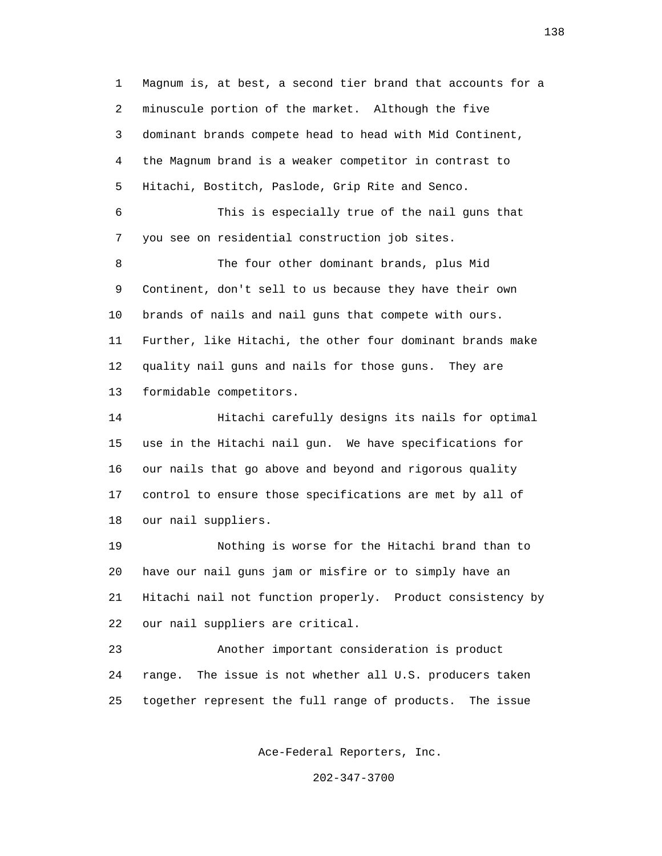1 Magnum is, at best, a second tier brand that accounts for a 2 minuscule portion of the market. Although the five 3 dominant brands compete head to head with Mid Continent, 4 the Magnum brand is a weaker competitor in contrast to 5 Hitachi, Bostitch, Paslode, Grip Rite and Senco. 6 This is especially true of the nail guns that 7 you see on residential construction job sites. 8 The four other dominant brands, plus Mid 9 Continent, don't sell to us because they have their own 10 brands of nails and nail guns that compete with ours. 11 Further, like Hitachi, the other four dominant brands make 12 quality nail guns and nails for those guns. They are 13 formidable competitors. 14 Hitachi carefully designs its nails for optimal

 15 use in the Hitachi nail gun. We have specifications for 16 our nails that go above and beyond and rigorous quality 17 control to ensure those specifications are met by all of 18 our nail suppliers.

 19 Nothing is worse for the Hitachi brand than to 20 have our nail guns jam or misfire or to simply have an 21 Hitachi nail not function properly. Product consistency by 22 our nail suppliers are critical.

 23 Another important consideration is product 24 range. The issue is not whether all U.S. producers taken 25 together represent the full range of products. The issue

Ace-Federal Reporters, Inc.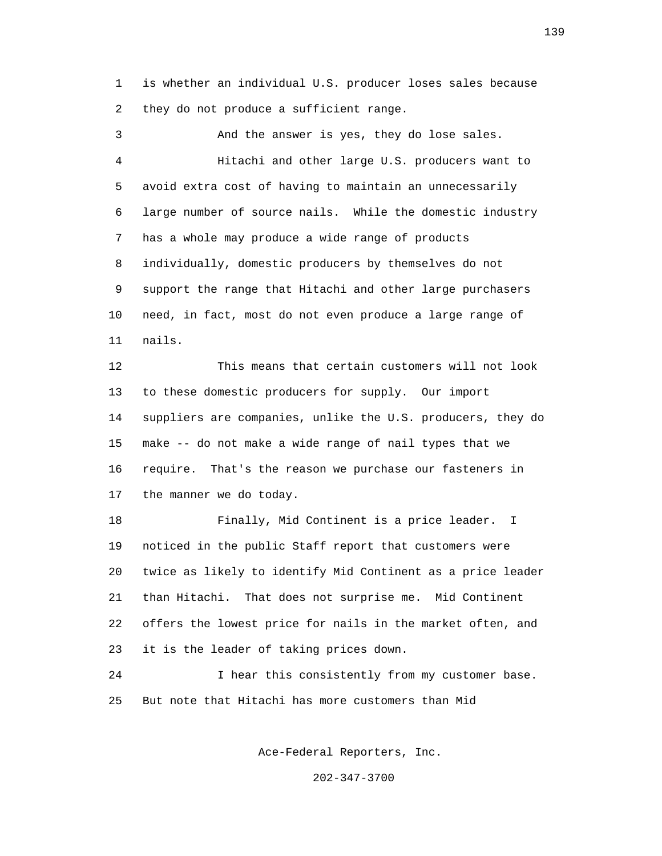1 is whether an individual U.S. producer loses sales because 2 they do not produce a sufficient range.

 3 And the answer is yes, they do lose sales. 4 Hitachi and other large U.S. producers want to 5 avoid extra cost of having to maintain an unnecessarily 6 large number of source nails. While the domestic industry 7 has a whole may produce a wide range of products 8 individually, domestic producers by themselves do not 9 support the range that Hitachi and other large purchasers 10 need, in fact, most do not even produce a large range of 11 nails.

 12 This means that certain customers will not look 13 to these domestic producers for supply. Our import 14 suppliers are companies, unlike the U.S. producers, they do 15 make -- do not make a wide range of nail types that we 16 require. That's the reason we purchase our fasteners in 17 the manner we do today.

 18 Finally, Mid Continent is a price leader. I 19 noticed in the public Staff report that customers were 20 twice as likely to identify Mid Continent as a price leader 21 than Hitachi. That does not surprise me. Mid Continent 22 offers the lowest price for nails in the market often, and 23 it is the leader of taking prices down.

 24 I hear this consistently from my customer base. 25 But note that Hitachi has more customers than Mid

Ace-Federal Reporters, Inc.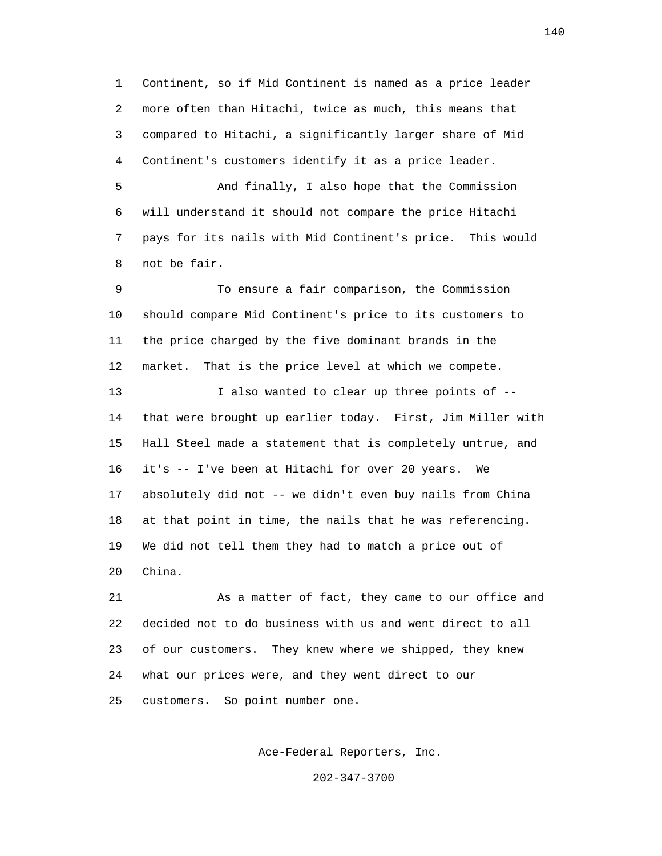1 Continent, so if Mid Continent is named as a price leader 2 more often than Hitachi, twice as much, this means that 3 compared to Hitachi, a significantly larger share of Mid 4 Continent's customers identify it as a price leader.

 5 And finally, I also hope that the Commission 6 will understand it should not compare the price Hitachi 7 pays for its nails with Mid Continent's price. This would 8 not be fair.

 9 To ensure a fair comparison, the Commission 10 should compare Mid Continent's price to its customers to 11 the price charged by the five dominant brands in the 12 market. That is the price level at which we compete.

 13 I also wanted to clear up three points of -- 14 that were brought up earlier today. First, Jim Miller with 15 Hall Steel made a statement that is completely untrue, and 16 it's -- I've been at Hitachi for over 20 years. We 17 absolutely did not -- we didn't even buy nails from China 18 at that point in time, the nails that he was referencing. 19 We did not tell them they had to match a price out of 20 China.

 21 As a matter of fact, they came to our office and 22 decided not to do business with us and went direct to all 23 of our customers. They knew where we shipped, they knew 24 what our prices were, and they went direct to our 25 customers. So point number one.

Ace-Federal Reporters, Inc.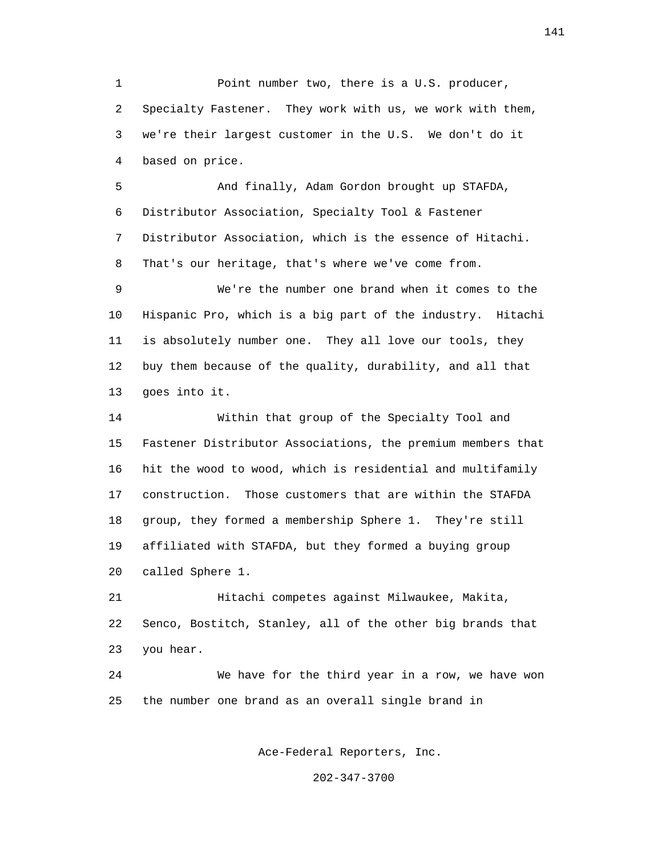1 Point number two, there is a U.S. producer, 2 Specialty Fastener. They work with us, we work with them, 3 we're their largest customer in the U.S. We don't do it 4 based on price.

 5 And finally, Adam Gordon brought up STAFDA, 6 Distributor Association, Specialty Tool & Fastener 7 Distributor Association, which is the essence of Hitachi. 8 That's our heritage, that's where we've come from.

 9 We're the number one brand when it comes to the 10 Hispanic Pro, which is a big part of the industry. Hitachi 11 is absolutely number one. They all love our tools, they 12 buy them because of the quality, durability, and all that 13 goes into it.

 14 Within that group of the Specialty Tool and 15 Fastener Distributor Associations, the premium members that 16 hit the wood to wood, which is residential and multifamily 17 construction. Those customers that are within the STAFDA 18 group, they formed a membership Sphere 1. They're still 19 affiliated with STAFDA, but they formed a buying group 20 called Sphere 1.

 21 Hitachi competes against Milwaukee, Makita, 22 Senco, Bostitch, Stanley, all of the other big brands that 23 you hear.

 24 We have for the third year in a row, we have won 25 the number one brand as an overall single brand in

Ace-Federal Reporters, Inc.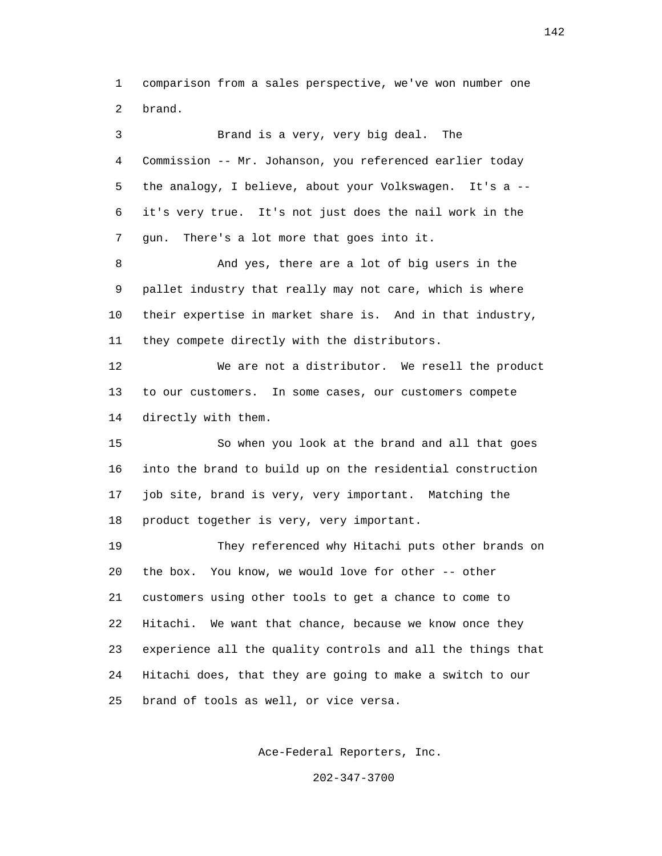1 comparison from a sales perspective, we've won number one 2 brand.

 3 Brand is a very, very big deal. The 4 Commission -- Mr. Johanson, you referenced earlier today 5 the analogy, I believe, about your Volkswagen. It's a -- 6 it's very true. It's not just does the nail work in the 7 gun. There's a lot more that goes into it. 8 And yes, there are a lot of big users in the 9 pallet industry that really may not care, which is where 10 their expertise in market share is. And in that industry, 11 they compete directly with the distributors. 12 We are not a distributor. We resell the product 13 to our customers. In some cases, our customers compete 14 directly with them. 15 So when you look at the brand and all that goes 16 into the brand to build up on the residential construction 17 job site, brand is very, very important. Matching the 18 product together is very, very important. 19 They referenced why Hitachi puts other brands on 20 the box. You know, we would love for other -- other 21 customers using other tools to get a chance to come to 22 Hitachi. We want that chance, because we know once they 23 experience all the quality controls and all the things that 24 Hitachi does, that they are going to make a switch to our 25 brand of tools as well, or vice versa.

Ace-Federal Reporters, Inc.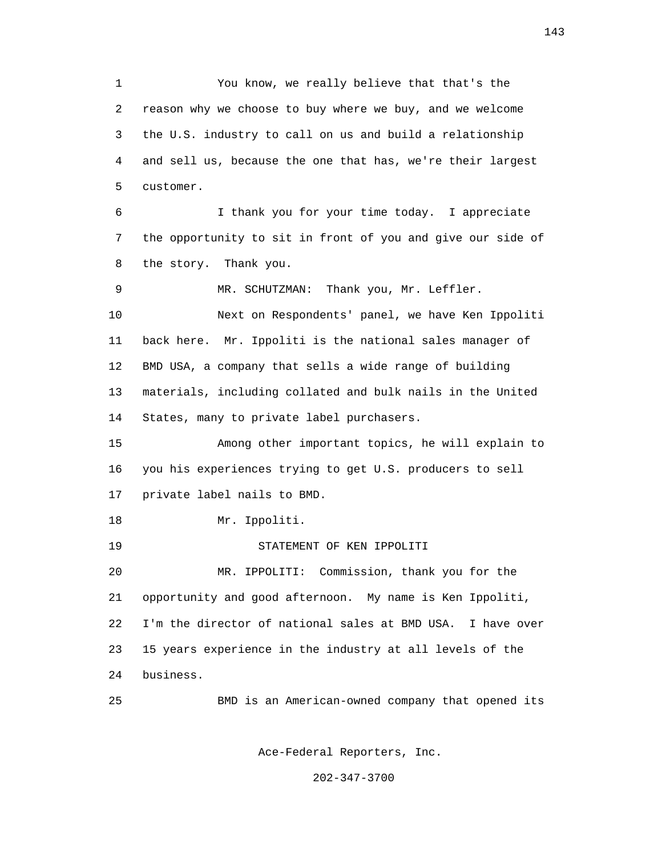1 You know, we really believe that that's the 2 reason why we choose to buy where we buy, and we welcome 3 the U.S. industry to call on us and build a relationship 4 and sell us, because the one that has, we're their largest 5 customer. 6 I thank you for your time today. I appreciate 7 the opportunity to sit in front of you and give our side of 8 the story. Thank you. 9 MR. SCHUTZMAN: Thank you, Mr. Leffler. 10 Next on Respondents' panel, we have Ken Ippoliti 11 back here. Mr. Ippoliti is the national sales manager of 12 BMD USA, a company that sells a wide range of building 13 materials, including collated and bulk nails in the United 14 States, many to private label purchasers. 15 Among other important topics, he will explain to 16 you his experiences trying to get U.S. producers to sell 17 private label nails to BMD. 18 Mr. Ippoliti. 19 STATEMENT OF KEN IPPOLITI 20 MR. IPPOLITI: Commission, thank you for the 21 opportunity and good afternoon. My name is Ken Ippoliti, 22 I'm the director of national sales at BMD USA. I have over 23 15 years experience in the industry at all levels of the 24 business. 25 BMD is an American-owned company that opened its

Ace-Federal Reporters, Inc.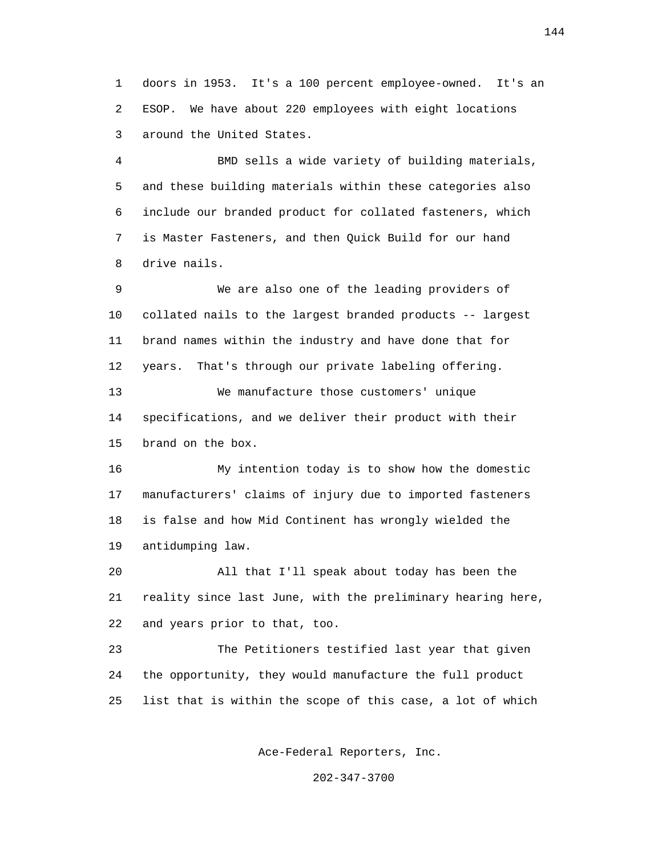1 doors in 1953. It's a 100 percent employee-owned. It's an 2 ESOP. We have about 220 employees with eight locations 3 around the United States.

 4 BMD sells a wide variety of building materials, 5 and these building materials within these categories also 6 include our branded product for collated fasteners, which 7 is Master Fasteners, and then Quick Build for our hand 8 drive nails.

 9 We are also one of the leading providers of 10 collated nails to the largest branded products -- largest 11 brand names within the industry and have done that for 12 years. That's through our private labeling offering. 13 We manufacture those customers' unique 14 specifications, and we deliver their product with their 15 brand on the box.

 16 My intention today is to show how the domestic 17 manufacturers' claims of injury due to imported fasteners 18 is false and how Mid Continent has wrongly wielded the 19 antidumping law.

 20 All that I'll speak about today has been the 21 reality since last June, with the preliminary hearing here, 22 and years prior to that, too.

 23 The Petitioners testified last year that given 24 the opportunity, they would manufacture the full product 25 list that is within the scope of this case, a lot of which

Ace-Federal Reporters, Inc.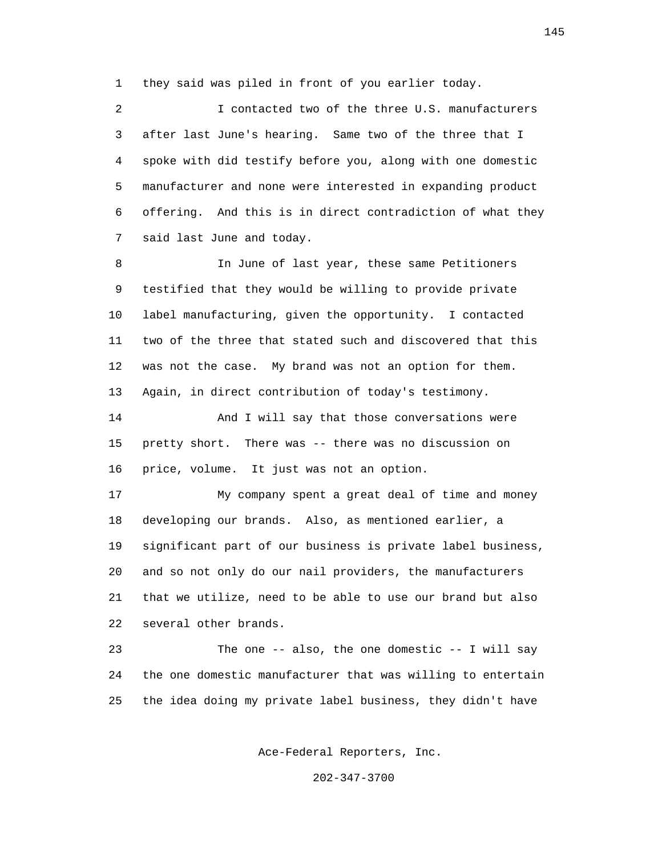1 they said was piled in front of you earlier today.

 2 I contacted two of the three U.S. manufacturers 3 after last June's hearing. Same two of the three that I 4 spoke with did testify before you, along with one domestic 5 manufacturer and none were interested in expanding product 6 offering. And this is in direct contradiction of what they 7 said last June and today.

 8 In June of last year, these same Petitioners 9 testified that they would be willing to provide private 10 label manufacturing, given the opportunity. I contacted 11 two of the three that stated such and discovered that this 12 was not the case. My brand was not an option for them. 13 Again, in direct contribution of today's testimony.

 14 And I will say that those conversations were 15 pretty short. There was -- there was no discussion on 16 price, volume. It just was not an option.

 17 My company spent a great deal of time and money 18 developing our brands. Also, as mentioned earlier, a 19 significant part of our business is private label business, 20 and so not only do our nail providers, the manufacturers 21 that we utilize, need to be able to use our brand but also 22 several other brands.

 23 The one -- also, the one domestic -- I will say 24 the one domestic manufacturer that was willing to entertain 25 the idea doing my private label business, they didn't have

Ace-Federal Reporters, Inc.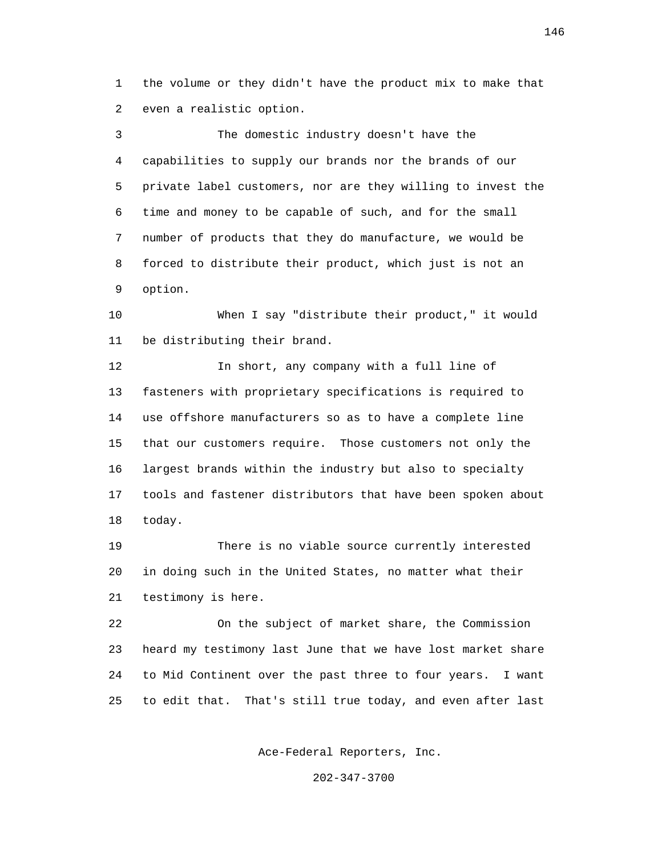1 the volume or they didn't have the product mix to make that 2 even a realistic option.

 3 The domestic industry doesn't have the 4 capabilities to supply our brands nor the brands of our 5 private label customers, nor are they willing to invest the 6 time and money to be capable of such, and for the small 7 number of products that they do manufacture, we would be 8 forced to distribute their product, which just is not an 9 option.

 10 When I say "distribute their product," it would 11 be distributing their brand.

 12 In short, any company with a full line of 13 fasteners with proprietary specifications is required to 14 use offshore manufacturers so as to have a complete line 15 that our customers require. Those customers not only the 16 largest brands within the industry but also to specialty 17 tools and fastener distributors that have been spoken about 18 today.

 19 There is no viable source currently interested 20 in doing such in the United States, no matter what their 21 testimony is here.

 22 On the subject of market share, the Commission 23 heard my testimony last June that we have lost market share 24 to Mid Continent over the past three to four years. I want 25 to edit that. That's still true today, and even after last

Ace-Federal Reporters, Inc.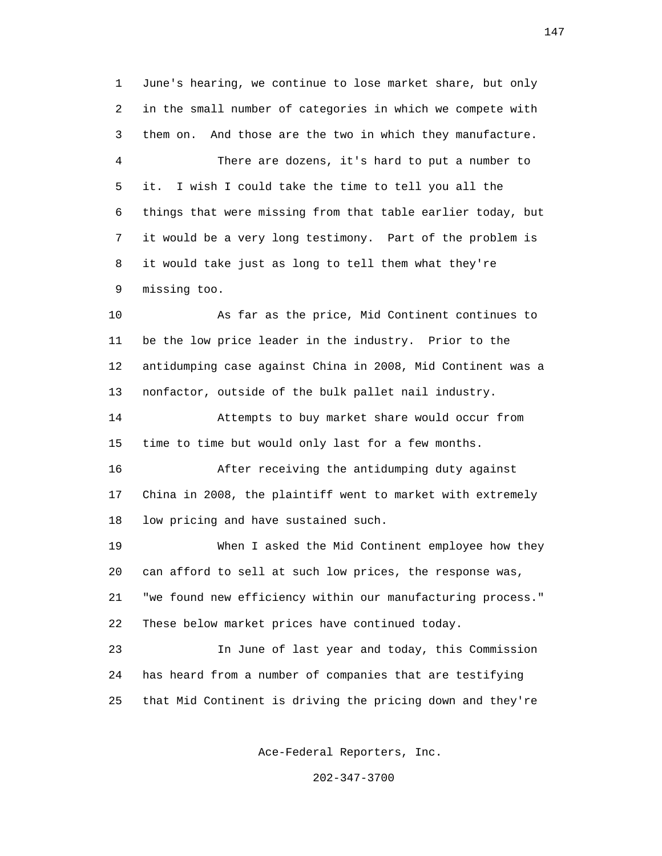1 June's hearing, we continue to lose market share, but only 2 in the small number of categories in which we compete with 3 them on. And those are the two in which they manufacture. 4 There are dozens, it's hard to put a number to 5 it. I wish I could take the time to tell you all the 6 things that were missing from that table earlier today, but 7 it would be a very long testimony. Part of the problem is 8 it would take just as long to tell them what they're 9 missing too.

 10 As far as the price, Mid Continent continues to 11 be the low price leader in the industry. Prior to the 12 antidumping case against China in 2008, Mid Continent was a 13 nonfactor, outside of the bulk pallet nail industry.

 14 Attempts to buy market share would occur from 15 time to time but would only last for a few months.

 16 After receiving the antidumping duty against 17 China in 2008, the plaintiff went to market with extremely 18 low pricing and have sustained such.

 19 When I asked the Mid Continent employee how they 20 can afford to sell at such low prices, the response was, 21 "we found new efficiency within our manufacturing process." 22 These below market prices have continued today.

 23 In June of last year and today, this Commission 24 has heard from a number of companies that are testifying 25 that Mid Continent is driving the pricing down and they're

Ace-Federal Reporters, Inc.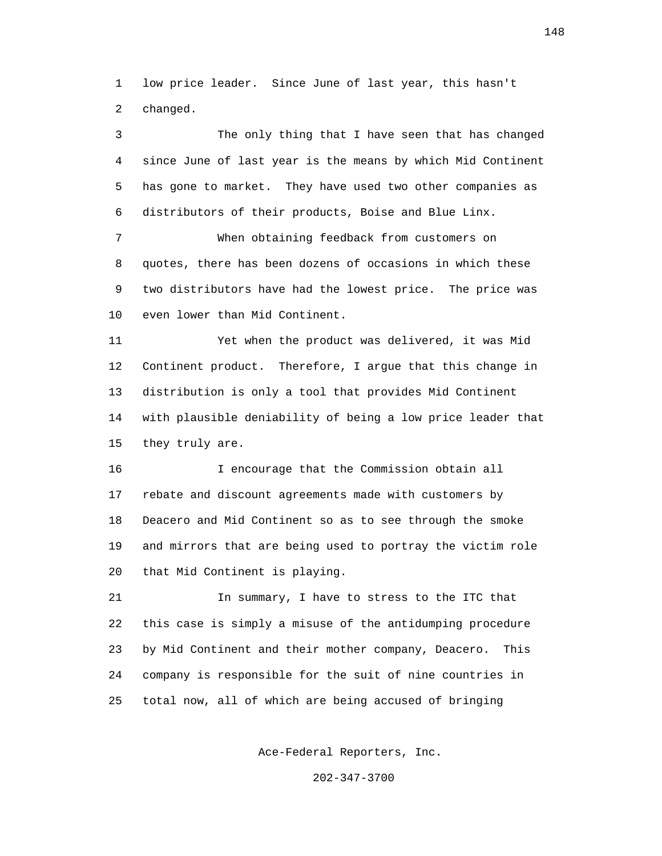1 low price leader. Since June of last year, this hasn't 2 changed.

 3 The only thing that I have seen that has changed 4 since June of last year is the means by which Mid Continent 5 has gone to market. They have used two other companies as 6 distributors of their products, Boise and Blue Linx.

 7 When obtaining feedback from customers on 8 quotes, there has been dozens of occasions in which these 9 two distributors have had the lowest price. The price was 10 even lower than Mid Continent.

 11 Yet when the product was delivered, it was Mid 12 Continent product. Therefore, I argue that this change in 13 distribution is only a tool that provides Mid Continent 14 with plausible deniability of being a low price leader that 15 they truly are.

 16 I encourage that the Commission obtain all 17 rebate and discount agreements made with customers by 18 Deacero and Mid Continent so as to see through the smoke 19 and mirrors that are being used to portray the victim role 20 that Mid Continent is playing.

 21 In summary, I have to stress to the ITC that 22 this case is simply a misuse of the antidumping procedure 23 by Mid Continent and their mother company, Deacero. This 24 company is responsible for the suit of nine countries in 25 total now, all of which are being accused of bringing

Ace-Federal Reporters, Inc.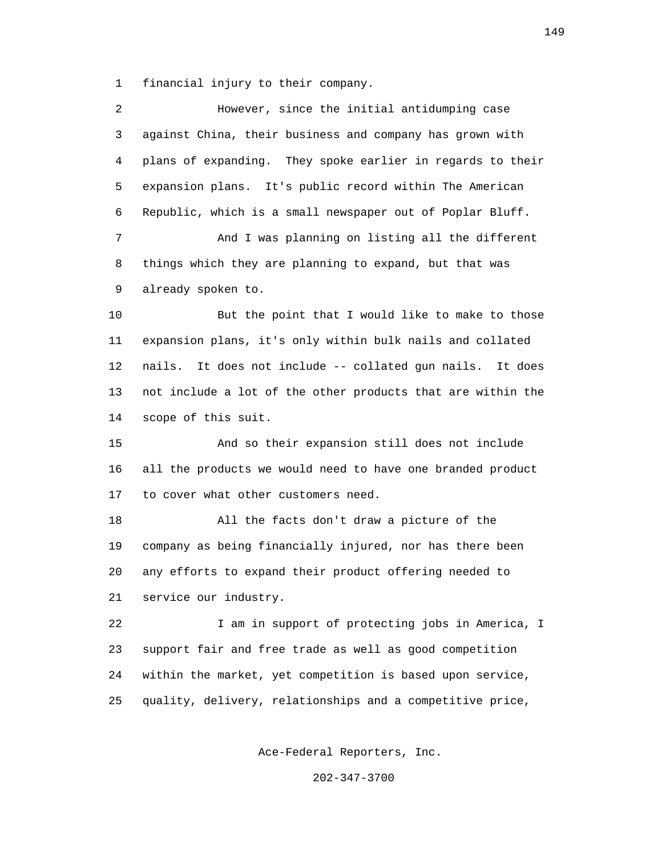1 financial injury to their company.

| 2  | However, since the initial antidumping case                  |
|----|--------------------------------------------------------------|
| 3  | against China, their business and company has grown with     |
| 4  | plans of expanding. They spoke earlier in regards to their   |
| 5  | expansion plans. It's public record within The American      |
| 6  | Republic, which is a small newspaper out of Poplar Bluff.    |
| 7  | And I was planning on listing all the different              |
| 8  | things which they are planning to expand, but that was       |
| 9  | already spoken to.                                           |
| 10 | But the point that I would like to make to those             |
| 11 | expansion plans, it's only within bulk nails and collated    |
| 12 | It does not include -- collated gun nails. It does<br>nails. |
| 13 | not include a lot of the other products that are within the  |
| 14 | scope of this suit.                                          |
| 15 | And so their expansion still does not include                |
| 16 | all the products we would need to have one branded product   |
| 17 | to cover what other customers need.                          |
| 18 | All the facts don't draw a picture of the                    |
| 19 | company as being financially injured, nor has there been     |
| 20 | any efforts to expand their product offering needed to       |
| 21 | service our industry.                                        |
| 22 | I am in support of protecting jobs in America, I             |
| 23 | support fair and free trade as well as good competition      |
| 24 | within the market, yet competition is based upon service,    |
| 25 | quality, delivery, relationships and a competitive price,    |
|    |                                                              |

Ace-Federal Reporters, Inc.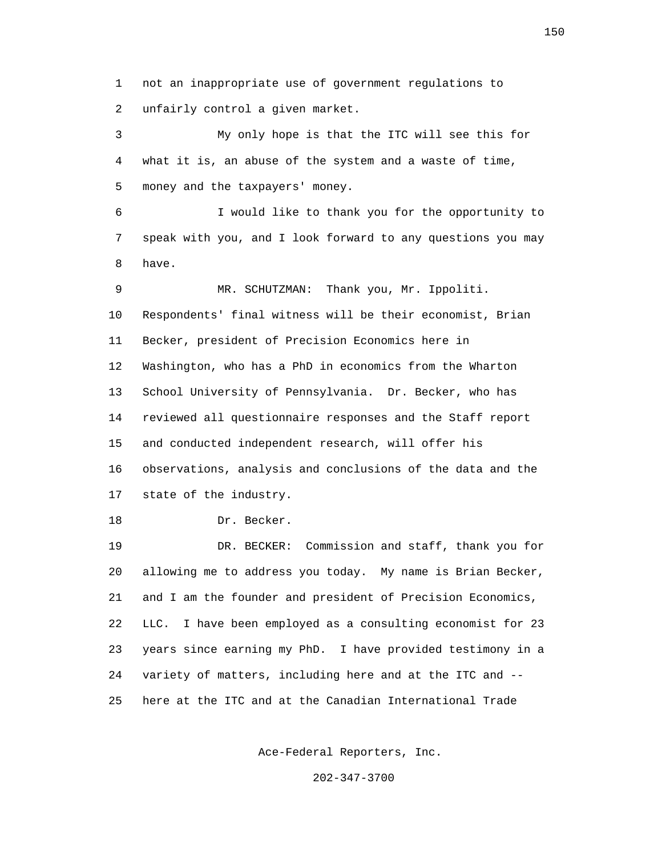1 not an inappropriate use of government regulations to 2 unfairly control a given market.

 3 My only hope is that the ITC will see this for 4 what it is, an abuse of the system and a waste of time, 5 money and the taxpayers' money.

 6 I would like to thank you for the opportunity to 7 speak with you, and I look forward to any questions you may 8 have.

 9 MR. SCHUTZMAN: Thank you, Mr. Ippoliti. 10 Respondents' final witness will be their economist, Brian 11 Becker, president of Precision Economics here in 12 Washington, who has a PhD in economics from the Wharton 13 School University of Pennsylvania. Dr. Becker, who has 14 reviewed all questionnaire responses and the Staff report 15 and conducted independent research, will offer his 16 observations, analysis and conclusions of the data and the 17 state of the industry.

18 Dr. Becker.

 19 DR. BECKER: Commission and staff, thank you for 20 allowing me to address you today. My name is Brian Becker, 21 and I am the founder and president of Precision Economics, 22 LLC. I have been employed as a consulting economist for 23 23 years since earning my PhD. I have provided testimony in a 24 variety of matters, including here and at the ITC and -- 25 here at the ITC and at the Canadian International Trade

Ace-Federal Reporters, Inc.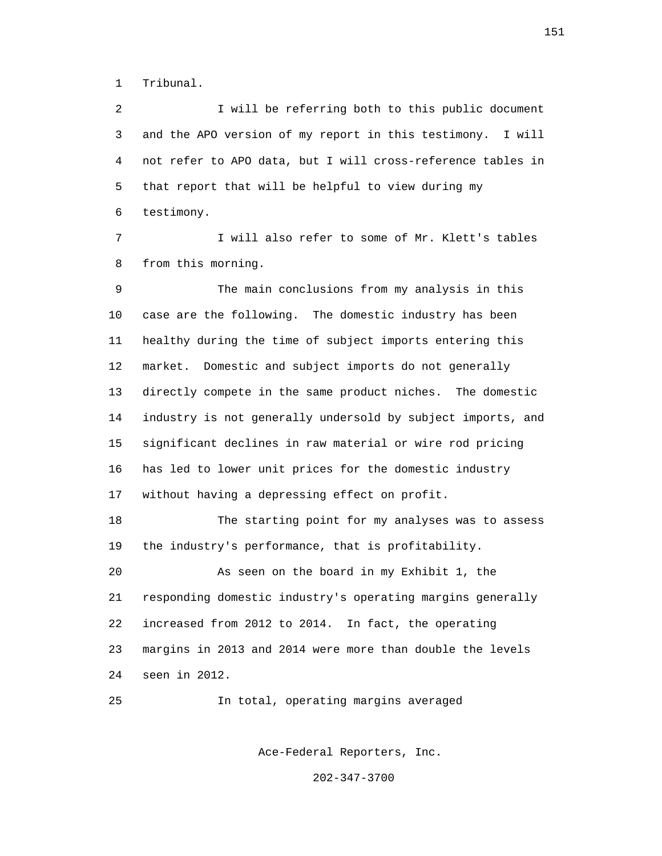1 Tribunal.

 2 I will be referring both to this public document 3 and the APO version of my report in this testimony. I will 4 not refer to APO data, but I will cross-reference tables in 5 that report that will be helpful to view during my 6 testimony.

 7 I will also refer to some of Mr. Klett's tables 8 from this morning.

 9 The main conclusions from my analysis in this 10 case are the following. The domestic industry has been 11 healthy during the time of subject imports entering this 12 market. Domestic and subject imports do not generally 13 directly compete in the same product niches. The domestic 14 industry is not generally undersold by subject imports, and 15 significant declines in raw material or wire rod pricing 16 has led to lower unit prices for the domestic industry 17 without having a depressing effect on profit.

 18 The starting point for my analyses was to assess 19 the industry's performance, that is profitability.

 20 As seen on the board in my Exhibit 1, the 21 responding domestic industry's operating margins generally 22 increased from 2012 to 2014. In fact, the operating 23 margins in 2013 and 2014 were more than double the levels 24 seen in 2012.

25 In total, operating margins averaged

Ace-Federal Reporters, Inc.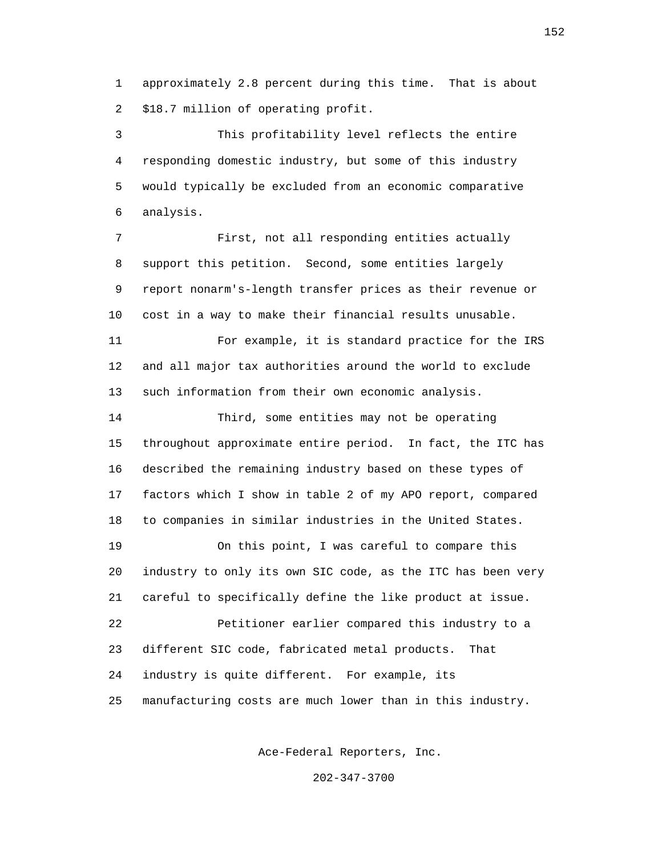1 approximately 2.8 percent during this time. That is about 2 \$18.7 million of operating profit.

 3 This profitability level reflects the entire 4 responding domestic industry, but some of this industry 5 would typically be excluded from an economic comparative 6 analysis.

 7 First, not all responding entities actually 8 support this petition. Second, some entities largely 9 report nonarm's-length transfer prices as their revenue or 10 cost in a way to make their financial results unusable.

 11 For example, it is standard practice for the IRS 12 and all major tax authorities around the world to exclude 13 such information from their own economic analysis.

 14 Third, some entities may not be operating 15 throughout approximate entire period. In fact, the ITC has 16 described the remaining industry based on these types of 17 factors which I show in table 2 of my APO report, compared 18 to companies in similar industries in the United States.

 19 On this point, I was careful to compare this 20 industry to only its own SIC code, as the ITC has been very 21 careful to specifically define the like product at issue. 22 Petitioner earlier compared this industry to a 23 different SIC code, fabricated metal products. That 24 industry is quite different. For example, its 25 manufacturing costs are much lower than in this industry.

Ace-Federal Reporters, Inc.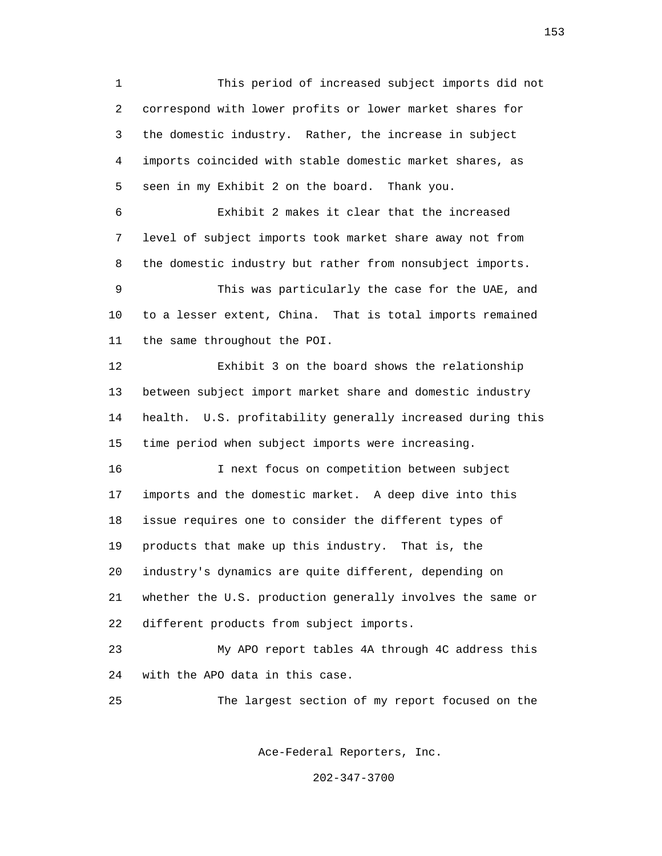1 This period of increased subject imports did not 2 correspond with lower profits or lower market shares for 3 the domestic industry. Rather, the increase in subject 4 imports coincided with stable domestic market shares, as 5 seen in my Exhibit 2 on the board. Thank you.

 6 Exhibit 2 makes it clear that the increased 7 level of subject imports took market share away not from 8 the domestic industry but rather from nonsubject imports.

 9 This was particularly the case for the UAE, and 10 to a lesser extent, China. That is total imports remained 11 the same throughout the POI.

 12 Exhibit 3 on the board shows the relationship 13 between subject import market share and domestic industry 14 health. U.S. profitability generally increased during this 15 time period when subject imports were increasing.

 16 I next focus on competition between subject 17 imports and the domestic market. A deep dive into this 18 issue requires one to consider the different types of 19 products that make up this industry. That is, the 20 industry's dynamics are quite different, depending on 21 whether the U.S. production generally involves the same or 22 different products from subject imports.

 23 My APO report tables 4A through 4C address this 24 with the APO data in this case.

25 The largest section of my report focused on the

Ace-Federal Reporters, Inc.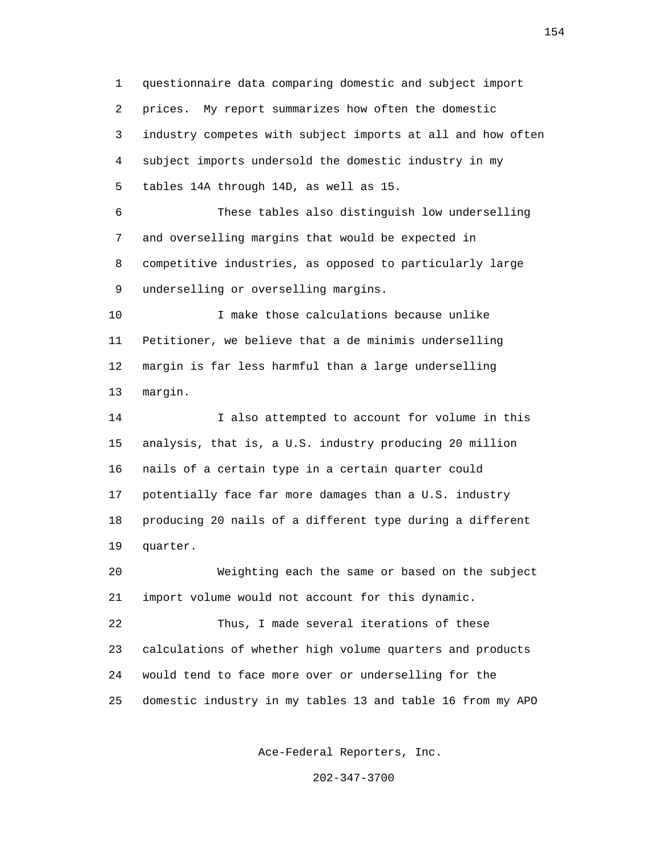1 questionnaire data comparing domestic and subject import 2 prices. My report summarizes how often the domestic 3 industry competes with subject imports at all and how often 4 subject imports undersold the domestic industry in my 5 tables 14A through 14D, as well as 15.

 6 These tables also distinguish low underselling 7 and overselling margins that would be expected in 8 competitive industries, as opposed to particularly large 9 underselling or overselling margins.

 10 I make those calculations because unlike 11 Petitioner, we believe that a de minimis underselling 12 margin is far less harmful than a large underselling 13 margin.

 14 I also attempted to account for volume in this 15 analysis, that is, a U.S. industry producing 20 million 16 nails of a certain type in a certain quarter could 17 potentially face far more damages than a U.S. industry 18 producing 20 nails of a different type during a different 19 quarter.

 20 Weighting each the same or based on the subject 21 import volume would not account for this dynamic.

 22 Thus, I made several iterations of these 23 calculations of whether high volume quarters and products 24 would tend to face more over or underselling for the 25 domestic industry in my tables 13 and table 16 from my APO

Ace-Federal Reporters, Inc.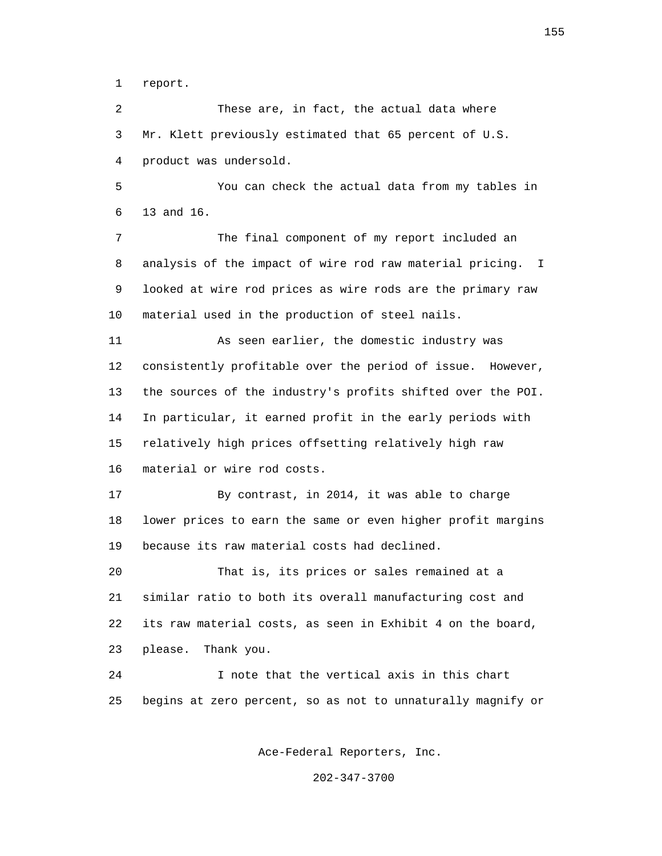1 report.

 2 These are, in fact, the actual data where 3 Mr. Klett previously estimated that 65 percent of U.S. 4 product was undersold.

 5 You can check the actual data from my tables in 6 13 and 16.

 7 The final component of my report included an 8 analysis of the impact of wire rod raw material pricing. I 9 looked at wire rod prices as wire rods are the primary raw 10 material used in the production of steel nails.

 11 As seen earlier, the domestic industry was 12 consistently profitable over the period of issue. However, 13 the sources of the industry's profits shifted over the POI. 14 In particular, it earned profit in the early periods with 15 relatively high prices offsetting relatively high raw 16 material or wire rod costs.

 17 By contrast, in 2014, it was able to charge 18 lower prices to earn the same or even higher profit margins 19 because its raw material costs had declined.

 20 That is, its prices or sales remained at a 21 similar ratio to both its overall manufacturing cost and 22 its raw material costs, as seen in Exhibit 4 on the board, 23 please. Thank you.

 24 I note that the vertical axis in this chart 25 begins at zero percent, so as not to unnaturally magnify or

Ace-Federal Reporters, Inc.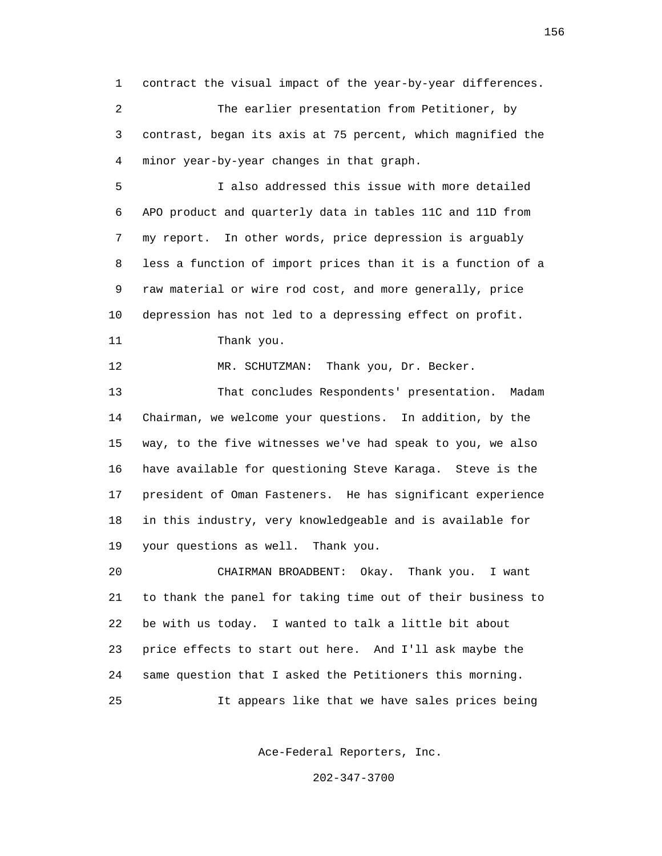1 contract the visual impact of the year-by-year differences. 2 The earlier presentation from Petitioner, by 3 contrast, began its axis at 75 percent, which magnified the 4 minor year-by-year changes in that graph.

 5 I also addressed this issue with more detailed 6 APO product and quarterly data in tables 11C and 11D from 7 my report. In other words, price depression is arguably 8 less a function of import prices than it is a function of a 9 raw material or wire rod cost, and more generally, price 10 depression has not led to a depressing effect on profit. 11 Thank you.

12 MR. SCHUTZMAN: Thank you, Dr. Becker.

 13 That concludes Respondents' presentation. Madam 14 Chairman, we welcome your questions. In addition, by the 15 way, to the five witnesses we've had speak to you, we also 16 have available for questioning Steve Karaga. Steve is the 17 president of Oman Fasteners. He has significant experience 18 in this industry, very knowledgeable and is available for 19 your questions as well. Thank you.

 20 CHAIRMAN BROADBENT: Okay. Thank you. I want 21 to thank the panel for taking time out of their business to 22 be with us today. I wanted to talk a little bit about 23 price effects to start out here. And I'll ask maybe the 24 same question that I asked the Petitioners this morning. 25 It appears like that we have sales prices being

Ace-Federal Reporters, Inc.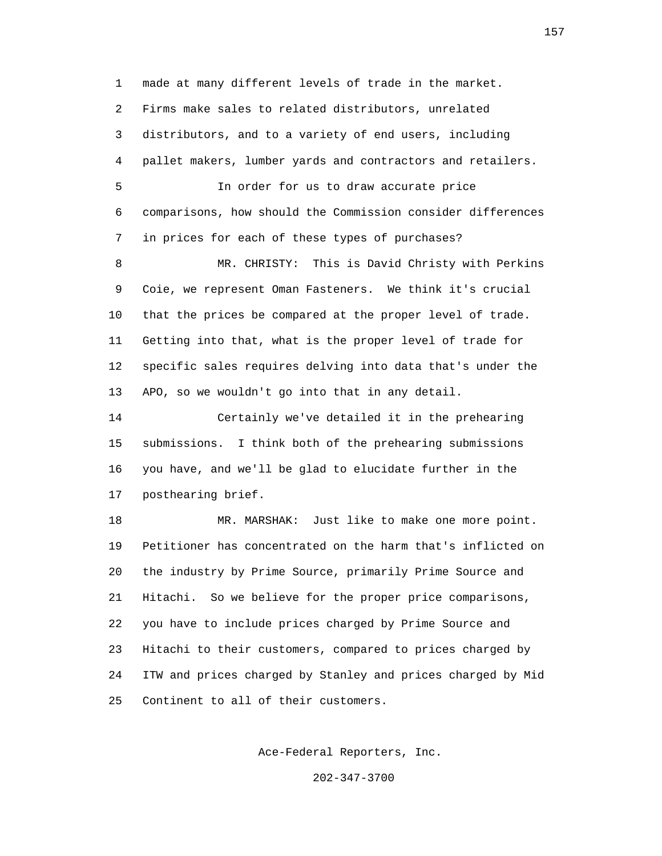1 made at many different levels of trade in the market. 2 Firms make sales to related distributors, unrelated 3 distributors, and to a variety of end users, including 4 pallet makers, lumber yards and contractors and retailers. 5 In order for us to draw accurate price 6 comparisons, how should the Commission consider differences 7 in prices for each of these types of purchases? 8 MR. CHRISTY: This is David Christy with Perkins 9 Coie, we represent Oman Fasteners. We think it's crucial 10 that the prices be compared at the proper level of trade. 11 Getting into that, what is the proper level of trade for 12 specific sales requires delving into data that's under the 13 APO, so we wouldn't go into that in any detail. 14 Certainly we've detailed it in the prehearing 15 submissions. I think both of the prehearing submissions 16 you have, and we'll be glad to elucidate further in the 17 posthearing brief. 18 MR. MARSHAK: Just like to make one more point.

 19 Petitioner has concentrated on the harm that's inflicted on 20 the industry by Prime Source, primarily Prime Source and 21 Hitachi. So we believe for the proper price comparisons, 22 you have to include prices charged by Prime Source and 23 Hitachi to their customers, compared to prices charged by 24 ITW and prices charged by Stanley and prices charged by Mid 25 Continent to all of their customers.

Ace-Federal Reporters, Inc.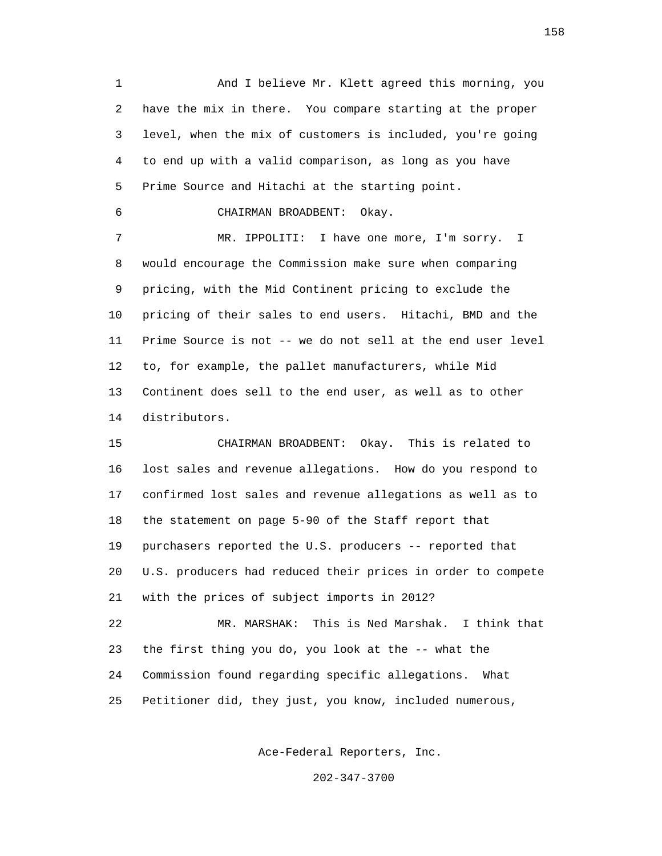1 And I believe Mr. Klett agreed this morning, you 2 have the mix in there. You compare starting at the proper 3 level, when the mix of customers is included, you're going 4 to end up with a valid comparison, as long as you have 5 Prime Source and Hitachi at the starting point.

6 CHAIRMAN BROADBENT: Okay.

 7 MR. IPPOLITI: I have one more, I'm sorry. I 8 would encourage the Commission make sure when comparing 9 pricing, with the Mid Continent pricing to exclude the 10 pricing of their sales to end users. Hitachi, BMD and the 11 Prime Source is not -- we do not sell at the end user level 12 to, for example, the pallet manufacturers, while Mid 13 Continent does sell to the end user, as well as to other 14 distributors.

 15 CHAIRMAN BROADBENT: Okay. This is related to 16 lost sales and revenue allegations. How do you respond to 17 confirmed lost sales and revenue allegations as well as to 18 the statement on page 5-90 of the Staff report that 19 purchasers reported the U.S. producers -- reported that 20 U.S. producers had reduced their prices in order to compete 21 with the prices of subject imports in 2012?

 22 MR. MARSHAK: This is Ned Marshak. I think that 23 the first thing you do, you look at the -- what the 24 Commission found regarding specific allegations. What 25 Petitioner did, they just, you know, included numerous,

Ace-Federal Reporters, Inc.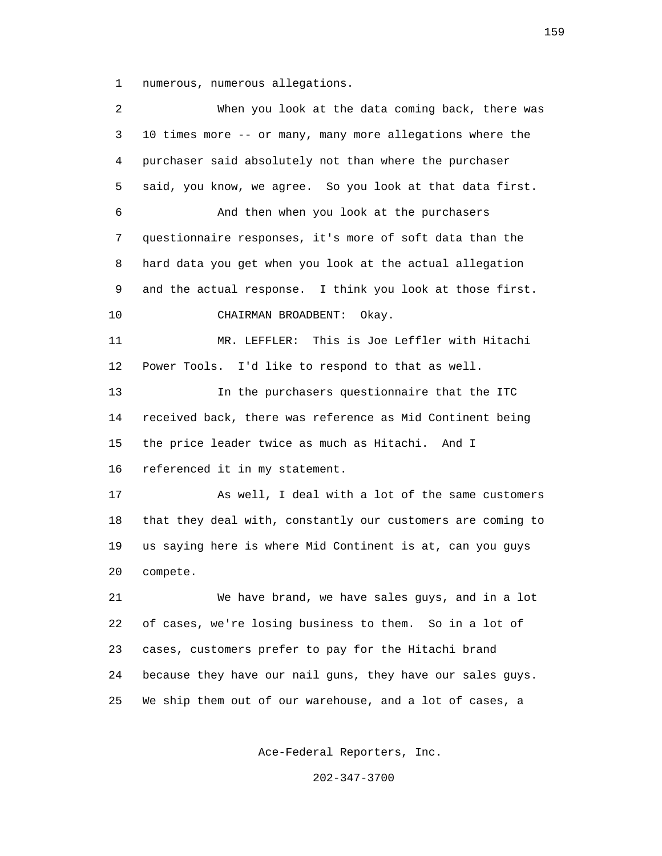1 numerous, numerous allegations.

 2 When you look at the data coming back, there was 3 10 times more -- or many, many more allegations where the 4 purchaser said absolutely not than where the purchaser 5 said, you know, we agree. So you look at that data first. 6 And then when you look at the purchasers 7 questionnaire responses, it's more of soft data than the 8 hard data you get when you look at the actual allegation 9 and the actual response. I think you look at those first. 10 CHAIRMAN BROADBENT: Okay. 11 MR. LEFFLER: This is Joe Leffler with Hitachi 12 Power Tools. I'd like to respond to that as well. 13 In the purchasers questionnaire that the ITC 14 received back, there was reference as Mid Continent being 15 the price leader twice as much as Hitachi. And I 16 referenced it in my statement. 17 As well, I deal with a lot of the same customers 18 that they deal with, constantly our customers are coming to 19 us saying here is where Mid Continent is at, can you guys 20 compete. 21 We have brand, we have sales guys, and in a lot 22 of cases, we're losing business to them. So in a lot of 23 cases, customers prefer to pay for the Hitachi brand 24 because they have our nail guns, they have our sales guys. 25 We ship them out of our warehouse, and a lot of cases, a

Ace-Federal Reporters, Inc.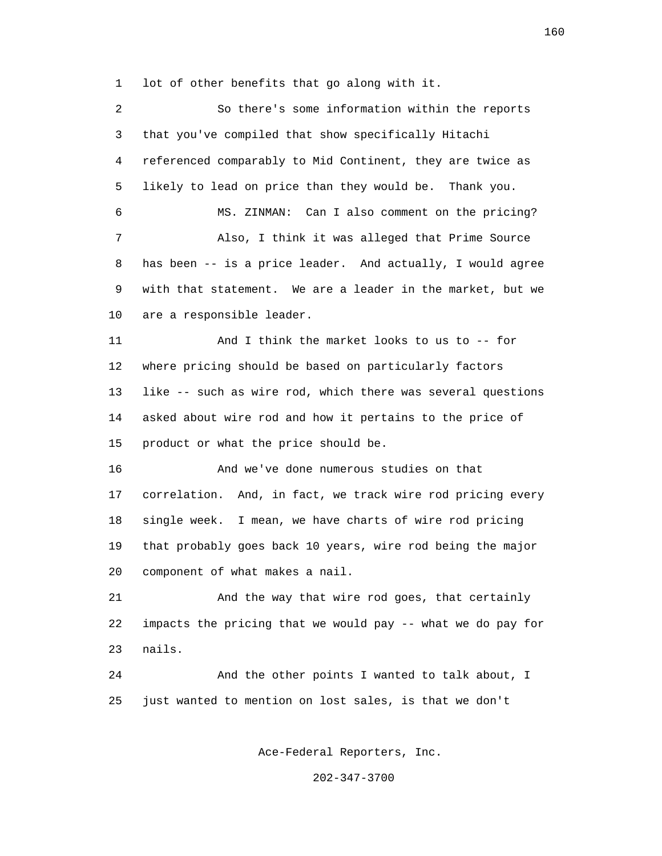1 lot of other benefits that go along with it.

 2 So there's some information within the reports 3 that you've compiled that show specifically Hitachi 4 referenced comparably to Mid Continent, they are twice as 5 likely to lead on price than they would be. Thank you. 6 MS. ZINMAN: Can I also comment on the pricing? 7 Also, I think it was alleged that Prime Source 8 has been -- is a price leader. And actually, I would agree 9 with that statement. We are a leader in the market, but we 10 are a responsible leader. 11 And I think the market looks to us to -- for 12 where pricing should be based on particularly factors 13 like -- such as wire rod, which there was several questions 14 asked about wire rod and how it pertains to the price of 15 product or what the price should be. 16 And we've done numerous studies on that 17 correlation. And, in fact, we track wire rod pricing every 18 single week. I mean, we have charts of wire rod pricing 19 that probably goes back 10 years, wire rod being the major 20 component of what makes a nail. 21 And the way that wire rod goes, that certainly 22 impacts the pricing that we would pay -- what we do pay for 23 nails. 24 And the other points I wanted to talk about, I 25 just wanted to mention on lost sales, is that we don't Ace-Federal Reporters, Inc.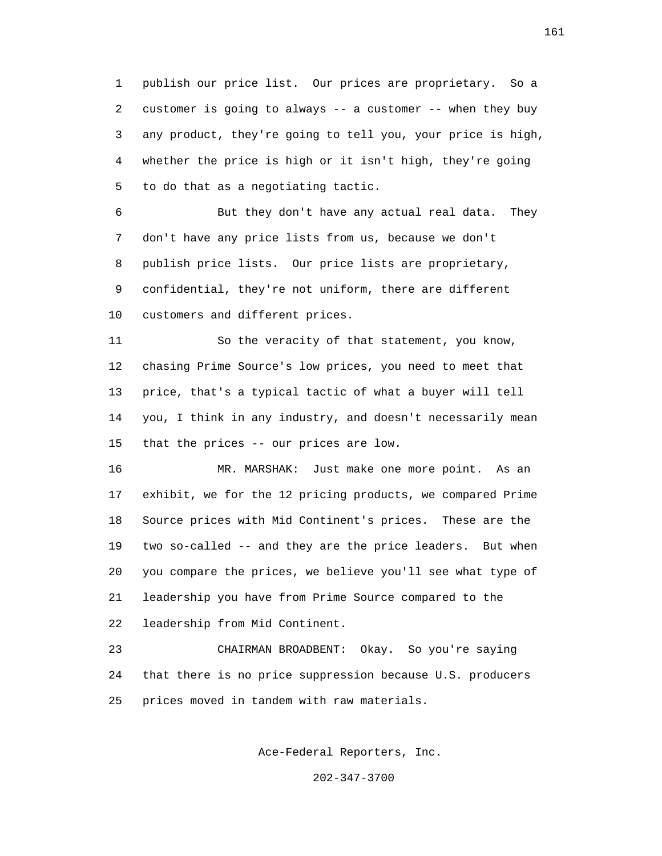1 publish our price list. Our prices are proprietary. So a 2 customer is going to always -- a customer -- when they buy 3 any product, they're going to tell you, your price is high, 4 whether the price is high or it isn't high, they're going 5 to do that as a negotiating tactic.

 6 But they don't have any actual real data. They 7 don't have any price lists from us, because we don't 8 publish price lists. Our price lists are proprietary, 9 confidential, they're not uniform, there are different 10 customers and different prices.

 11 So the veracity of that statement, you know, 12 chasing Prime Source's low prices, you need to meet that 13 price, that's a typical tactic of what a buyer will tell 14 you, I think in any industry, and doesn't necessarily mean 15 that the prices -- our prices are low.

 16 MR. MARSHAK: Just make one more point. As an 17 exhibit, we for the 12 pricing products, we compared Prime 18 Source prices with Mid Continent's prices. These are the 19 two so-called -- and they are the price leaders. But when 20 you compare the prices, we believe you'll see what type of 21 leadership you have from Prime Source compared to the 22 leadership from Mid Continent.

 23 CHAIRMAN BROADBENT: Okay. So you're saying 24 that there is no price suppression because U.S. producers 25 prices moved in tandem with raw materials.

Ace-Federal Reporters, Inc.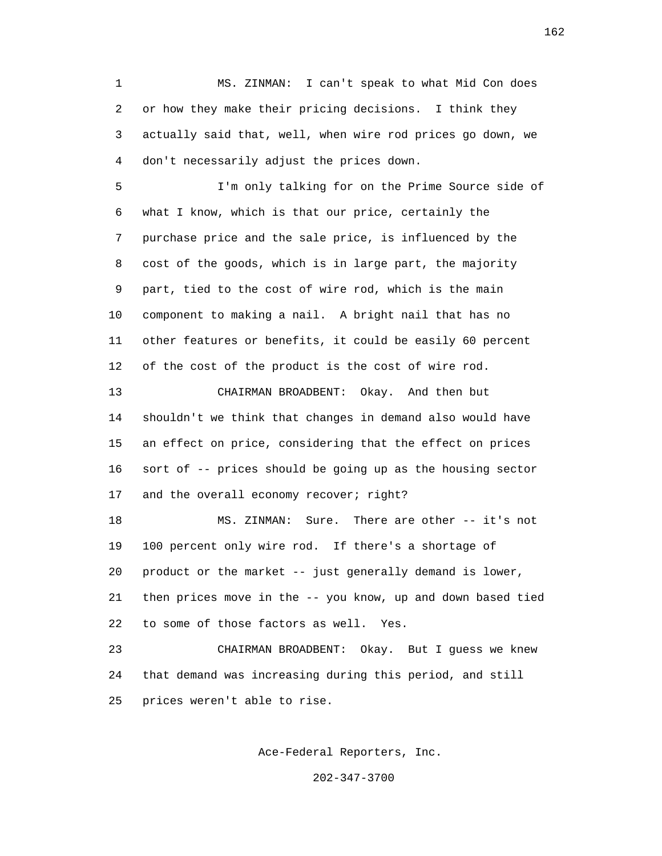1 MS. ZINMAN: I can't speak to what Mid Con does 2 or how they make their pricing decisions. I think they 3 actually said that, well, when wire rod prices go down, we 4 don't necessarily adjust the prices down.

 5 I'm only talking for on the Prime Source side of 6 what I know, which is that our price, certainly the 7 purchase price and the sale price, is influenced by the 8 cost of the goods, which is in large part, the majority 9 part, tied to the cost of wire rod, which is the main 10 component to making a nail. A bright nail that has no 11 other features or benefits, it could be easily 60 percent 12 of the cost of the product is the cost of wire rod.

 13 CHAIRMAN BROADBENT: Okay. And then but 14 shouldn't we think that changes in demand also would have 15 an effect on price, considering that the effect on prices 16 sort of -- prices should be going up as the housing sector 17 and the overall economy recover; right?

 18 MS. ZINMAN: Sure. There are other -- it's not 19 100 percent only wire rod. If there's a shortage of 20 product or the market -- just generally demand is lower, 21 then prices move in the -- you know, up and down based tied 22 to some of those factors as well. Yes.

 23 CHAIRMAN BROADBENT: Okay. But I guess we knew 24 that demand was increasing during this period, and still 25 prices weren't able to rise.

Ace-Federal Reporters, Inc.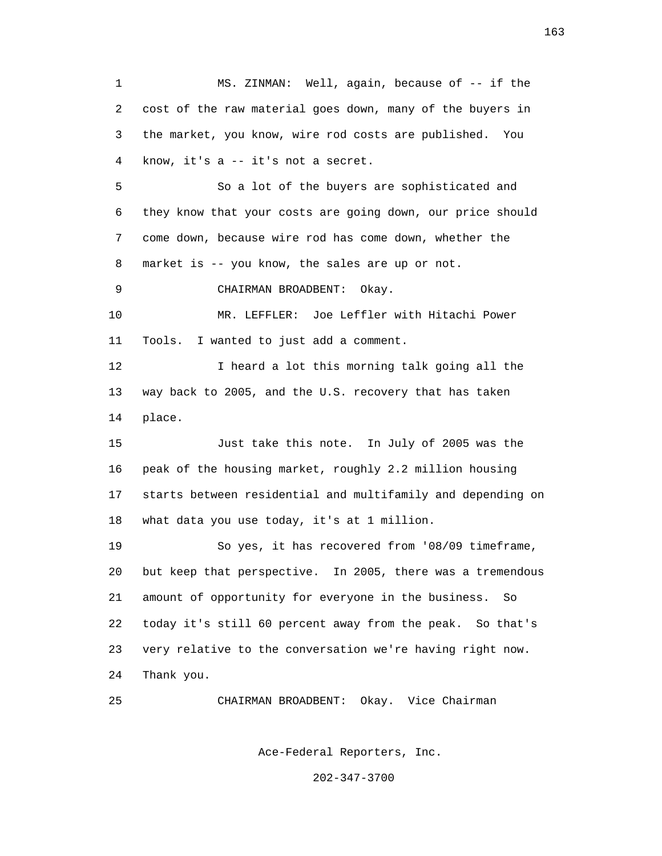1 MS. ZINMAN: Well, again, because of -- if the 2 cost of the raw material goes down, many of the buyers in 3 the market, you know, wire rod costs are published. You 4 know, it's a -- it's not a secret. 5 So a lot of the buyers are sophisticated and 6 they know that your costs are going down, our price should 7 come down, because wire rod has come down, whether the 8 market is -- you know, the sales are up or not. 9 CHAIRMAN BROADBENT: Okay. 10 MR. LEFFLER: Joe Leffler with Hitachi Power 11 Tools. I wanted to just add a comment. 12 I heard a lot this morning talk going all the 13 way back to 2005, and the U.S. recovery that has taken 14 place. 15 Just take this note. In July of 2005 was the 16 peak of the housing market, roughly 2.2 million housing 17 starts between residential and multifamily and depending on 18 what data you use today, it's at 1 million. 19 So yes, it has recovered from '08/09 timeframe, 20 but keep that perspective. In 2005, there was a tremendous 21 amount of opportunity for everyone in the business. So 22 today it's still 60 percent away from the peak. So that's 23 very relative to the conversation we're having right now. 24 Thank you. 25 CHAIRMAN BROADBENT: Okay. Vice Chairman

Ace-Federal Reporters, Inc.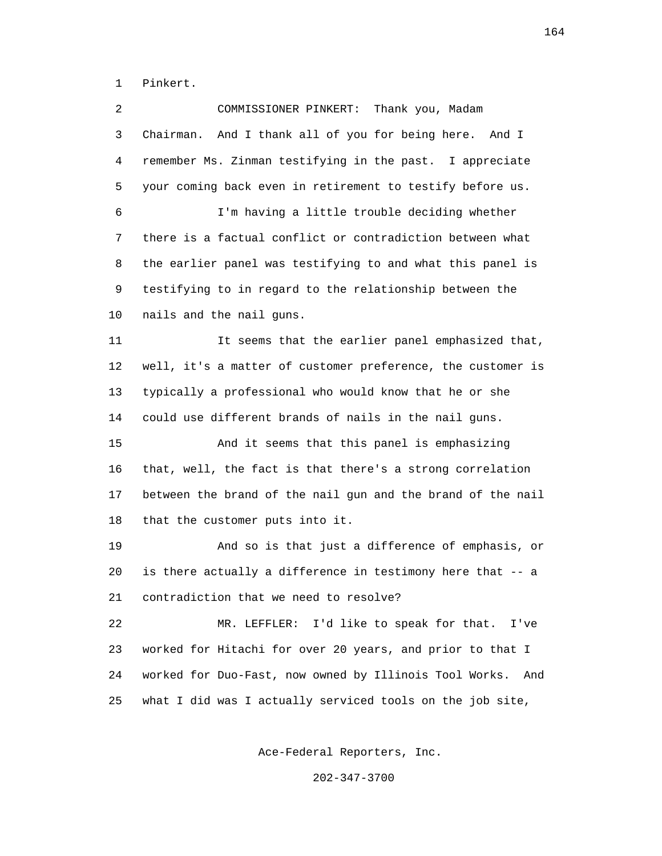1 Pinkert.

| 2  | Thank you, Madam<br>COMMISSIONER PINKERT:                     |
|----|---------------------------------------------------------------|
| 3  | And I thank all of you for being here. And I<br>Chairman.     |
| 4  | remember Ms. Zinman testifying in the past. I appreciate      |
| 5  | your coming back even in retirement to testify before us.     |
| 6  | I'm having a little trouble deciding whether                  |
| 7  | there is a factual conflict or contradiction between what     |
| 8  | the earlier panel was testifying to and what this panel is    |
| 9  | testifying to in regard to the relationship between the       |
| 10 | nails and the nail guns.                                      |
| 11 | It seems that the earlier panel emphasized that,              |
| 12 | well, it's a matter of customer preference, the customer is   |
| 13 | typically a professional who would know that he or she        |
| 14 | could use different brands of nails in the nail guns.         |
| 15 | And it seems that this panel is emphasizing                   |
| 16 | that, well, the fact is that there's a strong correlation     |
| 17 | between the brand of the nail gun and the brand of the nail   |
| 18 | that the customer puts into it.                               |
| 19 | And so is that just a difference of emphasis, or              |
| 20 | is there actually a difference in testimony here that -- a    |
| 21 | contradiction that we need to resolve?                        |
| 22 | I'd like to speak for that.<br>MR. LEFFLER:<br>I've           |
| 23 | worked for Hitachi for over 20 years, and prior to that I     |
| 24 | worked for Duo-Fast, now owned by Illinois Tool Works.<br>And |
| 25 | what I did was I actually serviced tools on the job site,     |

Ace-Federal Reporters, Inc.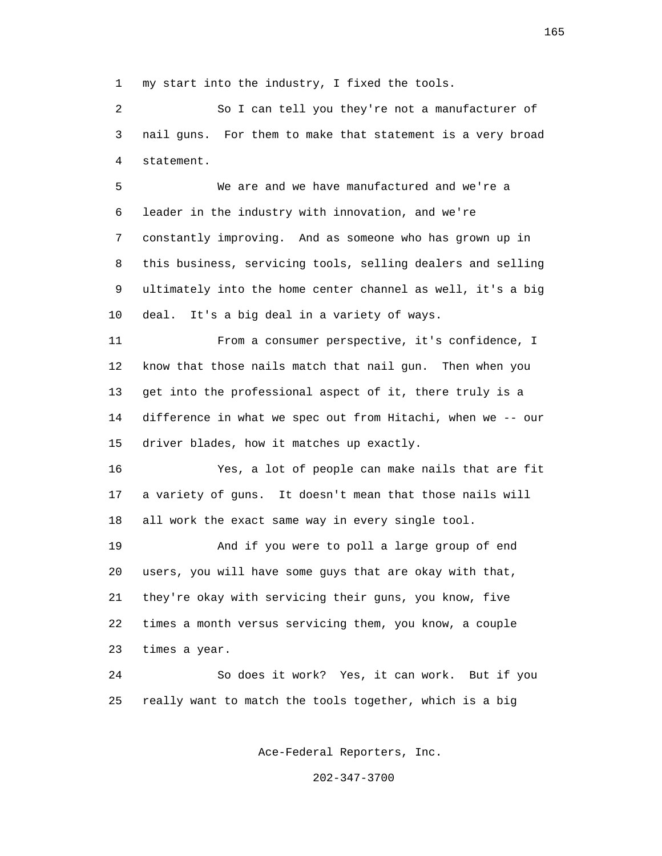1 my start into the industry, I fixed the tools.

 2 So I can tell you they're not a manufacturer of 3 nail guns. For them to make that statement is a very broad 4 statement.

 5 We are and we have manufactured and we're a 6 leader in the industry with innovation, and we're 7 constantly improving. And as someone who has grown up in 8 this business, servicing tools, selling dealers and selling 9 ultimately into the home center channel as well, it's a big 10 deal. It's a big deal in a variety of ways.

 11 From a consumer perspective, it's confidence, I 12 know that those nails match that nail gun. Then when you 13 get into the professional aspect of it, there truly is a 14 difference in what we spec out from Hitachi, when we -- our 15 driver blades, how it matches up exactly.

 16 Yes, a lot of people can make nails that are fit 17 a variety of guns. It doesn't mean that those nails will 18 all work the exact same way in every single tool.

 19 And if you were to poll a large group of end 20 users, you will have some guys that are okay with that, 21 they're okay with servicing their guns, you know, five 22 times a month versus servicing them, you know, a couple 23 times a year.

 24 So does it work? Yes, it can work. But if you 25 really want to match the tools together, which is a big

Ace-Federal Reporters, Inc.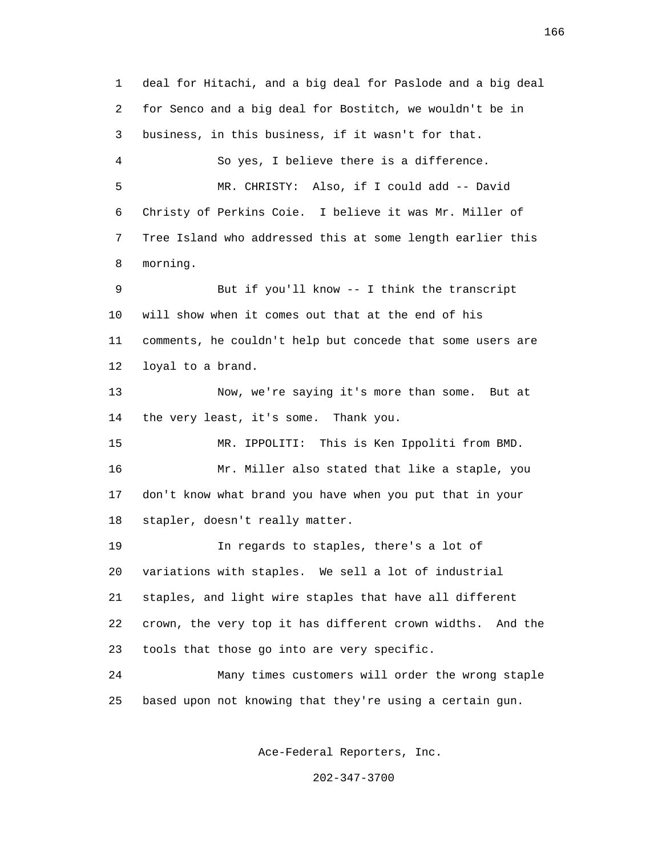1 deal for Hitachi, and a big deal for Paslode and a big deal 2 for Senco and a big deal for Bostitch, we wouldn't be in 3 business, in this business, if it wasn't for that. 4 So yes, I believe there is a difference. 5 MR. CHRISTY: Also, if I could add -- David 6 Christy of Perkins Coie. I believe it was Mr. Miller of 7 Tree Island who addressed this at some length earlier this 8 morning. 9 But if you'll know -- I think the transcript 10 will show when it comes out that at the end of his 11 comments, he couldn't help but concede that some users are 12 loyal to a brand. 13 Now, we're saying it's more than some. But at 14 the very least, it's some. Thank you. 15 MR. IPPOLITI: This is Ken Ippoliti from BMD. 16 Mr. Miller also stated that like a staple, you 17 don't know what brand you have when you put that in your 18 stapler, doesn't really matter. 19 In regards to staples, there's a lot of 20 variations with staples. We sell a lot of industrial 21 staples, and light wire staples that have all different 22 crown, the very top it has different crown widths. And the 23 tools that those go into are very specific. 24 Many times customers will order the wrong staple 25 based upon not knowing that they're using a certain gun.

Ace-Federal Reporters, Inc.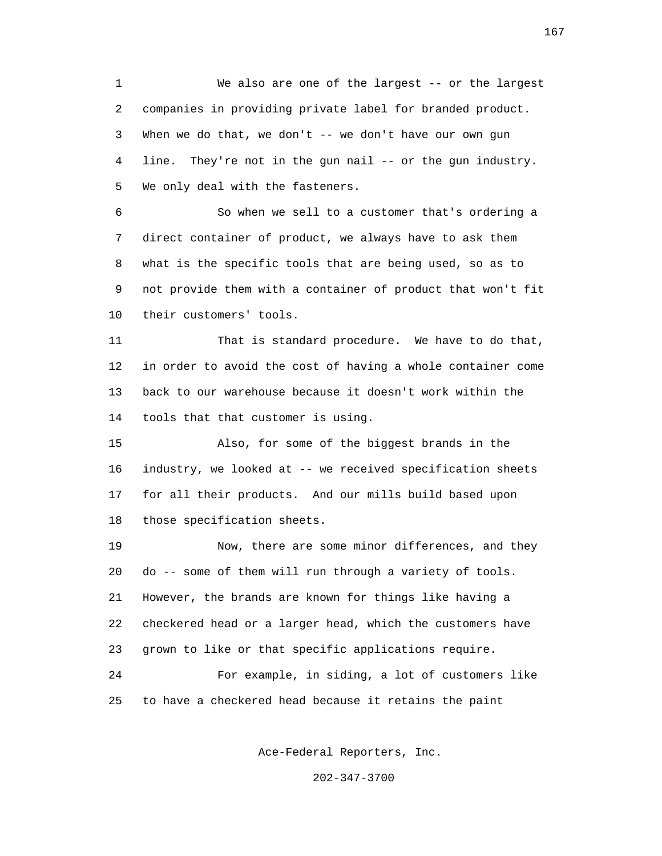1 We also are one of the largest -- or the largest 2 companies in providing private label for branded product. 3 When we do that, we don't -- we don't have our own gun 4 line. They're not in the gun nail -- or the gun industry. 5 We only deal with the fasteners.

 6 So when we sell to a customer that's ordering a 7 direct container of product, we always have to ask them 8 what is the specific tools that are being used, so as to 9 not provide them with a container of product that won't fit 10 their customers' tools.

 11 That is standard procedure. We have to do that, 12 in order to avoid the cost of having a whole container come 13 back to our warehouse because it doesn't work within the 14 tools that that customer is using.

 15 Also, for some of the biggest brands in the 16 industry, we looked at -- we received specification sheets 17 for all their products. And our mills build based upon 18 those specification sheets.

 19 Now, there are some minor differences, and they 20 do -- some of them will run through a variety of tools. 21 However, the brands are known for things like having a 22 checkered head or a larger head, which the customers have 23 grown to like or that specific applications require. 24 For example, in siding, a lot of customers like 25 to have a checkered head because it retains the paint

Ace-Federal Reporters, Inc.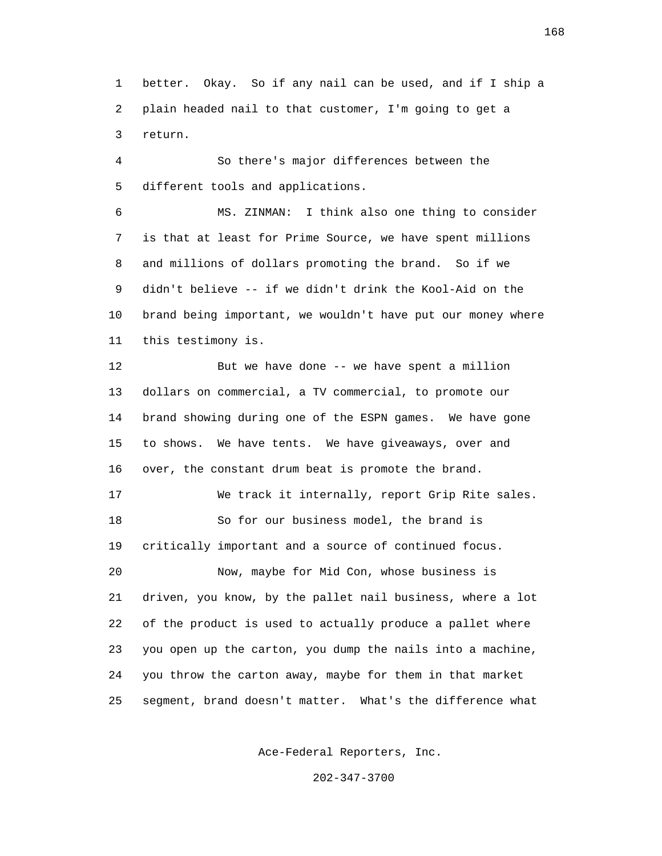1 better. Okay. So if any nail can be used, and if I ship a 2 plain headed nail to that customer, I'm going to get a 3 return.

 4 So there's major differences between the 5 different tools and applications.

 6 MS. ZINMAN: I think also one thing to consider 7 is that at least for Prime Source, we have spent millions 8 and millions of dollars promoting the brand. So if we 9 didn't believe -- if we didn't drink the Kool-Aid on the 10 brand being important, we wouldn't have put our money where 11 this testimony is.

 12 But we have done -- we have spent a million 13 dollars on commercial, a TV commercial, to promote our 14 brand showing during one of the ESPN games. We have gone 15 to shows. We have tents. We have giveaways, over and 16 over, the constant drum beat is promote the brand. 17 We track it internally, report Grip Rite sales. 18 So for our business model, the brand is 19 critically important and a source of continued focus. 20 Now, maybe for Mid Con, whose business is 21 driven, you know, by the pallet nail business, where a lot 22 of the product is used to actually produce a pallet where 23 you open up the carton, you dump the nails into a machine, 24 you throw the carton away, maybe for them in that market 25 segment, brand doesn't matter. What's the difference what

Ace-Federal Reporters, Inc.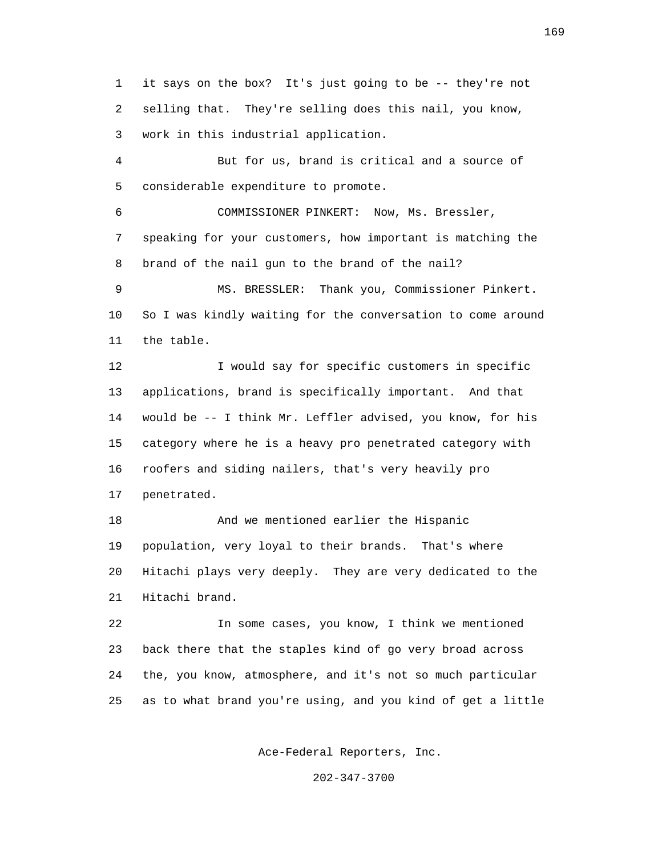1 it says on the box? It's just going to be -- they're not 2 selling that. They're selling does this nail, you know, 3 work in this industrial application.

 4 But for us, brand is critical and a source of 5 considerable expenditure to promote.

 6 COMMISSIONER PINKERT: Now, Ms. Bressler, 7 speaking for your customers, how important is matching the 8 brand of the nail gun to the brand of the nail?

 9 MS. BRESSLER: Thank you, Commissioner Pinkert. 10 So I was kindly waiting for the conversation to come around 11 the table.

 12 I would say for specific customers in specific 13 applications, brand is specifically important. And that 14 would be -- I think Mr. Leffler advised, you know, for his 15 category where he is a heavy pro penetrated category with 16 roofers and siding nailers, that's very heavily pro 17 penetrated.

 18 And we mentioned earlier the Hispanic 19 population, very loyal to their brands. That's where 20 Hitachi plays very deeply. They are very dedicated to the 21 Hitachi brand.

 22 In some cases, you know, I think we mentioned 23 back there that the staples kind of go very broad across 24 the, you know, atmosphere, and it's not so much particular 25 as to what brand you're using, and you kind of get a little

Ace-Federal Reporters, Inc.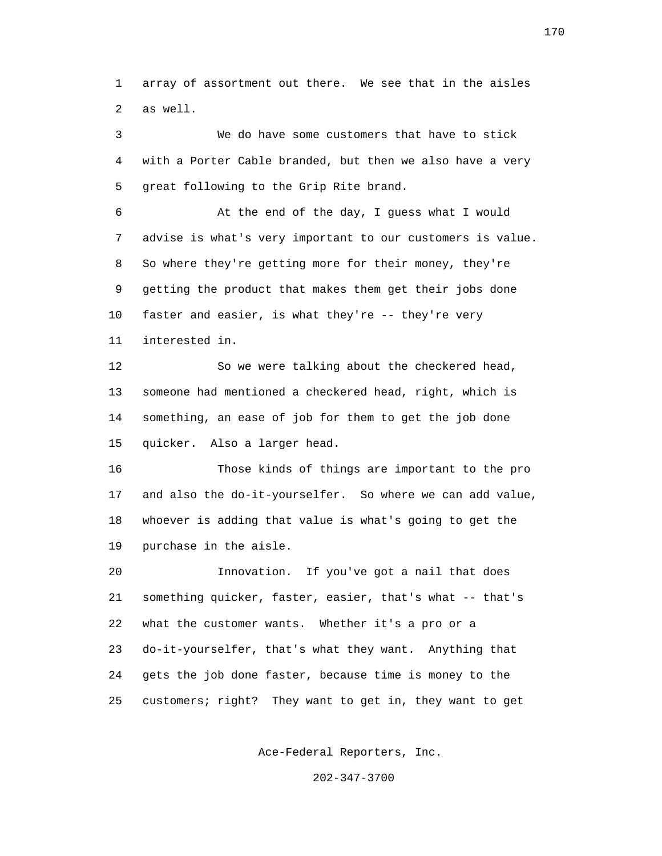1 array of assortment out there. We see that in the aisles 2 as well.

 3 We do have some customers that have to stick 4 with a Porter Cable branded, but then we also have a very 5 great following to the Grip Rite brand.

 6 At the end of the day, I guess what I would 7 advise is what's very important to our customers is value. 8 So where they're getting more for their money, they're 9 getting the product that makes them get their jobs done 10 faster and easier, is what they're -- they're very 11 interested in.

 12 So we were talking about the checkered head, 13 someone had mentioned a checkered head, right, which is 14 something, an ease of job for them to get the job done 15 quicker. Also a larger head.

 16 Those kinds of things are important to the pro 17 and also the do-it-yourselfer. So where we can add value, 18 whoever is adding that value is what's going to get the 19 purchase in the aisle.

 20 Innovation. If you've got a nail that does 21 something quicker, faster, easier, that's what -- that's 22 what the customer wants. Whether it's a pro or a 23 do-it-yourselfer, that's what they want. Anything that 24 gets the job done faster, because time is money to the 25 customers; right? They want to get in, they want to get

Ace-Federal Reporters, Inc.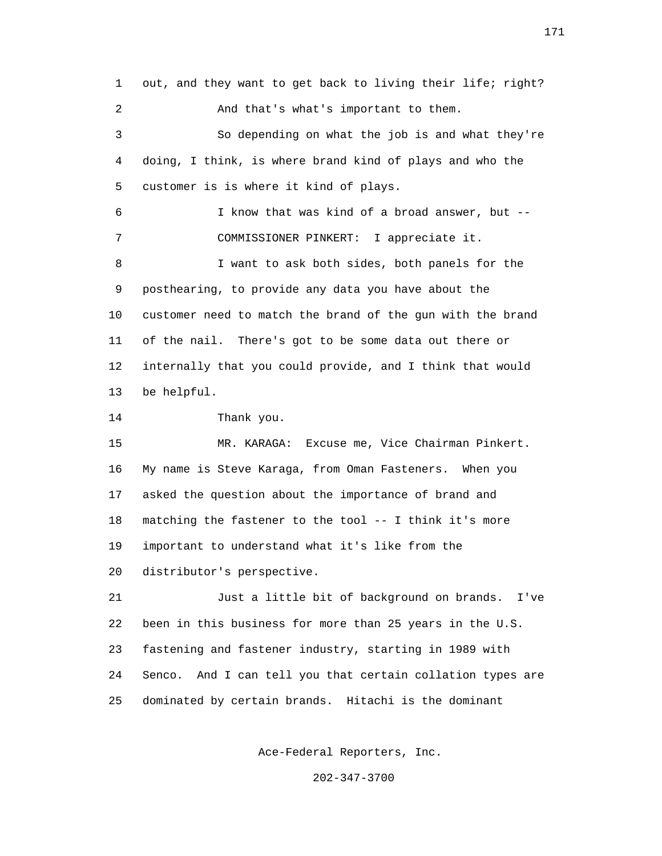1 out, and they want to get back to living their life; right? 2 And that's what's important to them. 3 So depending on what the job is and what they're 4 doing, I think, is where brand kind of plays and who the 5 customer is is where it kind of plays. 6 I know that was kind of a broad answer, but -- 7 COMMISSIONER PINKERT: I appreciate it. 8 I want to ask both sides, both panels for the 9 posthearing, to provide any data you have about the 10 customer need to match the brand of the gun with the brand 11 of the nail. There's got to be some data out there or 12 internally that you could provide, and I think that would 13 be helpful. 14 Thank you. 15 MR. KARAGA: Excuse me, Vice Chairman Pinkert. 16 My name is Steve Karaga, from Oman Fasteners. When you 17 asked the question about the importance of brand and 18 matching the fastener to the tool -- I think it's more 19 important to understand what it's like from the 20 distributor's perspective. 21 Just a little bit of background on brands. I've 22 been in this business for more than 25 years in the U.S. 23 fastening and fastener industry, starting in 1989 with 24 Senco. And I can tell you that certain collation types are 25 dominated by certain brands. Hitachi is the dominant

Ace-Federal Reporters, Inc.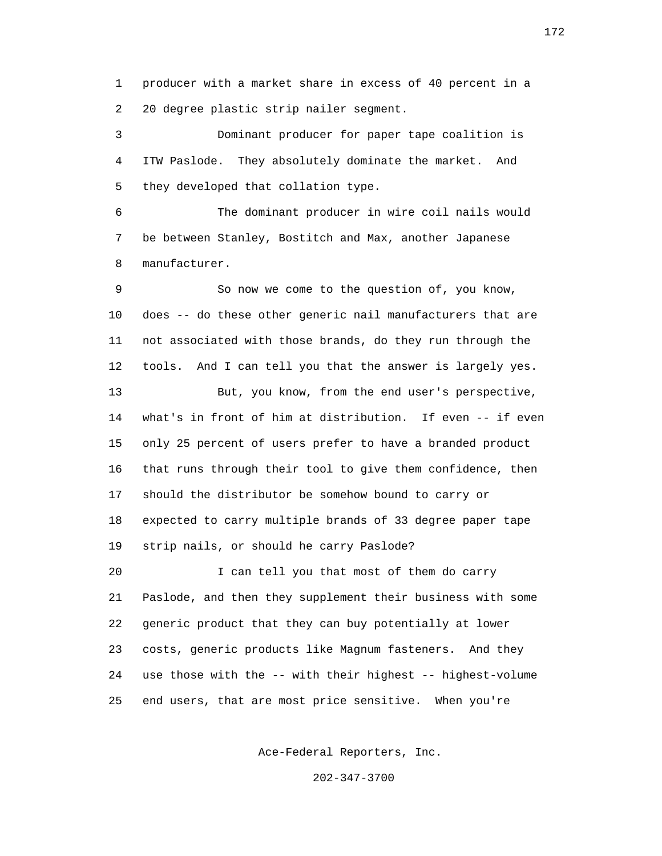1 producer with a market share in excess of 40 percent in a 2 20 degree plastic strip nailer segment.

 3 Dominant producer for paper tape coalition is 4 ITW Paslode. They absolutely dominate the market. And 5 they developed that collation type.

 6 The dominant producer in wire coil nails would 7 be between Stanley, Bostitch and Max, another Japanese 8 manufacturer.

 9 So now we come to the question of, you know, 10 does -- do these other generic nail manufacturers that are 11 not associated with those brands, do they run through the 12 tools. And I can tell you that the answer is largely yes. 13 But, you know, from the end user's perspective, 14 what's in front of him at distribution. If even -- if even 15 only 25 percent of users prefer to have a branded product 16 that runs through their tool to give them confidence, then 17 should the distributor be somehow bound to carry or 18 expected to carry multiple brands of 33 degree paper tape 19 strip nails, or should he carry Paslode? 20 I can tell you that most of them do carry 21 Paslode, and then they supplement their business with some 22 generic product that they can buy potentially at lower 23 costs, generic products like Magnum fasteners. And they 24 use those with the -- with their highest -- highest-volume 25 end users, that are most price sensitive. When you're

Ace-Federal Reporters, Inc.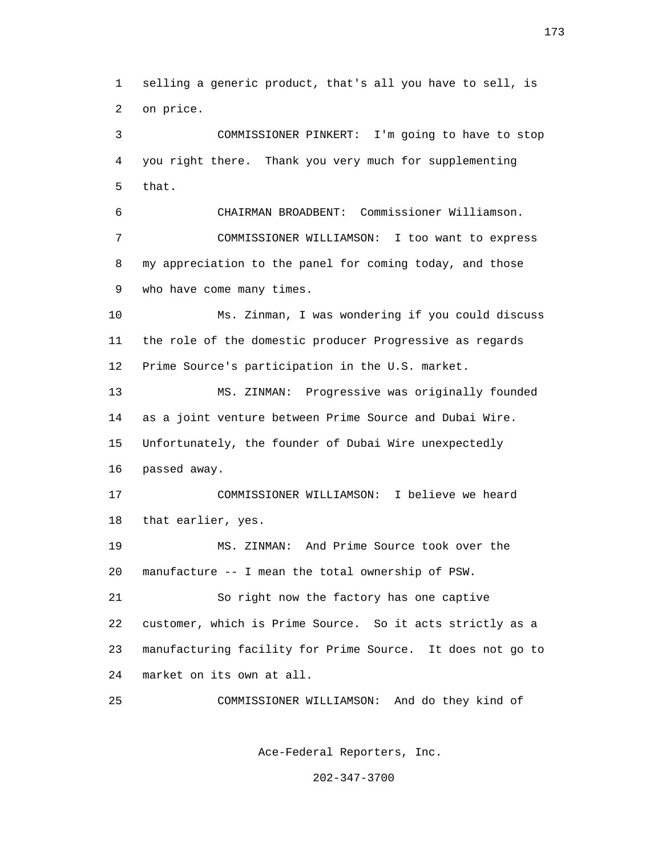1 selling a generic product, that's all you have to sell, is 2 on price.

 3 COMMISSIONER PINKERT: I'm going to have to stop 4 you right there. Thank you very much for supplementing 5 that.

 6 CHAIRMAN BROADBENT: Commissioner Williamson. 7 COMMISSIONER WILLIAMSON: I too want to express 8 my appreciation to the panel for coming today, and those 9 who have come many times.

 10 Ms. Zinman, I was wondering if you could discuss 11 the role of the domestic producer Progressive as regards 12 Prime Source's participation in the U.S. market.

 13 MS. ZINMAN: Progressive was originally founded 14 as a joint venture between Prime Source and Dubai Wire. 15 Unfortunately, the founder of Dubai Wire unexpectedly 16 passed away.

 17 COMMISSIONER WILLIAMSON: I believe we heard 18 that earlier, yes.

 19 MS. ZINMAN: And Prime Source took over the 20 manufacture -- I mean the total ownership of PSW.

 21 So right now the factory has one captive 22 customer, which is Prime Source. So it acts strictly as a 23 manufacturing facility for Prime Source. It does not go to 24 market on its own at all.

25 COMMISSIONER WILLIAMSON: And do they kind of

Ace-Federal Reporters, Inc.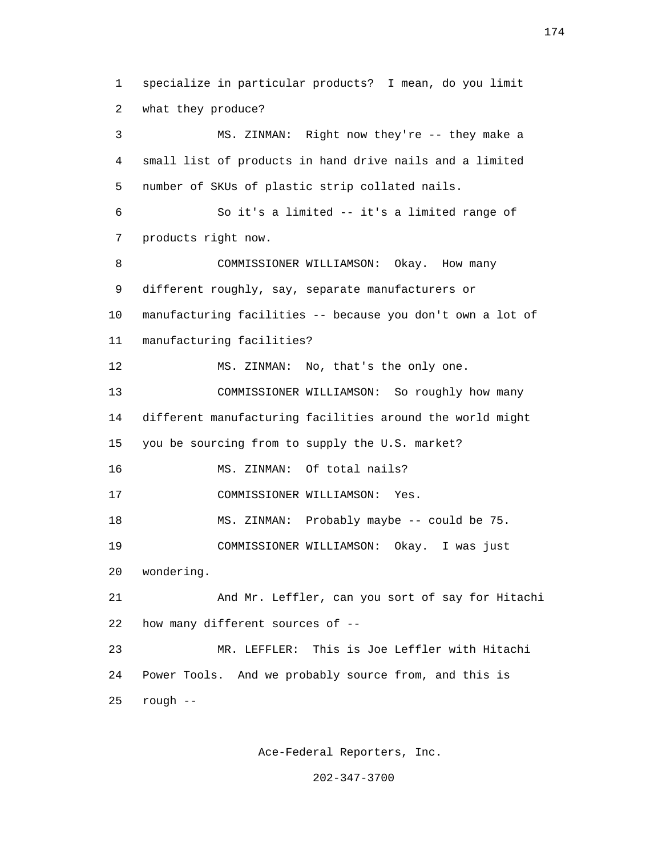1 specialize in particular products? I mean, do you limit 2 what they produce? 3 MS. ZINMAN: Right now they're -- they make a 4 small list of products in hand drive nails and a limited 5 number of SKUs of plastic strip collated nails. 6 So it's a limited -- it's a limited range of 7 products right now. 8 COMMISSIONER WILLIAMSON: Okay. How many 9 different roughly, say, separate manufacturers or 10 manufacturing facilities -- because you don't own a lot of 11 manufacturing facilities? 12 MS. ZINMAN: No, that's the only one. 13 COMMISSIONER WILLIAMSON: So roughly how many 14 different manufacturing facilities around the world might 15 you be sourcing from to supply the U.S. market? 16 MS. ZINMAN: Of total nails? 17 COMMISSIONER WILLIAMSON: Yes. 18 MS. ZINMAN: Probably maybe -- could be 75. 19 COMMISSIONER WILLIAMSON: Okay. I was just 20 wondering. 21 And Mr. Leffler, can you sort of say for Hitachi 22 how many different sources of -- 23 MR. LEFFLER: This is Joe Leffler with Hitachi 24 Power Tools. And we probably source from, and this is 25 rough --

Ace-Federal Reporters, Inc.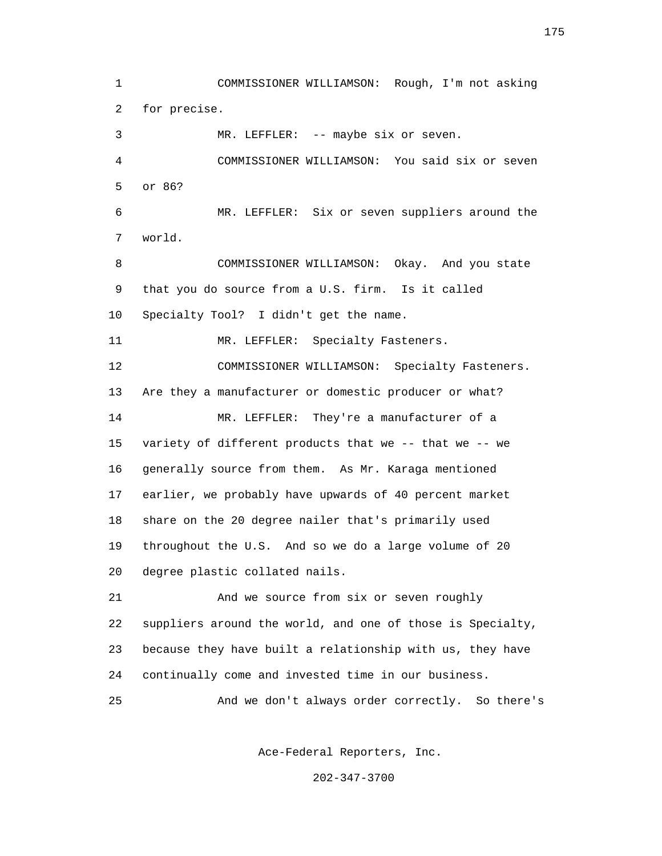1 COMMISSIONER WILLIAMSON: Rough, I'm not asking 2 for precise. 3 MR. LEFFLER: -- maybe six or seven. 4 COMMISSIONER WILLIAMSON: You said six or seven 5 or 86? 6 MR. LEFFLER: Six or seven suppliers around the 7 world. 8 COMMISSIONER WILLIAMSON: Okay. And you state 9 that you do source from a U.S. firm. Is it called 10 Specialty Tool? I didn't get the name. 11 MR. LEFFLER: Specialty Fasteners. 12 COMMISSIONER WILLIAMSON: Specialty Fasteners. 13 Are they a manufacturer or domestic producer or what? 14 MR. LEFFLER: They're a manufacturer of a 15 variety of different products that we -- that we -- we 16 generally source from them. As Mr. Karaga mentioned 17 earlier, we probably have upwards of 40 percent market 18 share on the 20 degree nailer that's primarily used 19 throughout the U.S. And so we do a large volume of 20 20 degree plastic collated nails. 21 And we source from six or seven roughly 22 suppliers around the world, and one of those is Specialty, 23 because they have built a relationship with us, they have 24 continually come and invested time in our business. 25 And we don't always order correctly. So there's

Ace-Federal Reporters, Inc.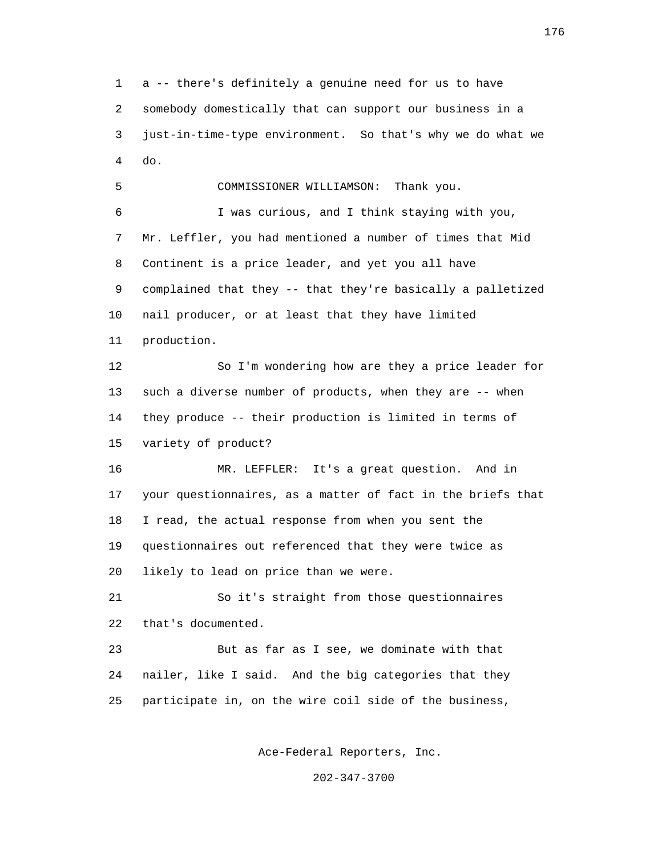1 a -- there's definitely a genuine need for us to have 2 somebody domestically that can support our business in a 3 just-in-time-type environment. So that's why we do what we 4 do.

 5 COMMISSIONER WILLIAMSON: Thank you. 6 I was curious, and I think staying with you, 7 Mr. Leffler, you had mentioned a number of times that Mid 8 Continent is a price leader, and yet you all have 9 complained that they -- that they're basically a palletized 10 nail producer, or at least that they have limited 11 production. 12 So I'm wondering how are they a price leader for 13 such a diverse number of products, when they are -- when 14 they produce -- their production is limited in terms of 15 variety of product? 16 MR. LEFFLER: It's a great question. And in 17 your questionnaires, as a matter of fact in the briefs that 18 I read, the actual response from when you sent the 19 questionnaires out referenced that they were twice as 20 likely to lead on price than we were.

 21 So it's straight from those questionnaires 22 that's documented.

 23 But as far as I see, we dominate with that 24 nailer, like I said. And the big categories that they 25 participate in, on the wire coil side of the business,

Ace-Federal Reporters, Inc.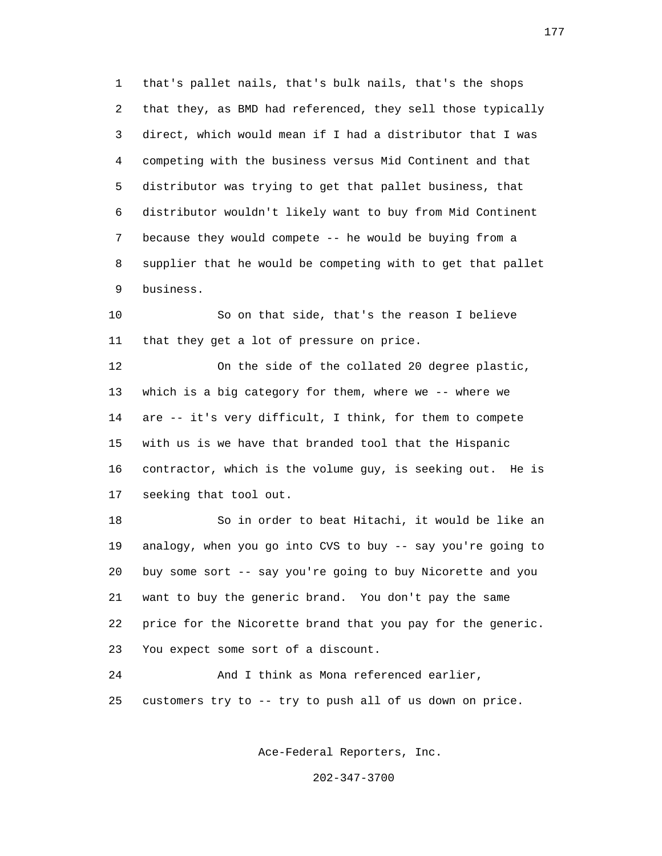1 that's pallet nails, that's bulk nails, that's the shops 2 that they, as BMD had referenced, they sell those typically 3 direct, which would mean if I had a distributor that I was 4 competing with the business versus Mid Continent and that 5 distributor was trying to get that pallet business, that 6 distributor wouldn't likely want to buy from Mid Continent 7 because they would compete -- he would be buying from a 8 supplier that he would be competing with to get that pallet 9 business.

 10 So on that side, that's the reason I believe 11 that they get a lot of pressure on price.

 12 On the side of the collated 20 degree plastic, 13 which is a big category for them, where we -- where we 14 are -- it's very difficult, I think, for them to compete 15 with us is we have that branded tool that the Hispanic 16 contractor, which is the volume guy, is seeking out. He is 17 seeking that tool out.

 18 So in order to beat Hitachi, it would be like an 19 analogy, when you go into CVS to buy -- say you're going to 20 buy some sort -- say you're going to buy Nicorette and you 21 want to buy the generic brand. You don't pay the same 22 price for the Nicorette brand that you pay for the generic. 23 You expect some sort of a discount.

 24 And I think as Mona referenced earlier, 25 customers try to -- try to push all of us down on price.

Ace-Federal Reporters, Inc.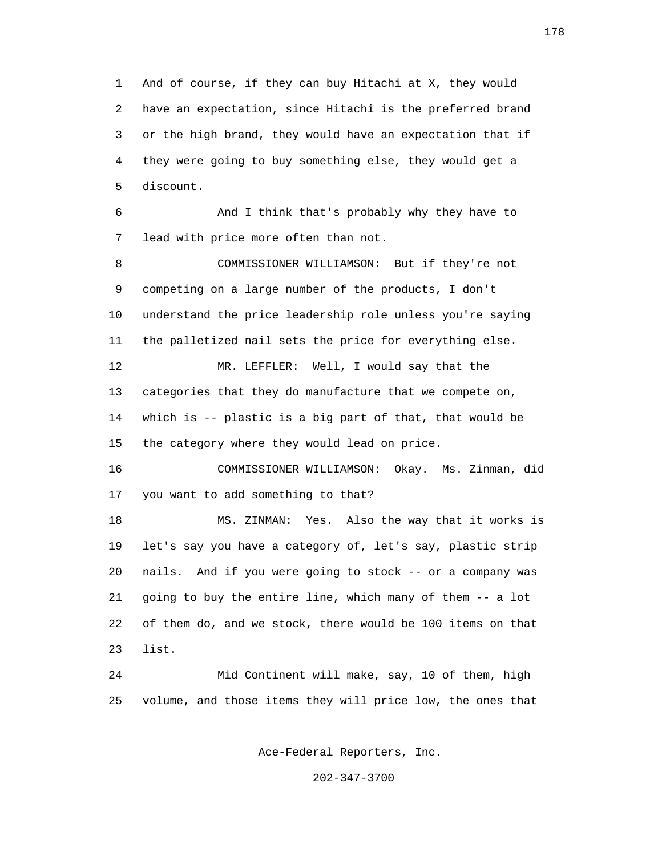1 And of course, if they can buy Hitachi at X, they would 2 have an expectation, since Hitachi is the preferred brand 3 or the high brand, they would have an expectation that if 4 they were going to buy something else, they would get a 5 discount.

 6 And I think that's probably why they have to 7 lead with price more often than not.

 8 COMMISSIONER WILLIAMSON: But if they're not 9 competing on a large number of the products, I don't 10 understand the price leadership role unless you're saying 11 the palletized nail sets the price for everything else. 12 MR. LEFFLER: Well, I would say that the 13 categories that they do manufacture that we compete on, 14 which is -- plastic is a big part of that, that would be 15 the category where they would lead on price. 16 COMMISSIONER WILLIAMSON: Okay. Ms. Zinman, did 17 you want to add something to that? 18 MS. ZINMAN: Yes. Also the way that it works is 19 let's say you have a category of, let's say, plastic strip 20 nails. And if you were going to stock -- or a company was 21 going to buy the entire line, which many of them -- a lot 22 of them do, and we stock, there would be 100 items on that

23 list.

 24 Mid Continent will make, say, 10 of them, high 25 volume, and those items they will price low, the ones that

Ace-Federal Reporters, Inc.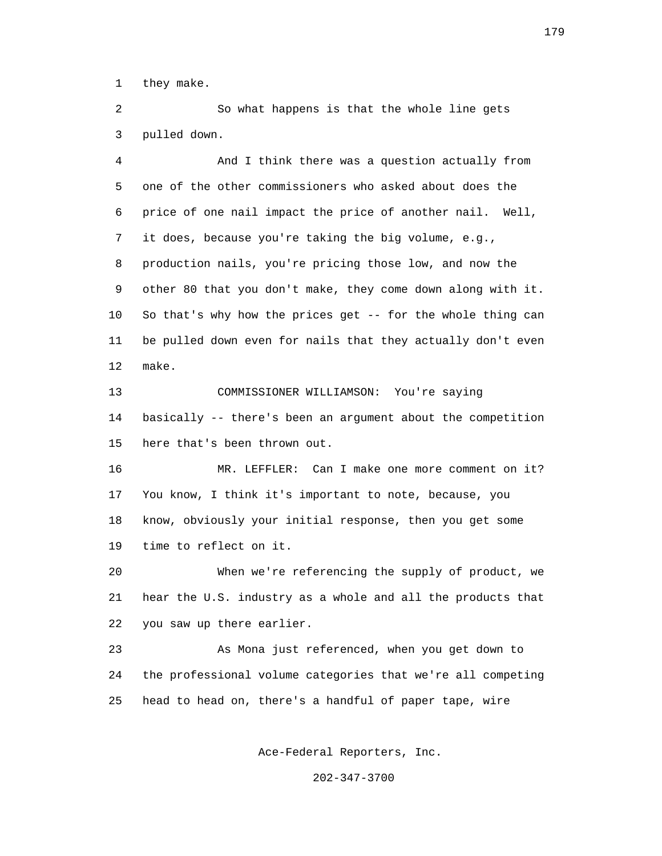1 they make.

 2 So what happens is that the whole line gets 3 pulled down.

 4 And I think there was a question actually from 5 one of the other commissioners who asked about does the 6 price of one nail impact the price of another nail. Well, 7 it does, because you're taking the big volume, e.g., 8 production nails, you're pricing those low, and now the 9 other 80 that you don't make, they come down along with it. 10 So that's why how the prices get -- for the whole thing can 11 be pulled down even for nails that they actually don't even 12 make.

 13 COMMISSIONER WILLIAMSON: You're saying 14 basically -- there's been an argument about the competition 15 here that's been thrown out.

 16 MR. LEFFLER: Can I make one more comment on it? 17 You know, I think it's important to note, because, you 18 know, obviously your initial response, then you get some 19 time to reflect on it.

 20 When we're referencing the supply of product, we 21 hear the U.S. industry as a whole and all the products that 22 you saw up there earlier.

 23 As Mona just referenced, when you get down to 24 the professional volume categories that we're all competing 25 head to head on, there's a handful of paper tape, wire

Ace-Federal Reporters, Inc.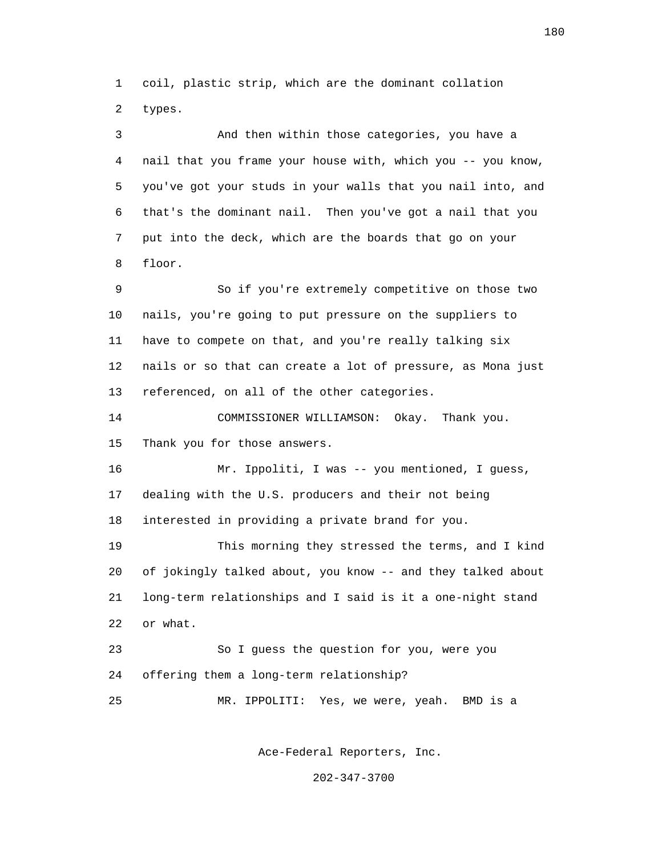1 coil, plastic strip, which are the dominant collation 2 types.

 3 And then within those categories, you have a 4 nail that you frame your house with, which you -- you know, 5 you've got your studs in your walls that you nail into, and 6 that's the dominant nail. Then you've got a nail that you 7 put into the deck, which are the boards that go on your 8 floor.

 9 So if you're extremely competitive on those two 10 nails, you're going to put pressure on the suppliers to 11 have to compete on that, and you're really talking six 12 nails or so that can create a lot of pressure, as Mona just 13 referenced, on all of the other categories.

 14 COMMISSIONER WILLIAMSON: Okay. Thank you. 15 Thank you for those answers.

 16 Mr. Ippoliti, I was -- you mentioned, I guess, 17 dealing with the U.S. producers and their not being 18 interested in providing a private brand for you.

 19 This morning they stressed the terms, and I kind 20 of jokingly talked about, you know -- and they talked about 21 long-term relationships and I said is it a one-night stand 22 or what.

 23 So I guess the question for you, were you 24 offering them a long-term relationship?

25 MR. IPPOLITI: Yes, we were, yeah. BMD is a

Ace-Federal Reporters, Inc.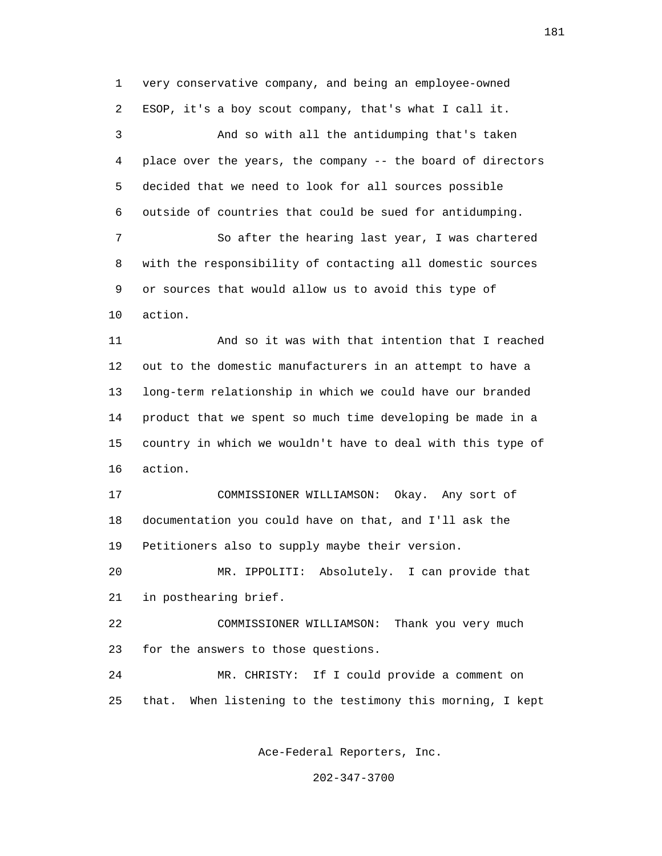1 very conservative company, and being an employee-owned 2 ESOP, it's a boy scout company, that's what I call it. 3 And so with all the antidumping that's taken 4 place over the years, the company -- the board of directors 5 decided that we need to look for all sources possible 6 outside of countries that could be sued for antidumping. 7 So after the hearing last year, I was chartered 8 with the responsibility of contacting all domestic sources 9 or sources that would allow us to avoid this type of 10 action. 11 And so it was with that intention that I reached 12 out to the domestic manufacturers in an attempt to have a 13 long-term relationship in which we could have our branded 14 product that we spent so much time developing be made in a 15 country in which we wouldn't have to deal with this type of 16 action. 17 COMMISSIONER WILLIAMSON: Okay. Any sort of 18 documentation you could have on that, and I'll ask the 19 Petitioners also to supply maybe their version. 20 MR. IPPOLITI: Absolutely. I can provide that 21 in posthearing brief. 22 COMMISSIONER WILLIAMSON: Thank you very much 23 for the answers to those questions. 24 MR. CHRISTY: If I could provide a comment on 25 that. When listening to the testimony this morning, I kept

Ace-Federal Reporters, Inc.

202-347-3700

181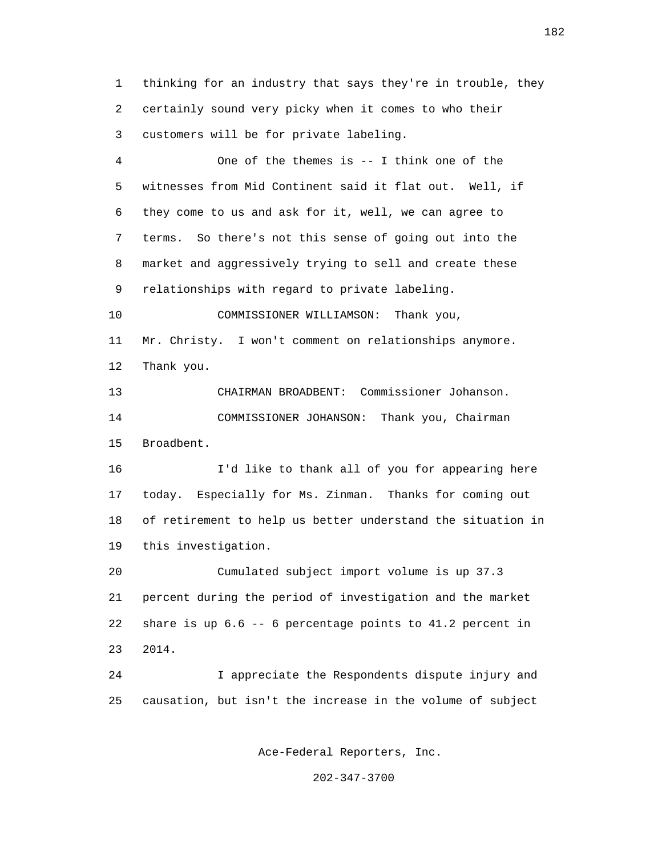1 thinking for an industry that says they're in trouble, they 2 certainly sound very picky when it comes to who their 3 customers will be for private labeling.

 4 One of the themes is -- I think one of the 5 witnesses from Mid Continent said it flat out. Well, if 6 they come to us and ask for it, well, we can agree to 7 terms. So there's not this sense of going out into the 8 market and aggressively trying to sell and create these 9 relationships with regard to private labeling.

 10 COMMISSIONER WILLIAMSON: Thank you, 11 Mr. Christy. I won't comment on relationships anymore. 12 Thank you.

 13 CHAIRMAN BROADBENT: Commissioner Johanson. 14 COMMISSIONER JOHANSON: Thank you, Chairman 15 Broadbent.

 16 I'd like to thank all of you for appearing here 17 today. Especially for Ms. Zinman. Thanks for coming out 18 of retirement to help us better understand the situation in 19 this investigation.

 20 Cumulated subject import volume is up 37.3 21 percent during the period of investigation and the market 22 share is up 6.6 -- 6 percentage points to 41.2 percent in 23 2014.

 24 I appreciate the Respondents dispute injury and 25 causation, but isn't the increase in the volume of subject

Ace-Federal Reporters, Inc.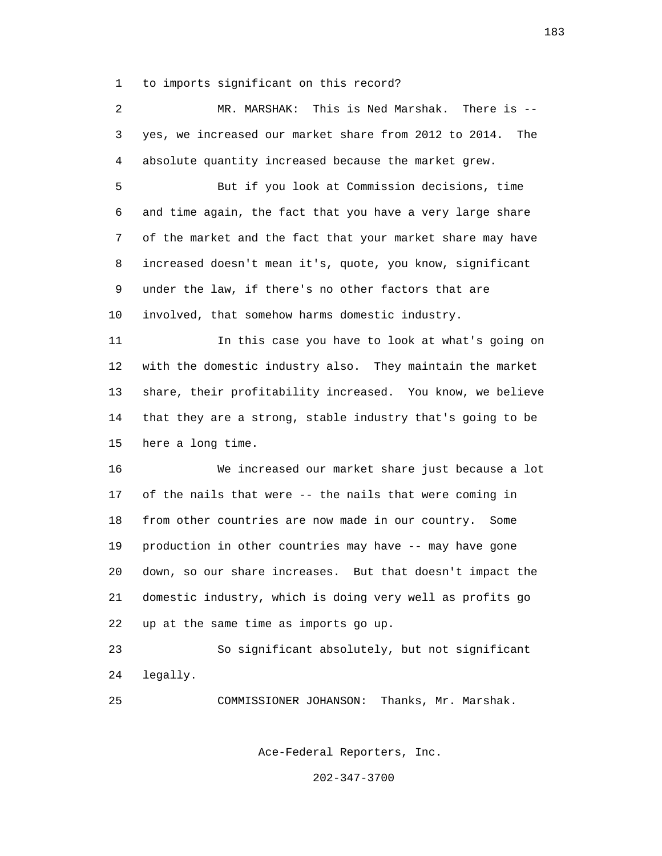1 to imports significant on this record?

 2 MR. MARSHAK: This is Ned Marshak. There is -- 3 yes, we increased our market share from 2012 to 2014. The 4 absolute quantity increased because the market grew.

 5 But if you look at Commission decisions, time 6 and time again, the fact that you have a very large share 7 of the market and the fact that your market share may have 8 increased doesn't mean it's, quote, you know, significant 9 under the law, if there's no other factors that are 10 involved, that somehow harms domestic industry.

 11 In this case you have to look at what's going on 12 with the domestic industry also. They maintain the market 13 share, their profitability increased. You know, we believe 14 that they are a strong, stable industry that's going to be 15 here a long time.

 16 We increased our market share just because a lot 17 of the nails that were -- the nails that were coming in 18 from other countries are now made in our country. Some 19 production in other countries may have -- may have gone 20 down, so our share increases. But that doesn't impact the 21 domestic industry, which is doing very well as profits go 22 up at the same time as imports go up.

 23 So significant absolutely, but not significant 24 legally.

25 COMMISSIONER JOHANSON: Thanks, Mr. Marshak.

Ace-Federal Reporters, Inc.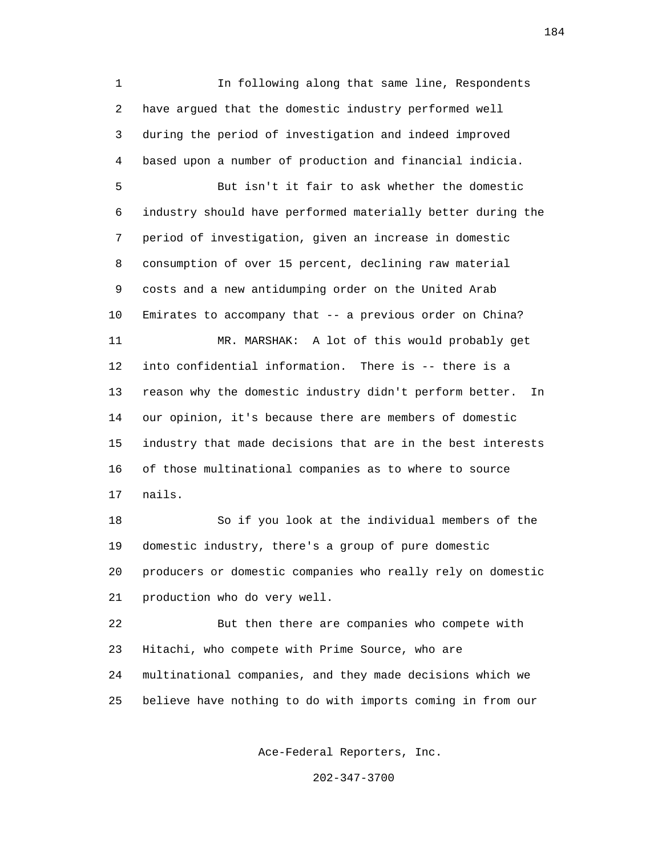1 In following along that same line, Respondents 2 have argued that the domestic industry performed well 3 during the period of investigation and indeed improved 4 based upon a number of production and financial indicia. 5 But isn't it fair to ask whether the domestic 6 industry should have performed materially better during the 7 period of investigation, given an increase in domestic 8 consumption of over 15 percent, declining raw material 9 costs and a new antidumping order on the United Arab 10 Emirates to accompany that -- a previous order on China? 11 MR. MARSHAK: A lot of this would probably get 12 into confidential information. There is -- there is a 13 reason why the domestic industry didn't perform better. In 14 our opinion, it's because there are members of domestic 15 industry that made decisions that are in the best interests 16 of those multinational companies as to where to source 17 nails.

 18 So if you look at the individual members of the 19 domestic industry, there's a group of pure domestic 20 producers or domestic companies who really rely on domestic 21 production who do very well.

 22 But then there are companies who compete with 23 Hitachi, who compete with Prime Source, who are 24 multinational companies, and they made decisions which we 25 believe have nothing to do with imports coming in from our

Ace-Federal Reporters, Inc.

202-347-3700

184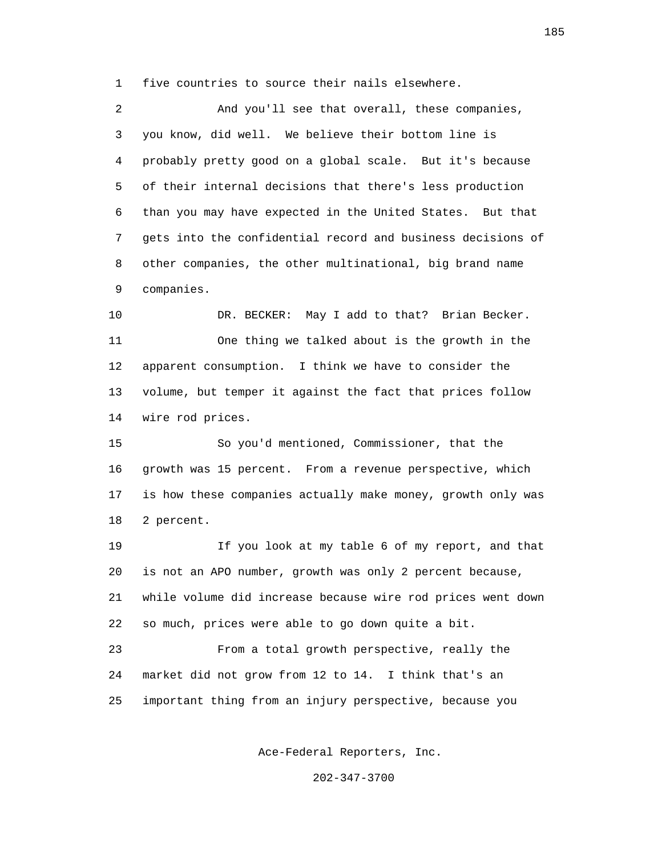1 five countries to source their nails elsewhere.

 2 And you'll see that overall, these companies, 3 you know, did well. We believe their bottom line is 4 probably pretty good on a global scale. But it's because 5 of their internal decisions that there's less production 6 than you may have expected in the United States. But that 7 gets into the confidential record and business decisions of 8 other companies, the other multinational, big brand name 9 companies.

 10 DR. BECKER: May I add to that? Brian Becker. 11 One thing we talked about is the growth in the 12 apparent consumption. I think we have to consider the 13 volume, but temper it against the fact that prices follow 14 wire rod prices.

 15 So you'd mentioned, Commissioner, that the 16 growth was 15 percent. From a revenue perspective, which 17 is how these companies actually make money, growth only was 18 2 percent.

 19 If you look at my table 6 of my report, and that 20 is not an APO number, growth was only 2 percent because, 21 while volume did increase because wire rod prices went down 22 so much, prices were able to go down quite a bit.

 23 From a total growth perspective, really the 24 market did not grow from 12 to 14. I think that's an 25 important thing from an injury perspective, because you

Ace-Federal Reporters, Inc.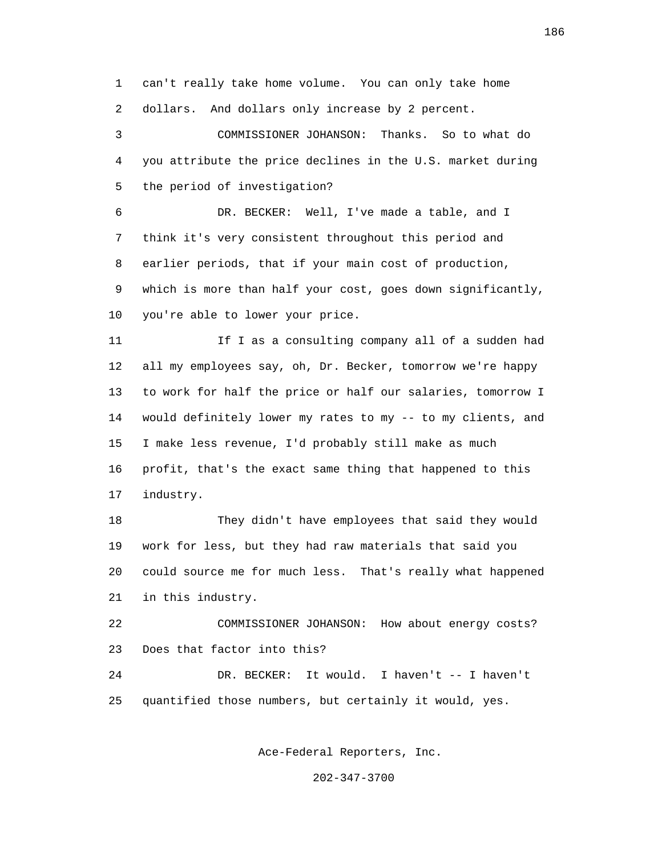1 can't really take home volume. You can only take home 2 dollars. And dollars only increase by 2 percent.

 3 COMMISSIONER JOHANSON: Thanks. So to what do 4 you attribute the price declines in the U.S. market during 5 the period of investigation?

 6 DR. BECKER: Well, I've made a table, and I 7 think it's very consistent throughout this period and 8 earlier periods, that if your main cost of production, 9 which is more than half your cost, goes down significantly, 10 you're able to lower your price.

11 11 If I as a consulting company all of a sudden had 12 all my employees say, oh, Dr. Becker, tomorrow we're happy 13 to work for half the price or half our salaries, tomorrow I 14 would definitely lower my rates to my -- to my clients, and 15 I make less revenue, I'd probably still make as much 16 profit, that's the exact same thing that happened to this 17 industry.

 18 They didn't have employees that said they would 19 work for less, but they had raw materials that said you 20 could source me for much less. That's really what happened 21 in this industry.

 22 COMMISSIONER JOHANSON: How about energy costs? 23 Does that factor into this?

 24 DR. BECKER: It would. I haven't -- I haven't 25 quantified those numbers, but certainly it would, yes.

Ace-Federal Reporters, Inc.

202-347-3700

186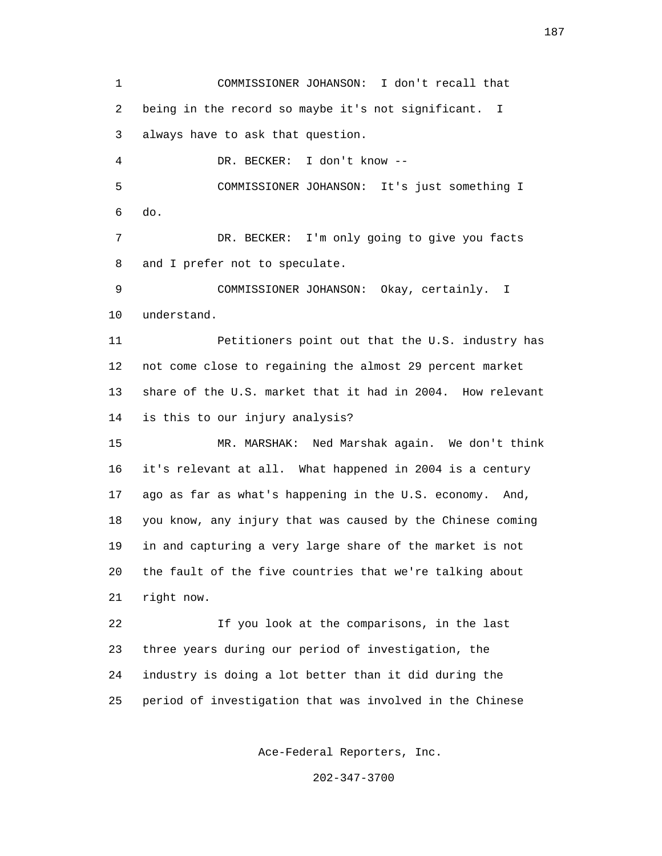1 COMMISSIONER JOHANSON: I don't recall that 2 being in the record so maybe it's not significant. I 3 always have to ask that question. 4 DR. BECKER: I don't know -- 5 COMMISSIONER JOHANSON: It's just something I 6 do. 7 DR. BECKER: I'm only going to give you facts 8 and I prefer not to speculate. 9 COMMISSIONER JOHANSON: Okay, certainly. I 10 understand. 11 Petitioners point out that the U.S. industry has 12 not come close to regaining the almost 29 percent market 13 share of the U.S. market that it had in 2004. How relevant 14 is this to our injury analysis? 15 MR. MARSHAK: Ned Marshak again. We don't think 16 it's relevant at all. What happened in 2004 is a century 17 ago as far as what's happening in the U.S. economy. And, 18 you know, any injury that was caused by the Chinese coming 19 in and capturing a very large share of the market is not 20 the fault of the five countries that we're talking about 21 right now. 22 If you look at the comparisons, in the last 23 three years during our period of investigation, the 24 industry is doing a lot better than it did during the 25 period of investigation that was involved in the Chinese

Ace-Federal Reporters, Inc.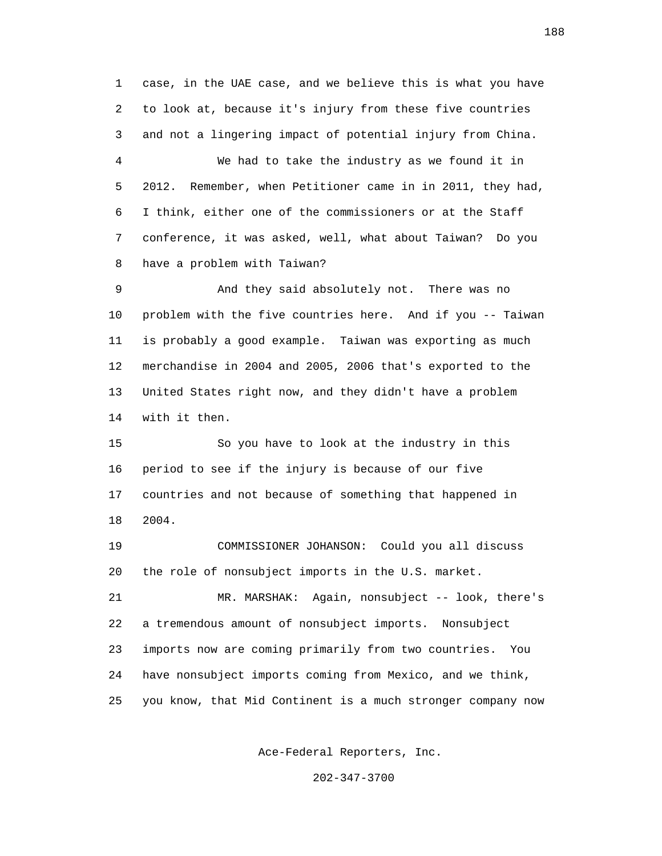1 case, in the UAE case, and we believe this is what you have 2 to look at, because it's injury from these five countries 3 and not a lingering impact of potential injury from China. 4 We had to take the industry as we found it in 5 2012. Remember, when Petitioner came in in 2011, they had, 6 I think, either one of the commissioners or at the Staff 7 conference, it was asked, well, what about Taiwan? Do you 8 have a problem with Taiwan?

 9 And they said absolutely not. There was no 10 problem with the five countries here. And if you -- Taiwan 11 is probably a good example. Taiwan was exporting as much 12 merchandise in 2004 and 2005, 2006 that's exported to the 13 United States right now, and they didn't have a problem 14 with it then.

 15 So you have to look at the industry in this 16 period to see if the injury is because of our five 17 countries and not because of something that happened in 18 2004.

 19 COMMISSIONER JOHANSON: Could you all discuss 20 the role of nonsubject imports in the U.S. market.

 21 MR. MARSHAK: Again, nonsubject -- look, there's 22 a tremendous amount of nonsubject imports. Nonsubject 23 imports now are coming primarily from two countries. You 24 have nonsubject imports coming from Mexico, and we think, 25 you know, that Mid Continent is a much stronger company now

Ace-Federal Reporters, Inc.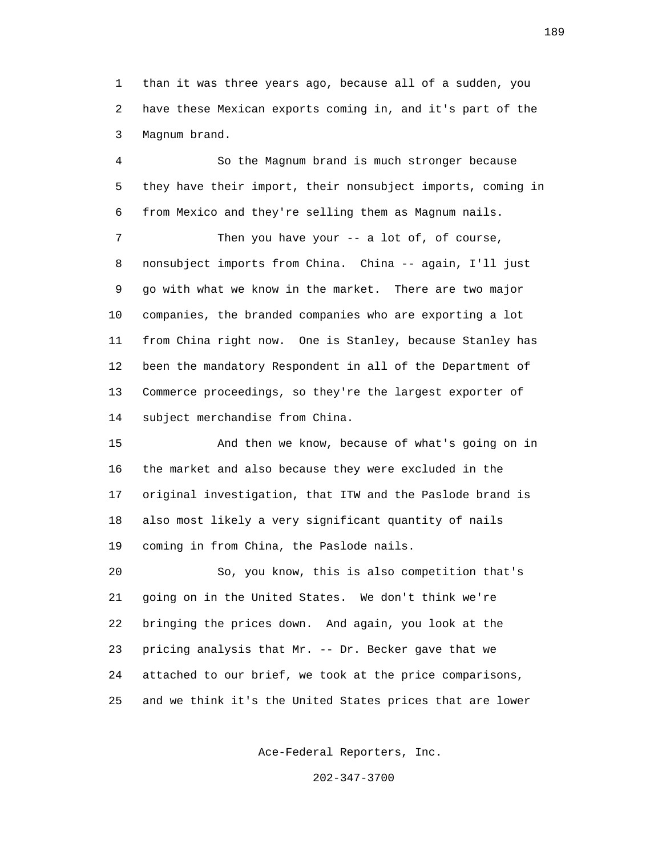1 than it was three years ago, because all of a sudden, you 2 have these Mexican exports coming in, and it's part of the 3 Magnum brand.

 4 So the Magnum brand is much stronger because 5 they have their import, their nonsubject imports, coming in 6 from Mexico and they're selling them as Magnum nails.

7 Then you have your -- a lot of, of course, 8 nonsubject imports from China. China -- again, I'll just 9 go with what we know in the market. There are two major 10 companies, the branded companies who are exporting a lot 11 from China right now. One is Stanley, because Stanley has 12 been the mandatory Respondent in all of the Department of 13 Commerce proceedings, so they're the largest exporter of 14 subject merchandise from China.

 15 And then we know, because of what's going on in 16 the market and also because they were excluded in the 17 original investigation, that ITW and the Paslode brand is 18 also most likely a very significant quantity of nails 19 coming in from China, the Paslode nails.

 20 So, you know, this is also competition that's 21 going on in the United States. We don't think we're 22 bringing the prices down. And again, you look at the 23 pricing analysis that Mr. -- Dr. Becker gave that we 24 attached to our brief, we took at the price comparisons, 25 and we think it's the United States prices that are lower

Ace-Federal Reporters, Inc.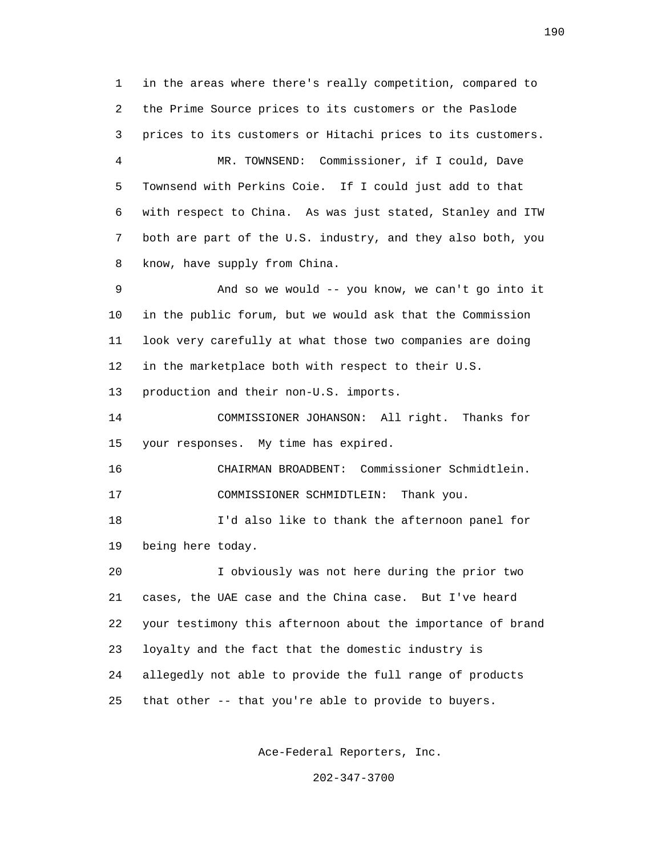1 in the areas where there's really competition, compared to 2 the Prime Source prices to its customers or the Paslode 3 prices to its customers or Hitachi prices to its customers. 4 MR. TOWNSEND: Commissioner, if I could, Dave 5 Townsend with Perkins Coie. If I could just add to that 6 with respect to China. As was just stated, Stanley and ITW 7 both are part of the U.S. industry, and they also both, you 8 know, have supply from China. 9 And so we would -- you know, we can't go into it 10 in the public forum, but we would ask that the Commission 11 look very carefully at what those two companies are doing 12 in the marketplace both with respect to their U.S.

13 production and their non-U.S. imports.

 14 COMMISSIONER JOHANSON: All right. Thanks for 15 your responses. My time has expired.

 16 CHAIRMAN BROADBENT: Commissioner Schmidtlein. 17 COMMISSIONER SCHMIDTLEIN: Thank you.

 18 I'd also like to thank the afternoon panel for 19 being here today.

 20 I obviously was not here during the prior two 21 cases, the UAE case and the China case. But I've heard 22 your testimony this afternoon about the importance of brand 23 loyalty and the fact that the domestic industry is 24 allegedly not able to provide the full range of products 25 that other -- that you're able to provide to buyers.

Ace-Federal Reporters, Inc.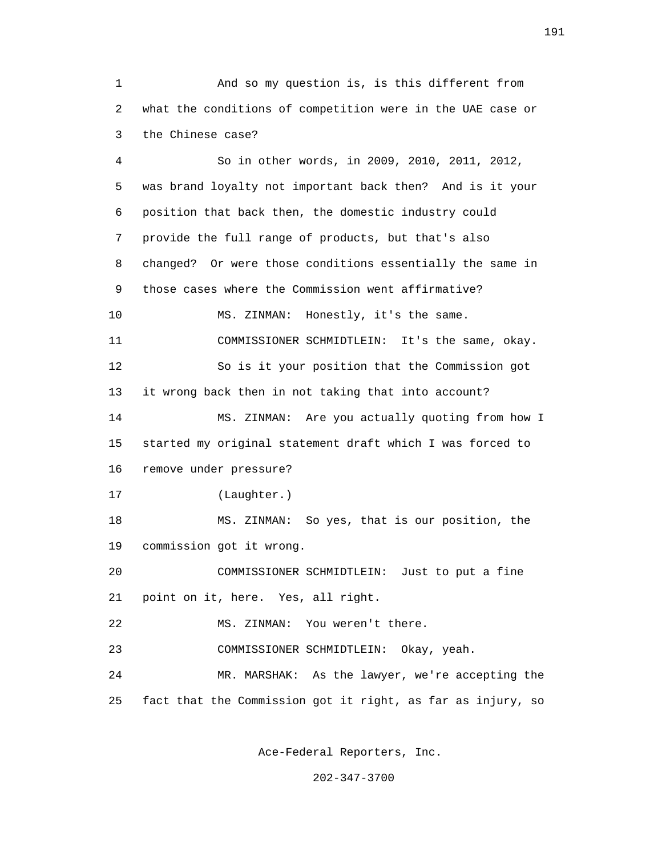1 And so my question is, is this different from 2 what the conditions of competition were in the UAE case or 3 the Chinese case?

 4 So in other words, in 2009, 2010, 2011, 2012, 5 was brand loyalty not important back then? And is it your 6 position that back then, the domestic industry could 7 provide the full range of products, but that's also 8 changed? Or were those conditions essentially the same in 9 those cases where the Commission went affirmative? 10 MS. ZINMAN: Honestly, it's the same. 11 COMMISSIONER SCHMIDTLEIN: It's the same, okay. 12 So is it your position that the Commission got 13 it wrong back then in not taking that into account? 14 MS. ZINMAN: Are you actually quoting from how I 15 started my original statement draft which I was forced to 16 remove under pressure? 17 (Laughter.) 18 MS. ZINMAN: So yes, that is our position, the 19 commission got it wrong. 20 COMMISSIONER SCHMIDTLEIN: Just to put a fine 21 point on it, here. Yes, all right. 22 MS. ZINMAN: You weren't there. 23 COMMISSIONER SCHMIDTLEIN: Okay, yeah. 24 MR. MARSHAK: As the lawyer, we're accepting the 25 fact that the Commission got it right, as far as injury, so

Ace-Federal Reporters, Inc.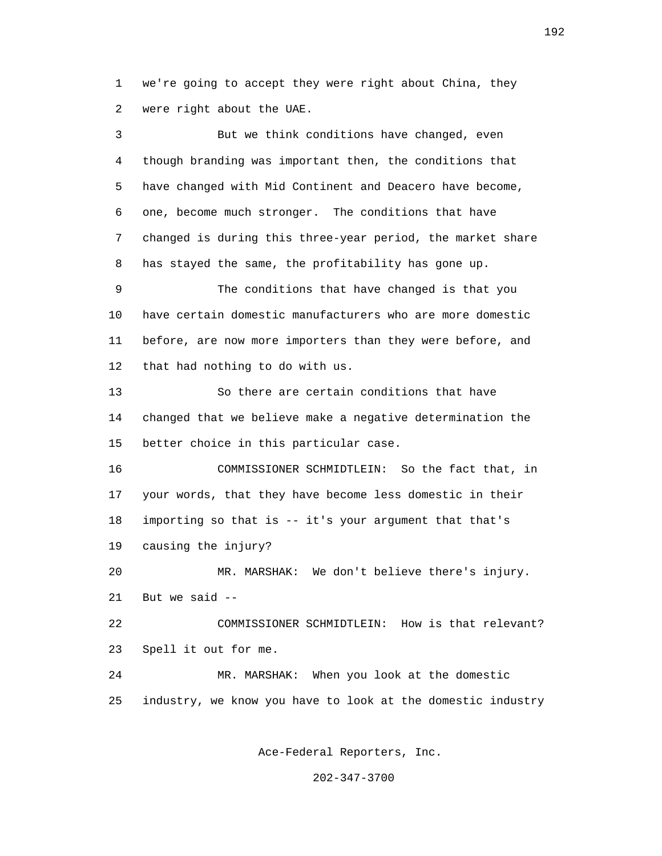1 we're going to accept they were right about China, they 2 were right about the UAE.

 3 But we think conditions have changed, even 4 though branding was important then, the conditions that 5 have changed with Mid Continent and Deacero have become, 6 one, become much stronger. The conditions that have 7 changed is during this three-year period, the market share 8 has stayed the same, the profitability has gone up. 9 The conditions that have changed is that you 10 have certain domestic manufacturers who are more domestic 11 before, are now more importers than they were before, and 12 that had nothing to do with us. 13 So there are certain conditions that have 14 changed that we believe make a negative determination the 15 better choice in this particular case. 16 COMMISSIONER SCHMIDTLEIN: So the fact that, in 17 your words, that they have become less domestic in their 18 importing so that is -- it's your argument that that's 19 causing the injury? 20 MR. MARSHAK: We don't believe there's injury. 21 But we said --

 22 COMMISSIONER SCHMIDTLEIN: How is that relevant? 23 Spell it out for me.

 24 MR. MARSHAK: When you look at the domestic 25 industry, we know you have to look at the domestic industry

Ace-Federal Reporters, Inc.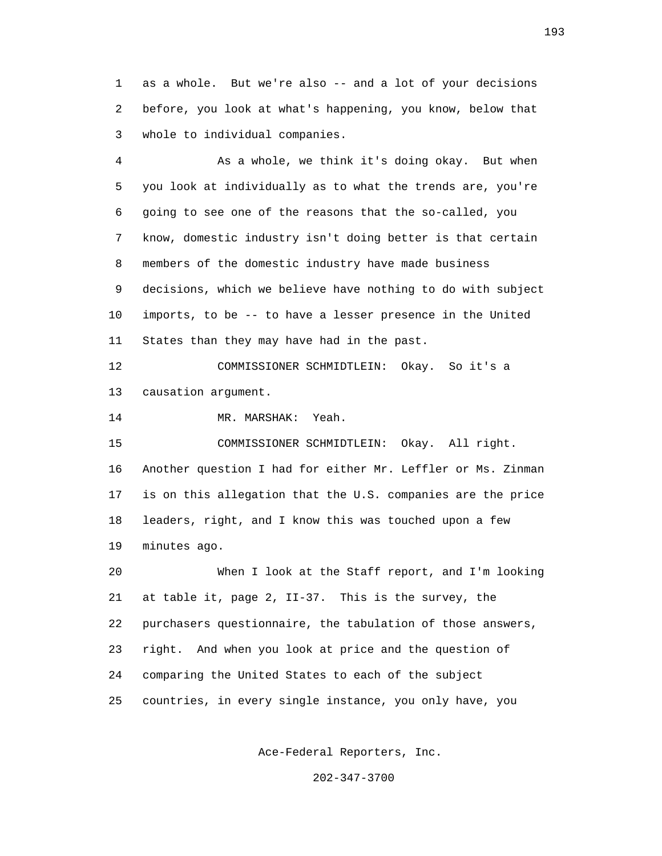1 as a whole. But we're also -- and a lot of your decisions 2 before, you look at what's happening, you know, below that 3 whole to individual companies.

 4 As a whole, we think it's doing okay. But when 5 you look at individually as to what the trends are, you're 6 going to see one of the reasons that the so-called, you 7 know, domestic industry isn't doing better is that certain 8 members of the domestic industry have made business 9 decisions, which we believe have nothing to do with subject 10 imports, to be -- to have a lesser presence in the United 11 States than they may have had in the past.

 12 COMMISSIONER SCHMIDTLEIN: Okay. So it's a 13 causation argument.

14 MR. MARSHAK: Yeah.

 15 COMMISSIONER SCHMIDTLEIN: Okay. All right. 16 Another question I had for either Mr. Leffler or Ms. Zinman 17 is on this allegation that the U.S. companies are the price 18 leaders, right, and I know this was touched upon a few 19 minutes ago.

 20 When I look at the Staff report, and I'm looking 21 at table it, page 2, II-37. This is the survey, the 22 purchasers questionnaire, the tabulation of those answers, 23 right. And when you look at price and the question of 24 comparing the United States to each of the subject 25 countries, in every single instance, you only have, you

Ace-Federal Reporters, Inc.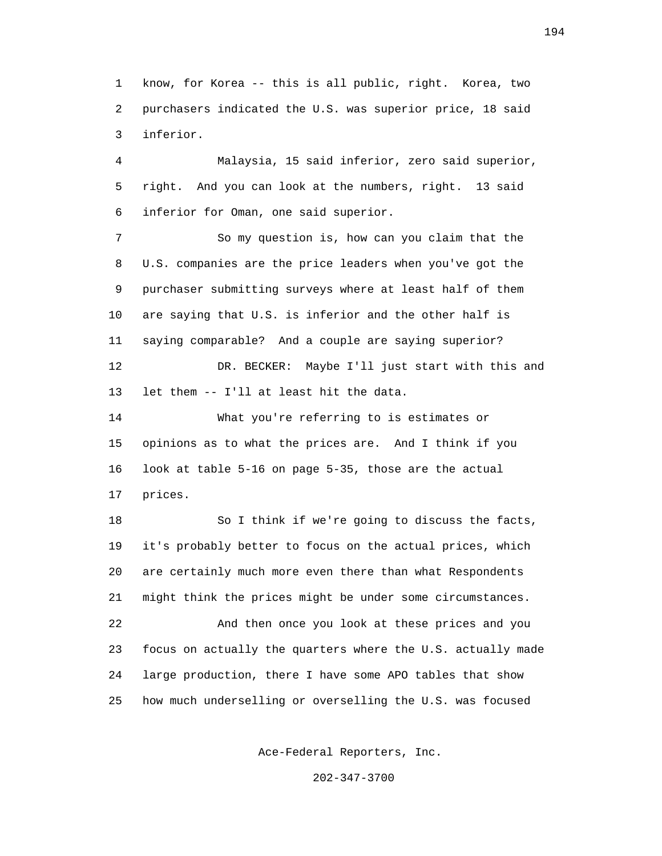1 know, for Korea -- this is all public, right. Korea, two 2 purchasers indicated the U.S. was superior price, 18 said 3 inferior.

 4 Malaysia, 15 said inferior, zero said superior, 5 right. And you can look at the numbers, right. 13 said 6 inferior for Oman, one said superior.

 7 So my question is, how can you claim that the 8 U.S. companies are the price leaders when you've got the 9 purchaser submitting surveys where at least half of them 10 are saying that U.S. is inferior and the other half is 11 saying comparable? And a couple are saying superior? 12 DR. BECKER: Maybe I'll just start with this and 13 let them -- I'll at least hit the data.

 14 What you're referring to is estimates or 15 opinions as to what the prices are. And I think if you 16 look at table 5-16 on page 5-35, those are the actual 17 prices.

 18 So I think if we're going to discuss the facts, 19 it's probably better to focus on the actual prices, which 20 are certainly much more even there than what Respondents 21 might think the prices might be under some circumstances. 22 And then once you look at these prices and you 23 focus on actually the quarters where the U.S. actually made 24 large production, there I have some APO tables that show 25 how much underselling or overselling the U.S. was focused

Ace-Federal Reporters, Inc.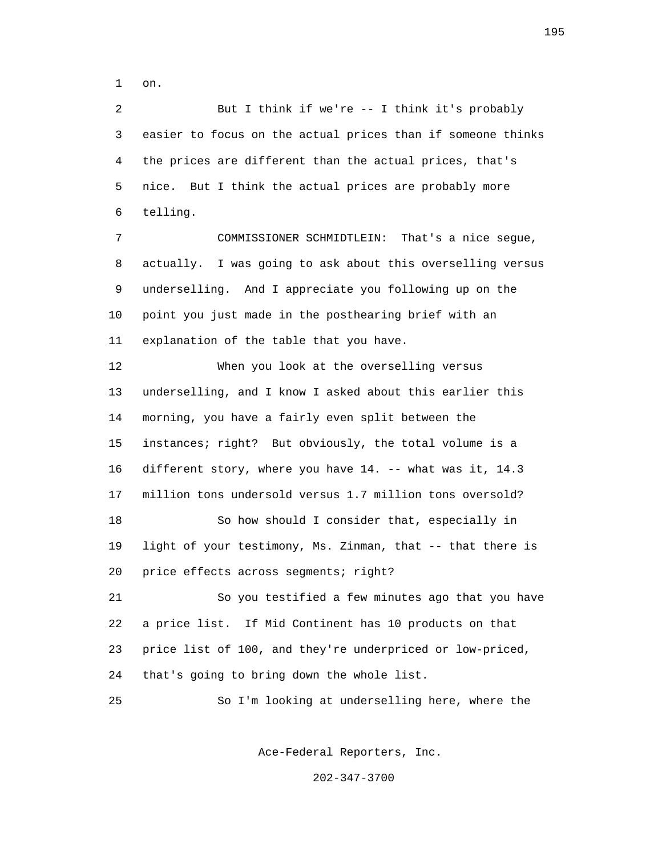1 on.

 2 But I think if we're -- I think it's probably 3 easier to focus on the actual prices than if someone thinks 4 the prices are different than the actual prices, that's 5 nice. But I think the actual prices are probably more 6 telling. 7 COMMISSIONER SCHMIDTLEIN: That's a nice segue,

 8 actually. I was going to ask about this overselling versus 9 underselling. And I appreciate you following up on the 10 point you just made in the posthearing brief with an 11 explanation of the table that you have.

 12 When you look at the overselling versus 13 underselling, and I know I asked about this earlier this 14 morning, you have a fairly even split between the 15 instances; right? But obviously, the total volume is a 16 different story, where you have 14. -- what was it, 14.3 17 million tons undersold versus 1.7 million tons oversold? 18 So how should I consider that, especially in 19 light of your testimony, Ms. Zinman, that -- that there is 20 price effects across segments; right? 21 So you testified a few minutes ago that you have

 22 a price list. If Mid Continent has 10 products on that 23 price list of 100, and they're underpriced or low-priced, 24 that's going to bring down the whole list.

25 So I'm looking at underselling here, where the

Ace-Federal Reporters, Inc.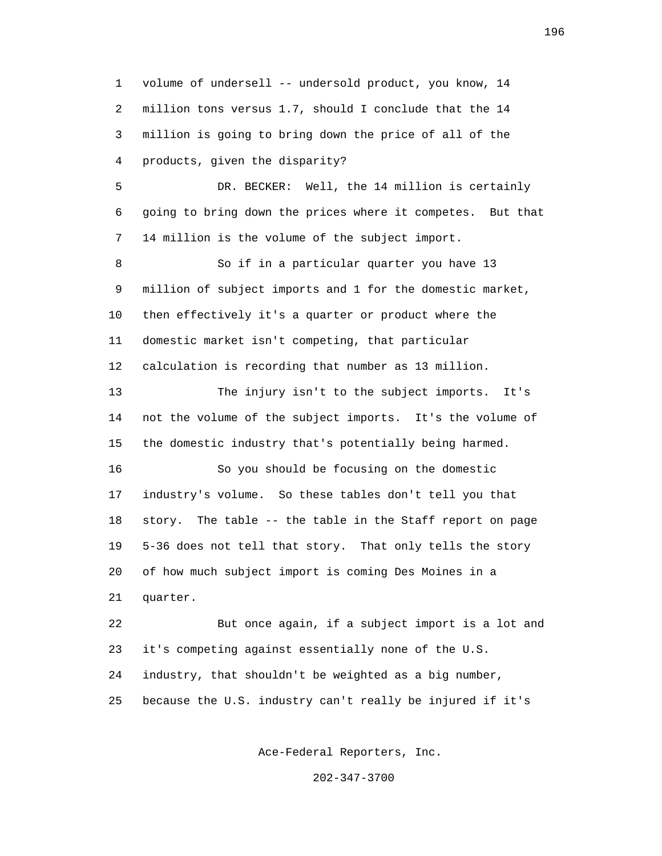1 volume of undersell -- undersold product, you know, 14 2 million tons versus 1.7, should I conclude that the 14 3 million is going to bring down the price of all of the 4 products, given the disparity? 5 DR. BECKER: Well, the 14 million is certainly 6 going to bring down the prices where it competes. But that 7 14 million is the volume of the subject import. 8 So if in a particular quarter you have 13 9 million of subject imports and 1 for the domestic market, 10 then effectively it's a quarter or product where the 11 domestic market isn't competing, that particular 12 calculation is recording that number as 13 million. 13 The injury isn't to the subject imports. It's 14 not the volume of the subject imports. It's the volume of 15 the domestic industry that's potentially being harmed. 16 So you should be focusing on the domestic 17 industry's volume. So these tables don't tell you that 18 story. The table -- the table in the Staff report on page 19 5-36 does not tell that story. That only tells the story 20 of how much subject import is coming Des Moines in a 21 quarter. 22 But once again, if a subject import is a lot and 23 it's competing against essentially none of the U.S. 24 industry, that shouldn't be weighted as a big number, 25 because the U.S. industry can't really be injured if it's

Ace-Federal Reporters, Inc.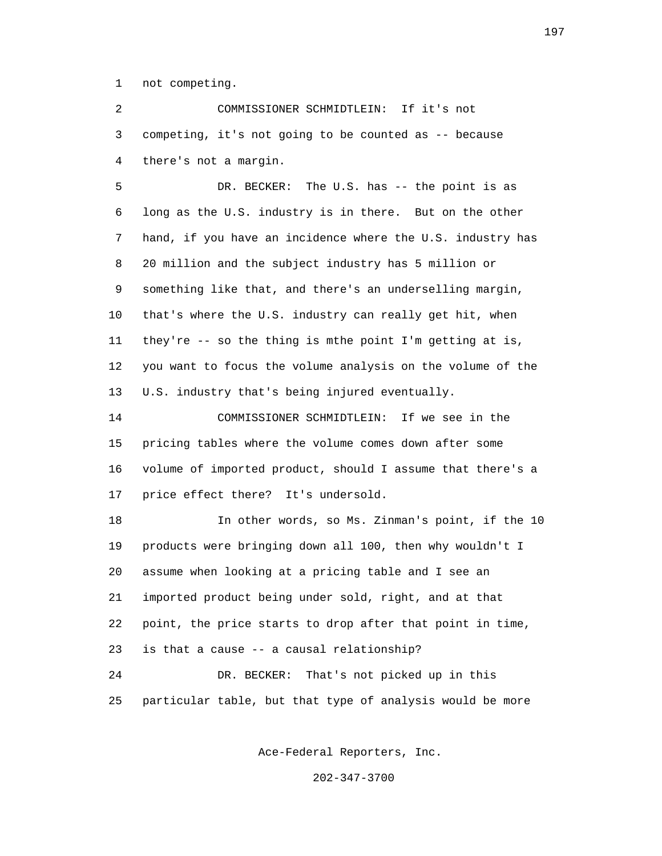1 not competing.

 2 COMMISSIONER SCHMIDTLEIN: If it's not 3 competing, it's not going to be counted as -- because 4 there's not a margin.

 5 DR. BECKER: The U.S. has -- the point is as 6 long as the U.S. industry is in there. But on the other 7 hand, if you have an incidence where the U.S. industry has 8 20 million and the subject industry has 5 million or 9 something like that, and there's an underselling margin, 10 that's where the U.S. industry can really get hit, when 11 they're -- so the thing is mthe point I'm getting at is, 12 you want to focus the volume analysis on the volume of the 13 U.S. industry that's being injured eventually.

 14 COMMISSIONER SCHMIDTLEIN: If we see in the 15 pricing tables where the volume comes down after some 16 volume of imported product, should I assume that there's a 17 price effect there? It's undersold.

 18 In other words, so Ms. Zinman's point, if the 10 19 products were bringing down all 100, then why wouldn't I 20 assume when looking at a pricing table and I see an 21 imported product being under sold, right, and at that 22 point, the price starts to drop after that point in time, 23 is that a cause -- a causal relationship? 24 DR. BECKER: That's not picked up in this 25 particular table, but that type of analysis would be more

Ace-Federal Reporters, Inc.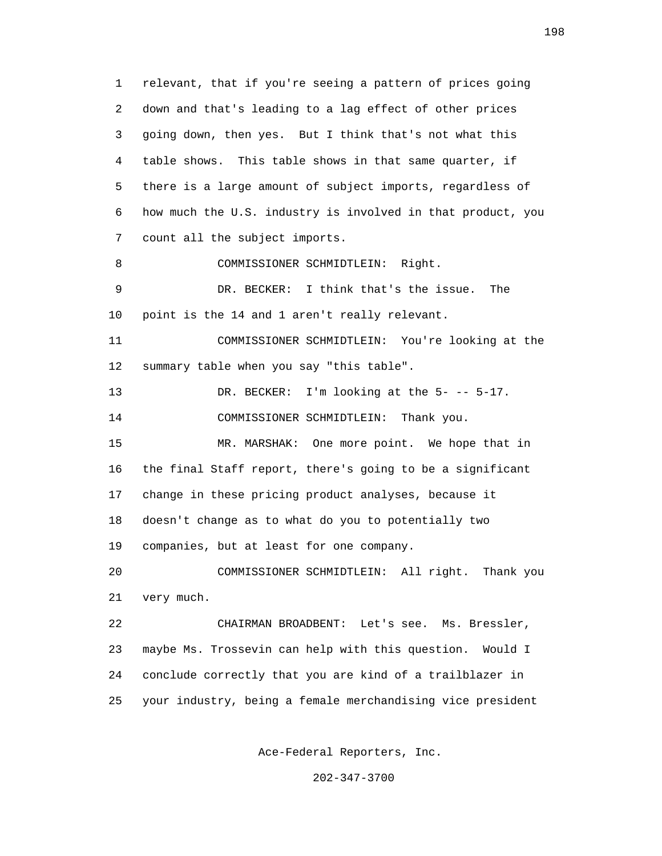1 relevant, that if you're seeing a pattern of prices going 2 down and that's leading to a lag effect of other prices 3 going down, then yes. But I think that's not what this 4 table shows. This table shows in that same quarter, if 5 there is a large amount of subject imports, regardless of 6 how much the U.S. industry is involved in that product, you 7 count all the subject imports. 8 COMMISSIONER SCHMIDTLEIN: Right. 9 DR. BECKER: I think that's the issue. The 10 point is the 14 and 1 aren't really relevant. 11 COMMISSIONER SCHMIDTLEIN: You're looking at the 12 summary table when you say "this table". 13 DR. BECKER: I'm looking at the 5--- 5-17. 14 COMMISSIONER SCHMIDTLEIN: Thank you. 15 MR. MARSHAK: One more point. We hope that in 16 the final Staff report, there's going to be a significant 17 change in these pricing product analyses, because it 18 doesn't change as to what do you to potentially two 19 companies, but at least for one company. 20 COMMISSIONER SCHMIDTLEIN: All right. Thank you 21 very much. 22 CHAIRMAN BROADBENT: Let's see. Ms. Bressler, 23 maybe Ms. Trossevin can help with this question. Would I 24 conclude correctly that you are kind of a trailblazer in 25 your industry, being a female merchandising vice president

Ace-Federal Reporters, Inc.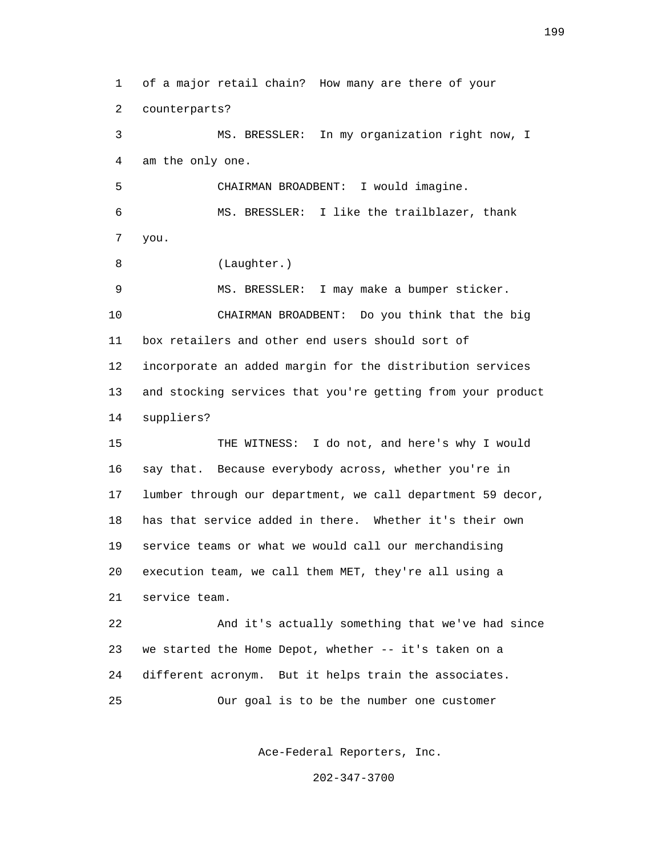1 of a major retail chain? How many are there of your 2 counterparts? 3 MS. BRESSLER: In my organization right now, I 4 am the only one. 5 CHAIRMAN BROADBENT: I would imagine. 6 MS. BRESSLER: I like the trailblazer, thank 7 you. 8 (Laughter.) 9 MS. BRESSLER: I may make a bumper sticker. 10 CHAIRMAN BROADBENT: Do you think that the big 11 box retailers and other end users should sort of 12 incorporate an added margin for the distribution services 13 and stocking services that you're getting from your product 14 suppliers? 15 THE WITNESS: I do not, and here's why I would 16 say that. Because everybody across, whether you're in 17 lumber through our department, we call department 59 decor, 18 has that service added in there. Whether it's their own 19 service teams or what we would call our merchandising 20 execution team, we call them MET, they're all using a 21 service team. 22 And it's actually something that we've had since 23 we started the Home Depot, whether -- it's taken on a 24 different acronym. But it helps train the associates. 25 Our goal is to be the number one customer

Ace-Federal Reporters, Inc.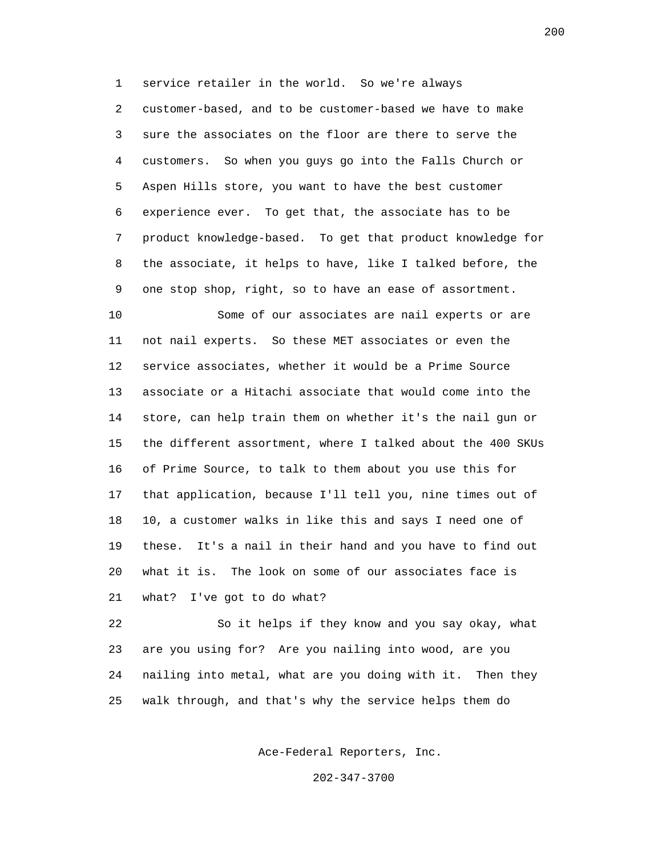1 service retailer in the world. So we're always 2 customer-based, and to be customer-based we have to make 3 sure the associates on the floor are there to serve the 4 customers. So when you guys go into the Falls Church or 5 Aspen Hills store, you want to have the best customer 6 experience ever. To get that, the associate has to be 7 product knowledge-based. To get that product knowledge for 8 the associate, it helps to have, like I talked before, the 9 one stop shop, right, so to have an ease of assortment.

 10 Some of our associates are nail experts or are 11 not nail experts. So these MET associates or even the 12 service associates, whether it would be a Prime Source 13 associate or a Hitachi associate that would come into the 14 store, can help train them on whether it's the nail gun or 15 the different assortment, where I talked about the 400 SKUs 16 of Prime Source, to talk to them about you use this for 17 that application, because I'll tell you, nine times out of 18 10, a customer walks in like this and says I need one of 19 these. It's a nail in their hand and you have to find out 20 what it is. The look on some of our associates face is 21 what? I've got to do what?

 22 So it helps if they know and you say okay, what 23 are you using for? Are you nailing into wood, are you 24 nailing into metal, what are you doing with it. Then they 25 walk through, and that's why the service helps them do

Ace-Federal Reporters, Inc.

202-347-3700

200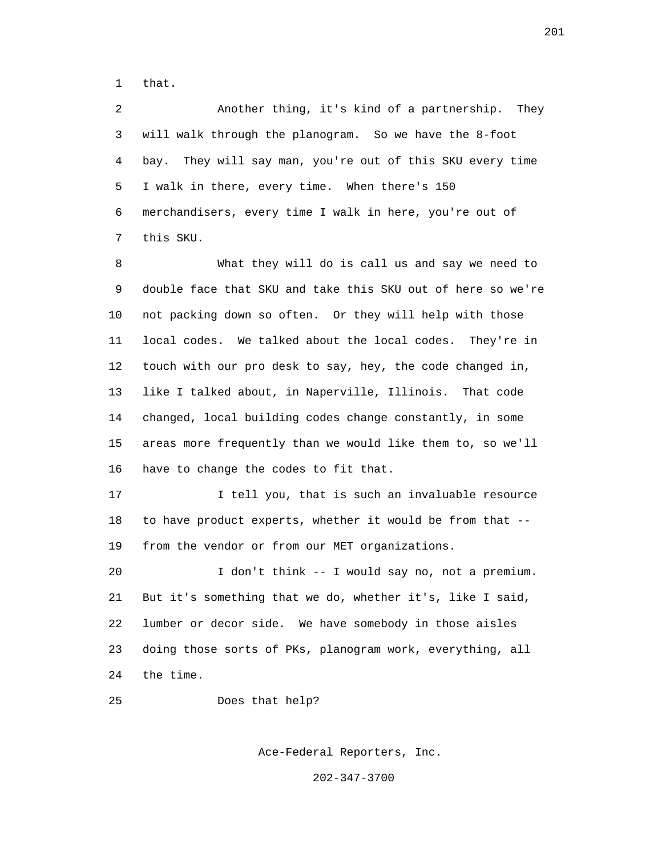1 that.

 2 Another thing, it's kind of a partnership. They 3 will walk through the planogram. So we have the 8-foot 4 bay. They will say man, you're out of this SKU every time 5 I walk in there, every time. When there's 150 6 merchandisers, every time I walk in here, you're out of 7 this SKU.

 8 What they will do is call us and say we need to 9 double face that SKU and take this SKU out of here so we're 10 not packing down so often. Or they will help with those 11 local codes. We talked about the local codes. They're in 12 touch with our pro desk to say, hey, the code changed in, 13 like I talked about, in Naperville, Illinois. That code 14 changed, local building codes change constantly, in some 15 areas more frequently than we would like them to, so we'll 16 have to change the codes to fit that.

 17 I tell you, that is such an invaluable resource 18 to have product experts, whether it would be from that -- 19 from the vendor or from our MET organizations.

 20 I don't think -- I would say no, not a premium. 21 But it's something that we do, whether it's, like I said, 22 lumber or decor side. We have somebody in those aisles 23 doing those sorts of PKs, planogram work, everything, all 24 the time.

25 Does that help?

Ace-Federal Reporters, Inc.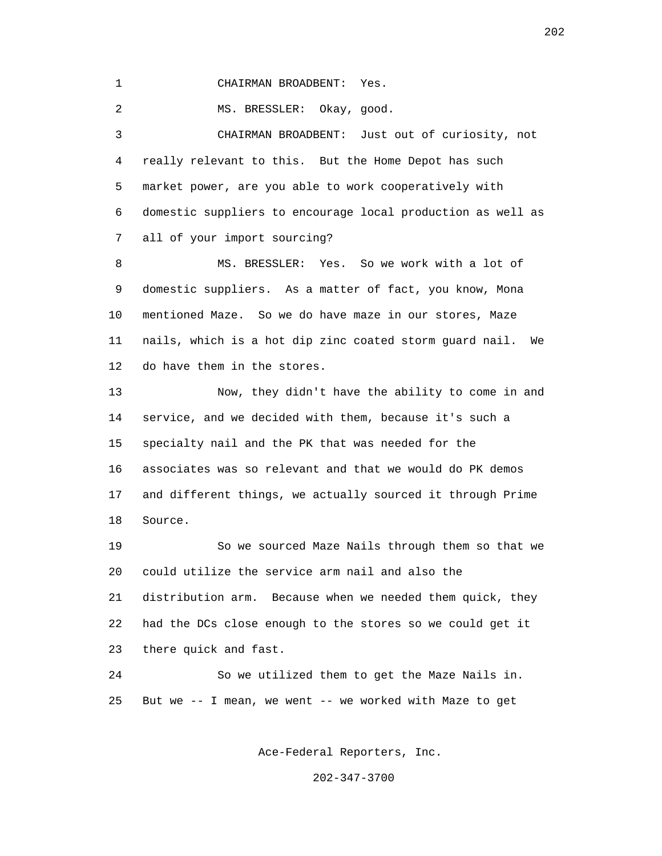1 CHAIRMAN BROADBENT: Yes.

2 MS. BRESSLER: Okay, good.

 3 CHAIRMAN BROADBENT: Just out of curiosity, not 4 really relevant to this. But the Home Depot has such 5 market power, are you able to work cooperatively with 6 domestic suppliers to encourage local production as well as 7 all of your import sourcing?

 8 MS. BRESSLER: Yes. So we work with a lot of 9 domestic suppliers. As a matter of fact, you know, Mona 10 mentioned Maze. So we do have maze in our stores, Maze 11 nails, which is a hot dip zinc coated storm guard nail. We 12 do have them in the stores.

 13 Now, they didn't have the ability to come in and 14 service, and we decided with them, because it's such a 15 specialty nail and the PK that was needed for the 16 associates was so relevant and that we would do PK demos 17 and different things, we actually sourced it through Prime 18 Source.

 19 So we sourced Maze Nails through them so that we 20 could utilize the service arm nail and also the 21 distribution arm. Because when we needed them quick, they 22 had the DCs close enough to the stores so we could get it 23 there quick and fast.

 24 So we utilized them to get the Maze Nails in. 25 But we -- I mean, we went -- we worked with Maze to get

Ace-Federal Reporters, Inc.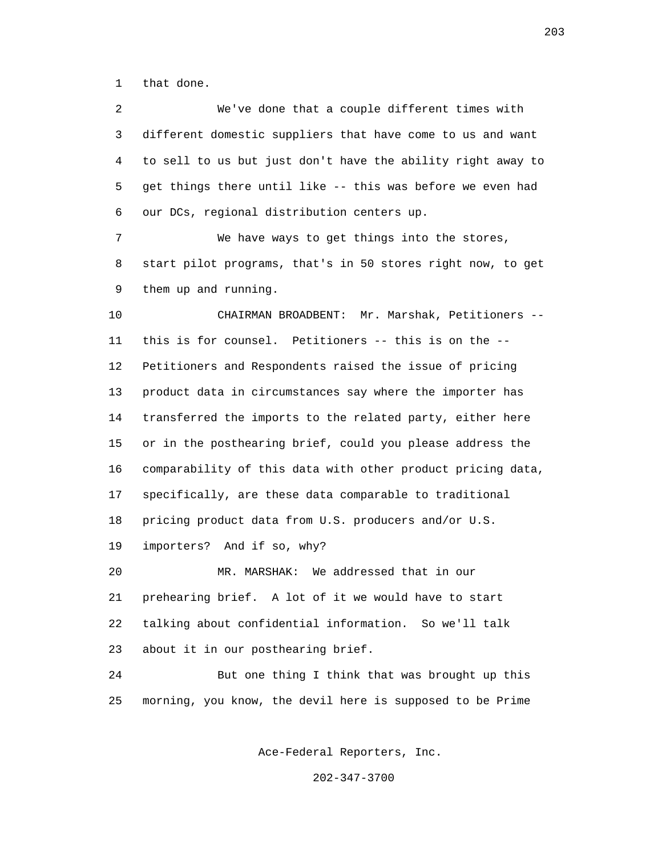1 that done.

 2 We've done that a couple different times with 3 different domestic suppliers that have come to us and want 4 to sell to us but just don't have the ability right away to 5 get things there until like -- this was before we even had 6 our DCs, regional distribution centers up. 7 We have ways to get things into the stores, 8 start pilot programs, that's in 50 stores right now, to get 9 them up and running. 10 CHAIRMAN BROADBENT: Mr. Marshak, Petitioners -- 11 this is for counsel. Petitioners -- this is on the -- 12 Petitioners and Respondents raised the issue of pricing 13 product data in circumstances say where the importer has 14 transferred the imports to the related party, either here 15 or in the posthearing brief, could you please address the 16 comparability of this data with other product pricing data, 17 specifically, are these data comparable to traditional 18 pricing product data from U.S. producers and/or U.S. 19 importers? And if so, why? 20 MR. MARSHAK: We addressed that in our 21 prehearing brief. A lot of it we would have to start 22 talking about confidential information. So we'll talk 23 about it in our posthearing brief. 24 But one thing I think that was brought up this 25 morning, you know, the devil here is supposed to be Prime

Ace-Federal Reporters, Inc.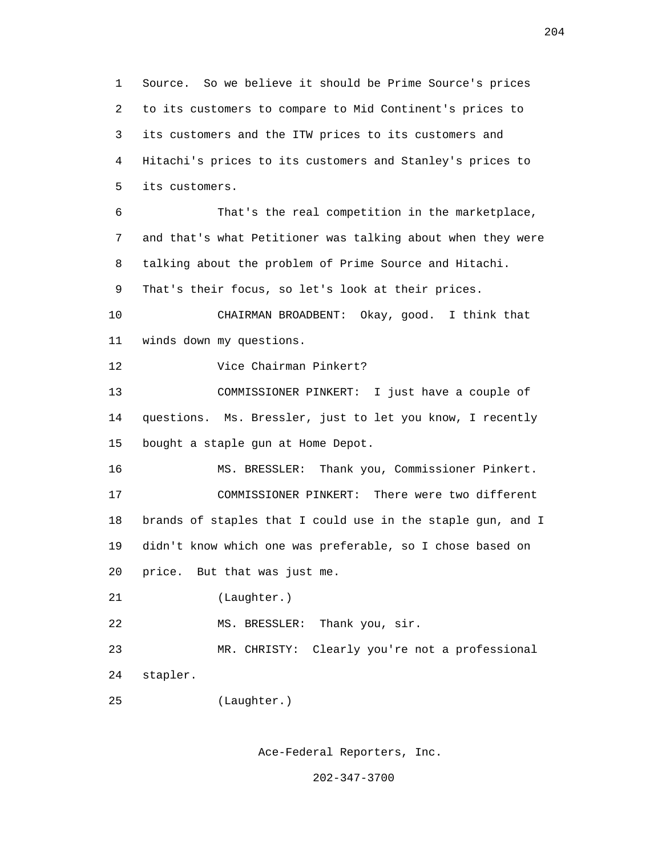1 Source. So we believe it should be Prime Source's prices 2 to its customers to compare to Mid Continent's prices to 3 its customers and the ITW prices to its customers and 4 Hitachi's prices to its customers and Stanley's prices to 5 its customers. 6 That's the real competition in the marketplace, 7 and that's what Petitioner was talking about when they were 8 talking about the problem of Prime Source and Hitachi. 9 That's their focus, so let's look at their prices. 10 CHAIRMAN BROADBENT: Okay, good. I think that 11 winds down my questions. 12 Vice Chairman Pinkert? 13 COMMISSIONER PINKERT: I just have a couple of 14 questions. Ms. Bressler, just to let you know, I recently 15 bought a staple gun at Home Depot. 16 MS. BRESSLER: Thank you, Commissioner Pinkert. 17 COMMISSIONER PINKERT: There were two different 18 brands of staples that I could use in the staple gun, and I 19 didn't know which one was preferable, so I chose based on 20 price. But that was just me. 21 (Laughter.) 22 MS. BRESSLER: Thank you, sir. 23 MR. CHRISTY: Clearly you're not a professional 24 stapler. 25 (Laughter.)

Ace-Federal Reporters, Inc.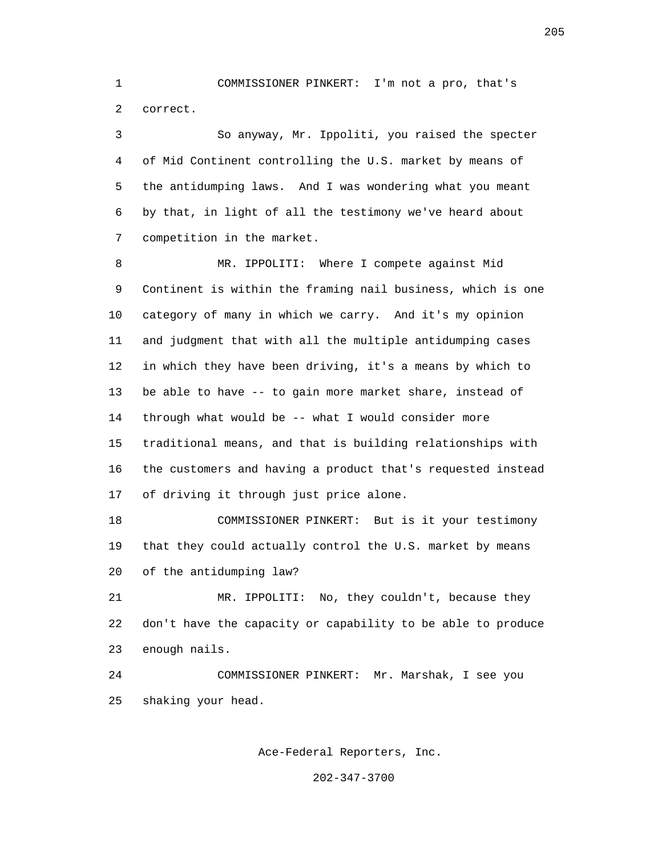1 COMMISSIONER PINKERT: I'm not a pro, that's 2 correct.

 3 So anyway, Mr. Ippoliti, you raised the specter 4 of Mid Continent controlling the U.S. market by means of 5 the antidumping laws. And I was wondering what you meant 6 by that, in light of all the testimony we've heard about 7 competition in the market.

 8 MR. IPPOLITI: Where I compete against Mid 9 Continent is within the framing nail business, which is one 10 category of many in which we carry. And it's my opinion 11 and judgment that with all the multiple antidumping cases 12 in which they have been driving, it's a means by which to 13 be able to have -- to gain more market share, instead of 14 through what would be -- what I would consider more 15 traditional means, and that is building relationships with 16 the customers and having a product that's requested instead 17 of driving it through just price alone.

 18 COMMISSIONER PINKERT: But is it your testimony 19 that they could actually control the U.S. market by means 20 of the antidumping law?

 21 MR. IPPOLITI: No, they couldn't, because they 22 don't have the capacity or capability to be able to produce 23 enough nails.

 24 COMMISSIONER PINKERT: Mr. Marshak, I see you 25 shaking your head.

Ace-Federal Reporters, Inc.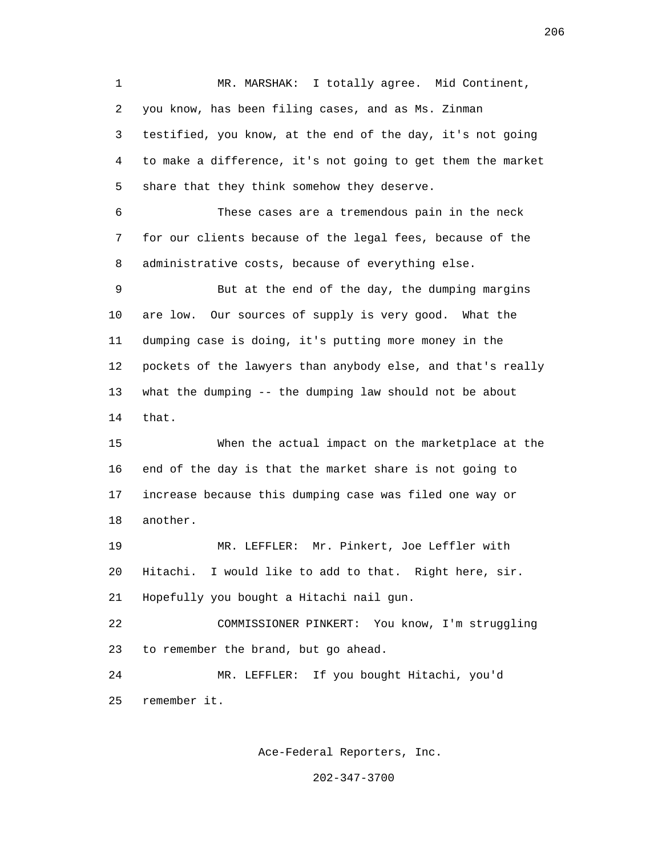1 MR. MARSHAK: I totally agree. Mid Continent, 2 you know, has been filing cases, and as Ms. Zinman 3 testified, you know, at the end of the day, it's not going 4 to make a difference, it's not going to get them the market 5 share that they think somehow they deserve. 6 These cases are a tremendous pain in the neck

 7 for our clients because of the legal fees, because of the 8 administrative costs, because of everything else.

 9 But at the end of the day, the dumping margins 10 are low. Our sources of supply is very good. What the 11 dumping case is doing, it's putting more money in the 12 pockets of the lawyers than anybody else, and that's really 13 what the dumping -- the dumping law should not be about 14 that.

 15 When the actual impact on the marketplace at the 16 end of the day is that the market share is not going to 17 increase because this dumping case was filed one way or 18 another.

 19 MR. LEFFLER: Mr. Pinkert, Joe Leffler with 20 Hitachi. I would like to add to that. Right here, sir. 21 Hopefully you bought a Hitachi nail gun.

 22 COMMISSIONER PINKERT: You know, I'm struggling 23 to remember the brand, but go ahead.

 24 MR. LEFFLER: If you bought Hitachi, you'd 25 remember it.

Ace-Federal Reporters, Inc.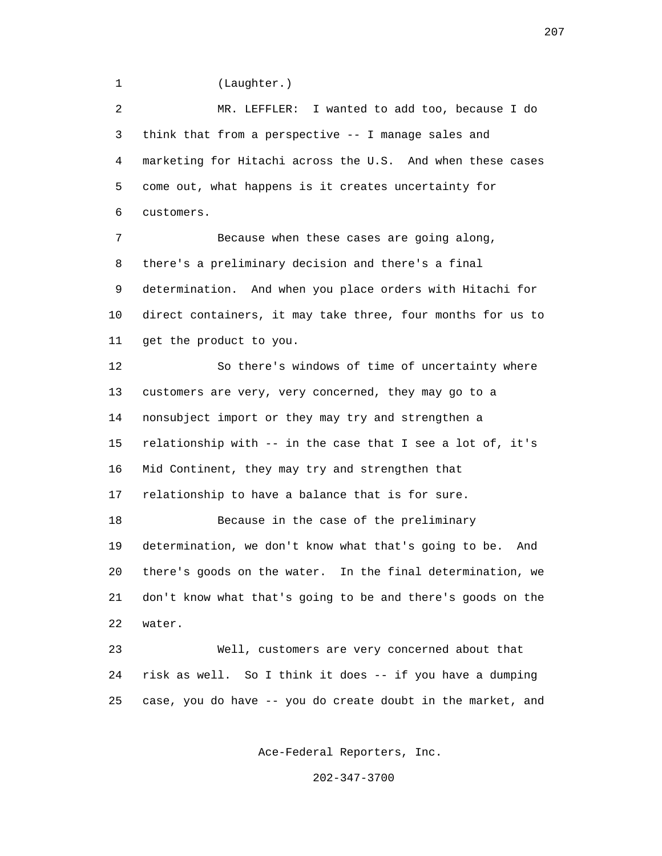1 (Laughter.)

 2 MR. LEFFLER: I wanted to add too, because I do 3 think that from a perspective -- I manage sales and 4 marketing for Hitachi across the U.S. And when these cases 5 come out, what happens is it creates uncertainty for 6 customers.

 7 Because when these cases are going along, 8 there's a preliminary decision and there's a final 9 determination. And when you place orders with Hitachi for 10 direct containers, it may take three, four months for us to 11 get the product to you.

 12 So there's windows of time of uncertainty where 13 customers are very, very concerned, they may go to a 14 nonsubject import or they may try and strengthen a 15 relationship with -- in the case that I see a lot of, it's 16 Mid Continent, they may try and strengthen that 17 relationship to have a balance that is for sure. 18 Because in the case of the preliminary 19 determination, we don't know what that's going to be. And 20 there's goods on the water. In the final determination, we 21 don't know what that's going to be and there's goods on the 22 water. 23 Well, customers are very concerned about that

 24 risk as well. So I think it does -- if you have a dumping 25 case, you do have -- you do create doubt in the market, and

Ace-Federal Reporters, Inc.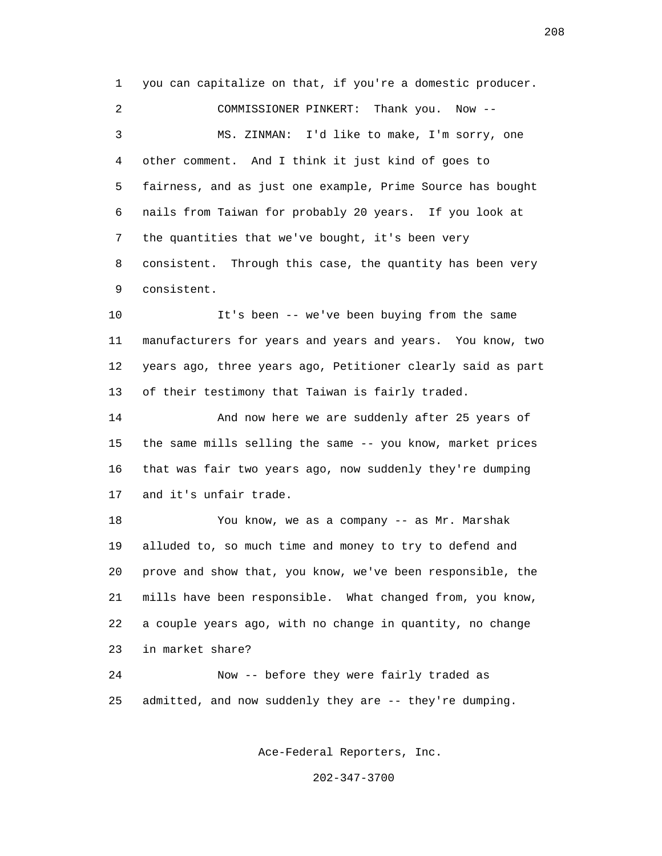1 you can capitalize on that, if you're a domestic producer. 2 COMMISSIONER PINKERT: Thank you. Now -- 3 MS. ZINMAN: I'd like to make, I'm sorry, one 4 other comment. And I think it just kind of goes to 5 fairness, and as just one example, Prime Source has bought 6 nails from Taiwan for probably 20 years. If you look at 7 the quantities that we've bought, it's been very 8 consistent. Through this case, the quantity has been very 9 consistent.

 10 It's been -- we've been buying from the same 11 manufacturers for years and years and years. You know, two 12 years ago, three years ago, Petitioner clearly said as part 13 of their testimony that Taiwan is fairly traded.

 14 And now here we are suddenly after 25 years of 15 the same mills selling the same -- you know, market prices 16 that was fair two years ago, now suddenly they're dumping 17 and it's unfair trade.

 18 You know, we as a company -- as Mr. Marshak 19 alluded to, so much time and money to try to defend and 20 prove and show that, you know, we've been responsible, the 21 mills have been responsible. What changed from, you know, 22 a couple years ago, with no change in quantity, no change 23 in market share?

 24 Now -- before they were fairly traded as 25 admitted, and now suddenly they are -- they're dumping.

Ace-Federal Reporters, Inc.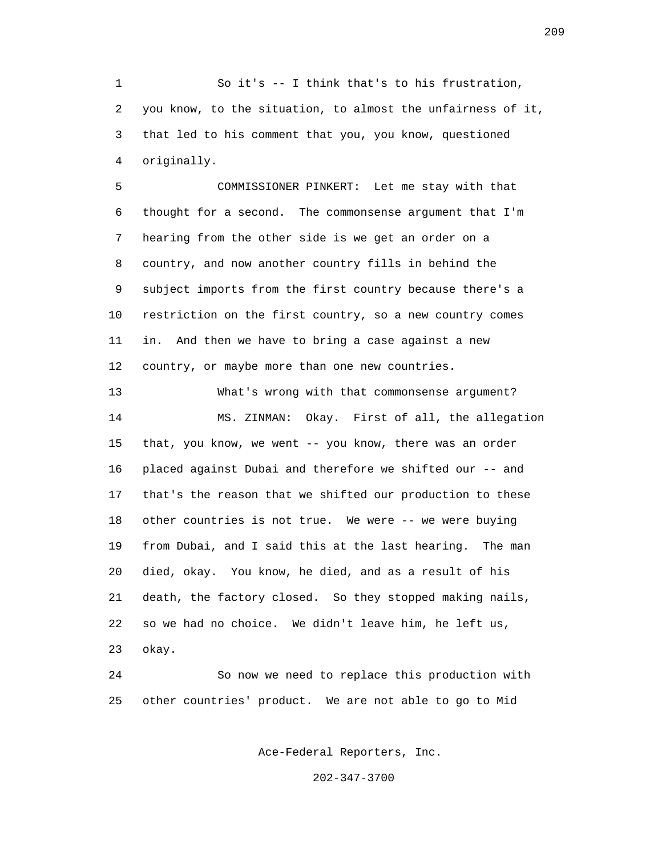1 So it's -- I think that's to his frustration, 2 you know, to the situation, to almost the unfairness of it, 3 that led to his comment that you, you know, questioned 4 originally.

 5 COMMISSIONER PINKERT: Let me stay with that 6 thought for a second. The commonsense argument that I'm 7 hearing from the other side is we get an order on a 8 country, and now another country fills in behind the 9 subject imports from the first country because there's a 10 restriction on the first country, so a new country comes 11 in. And then we have to bring a case against a new 12 country, or maybe more than one new countries.

 13 What's wrong with that commonsense argument? 14 MS. ZINMAN: Okay. First of all, the allegation 15 that, you know, we went -- you know, there was an order 16 placed against Dubai and therefore we shifted our -- and 17 that's the reason that we shifted our production to these 18 other countries is not true. We were -- we were buying 19 from Dubai, and I said this at the last hearing. The man 20 died, okay. You know, he died, and as a result of his 21 death, the factory closed. So they stopped making nails, 22 so we had no choice. We didn't leave him, he left us, 23 okay.

 24 So now we need to replace this production with 25 other countries' product. We are not able to go to Mid

Ace-Federal Reporters, Inc.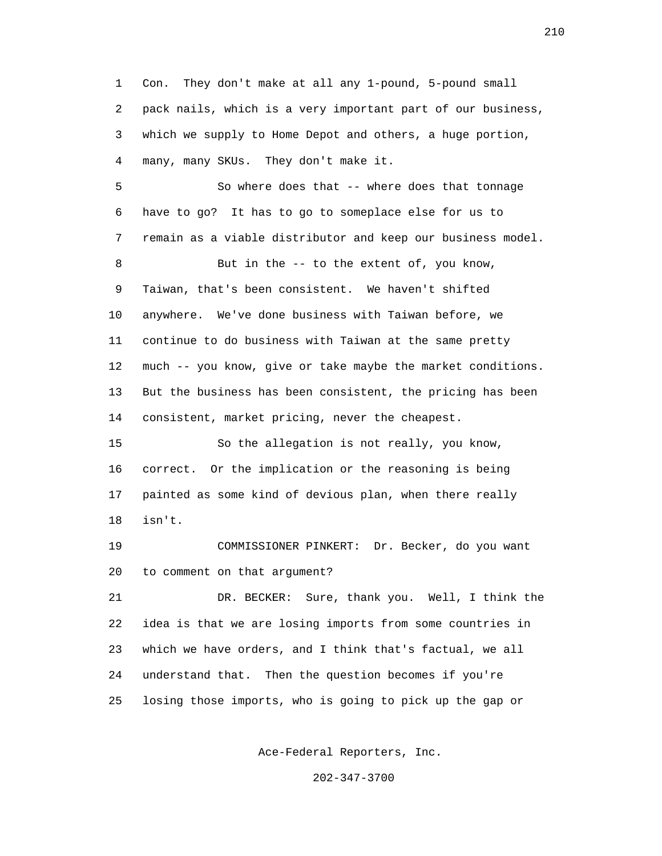1 Con. They don't make at all any 1-pound, 5-pound small 2 pack nails, which is a very important part of our business, 3 which we supply to Home Depot and others, a huge portion, 4 many, many SKUs. They don't make it. 5 So where does that -- where does that tonnage 6 have to go? It has to go to someplace else for us to 7 remain as a viable distributor and keep our business model. 8 But in the -- to the extent of, you know, 9 Taiwan, that's been consistent. We haven't shifted 10 anywhere. We've done business with Taiwan before, we 11 continue to do business with Taiwan at the same pretty 12 much -- you know, give or take maybe the market conditions. 13 But the business has been consistent, the pricing has been 14 consistent, market pricing, never the cheapest. 15 So the allegation is not really, you know, 16 correct. Or the implication or the reasoning is being 17 painted as some kind of devious plan, when there really 18 isn't. 19 COMMISSIONER PINKERT: Dr. Becker, do you want 20 to comment on that argument? 21 DR. BECKER: Sure, thank you. Well, I think the 22 idea is that we are losing imports from some countries in 23 which we have orders, and I think that's factual, we all 24 understand that. Then the question becomes if you're 25 losing those imports, who is going to pick up the gap or

Ace-Federal Reporters, Inc.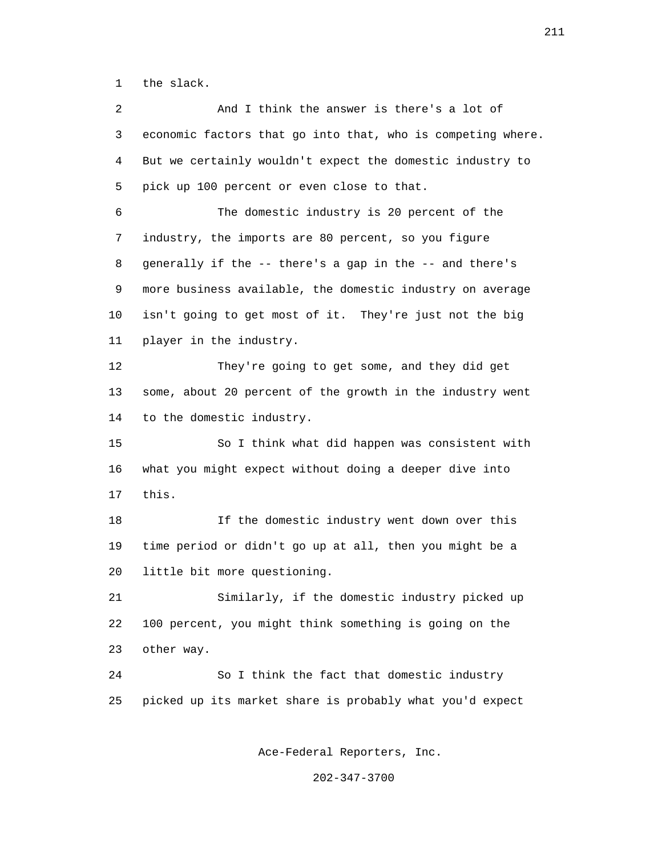1 the slack.

 2 And I think the answer is there's a lot of 3 economic factors that go into that, who is competing where. 4 But we certainly wouldn't expect the domestic industry to 5 pick up 100 percent or even close to that. 6 The domestic industry is 20 percent of the 7 industry, the imports are 80 percent, so you figure 8 generally if the -- there's a gap in the -- and there's 9 more business available, the domestic industry on average 10 isn't going to get most of it. They're just not the big 11 player in the industry. 12 They're going to get some, and they did get 13 some, about 20 percent of the growth in the industry went 14 to the domestic industry. 15 So I think what did happen was consistent with 16 what you might expect without doing a deeper dive into 17 this. 18 If the domestic industry went down over this 19 time period or didn't go up at all, then you might be a 20 little bit more questioning. 21 Similarly, if the domestic industry picked up 22 100 percent, you might think something is going on the 23 other way. 24 So I think the fact that domestic industry 25 picked up its market share is probably what you'd expect

Ace-Federal Reporters, Inc.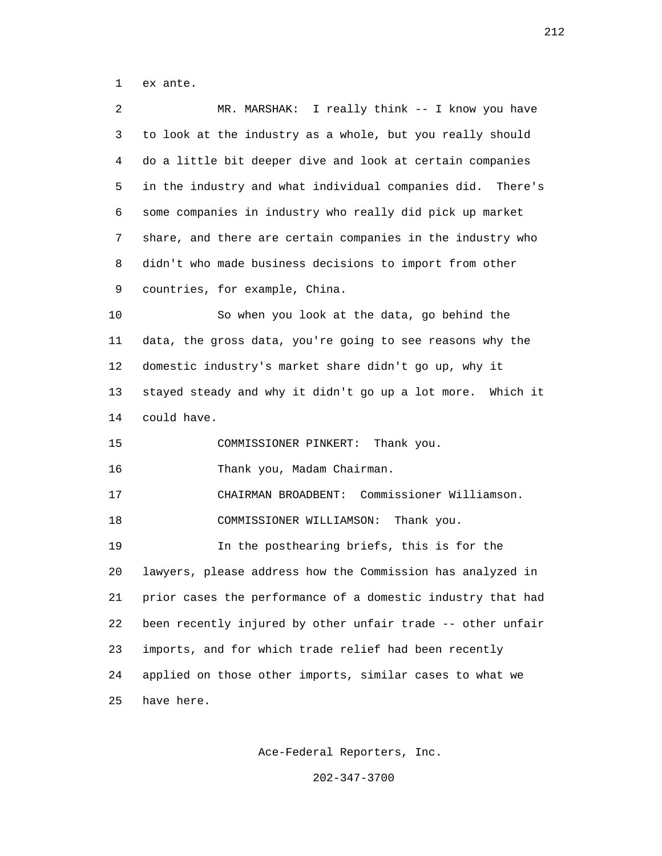1 ex ante.

| 2  | I really think -- I know you have<br>MR. MARSHAK:             |
|----|---------------------------------------------------------------|
| 3  | to look at the industry as a whole, but you really should     |
| 4  | do a little bit deeper dive and look at certain companies     |
| 5  | in the industry and what individual companies did. There's    |
| 6  | some companies in industry who really did pick up market      |
| 7  | share, and there are certain companies in the industry who    |
| 8  | didn't who made business decisions to import from other       |
| 9  | countries, for example, China.                                |
| 10 | So when you look at the data, go behind the                   |
| 11 | data, the gross data, you're going to see reasons why the     |
| 12 | domestic industry's market share didn't go up, why it         |
| 13 | stayed steady and why it didn't go up a lot more.<br>Which it |
| 14 | could have.                                                   |
| 15 | Thank you.<br>COMMISSIONER PINKERT:                           |
| 16 | Thank you, Madam Chairman.                                    |
| 17 | Commissioner Williamson.<br>CHAIRMAN BROADBENT:               |
| 18 | COMMISSIONER WILLIAMSON:<br>Thank you.                        |
| 19 | In the posthearing briefs, this is for the                    |
| 20 | lawyers, please address how the Commission has analyzed in    |
| 21 | prior cases the performance of a domestic industry that had   |
| 22 | been recently injured by other unfair trade -- other unfair   |
| 23 | imports, and for which trade relief had been recently         |
| 24 | applied on those other imports, similar cases to what we      |
| 25 | have here.                                                    |

Ace-Federal Reporters, Inc.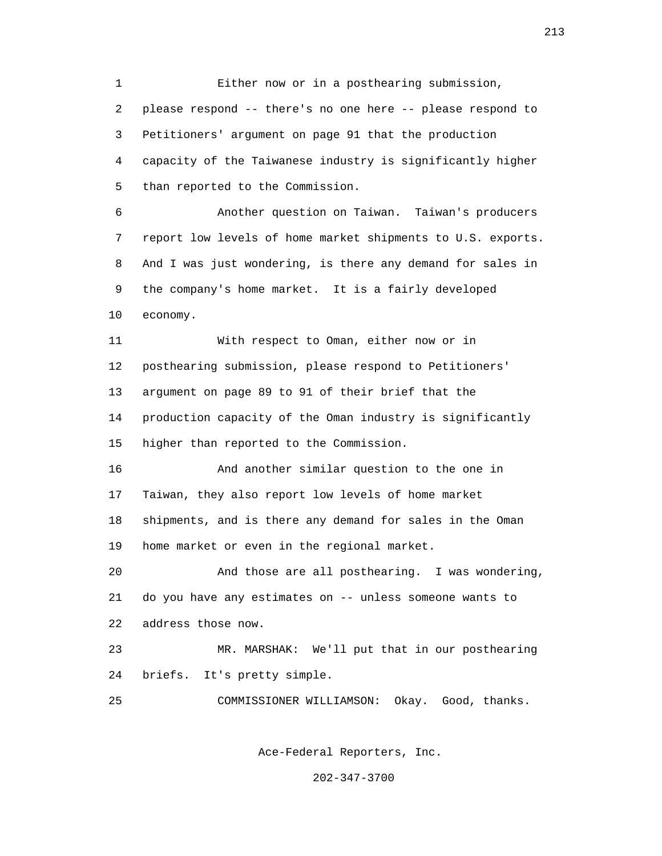1 Either now or in a posthearing submission, 2 please respond -- there's no one here -- please respond to 3 Petitioners' argument on page 91 that the production 4 capacity of the Taiwanese industry is significantly higher 5 than reported to the Commission. 6 Another question on Taiwan. Taiwan's producers 7 report low levels of home market shipments to U.S. exports. 8 And I was just wondering, is there any demand for sales in 9 the company's home market. It is a fairly developed 10 economy. 11 With respect to Oman, either now or in 12 posthearing submission, please respond to Petitioners' 13 argument on page 89 to 91 of their brief that the 14 production capacity of the Oman industry is significantly 15 higher than reported to the Commission. 16 And another similar question to the one in 17 Taiwan, they also report low levels of home market 18 shipments, and is there any demand for sales in the Oman 19 home market or even in the regional market. 20 And those are all posthearing. I was wondering, 21 do you have any estimates on -- unless someone wants to 22 address those now. 23 MR. MARSHAK: We'll put that in our posthearing 24 briefs. It's pretty simple. 25 COMMISSIONER WILLIAMSON: Okay. Good, thanks.

Ace-Federal Reporters, Inc.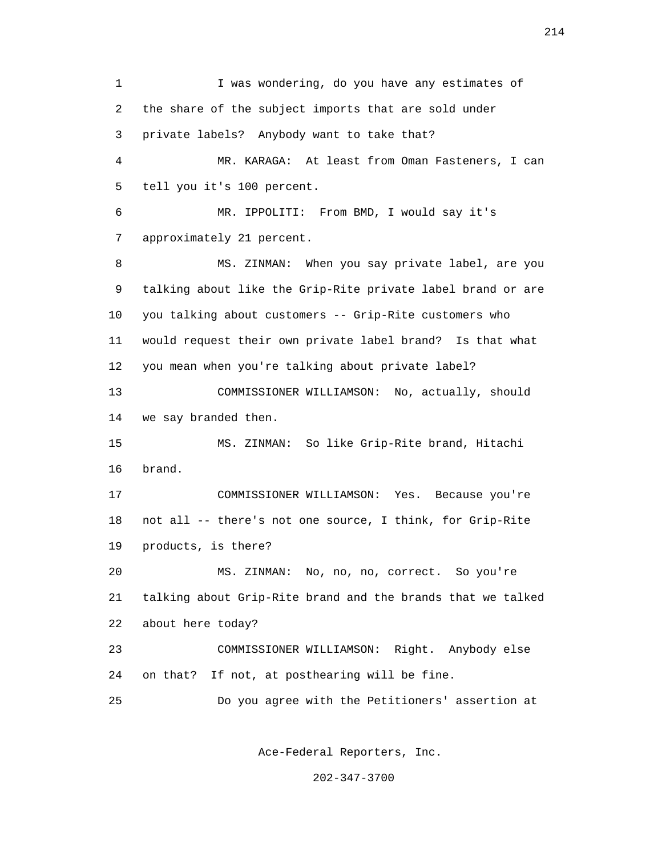1 I was wondering, do you have any estimates of 2 the share of the subject imports that are sold under 3 private labels? Anybody want to take that? 4 MR. KARAGA: At least from Oman Fasteners, I can 5 tell you it's 100 percent. 6 MR. IPPOLITI: From BMD, I would say it's 7 approximately 21 percent. 8 MS. ZINMAN: When you say private label, are you 9 talking about like the Grip-Rite private label brand or are 10 you talking about customers -- Grip-Rite customers who 11 would request their own private label brand? Is that what 12 you mean when you're talking about private label? 13 COMMISSIONER WILLIAMSON: No, actually, should 14 we say branded then. 15 MS. ZINMAN: So like Grip-Rite brand, Hitachi 16 brand. 17 COMMISSIONER WILLIAMSON: Yes. Because you're 18 not all -- there's not one source, I think, for Grip-Rite 19 products, is there? 20 MS. ZINMAN: No, no, no, correct. So you're 21 talking about Grip-Rite brand and the brands that we talked 22 about here today? 23 COMMISSIONER WILLIAMSON: Right. Anybody else 24 on that? If not, at posthearing will be fine. 25 Do you agree with the Petitioners' assertion at

Ace-Federal Reporters, Inc.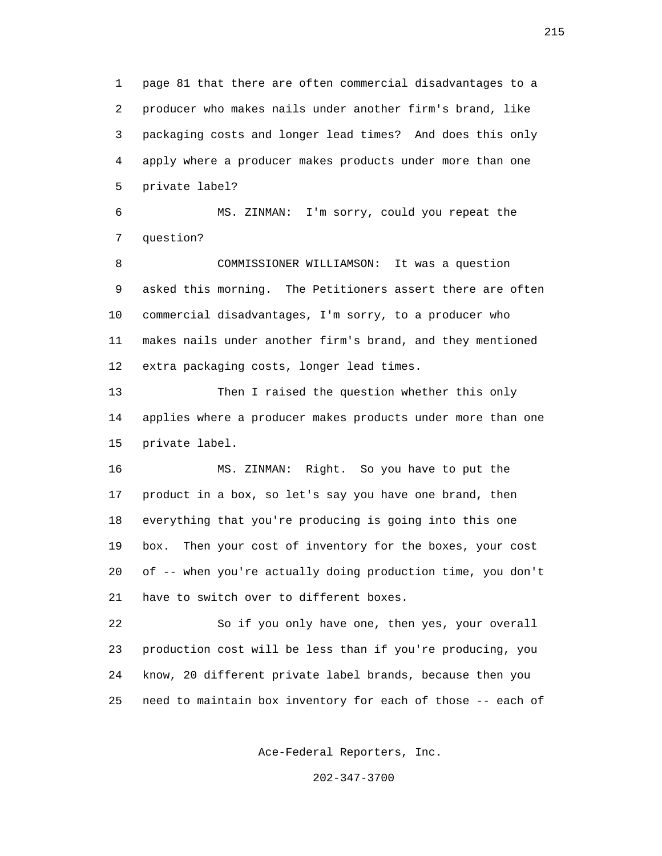1 page 81 that there are often commercial disadvantages to a 2 producer who makes nails under another firm's brand, like 3 packaging costs and longer lead times? And does this only 4 apply where a producer makes products under more than one 5 private label?

 6 MS. ZINMAN: I'm sorry, could you repeat the 7 question?

 8 COMMISSIONER WILLIAMSON: It was a question 9 asked this morning. The Petitioners assert there are often 10 commercial disadvantages, I'm sorry, to a producer who 11 makes nails under another firm's brand, and they mentioned 12 extra packaging costs, longer lead times.

 13 Then I raised the question whether this only 14 applies where a producer makes products under more than one 15 private label.

 16 MS. ZINMAN: Right. So you have to put the 17 product in a box, so let's say you have one brand, then 18 everything that you're producing is going into this one 19 box. Then your cost of inventory for the boxes, your cost 20 of -- when you're actually doing production time, you don't 21 have to switch over to different boxes.

 22 So if you only have one, then yes, your overall 23 production cost will be less than if you're producing, you 24 know, 20 different private label brands, because then you 25 need to maintain box inventory for each of those -- each of

Ace-Federal Reporters, Inc.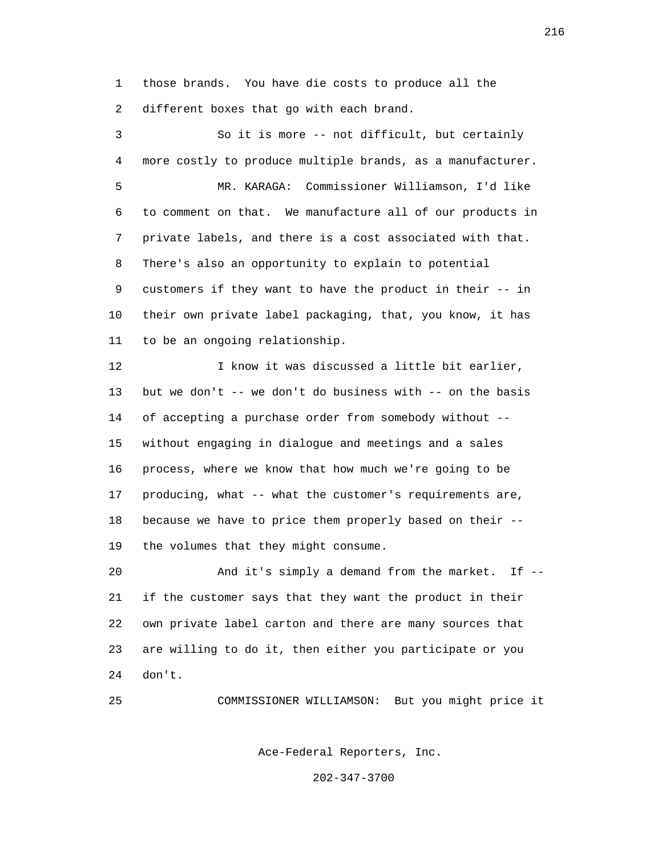1 those brands. You have die costs to produce all the 2 different boxes that go with each brand.

 3 So it is more -- not difficult, but certainly 4 more costly to produce multiple brands, as a manufacturer. 5 MR. KARAGA: Commissioner Williamson, I'd like 6 to comment on that. We manufacture all of our products in 7 private labels, and there is a cost associated with that. 8 There's also an opportunity to explain to potential 9 customers if they want to have the product in their -- in 10 their own private label packaging, that, you know, it has 11 to be an ongoing relationship. 12 I know it was discussed a little bit earlier, 13 but we don't -- we don't do business with -- on the basis 14 of accepting a purchase order from somebody without -- 15 without engaging in dialogue and meetings and a sales 16 process, where we know that how much we're going to be 17 producing, what -- what the customer's requirements are,

 18 because we have to price them properly based on their -- 19 the volumes that they might consume.

 20 And it's simply a demand from the market. If -- 21 if the customer says that they want the product in their 22 own private label carton and there are many sources that 23 are willing to do it, then either you participate or you 24 don't.

25 COMMISSIONER WILLIAMSON: But you might price it

Ace-Federal Reporters, Inc.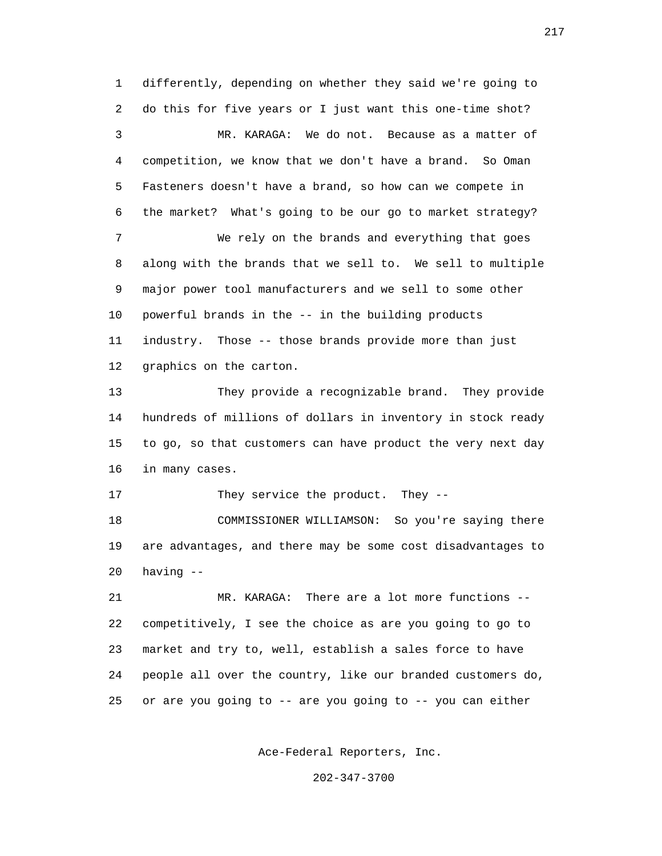1 differently, depending on whether they said we're going to 2 do this for five years or I just want this one-time shot? 3 MR. KARAGA: We do not. Because as a matter of 4 competition, we know that we don't have a brand. So Oman 5 Fasteners doesn't have a brand, so how can we compete in 6 the market? What's going to be our go to market strategy? 7 We rely on the brands and everything that goes 8 along with the brands that we sell to. We sell to multiple 9 major power tool manufacturers and we sell to some other 10 powerful brands in the -- in the building products 11 industry. Those -- those brands provide more than just 12 graphics on the carton. 13 They provide a recognizable brand. They provide 14 hundreds of millions of dollars in inventory in stock ready 15 to go, so that customers can have product the very next day 16 in many cases. 17 They service the product. They -- 18 COMMISSIONER WILLIAMSON: So you're saying there 19 are advantages, and there may be some cost disadvantages to 20 having -- 21 MR. KARAGA: There are a lot more functions -- 22 competitively, I see the choice as are you going to go to 23 market and try to, well, establish a sales force to have

25 or are you going to -- are you going to -- you can either

24 people all over the country, like our branded customers do,

Ace-Federal Reporters, Inc.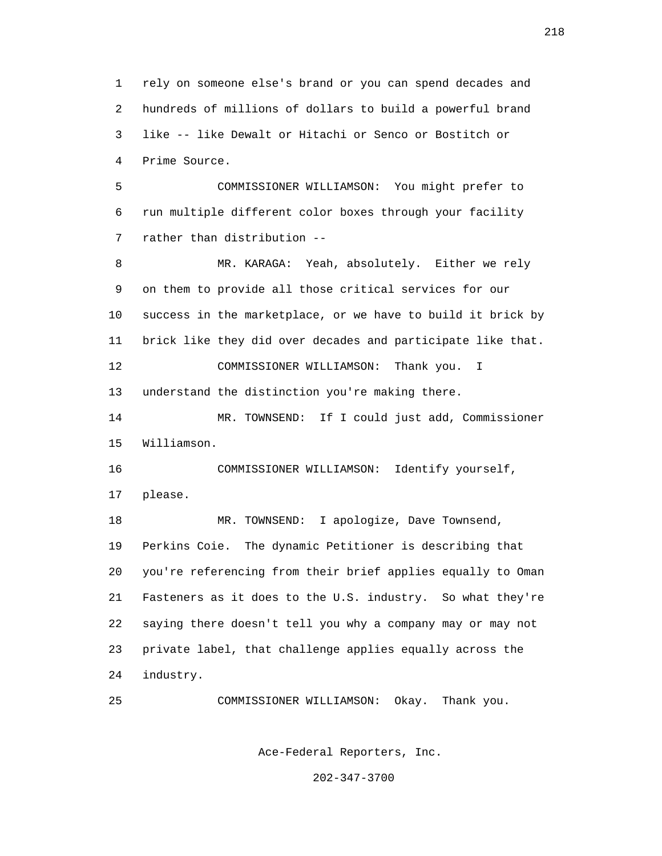1 rely on someone else's brand or you can spend decades and 2 hundreds of millions of dollars to build a powerful brand 3 like -- like Dewalt or Hitachi or Senco or Bostitch or 4 Prime Source.

 5 COMMISSIONER WILLIAMSON: You might prefer to 6 run multiple different color boxes through your facility 7 rather than distribution --

 8 MR. KARAGA: Yeah, absolutely. Either we rely 9 on them to provide all those critical services for our 10 success in the marketplace, or we have to build it brick by 11 brick like they did over decades and participate like that. 12 COMMISSIONER WILLIAMSON: Thank you. I 13 understand the distinction you're making there. 14 MR. TOWNSEND: If I could just add, Commissioner 15 Williamson. 16 COMMISSIONER WILLIAMSON: Identify yourself, 17 please.

 18 MR. TOWNSEND: I apologize, Dave Townsend, 19 Perkins Coie. The dynamic Petitioner is describing that 20 you're referencing from their brief applies equally to Oman 21 Fasteners as it does to the U.S. industry. So what they're 22 saying there doesn't tell you why a company may or may not 23 private label, that challenge applies equally across the 24 industry.

25 COMMISSIONER WILLIAMSON: Okay. Thank you.

Ace-Federal Reporters, Inc.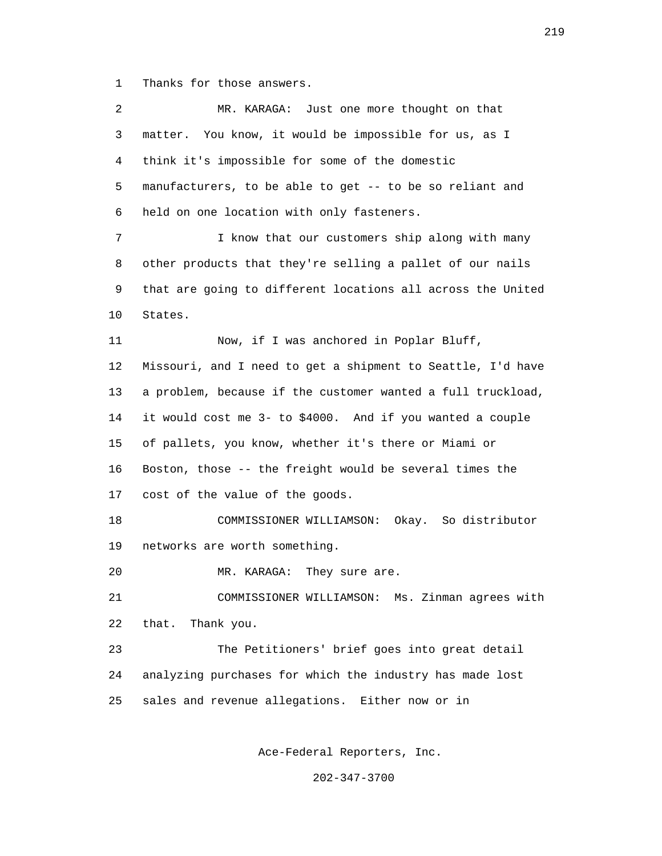1 Thanks for those answers.

 2 MR. KARAGA: Just one more thought on that 3 matter. You know, it would be impossible for us, as I 4 think it's impossible for some of the domestic 5 manufacturers, to be able to get -- to be so reliant and 6 held on one location with only fasteners. 7 I know that our customers ship along with many 8 other products that they're selling a pallet of our nails 9 that are going to different locations all across the United 10 States. 11 Now, if I was anchored in Poplar Bluff, 12 Missouri, and I need to get a shipment to Seattle, I'd have 13 a problem, because if the customer wanted a full truckload, 14 it would cost me 3- to \$4000. And if you wanted a couple 15 of pallets, you know, whether it's there or Miami or 16 Boston, those -- the freight would be several times the 17 cost of the value of the goods. 18 COMMISSIONER WILLIAMSON: Okay. So distributor 19 networks are worth something. 20 MR. KARAGA: They sure are. 21 COMMISSIONER WILLIAMSON: Ms. Zinman agrees with 22 that. Thank you. 23 The Petitioners' brief goes into great detail 24 analyzing purchases for which the industry has made lost 25 sales and revenue allegations. Either now or in

Ace-Federal Reporters, Inc.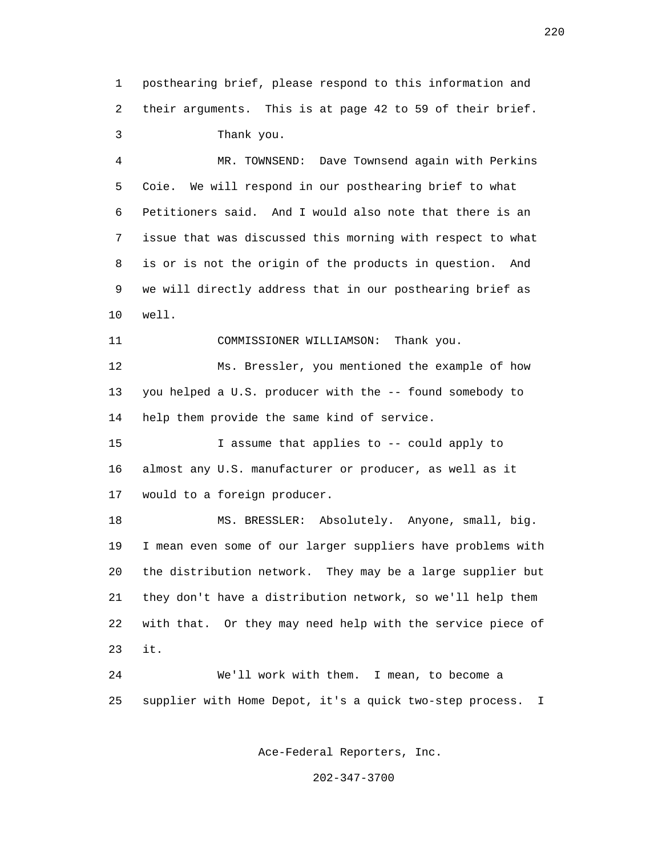1 posthearing brief, please respond to this information and 2 their arguments. This is at page 42 to 59 of their brief. 3 Thank you.

 4 MR. TOWNSEND: Dave Townsend again with Perkins 5 Coie. We will respond in our posthearing brief to what 6 Petitioners said. And I would also note that there is an 7 issue that was discussed this morning with respect to what 8 is or is not the origin of the products in question. And 9 we will directly address that in our posthearing brief as 10 well.

11 COMMISSIONER WILLIAMSON: Thank you.

 12 Ms. Bressler, you mentioned the example of how 13 you helped a U.S. producer with the -- found somebody to 14 help them provide the same kind of service.

 15 I assume that applies to -- could apply to 16 almost any U.S. manufacturer or producer, as well as it 17 would to a foreign producer.

 18 MS. BRESSLER: Absolutely. Anyone, small, big. 19 I mean even some of our larger suppliers have problems with 20 the distribution network. They may be a large supplier but 21 they don't have a distribution network, so we'll help them 22 with that. Or they may need help with the service piece of 23 it.

> 24 We'll work with them. I mean, to become a 25 supplier with Home Depot, it's a quick two-step process. I

> > Ace-Federal Reporters, Inc.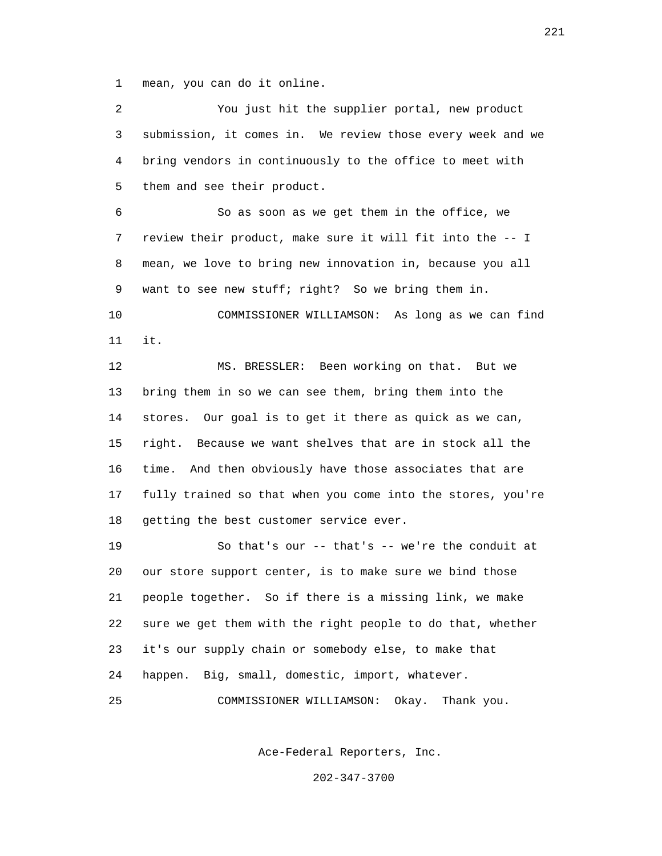1 mean, you can do it online.

 2 You just hit the supplier portal, new product 3 submission, it comes in. We review those every week and we 4 bring vendors in continuously to the office to meet with 5 them and see their product. 6 So as soon as we get them in the office, we 7 review their product, make sure it will fit into the -- I 8 mean, we love to bring new innovation in, because you all 9 want to see new stuff; right? So we bring them in. 10 COMMISSIONER WILLIAMSON: As long as we can find 11 it. 12 MS. BRESSLER: Been working on that. But we 13 bring them in so we can see them, bring them into the 14 stores. Our goal is to get it there as quick as we can, 15 right. Because we want shelves that are in stock all the 16 time. And then obviously have those associates that are 17 fully trained so that when you come into the stores, you're 18 getting the best customer service ever. 19 So that's our -- that's -- we're the conduit at 20 our store support center, is to make sure we bind those 21 people together. So if there is a missing link, we make 22 sure we get them with the right people to do that, whether 23 it's our supply chain or somebody else, to make that 24 happen. Big, small, domestic, import, whatever. 25 COMMISSIONER WILLIAMSON: Okay. Thank you.

Ace-Federal Reporters, Inc.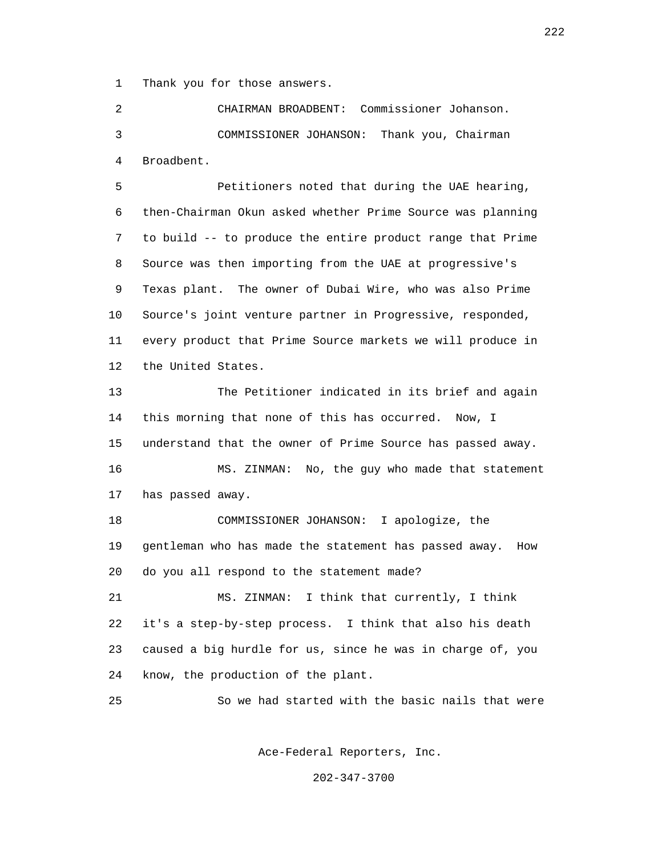1 Thank you for those answers.

 2 CHAIRMAN BROADBENT: Commissioner Johanson. 3 COMMISSIONER JOHANSON: Thank you, Chairman 4 Broadbent.

 5 Petitioners noted that during the UAE hearing, 6 then-Chairman Okun asked whether Prime Source was planning 7 to build -- to produce the entire product range that Prime 8 Source was then importing from the UAE at progressive's 9 Texas plant. The owner of Dubai Wire, who was also Prime 10 Source's joint venture partner in Progressive, responded, 11 every product that Prime Source markets we will produce in 12 the United States.

 13 The Petitioner indicated in its brief and again 14 this morning that none of this has occurred. Now, I 15 understand that the owner of Prime Source has passed away. 16 MS. ZINMAN: No, the guy who made that statement

17 has passed away.

 18 COMMISSIONER JOHANSON: I apologize, the 19 gentleman who has made the statement has passed away. How 20 do you all respond to the statement made?

 21 MS. ZINMAN: I think that currently, I think 22 it's a step-by-step process. I think that also his death 23 caused a big hurdle for us, since he was in charge of, you 24 know, the production of the plant.

25 So we had started with the basic nails that were

Ace-Federal Reporters, Inc.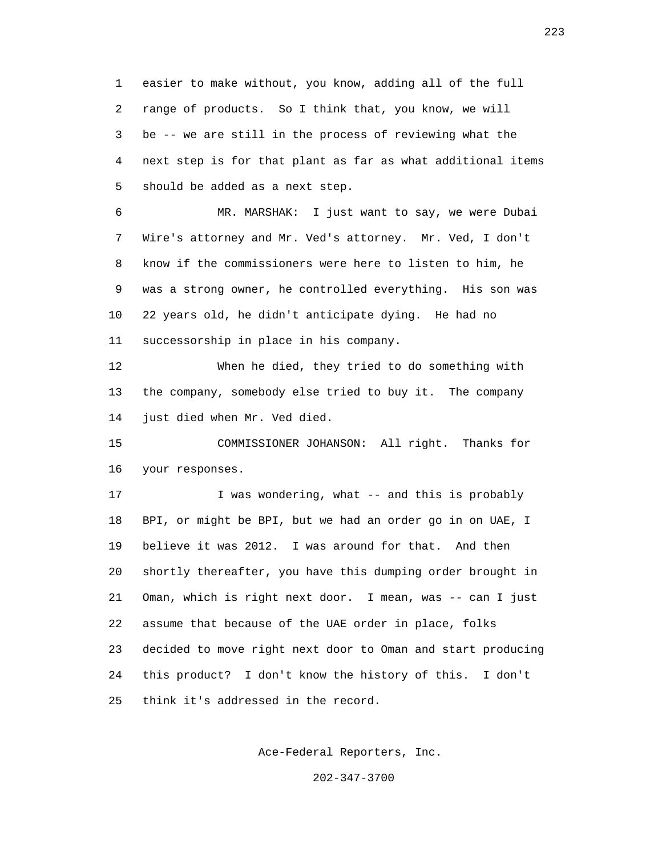1 easier to make without, you know, adding all of the full 2 range of products. So I think that, you know, we will 3 be -- we are still in the process of reviewing what the 4 next step is for that plant as far as what additional items 5 should be added as a next step.

 6 MR. MARSHAK: I just want to say, we were Dubai 7 Wire's attorney and Mr. Ved's attorney. Mr. Ved, I don't 8 know if the commissioners were here to listen to him, he 9 was a strong owner, he controlled everything. His son was 10 22 years old, he didn't anticipate dying. He had no 11 successorship in place in his company.

 12 When he died, they tried to do something with 13 the company, somebody else tried to buy it. The company 14 just died when Mr. Ved died.

 15 COMMISSIONER JOHANSON: All right. Thanks for 16 your responses.

17 I was wondering, what -- and this is probably 18 BPI, or might be BPI, but we had an order go in on UAE, I 19 believe it was 2012. I was around for that. And then 20 shortly thereafter, you have this dumping order brought in 21 Oman, which is right next door. I mean, was -- can I just 22 assume that because of the UAE order in place, folks 23 decided to move right next door to Oman and start producing 24 this product? I don't know the history of this. I don't 25 think it's addressed in the record.

Ace-Federal Reporters, Inc.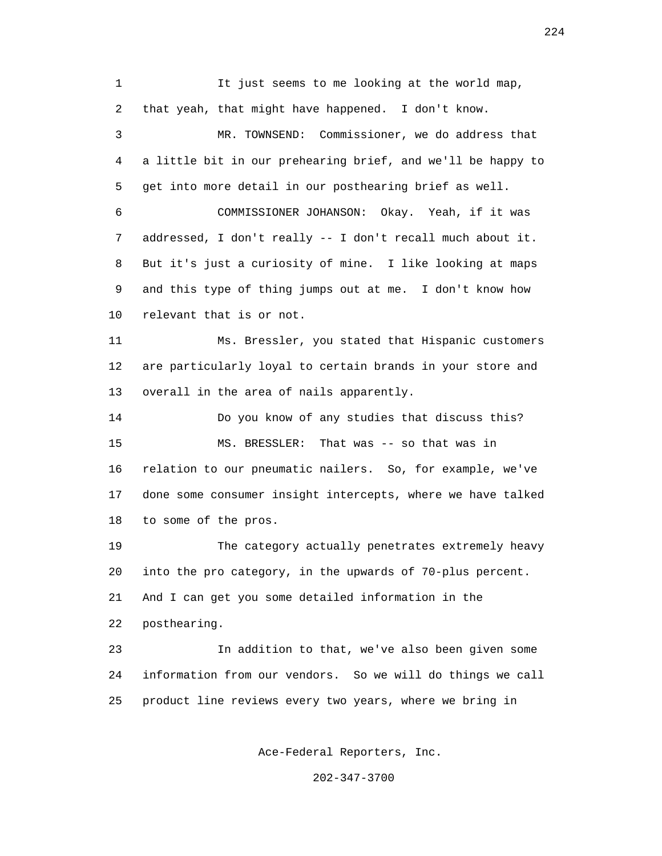1 It just seems to me looking at the world map, 2 that yeah, that might have happened. I don't know. 3 MR. TOWNSEND: Commissioner, we do address that 4 a little bit in our prehearing brief, and we'll be happy to 5 get into more detail in our posthearing brief as well. 6 COMMISSIONER JOHANSON: Okay. Yeah, if it was 7 addressed, I don't really -- I don't recall much about it. 8 But it's just a curiosity of mine. I like looking at maps 9 and this type of thing jumps out at me. I don't know how 10 relevant that is or not. 11 Ms. Bressler, you stated that Hispanic customers 12 are particularly loyal to certain brands in your store and 13 overall in the area of nails apparently. 14 Do you know of any studies that discuss this? 15 MS. BRESSLER: That was -- so that was in 16 relation to our pneumatic nailers. So, for example, we've 17 done some consumer insight intercepts, where we have talked 18 to some of the pros. 19 The category actually penetrates extremely heavy 20 into the pro category, in the upwards of 70-plus percent. 21 And I can get you some detailed information in the 22 posthearing. 23 In addition to that, we've also been given some 24 information from our vendors. So we will do things we call 25 product line reviews every two years, where we bring in

Ace-Federal Reporters, Inc.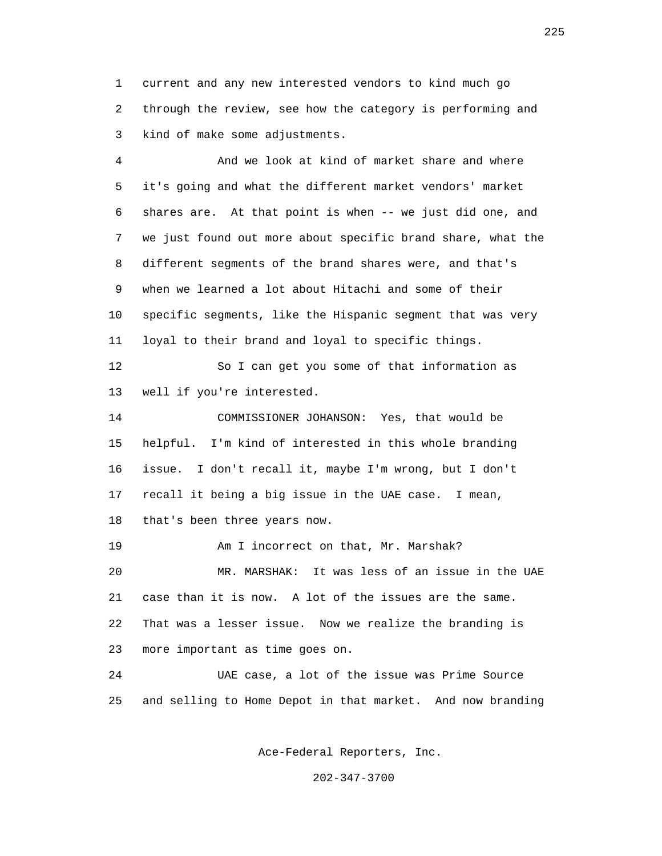1 current and any new interested vendors to kind much go 2 through the review, see how the category is performing and 3 kind of make some adjustments.

 4 And we look at kind of market share and where 5 it's going and what the different market vendors' market 6 shares are. At that point is when -- we just did one, and 7 we just found out more about specific brand share, what the 8 different segments of the brand shares were, and that's 9 when we learned a lot about Hitachi and some of their 10 specific segments, like the Hispanic segment that was very 11 loyal to their brand and loyal to specific things. 12 So I can get you some of that information as 13 well if you're interested. 14 COMMISSIONER JOHANSON: Yes, that would be 15 helpful. I'm kind of interested in this whole branding 16 issue. I don't recall it, maybe I'm wrong, but I don't 17 recall it being a big issue in the UAE case. I mean, 18 that's been three years now. 19 **Am I** incorrect on that, Mr. Marshak? 20 MR. MARSHAK: It was less of an issue in the UAE 21 case than it is now. A lot of the issues are the same.

 22 That was a lesser issue. Now we realize the branding is 23 more important as time goes on.

 24 UAE case, a lot of the issue was Prime Source 25 and selling to Home Depot in that market. And now branding

Ace-Federal Reporters, Inc.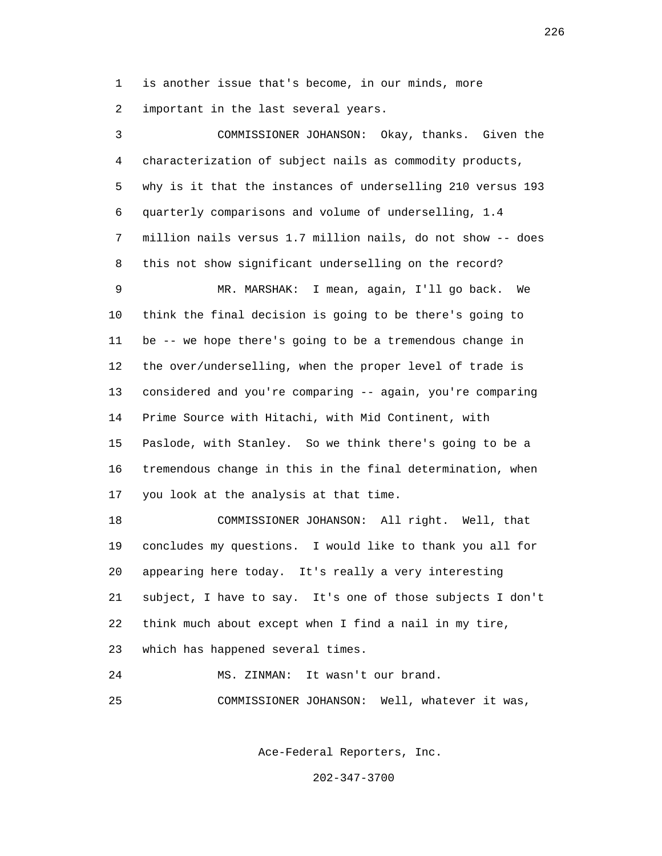1 is another issue that's become, in our minds, more

2 important in the last several years.

 3 COMMISSIONER JOHANSON: Okay, thanks. Given the 4 characterization of subject nails as commodity products, 5 why is it that the instances of underselling 210 versus 193 6 quarterly comparisons and volume of underselling, 1.4 7 million nails versus 1.7 million nails, do not show -- does 8 this not show significant underselling on the record? 9 MR. MARSHAK: I mean, again, I'll go back. We 10 think the final decision is going to be there's going to 11 be -- we hope there's going to be a tremendous change in 12 the over/underselling, when the proper level of trade is 13 considered and you're comparing -- again, you're comparing 14 Prime Source with Hitachi, with Mid Continent, with 15 Paslode, with Stanley. So we think there's going to be a 16 tremendous change in this in the final determination, when 17 you look at the analysis at that time. 18 COMMISSIONER JOHANSON: All right. Well, that 19 concludes my questions. I would like to thank you all for 20 appearing here today. It's really a very interesting 21 subject, I have to say. It's one of those subjects I don't 22 think much about except when I find a nail in my tire,

23 which has happened several times.

24 MS. ZINMAN: It wasn't our brand.

25 COMMISSIONER JOHANSON: Well, whatever it was,

Ace-Federal Reporters, Inc.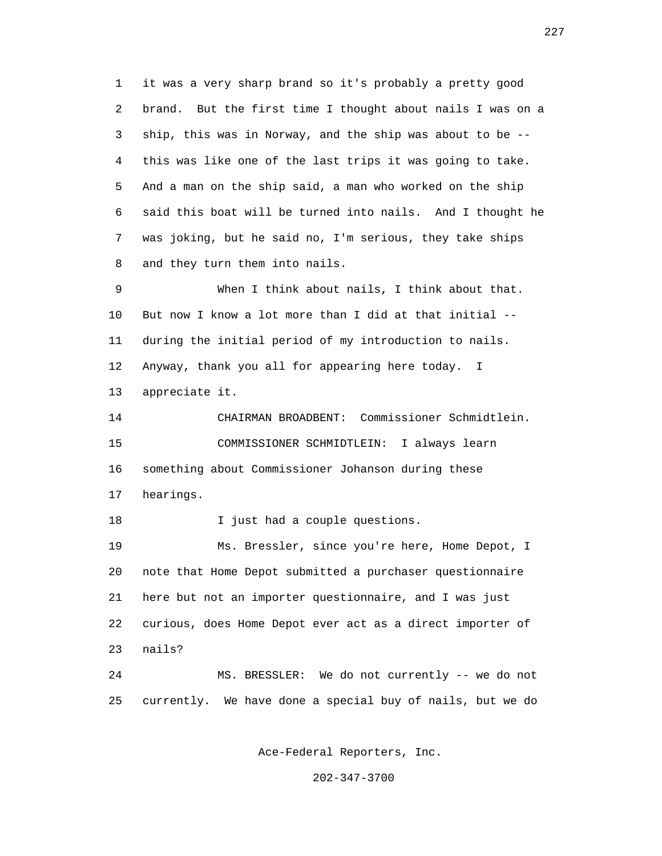1 it was a very sharp brand so it's probably a pretty good 2 brand. But the first time I thought about nails I was on a 3 ship, this was in Norway, and the ship was about to be -- 4 this was like one of the last trips it was going to take. 5 And a man on the ship said, a man who worked on the ship 6 said this boat will be turned into nails. And I thought he 7 was joking, but he said no, I'm serious, they take ships 8 and they turn them into nails.

 9 When I think about nails, I think about that. 10 But now I know a lot more than I did at that initial -- 11 during the initial period of my introduction to nails. 12 Anyway, thank you all for appearing here today. I 13 appreciate it.

 14 CHAIRMAN BROADBENT: Commissioner Schmidtlein. 15 COMMISSIONER SCHMIDTLEIN: I always learn 16 something about Commissioner Johanson during these 17 hearings.

18 I just had a couple questions.

 19 Ms. Bressler, since you're here, Home Depot, I 20 note that Home Depot submitted a purchaser questionnaire 21 here but not an importer questionnaire, and I was just 22 curious, does Home Depot ever act as a direct importer of 23 nails?

 24 MS. BRESSLER: We do not currently -- we do not 25 currently. We have done a special buy of nails, but we do

Ace-Federal Reporters, Inc.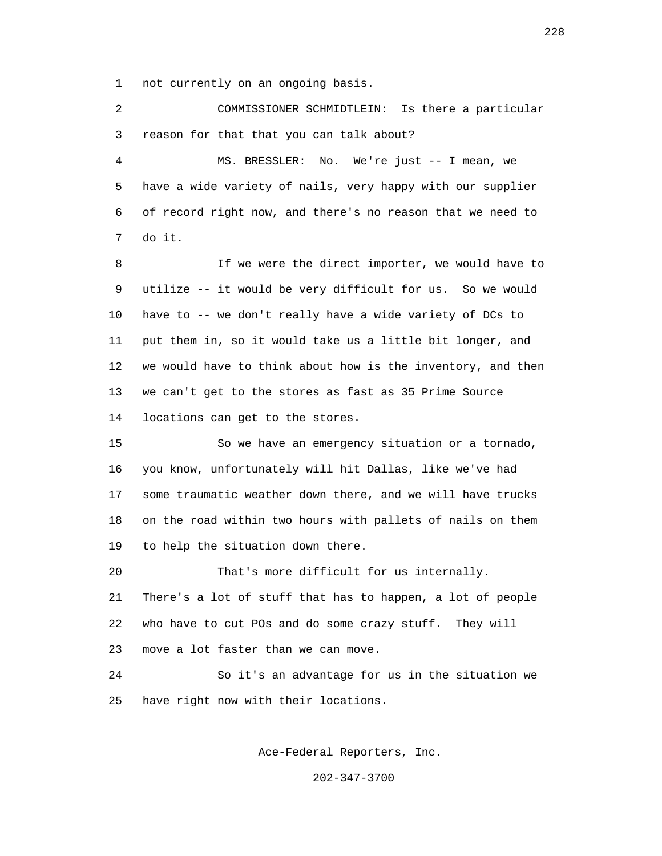1 not currently on an ongoing basis.

 2 COMMISSIONER SCHMIDTLEIN: Is there a particular 3 reason for that that you can talk about?

 4 MS. BRESSLER: No. We're just -- I mean, we 5 have a wide variety of nails, very happy with our supplier 6 of record right now, and there's no reason that we need to 7 do it.

 8 If we were the direct importer, we would have to 9 utilize -- it would be very difficult for us. So we would 10 have to -- we don't really have a wide variety of DCs to 11 put them in, so it would take us a little bit longer, and 12 we would have to think about how is the inventory, and then 13 we can't get to the stores as fast as 35 Prime Source 14 locations can get to the stores.

 15 So we have an emergency situation or a tornado, 16 you know, unfortunately will hit Dallas, like we've had 17 some traumatic weather down there, and we will have trucks 18 on the road within two hours with pallets of nails on them 19 to help the situation down there.

 20 That's more difficult for us internally. 21 There's a lot of stuff that has to happen, a lot of people 22 who have to cut POs and do some crazy stuff. They will 23 move a lot faster than we can move.

 24 So it's an advantage for us in the situation we 25 have right now with their locations.

Ace-Federal Reporters, Inc.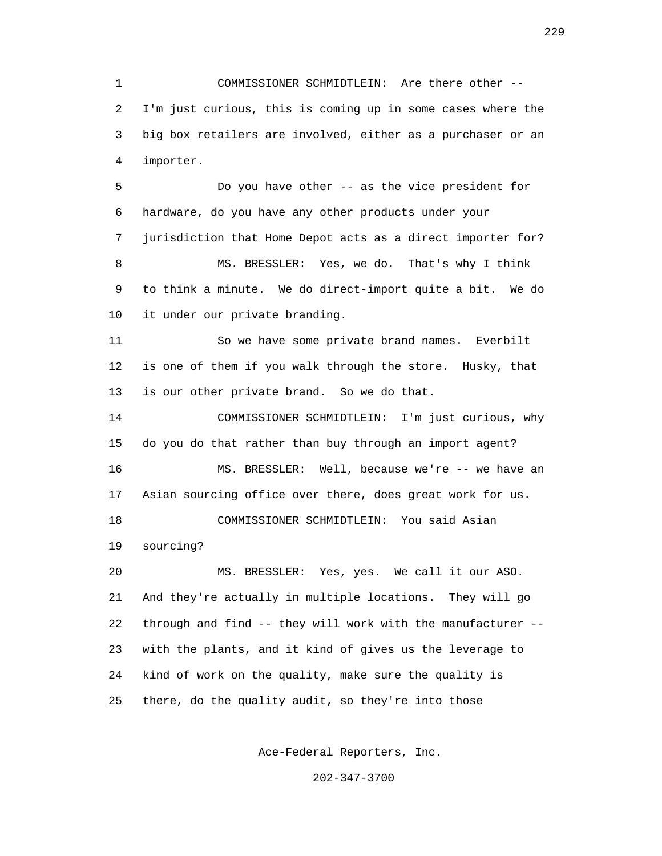1 COMMISSIONER SCHMIDTLEIN: Are there other -- 2 I'm just curious, this is coming up in some cases where the 3 big box retailers are involved, either as a purchaser or an 4 importer.

 5 Do you have other -- as the vice president for 6 hardware, do you have any other products under your 7 jurisdiction that Home Depot acts as a direct importer for? 8 MS. BRESSLER: Yes, we do. That's why I think 9 to think a minute. We do direct-import quite a bit. We do 10 it under our private branding.

 11 So we have some private brand names. Everbilt 12 is one of them if you walk through the store. Husky, that 13 is our other private brand. So we do that.

 14 COMMISSIONER SCHMIDTLEIN: I'm just curious, why 15 do you do that rather than buy through an import agent? 16 MS. BRESSLER: Well, because we're -- we have an 17 Asian sourcing office over there, does great work for us. 18 COMMISSIONER SCHMIDTLEIN: You said Asian 19 sourcing? 20 MS. BRESSLER: Yes, yes. We call it our ASO. 21 And they're actually in multiple locations. They will go 22 through and find -- they will work with the manufacturer -- 23 with the plants, and it kind of gives us the leverage to

24 kind of work on the quality, make sure the quality is

25 there, do the quality audit, so they're into those

Ace-Federal Reporters, Inc.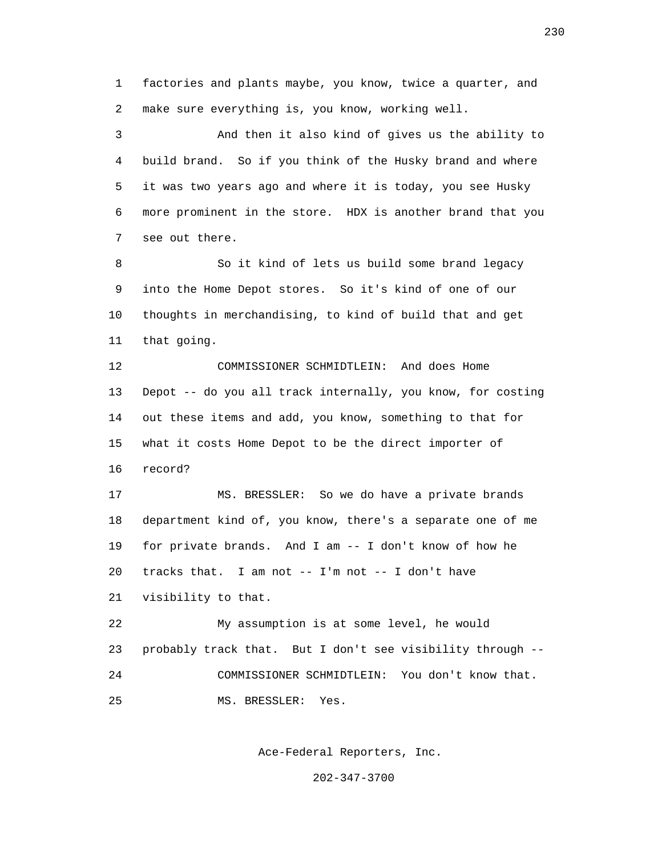1 factories and plants maybe, you know, twice a quarter, and 2 make sure everything is, you know, working well.

 3 And then it also kind of gives us the ability to 4 build brand. So if you think of the Husky brand and where 5 it was two years ago and where it is today, you see Husky 6 more prominent in the store. HDX is another brand that you 7 see out there.

 8 So it kind of lets us build some brand legacy 9 into the Home Depot stores. So it's kind of one of our 10 thoughts in merchandising, to kind of build that and get 11 that going.

 12 COMMISSIONER SCHMIDTLEIN: And does Home 13 Depot -- do you all track internally, you know, for costing 14 out these items and add, you know, something to that for 15 what it costs Home Depot to be the direct importer of 16 record?

 17 MS. BRESSLER: So we do have a private brands 18 department kind of, you know, there's a separate one of me 19 for private brands. And I am -- I don't know of how he 20 tracks that. I am not -- I'm not -- I don't have 21 visibility to that.

 22 My assumption is at some level, he would 23 probably track that. But I don't see visibility through -- 24 COMMISSIONER SCHMIDTLEIN: You don't know that. 25 MS. BRESSLER: Yes.

Ace-Federal Reporters, Inc.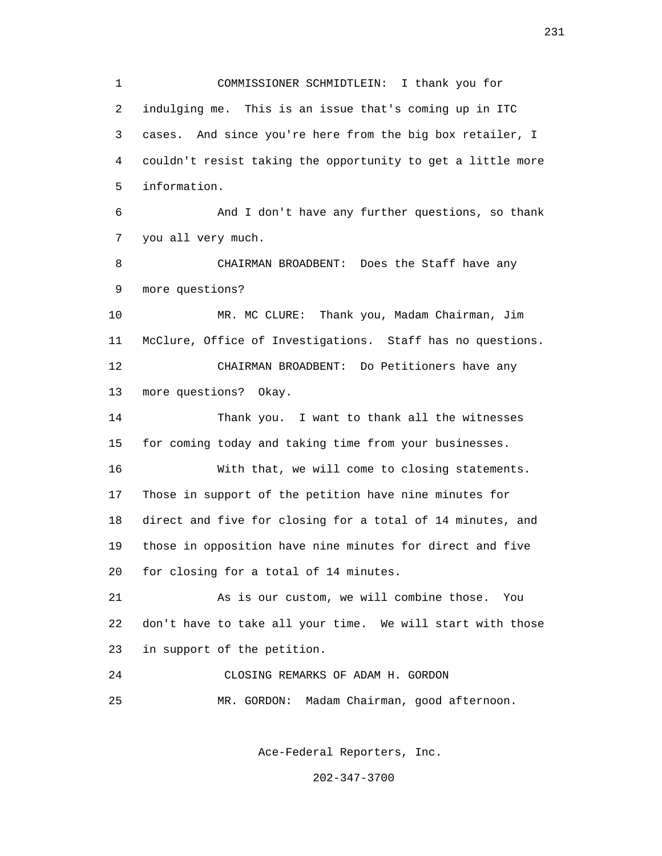1 COMMISSIONER SCHMIDTLEIN: I thank you for 2 indulging me. This is an issue that's coming up in ITC 3 cases. And since you're here from the big box retailer, I 4 couldn't resist taking the opportunity to get a little more 5 information. 6 And I don't have any further questions, so thank 7 you all very much. 8 CHAIRMAN BROADBENT: Does the Staff have any 9 more questions? 10 MR. MC CLURE: Thank you, Madam Chairman, Jim 11 McClure, Office of Investigations. Staff has no questions. 12 CHAIRMAN BROADBENT: Do Petitioners have any 13 more questions? Okay. 14 Thank you. I want to thank all the witnesses 15 for coming today and taking time from your businesses. 16 With that, we will come to closing statements. 17 Those in support of the petition have nine minutes for 18 direct and five for closing for a total of 14 minutes, and 19 those in opposition have nine minutes for direct and five 20 for closing for a total of 14 minutes. 21 As is our custom, we will combine those. You 22 don't have to take all your time. We will start with those 23 in support of the petition. 24 CLOSING REMARKS OF ADAM H. GORDON 25 MR. GORDON: Madam Chairman, good afternoon.

Ace-Federal Reporters, Inc.

202-347-3700

231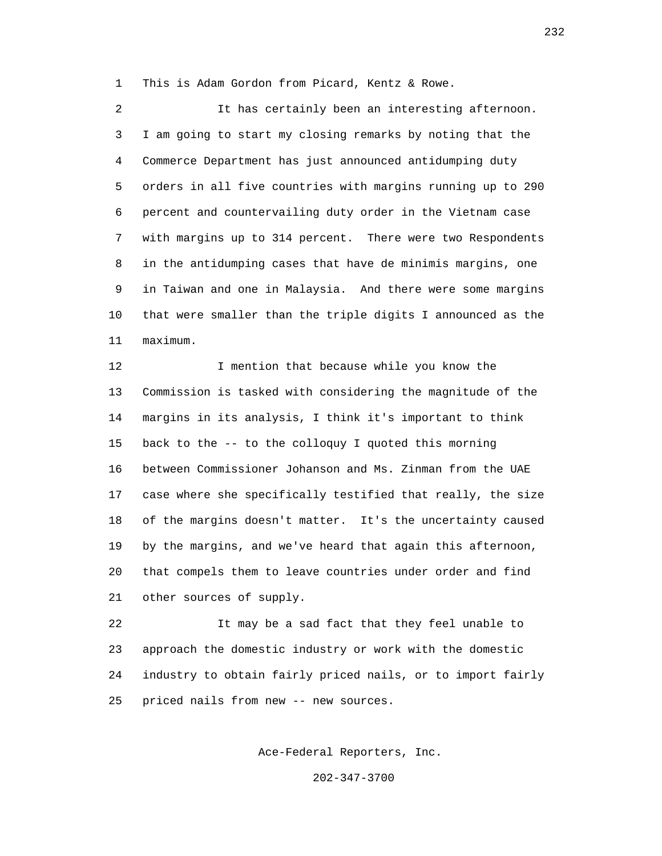1 This is Adam Gordon from Picard, Kentz & Rowe.

 2 It has certainly been an interesting afternoon. 3 I am going to start my closing remarks by noting that the 4 Commerce Department has just announced antidumping duty 5 orders in all five countries with margins running up to 290 6 percent and countervailing duty order in the Vietnam case 7 with margins up to 314 percent. There were two Respondents 8 in the antidumping cases that have de minimis margins, one 9 in Taiwan and one in Malaysia. And there were some margins 10 that were smaller than the triple digits I announced as the 11 maximum.

12 I mention that because while you know the 13 Commission is tasked with considering the magnitude of the 14 margins in its analysis, I think it's important to think 15 back to the -- to the colloquy I quoted this morning 16 between Commissioner Johanson and Ms. Zinman from the UAE 17 case where she specifically testified that really, the size 18 of the margins doesn't matter. It's the uncertainty caused 19 by the margins, and we've heard that again this afternoon, 20 that compels them to leave countries under order and find 21 other sources of supply.

 22 It may be a sad fact that they feel unable to 23 approach the domestic industry or work with the domestic 24 industry to obtain fairly priced nails, or to import fairly 25 priced nails from new -- new sources.

Ace-Federal Reporters, Inc.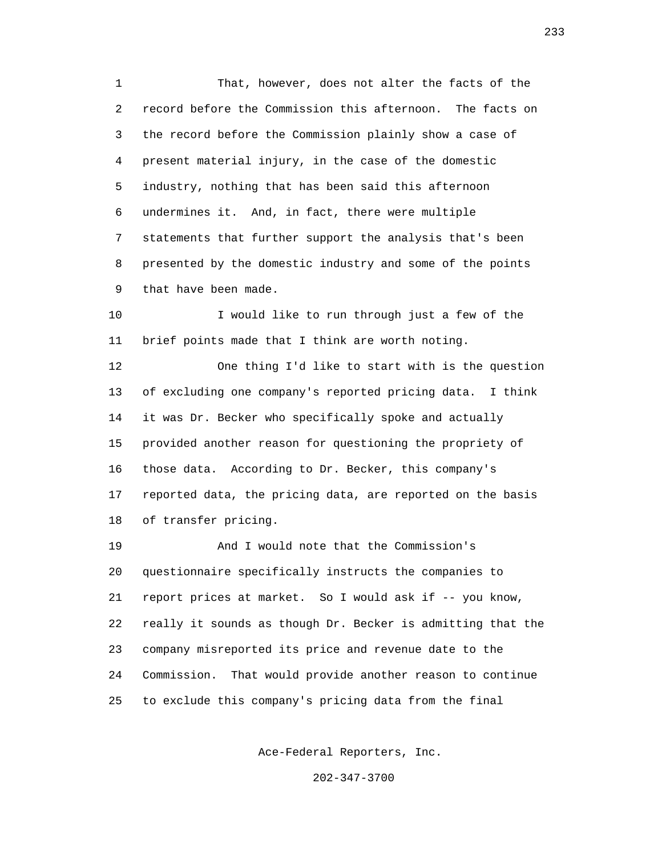1 That, however, does not alter the facts of the 2 record before the Commission this afternoon. The facts on 3 the record before the Commission plainly show a case of 4 present material injury, in the case of the domestic 5 industry, nothing that has been said this afternoon 6 undermines it. And, in fact, there were multiple 7 statements that further support the analysis that's been 8 presented by the domestic industry and some of the points 9 that have been made.

 10 I would like to run through just a few of the 11 brief points made that I think are worth noting.

 12 One thing I'd like to start with is the question 13 of excluding one company's reported pricing data. I think 14 it was Dr. Becker who specifically spoke and actually 15 provided another reason for questioning the propriety of 16 those data. According to Dr. Becker, this company's 17 reported data, the pricing data, are reported on the basis 18 of transfer pricing.

 19 And I would note that the Commission's 20 questionnaire specifically instructs the companies to 21 report prices at market. So I would ask if -- you know, 22 really it sounds as though Dr. Becker is admitting that the 23 company misreported its price and revenue date to the 24 Commission. That would provide another reason to continue 25 to exclude this company's pricing data from the final

Ace-Federal Reporters, Inc.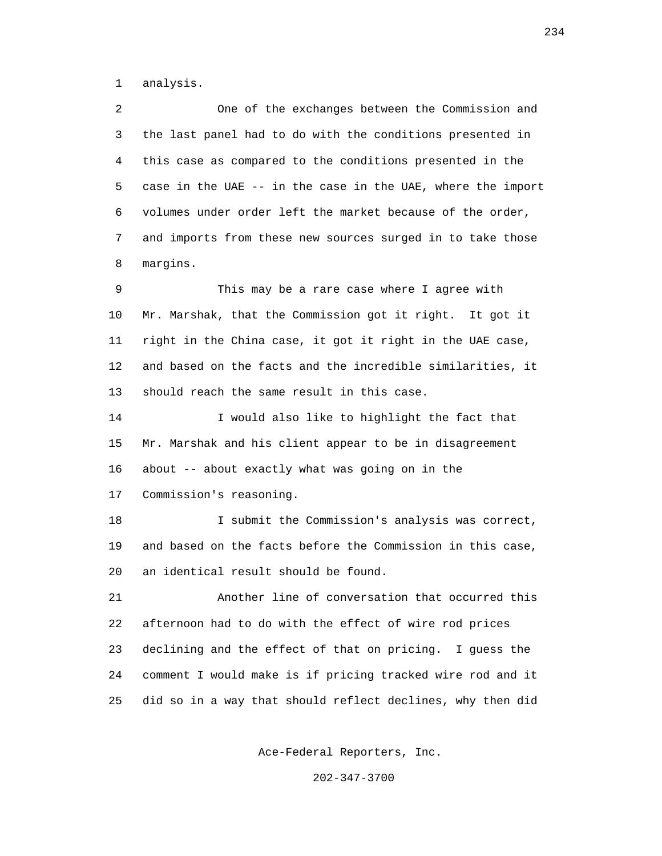1 analysis.

 2 One of the exchanges between the Commission and 3 the last panel had to do with the conditions presented in 4 this case as compared to the conditions presented in the 5 case in the UAE -- in the case in the UAE, where the import 6 volumes under order left the market because of the order, 7 and imports from these new sources surged in to take those 8 margins.

 9 This may be a rare case where I agree with 10 Mr. Marshak, that the Commission got it right. It got it 11 right in the China case, it got it right in the UAE case, 12 and based on the facts and the incredible similarities, it 13 should reach the same result in this case.

 14 I would also like to highlight the fact that 15 Mr. Marshak and his client appear to be in disagreement 16 about -- about exactly what was going on in the 17 Commission's reasoning.

 18 I submit the Commission's analysis was correct, 19 and based on the facts before the Commission in this case, 20 an identical result should be found.

 21 Another line of conversation that occurred this 22 afternoon had to do with the effect of wire rod prices 23 declining and the effect of that on pricing. I guess the 24 comment I would make is if pricing tracked wire rod and it 25 did so in a way that should reflect declines, why then did

Ace-Federal Reporters, Inc.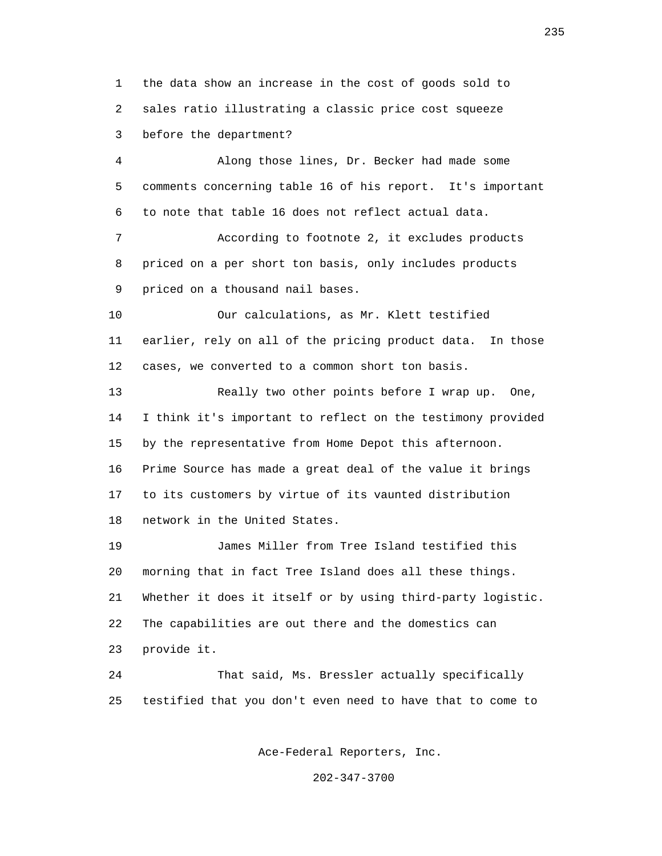1 the data show an increase in the cost of goods sold to 2 sales ratio illustrating a classic price cost squeeze 3 before the department?

 4 Along those lines, Dr. Becker had made some 5 comments concerning table 16 of his report. It's important 6 to note that table 16 does not reflect actual data.

 7 According to footnote 2, it excludes products 8 priced on a per short ton basis, only includes products 9 priced on a thousand nail bases.

 10 Our calculations, as Mr. Klett testified 11 earlier, rely on all of the pricing product data. In those 12 cases, we converted to a common short ton basis.

 13 Really two other points before I wrap up. One, 14 I think it's important to reflect on the testimony provided 15 by the representative from Home Depot this afternoon. 16 Prime Source has made a great deal of the value it brings 17 to its customers by virtue of its vaunted distribution 18 network in the United States.

 19 James Miller from Tree Island testified this 20 morning that in fact Tree Island does all these things. 21 Whether it does it itself or by using third-party logistic. 22 The capabilities are out there and the domestics can 23 provide it.

 24 That said, Ms. Bressler actually specifically 25 testified that you don't even need to have that to come to

Ace-Federal Reporters, Inc.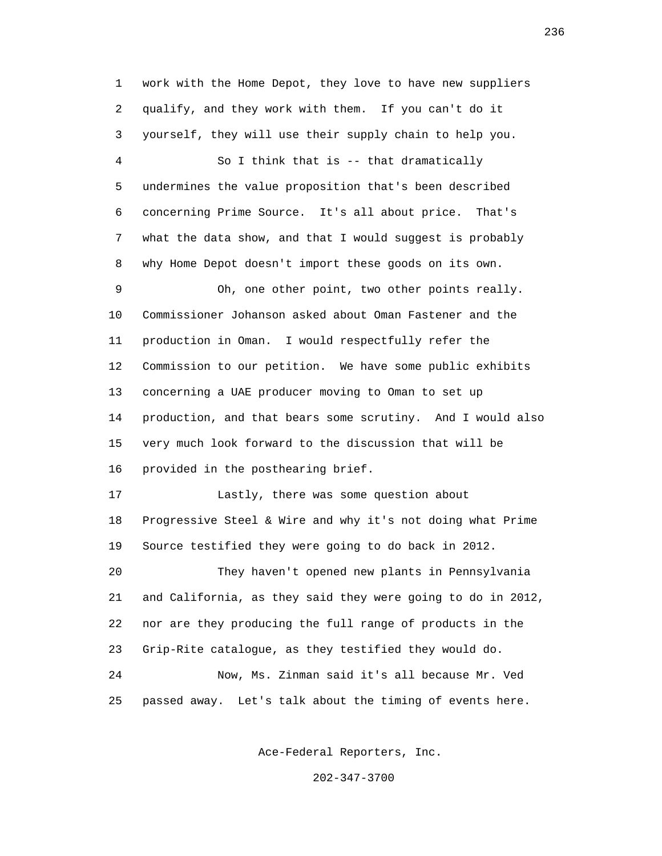1 work with the Home Depot, they love to have new suppliers 2 qualify, and they work with them. If you can't do it 3 yourself, they will use their supply chain to help you. 4 So I think that is -- that dramatically 5 undermines the value proposition that's been described 6 concerning Prime Source. It's all about price. That's 7 what the data show, and that I would suggest is probably 8 why Home Depot doesn't import these goods on its own. 9 Oh, one other point, two other points really. 10 Commissioner Johanson asked about Oman Fastener and the 11 production in Oman. I would respectfully refer the 12 Commission to our petition. We have some public exhibits 13 concerning a UAE producer moving to Oman to set up 14 production, and that bears some scrutiny. And I would also 15 very much look forward to the discussion that will be 16 provided in the posthearing brief. 17 Lastly, there was some question about 18 Progressive Steel & Wire and why it's not doing what Prime 19 Source testified they were going to do back in 2012. 20 They haven't opened new plants in Pennsylvania 21 and California, as they said they were going to do in 2012, 22 nor are they producing the full range of products in the 23 Grip-Rite catalogue, as they testified they would do. 24 Now, Ms. Zinman said it's all because Mr. Ved

25 passed away. Let's talk about the timing of events here.

Ace-Federal Reporters, Inc.

202-347-3700

<u>236</u>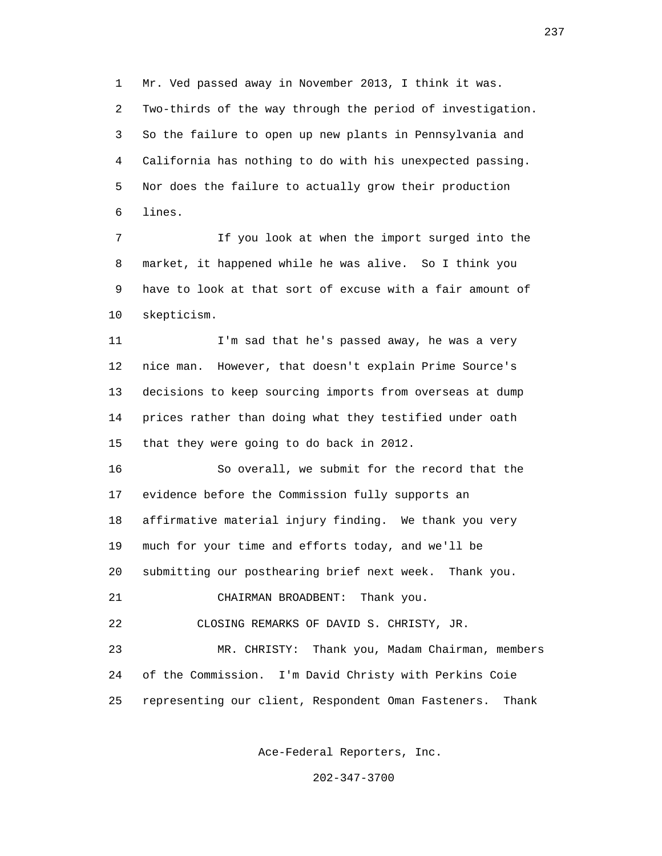1 Mr. Ved passed away in November 2013, I think it was. 2 Two-thirds of the way through the period of investigation. 3 So the failure to open up new plants in Pennsylvania and 4 California has nothing to do with his unexpected passing. 5 Nor does the failure to actually grow their production 6 lines.

 7 If you look at when the import surged into the 8 market, it happened while he was alive. So I think you 9 have to look at that sort of excuse with a fair amount of 10 skepticism.

11 I'm sad that he's passed away, he was a very 12 nice man. However, that doesn't explain Prime Source's 13 decisions to keep sourcing imports from overseas at dump 14 prices rather than doing what they testified under oath 15 that they were going to do back in 2012.

 16 So overall, we submit for the record that the 17 evidence before the Commission fully supports an 18 affirmative material injury finding. We thank you very 19 much for your time and efforts today, and we'll be 20 submitting our posthearing brief next week. Thank you. 21 CHAIRMAN BROADBENT: Thank you. 22 CLOSING REMARKS OF DAVID S. CHRISTY, JR.

 23 MR. CHRISTY: Thank you, Madam Chairman, members 24 of the Commission. I'm David Christy with Perkins Coie 25 representing our client, Respondent Oman Fasteners. Thank

Ace-Federal Reporters, Inc.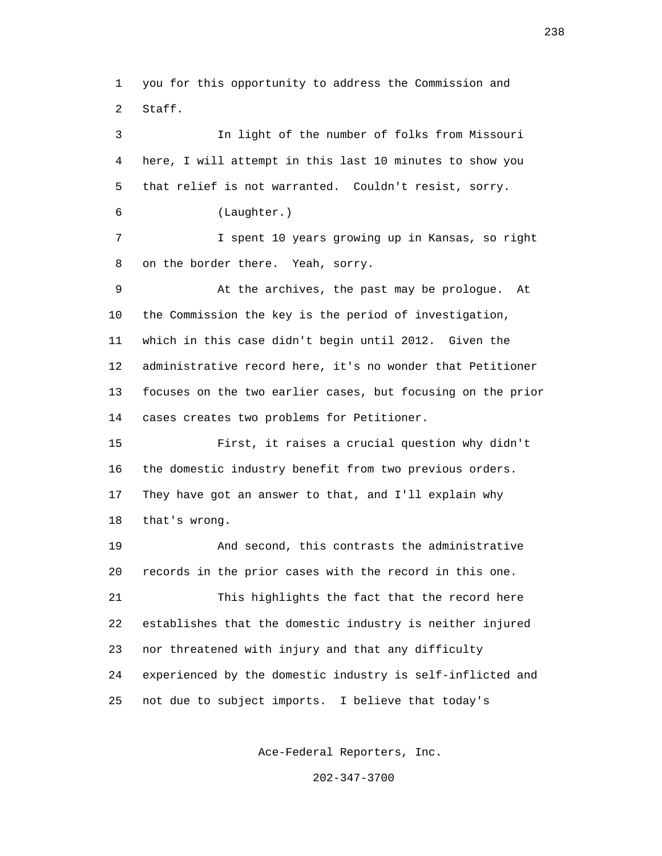1 you for this opportunity to address the Commission and 2 Staff.

 3 In light of the number of folks from Missouri 4 here, I will attempt in this last 10 minutes to show you 5 that relief is not warranted. Couldn't resist, sorry. 6 (Laughter.) 7 I spent 10 years growing up in Kansas, so right 8 on the border there. Yeah, sorry. 9 At the archives, the past may be prologue. At 10 the Commission the key is the period of investigation, 11 which in this case didn't begin until 2012. Given the 12 administrative record here, it's no wonder that Petitioner 13 focuses on the two earlier cases, but focusing on the prior 14 cases creates two problems for Petitioner. 15 First, it raises a crucial question why didn't 16 the domestic industry benefit from two previous orders. 17 They have got an answer to that, and I'll explain why 18 that's wrong. 19 And second, this contrasts the administrative 20 records in the prior cases with the record in this one. 21 This highlights the fact that the record here 22 establishes that the domestic industry is neither injured 23 nor threatened with injury and that any difficulty 24 experienced by the domestic industry is self-inflicted and 25 not due to subject imports. I believe that today's

Ace-Federal Reporters, Inc.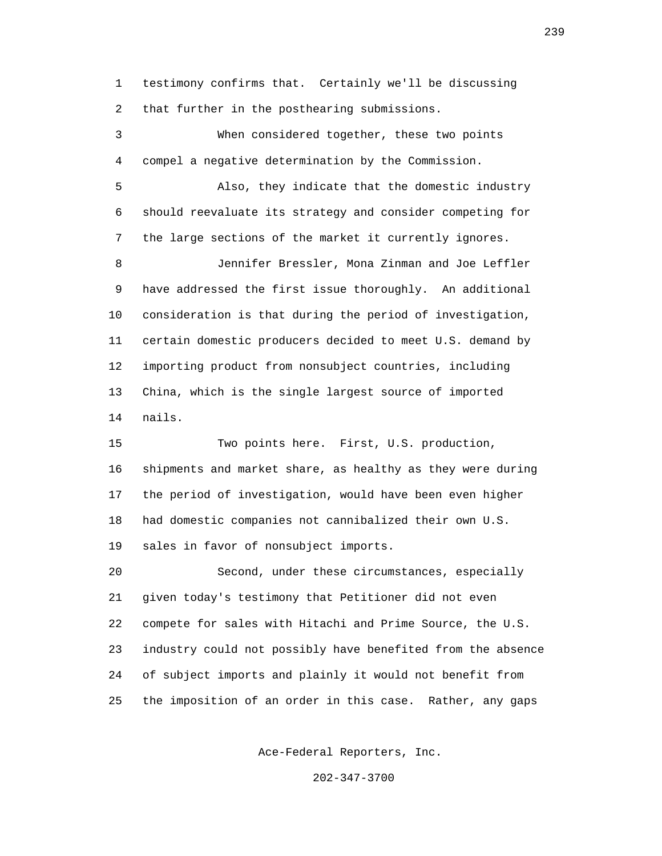1 testimony confirms that. Certainly we'll be discussing 2 that further in the posthearing submissions.

 3 When considered together, these two points 4 compel a negative determination by the Commission.

 5 Also, they indicate that the domestic industry 6 should reevaluate its strategy and consider competing for 7 the large sections of the market it currently ignores.

 8 Jennifer Bressler, Mona Zinman and Joe Leffler 9 have addressed the first issue thoroughly. An additional 10 consideration is that during the period of investigation, 11 certain domestic producers decided to meet U.S. demand by 12 importing product from nonsubject countries, including 13 China, which is the single largest source of imported 14 nails.

 15 Two points here. First, U.S. production, 16 shipments and market share, as healthy as they were during 17 the period of investigation, would have been even higher 18 had domestic companies not cannibalized their own U.S. 19 sales in favor of nonsubject imports.

 20 Second, under these circumstances, especially 21 given today's testimony that Petitioner did not even 22 compete for sales with Hitachi and Prime Source, the U.S. 23 industry could not possibly have benefited from the absence 24 of subject imports and plainly it would not benefit from 25 the imposition of an order in this case. Rather, any gaps

Ace-Federal Reporters, Inc.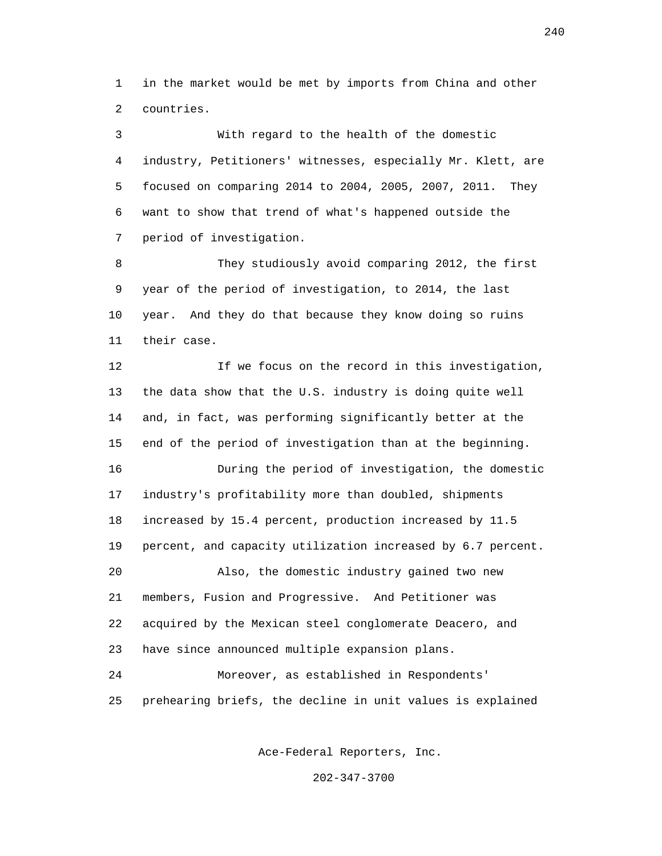1 in the market would be met by imports from China and other 2 countries.

 3 With regard to the health of the domestic 4 industry, Petitioners' witnesses, especially Mr. Klett, are 5 focused on comparing 2014 to 2004, 2005, 2007, 2011. They 6 want to show that trend of what's happened outside the 7 period of investigation.

 8 They studiously avoid comparing 2012, the first 9 year of the period of investigation, to 2014, the last 10 year. And they do that because they know doing so ruins 11 their case.

 12 If we focus on the record in this investigation, 13 the data show that the U.S. industry is doing quite well 14 and, in fact, was performing significantly better at the 15 end of the period of investigation than at the beginning. 16 During the period of investigation, the domestic 17 industry's profitability more than doubled, shipments 18 increased by 15.4 percent, production increased by 11.5 19 percent, and capacity utilization increased by 6.7 percent. 20 Also, the domestic industry gained two new 21 members, Fusion and Progressive. And Petitioner was 22 acquired by the Mexican steel conglomerate Deacero, and 23 have since announced multiple expansion plans. 24 Moreover, as established in Respondents'

25 prehearing briefs, the decline in unit values is explained

Ace-Federal Reporters, Inc.

202-347-3700

240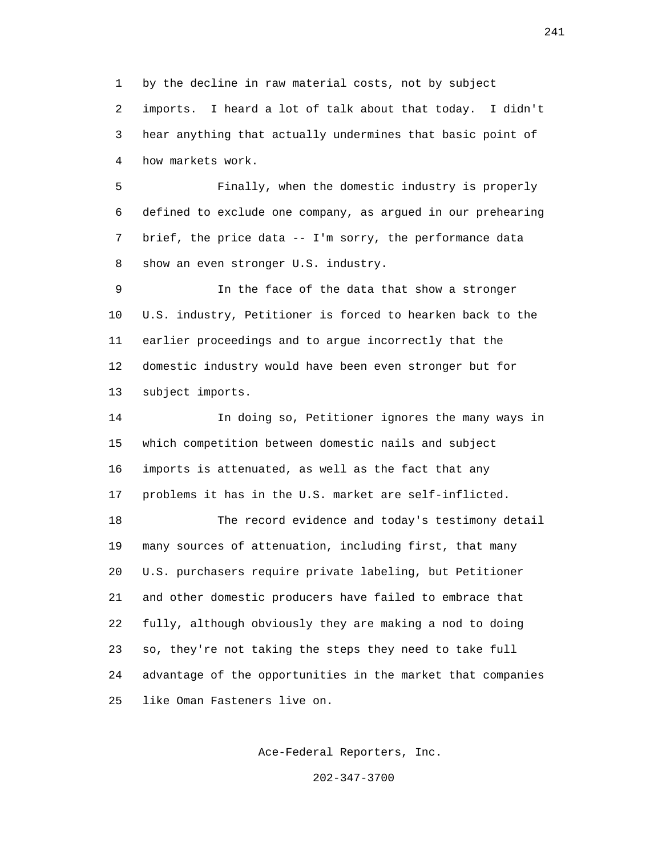1 by the decline in raw material costs, not by subject 2 imports. I heard a lot of talk about that today. I didn't 3 hear anything that actually undermines that basic point of 4 how markets work.

 5 Finally, when the domestic industry is properly 6 defined to exclude one company, as argued in our prehearing 7 brief, the price data -- I'm sorry, the performance data 8 show an even stronger U.S. industry.

 9 In the face of the data that show a stronger 10 U.S. industry, Petitioner is forced to hearken back to the 11 earlier proceedings and to argue incorrectly that the 12 domestic industry would have been even stronger but for 13 subject imports.

 14 In doing so, Petitioner ignores the many ways in 15 which competition between domestic nails and subject 16 imports is attenuated, as well as the fact that any 17 problems it has in the U.S. market are self-inflicted.

 18 The record evidence and today's testimony detail 19 many sources of attenuation, including first, that many 20 U.S. purchasers require private labeling, but Petitioner 21 and other domestic producers have failed to embrace that 22 fully, although obviously they are making a nod to doing 23 so, they're not taking the steps they need to take full 24 advantage of the opportunities in the market that companies 25 like Oman Fasteners live on.

Ace-Federal Reporters, Inc.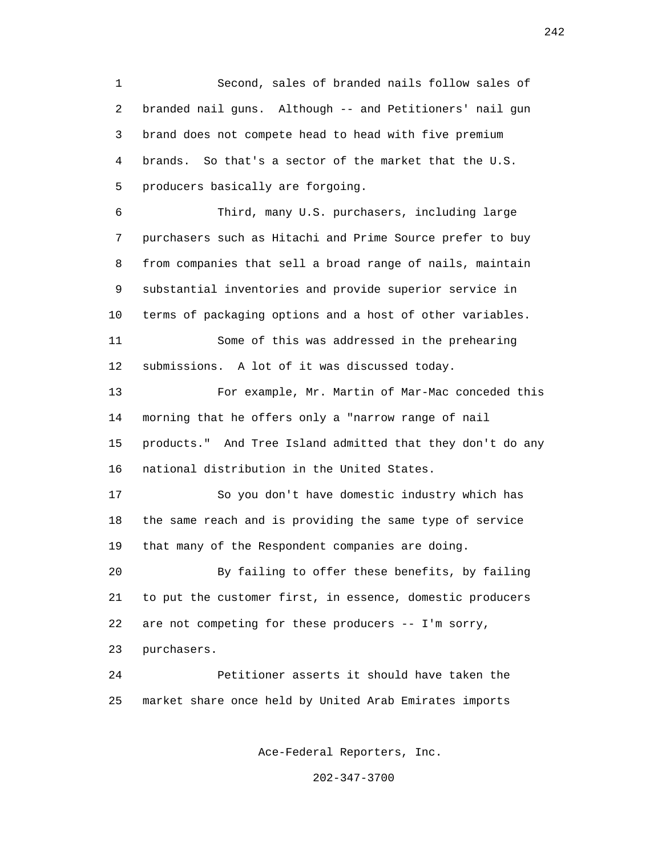1 Second, sales of branded nails follow sales of 2 branded nail guns. Although -- and Petitioners' nail gun 3 brand does not compete head to head with five premium 4 brands. So that's a sector of the market that the U.S. 5 producers basically are forgoing.

 6 Third, many U.S. purchasers, including large 7 purchasers such as Hitachi and Prime Source prefer to buy 8 from companies that sell a broad range of nails, maintain 9 substantial inventories and provide superior service in 10 terms of packaging options and a host of other variables. 11 Some of this was addressed in the prehearing 12 submissions. A lot of it was discussed today.

 13 For example, Mr. Martin of Mar-Mac conceded this 14 morning that he offers only a "narrow range of nail 15 products." And Tree Island admitted that they don't do any 16 national distribution in the United States.

 17 So you don't have domestic industry which has 18 the same reach and is providing the same type of service 19 that many of the Respondent companies are doing.

 20 By failing to offer these benefits, by failing 21 to put the customer first, in essence, domestic producers 22 are not competing for these producers -- I'm sorry,

23 purchasers.

 24 Petitioner asserts it should have taken the 25 market share once held by United Arab Emirates imports

Ace-Federal Reporters, Inc.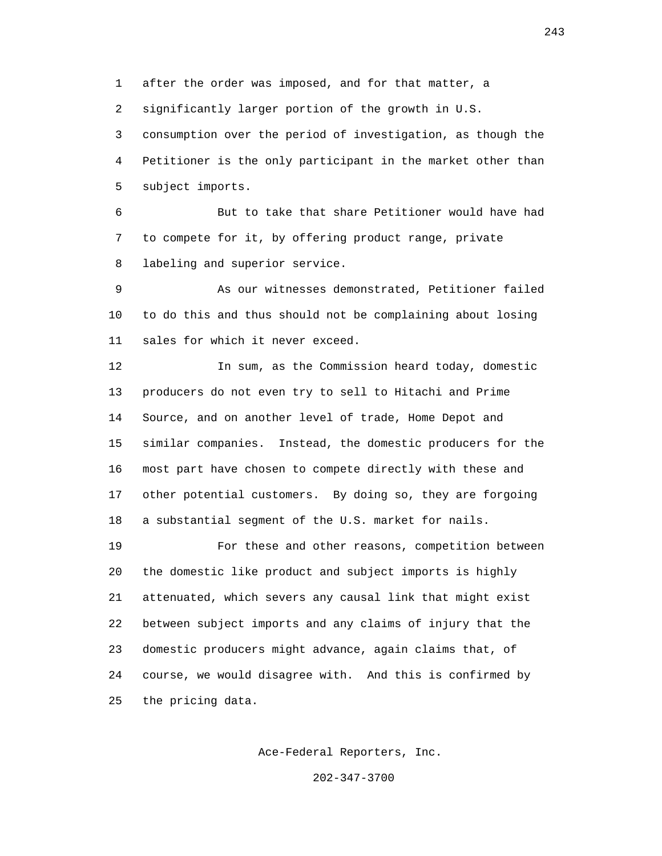1 after the order was imposed, and for that matter, a

2 significantly larger portion of the growth in U.S.

 3 consumption over the period of investigation, as though the 4 Petitioner is the only participant in the market other than 5 subject imports.

 6 But to take that share Petitioner would have had 7 to compete for it, by offering product range, private 8 labeling and superior service.

 9 As our witnesses demonstrated, Petitioner failed 10 to do this and thus should not be complaining about losing 11 sales for which it never exceed.

 12 In sum, as the Commission heard today, domestic 13 producers do not even try to sell to Hitachi and Prime 14 Source, and on another level of trade, Home Depot and 15 similar companies. Instead, the domestic producers for the 16 most part have chosen to compete directly with these and 17 other potential customers. By doing so, they are forgoing 18 a substantial segment of the U.S. market for nails.

 19 For these and other reasons, competition between 20 the domestic like product and subject imports is highly 21 attenuated, which severs any causal link that might exist 22 between subject imports and any claims of injury that the 23 domestic producers might advance, again claims that, of 24 course, we would disagree with. And this is confirmed by 25 the pricing data.

Ace-Federal Reporters, Inc.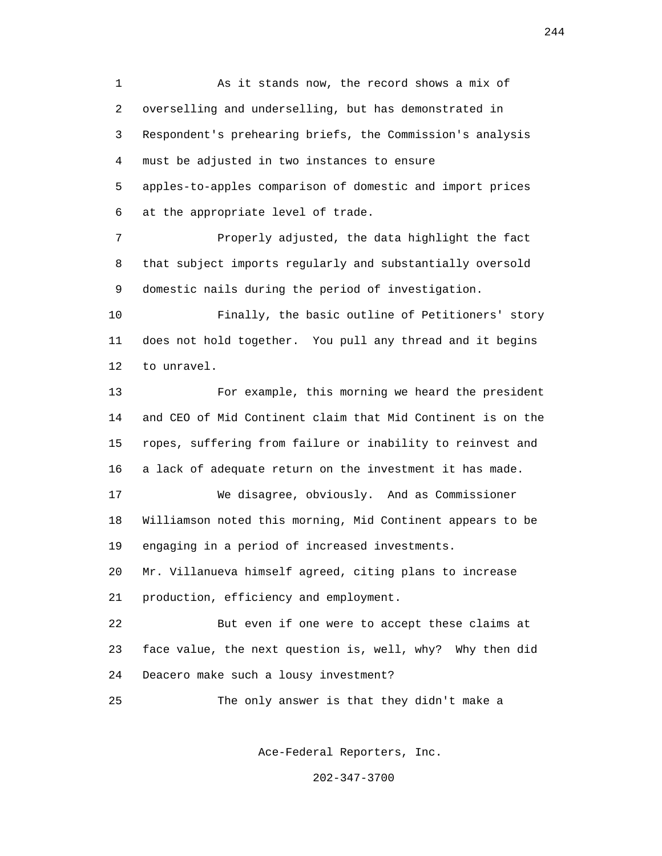1 As it stands now, the record shows a mix of 2 overselling and underselling, but has demonstrated in 3 Respondent's prehearing briefs, the Commission's analysis 4 must be adjusted in two instances to ensure 5 apples-to-apples comparison of domestic and import prices 6 at the appropriate level of trade.

 7 Properly adjusted, the data highlight the fact 8 that subject imports regularly and substantially oversold 9 domestic nails during the period of investigation.

 10 Finally, the basic outline of Petitioners' story 11 does not hold together. You pull any thread and it begins 12 to unravel.

 13 For example, this morning we heard the president 14 and CEO of Mid Continent claim that Mid Continent is on the 15 ropes, suffering from failure or inability to reinvest and 16 a lack of adequate return on the investment it has made.

 17 We disagree, obviously. And as Commissioner 18 Williamson noted this morning, Mid Continent appears to be 19 engaging in a period of increased investments.

 20 Mr. Villanueva himself agreed, citing plans to increase 21 production, efficiency and employment.

 22 But even if one were to accept these claims at 23 face value, the next question is, well, why? Why then did 24 Deacero make such a lousy investment?

25 The only answer is that they didn't make a

Ace-Federal Reporters, Inc.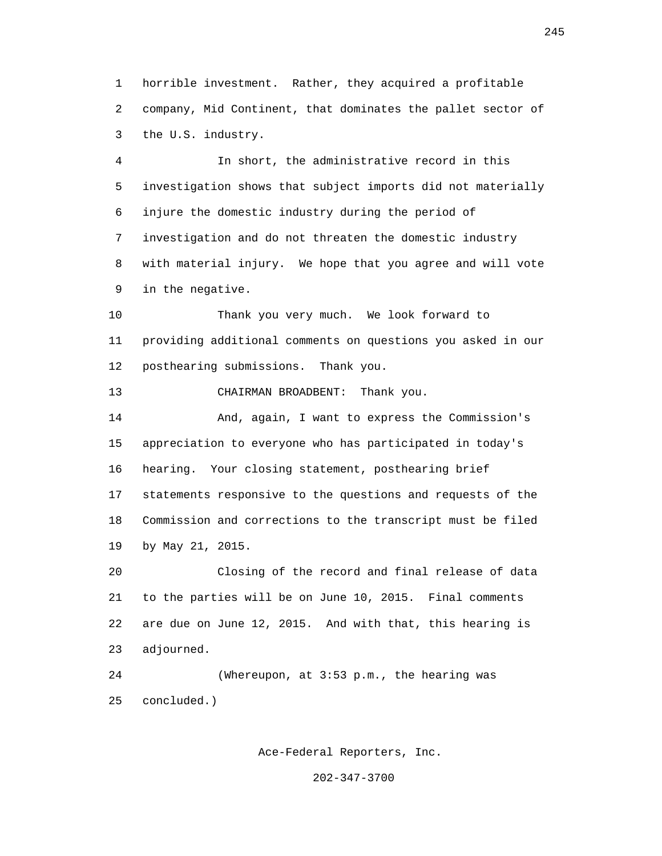1 horrible investment. Rather, they acquired a profitable 2 company, Mid Continent, that dominates the pallet sector of 3 the U.S. industry.

 4 In short, the administrative record in this 5 investigation shows that subject imports did not materially 6 injure the domestic industry during the period of 7 investigation and do not threaten the domestic industry 8 with material injury. We hope that you agree and will vote 9 in the negative.

 10 Thank you very much. We look forward to 11 providing additional comments on questions you asked in our 12 posthearing submissions. Thank you.

13 CHAIRMAN BROADBENT: Thank you.

 14 And, again, I want to express the Commission's 15 appreciation to everyone who has participated in today's 16 hearing. Your closing statement, posthearing brief 17 statements responsive to the questions and requests of the 18 Commission and corrections to the transcript must be filed 19 by May 21, 2015.

 20 Closing of the record and final release of data 21 to the parties will be on June 10, 2015. Final comments 22 are due on June 12, 2015. And with that, this hearing is 23 adjourned.

 24 (Whereupon, at 3:53 p.m., the hearing was 25 concluded.)

Ace-Federal Reporters, Inc.